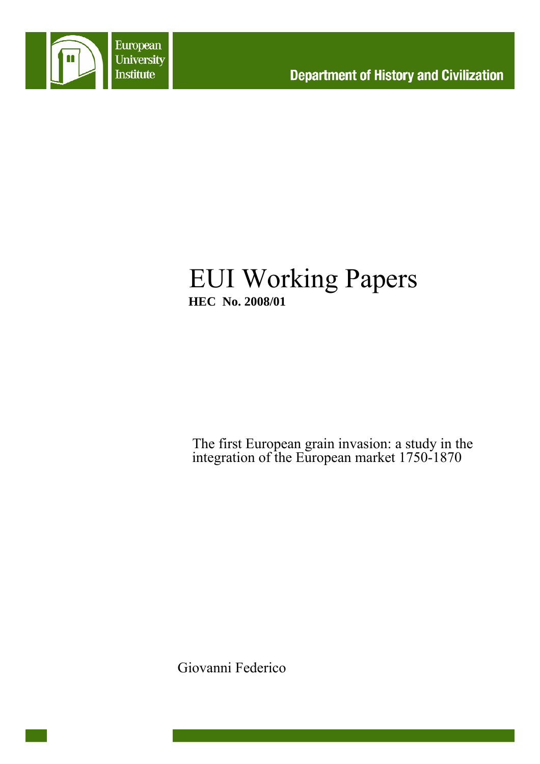

# EUI Working Papers  **HEC No. 2008/01**

The first European grain invasion: a study in the integration of the European market 1750-1870

Giovanni Federico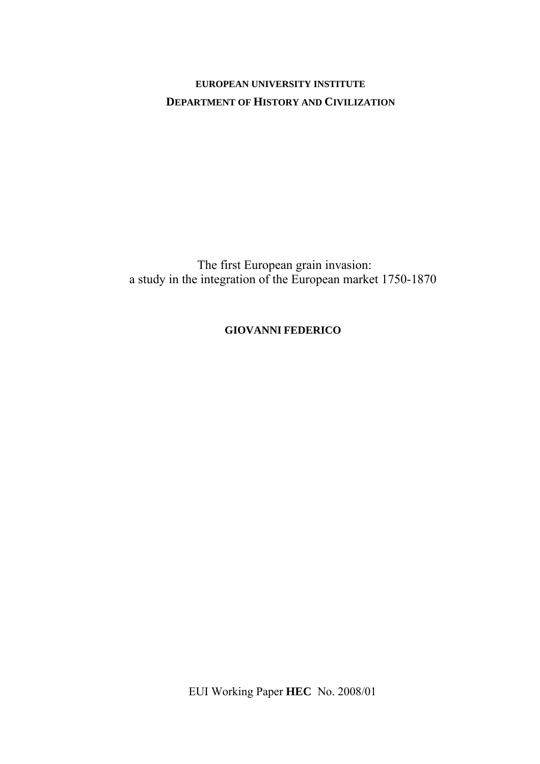## **EUROPEAN UNIVERSITY INSTITUTE DEPARTMENT OF HISTORY AND CIVILIZATION**

The first European grain invasion: a study in the integration of the European market 1750-1870

**GIOVANNI FEDERICO** 

EUI Working Paper **HEC** No. 2008/01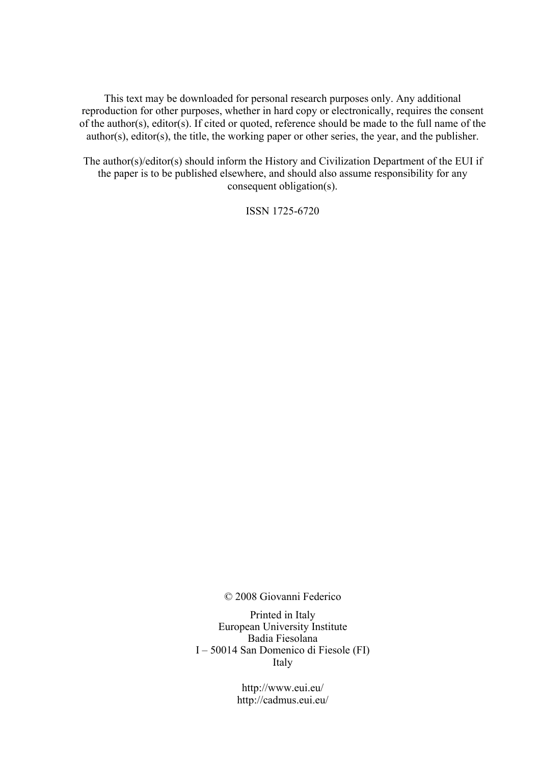This text may be downloaded for personal research purposes only. Any additional reproduction for other purposes, whether in hard copy or electronically, requires the consent of the author(s), editor(s). If cited or quoted, reference should be made to the full name of the author(s), editor(s), the title, the working paper or other series, the year, and the publisher.

The author(s)/editor(s) should inform the History and Civilization Department of the EUI if the paper is to be published elsewhere, and should also assume responsibility for any consequent obligation(s).

ISSN 1725-6720

© 2008 Giovanni Federico

Printed in Italy European University Institute Badia Fiesolana I – 50014 San Domenico di Fiesole (FI) Italy

> http://www.eui.eu/ http://cadmus.eui.eu/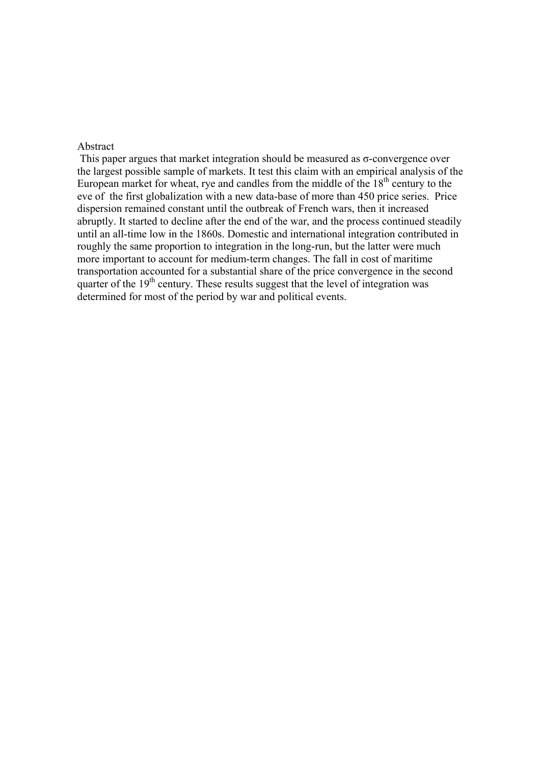## Abstract

This paper argues that market integration should be measured as  $\sigma$ -convergence over the largest possible sample of markets. It test this claim with an empirical analysis of the European market for wheat, rye and candles from the middle of the  $18<sup>th</sup>$  century to the eve of the first globalization with a new data-base of more than 450 price series. Price dispersion remained constant until the outbreak of French wars, then it increased abruptly. It started to decline after the end of the war, and the process continued steadily until an all-time low in the 1860s. Domestic and international integration contributed in roughly the same proportion to integration in the long-run, but the latter were much more important to account for medium-term changes. The fall in cost of maritime transportation accounted for a substantial share of the price convergence in the second quarter of the  $19<sup>th</sup>$  century. These results suggest that the level of integration was determined for most of the period by war and political events.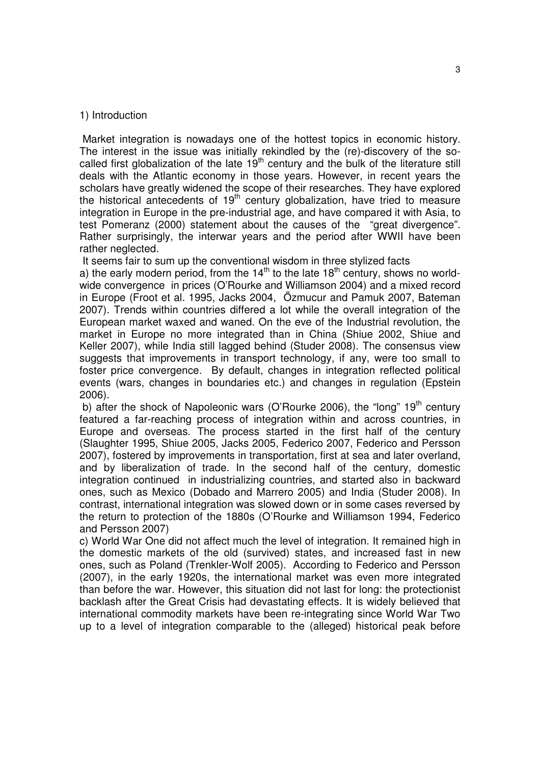## 1) Introduction

 Market integration is nowadays one of the hottest topics in economic history. The interest in the issue was initially rekindled by the (re)-discovery of the socalled first globalization of the late  $19<sup>th</sup>$  century and the bulk of the literature still deals with the Atlantic economy in those years. However, in recent years the scholars have greatly widened the scope of their researches. They have explored the historical antecedents of  $19<sup>th</sup>$  century globalization, have tried to measure integration in Europe in the pre-industrial age, and have compared it with Asia, to test Pomeranz (2000) statement about the causes of the "great divergence". Rather surprisingly, the interwar years and the period after WWII have been rather neglected.

It seems fair to sum up the conventional wisdom in three stylized facts

a) the early modern period, from the  $14<sup>th</sup>$  to the late  $18<sup>th</sup>$  century, shows no worldwide convergence in prices (O'Rourke and Williamson 2004) and a mixed record in Europe (Froot et al. 1995, Jacks 2004, Őzmucur and Pamuk 2007, Bateman 2007). Trends within countries differed a lot while the overall integration of the European market waxed and waned. On the eve of the Industrial revolution, the market in Europe no more integrated than in China (Shiue 2002, Shiue and Keller 2007), while India still lagged behind (Studer 2008). The consensus view suggests that improvements in transport technology, if any, were too small to foster price convergence. By default, changes in integration reflected political events (wars, changes in boundaries etc.) and changes in regulation (Epstein 2006).

b) after the shock of Napoleonic wars (O'Rourke 2006), the "long"  $19<sup>th</sup>$  century featured a far-reaching process of integration within and across countries, in Europe and overseas. The process started in the first half of the century (Slaughter 1995, Shiue 2005, Jacks 2005, Federico 2007, Federico and Persson 2007), fostered by improvements in transportation, first at sea and later overland, and by liberalization of trade. In the second half of the century, domestic integration continued in industrializing countries, and started also in backward ones, such as Mexico (Dobado and Marrero 2005) and India (Studer 2008). In contrast, international integration was slowed down or in some cases reversed by the return to protection of the 1880s (O'Rourke and Williamson 1994, Federico and Persson 2007)

c) World War One did not affect much the level of integration. It remained high in the domestic markets of the old (survived) states, and increased fast in new ones, such as Poland (Trenkler-Wolf 2005). According to Federico and Persson (2007), in the early 1920s, the international market was even more integrated than before the war. However, this situation did not last for long: the protectionist backlash after the Great Crisis had devastating effects. It is widely believed that international commodity markets have been re-integrating since World War Two up to a level of integration comparable to the (alleged) historical peak before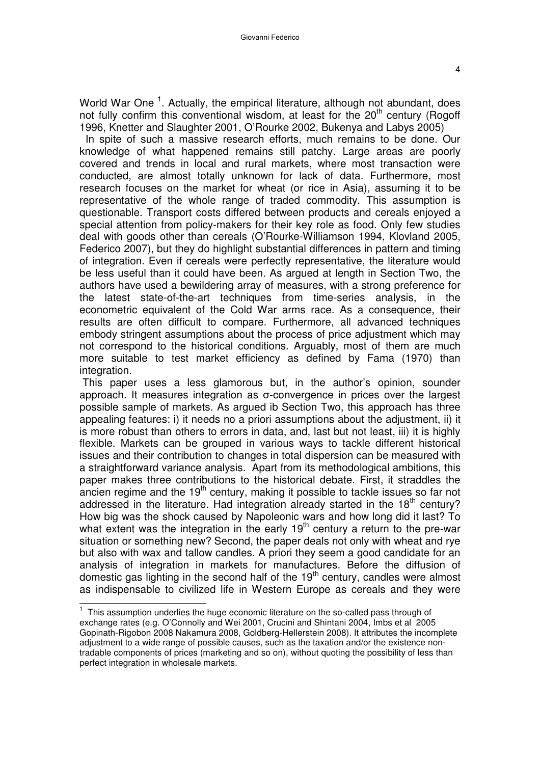World War One<sup>1</sup>. Actually, the empirical literature, although not abundant, does not fully confirm this conventional wisdom, at least for the 20<sup>th</sup> century (Rogoff 1996, Knetter and Slaughter 2001, O'Rourke 2002, Bukenya and Labys 2005)

 In spite of such a massive research efforts, much remains to be done. Our knowledge of what happened remains still patchy. Large areas are poorly covered and trends in local and rural markets, where most transaction were conducted, are almost totally unknown for lack of data. Furthermore, most research focuses on the market for wheat (or rice in Asia), assuming it to be representative of the whole range of traded commodity. This assumption is questionable. Transport costs differed between products and cereals enjoyed a special attention from policy-makers for their key role as food. Only few studies deal with goods other than cereals (O'Rourke-Williamson 1994, Klovland 2005, Federico 2007), but they do highlight substantial differences in pattern and timing of integration. Even if cereals were perfectly representative, the literature would be less useful than it could have been. As argued at length in Section Two, the authors have used a bewildering array of measures, with a strong preference for the latest state-of-the-art techniques from time-series analysis, in the econometric equivalent of the Cold War arms race. As a consequence, their results are often difficult to compare. Furthermore, all advanced techniques embody stringent assumptions about the process of price adjustment which may not correspond to the historical conditions. Arguably, most of them are much more suitable to test market efficiency as defined by Fama (1970) than integration.

 This paper uses a less glamorous but, in the author's opinion, sounder approach. It measures integration as σ-convergence in prices over the largest possible sample of markets. As argued ib Section Two, this approach has three appealing features: i) it needs no a priori assumptions about the adjustment, ii) it is more robust than others to errors in data, and, last but not least, iii) it is highly flexible. Markets can be grouped in various ways to tackle different historical issues and their contribution to changes in total dispersion can be measured with a straightforward variance analysis. Apart from its methodological ambitions, this paper makes three contributions to the historical debate. First, it straddles the ancien regime and the  $19<sup>th</sup>$  century, making it possible to tackle issues so far not addressed in the literature. Had integration already started in the  $18<sup>th</sup>$  century? How big was the shock caused by Napoleonic wars and how long did it last? To what extent was the integration in the early  $19<sup>th</sup>$  century a return to the pre-war situation or something new? Second, the paper deals not only with wheat and rye but also with wax and tallow candles. A priori they seem a good candidate for an analysis of integration in markets for manufactures. Before the diffusion of domestic gas lighting in the second half of the 19<sup>th</sup> century, candles were almost as indispensable to civilized life in Western Europe as cereals and they were

 1 This assumption underlies the huge economic literature on the so-called pass through of exchange rates (e.g. O'Connolly and Wei 2001, Crucini and Shintani 2004, Imbs et al 2005 Gopinath-Rigobon 2008 Nakamura 2008, Goldberg-Hellerstein 2008). It attributes the incomplete adjustment to a wide range of possible causes, such as the taxation and/or the existence nontradable components of prices (marketing and so on), without quoting the possibility of less than perfect integration in wholesale markets.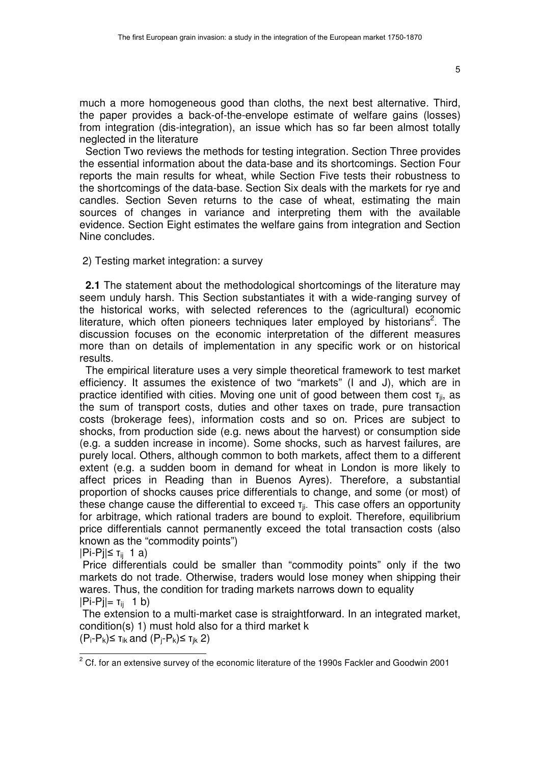much a more homogeneous good than cloths, the next best alternative. Third, the paper provides a back-of-the-envelope estimate of welfare gains (losses) from integration (dis-integration), an issue which has so far been almost totally neglected in the literature

 Section Two reviews the methods for testing integration. Section Three provides the essential information about the data-base and its shortcomings. Section Four reports the main results for wheat, while Section Five tests their robustness to the shortcomings of the data-base. Section Six deals with the markets for rye and candles. Section Seven returns to the case of wheat, estimating the main sources of changes in variance and interpreting them with the available evidence. Section Eight estimates the welfare gains from integration and Section Nine concludes.

### 2) Testing market integration: a survey

 **2.1** The statement about the methodological shortcomings of the literature may seem unduly harsh. This Section substantiates it with a wide-ranging survey of the historical works, with selected references to the (agricultural) economic literature, which often pioneers techniques later employed by historians<sup>2</sup>. The discussion focuses on the economic interpretation of the different measures more than on details of implementation in any specific work or on historical results.

 The empirical literature uses a very simple theoretical framework to test market efficiency. It assumes the existence of two "markets" (I and J), which are in practice identified with cities. Moving one unit of good between them cost  $\tau_{ii}$ , as the sum of transport costs, duties and other taxes on trade, pure transaction costs (brokerage fees), information costs and so on. Prices are subject to shocks, from production side (e.g. news about the harvest) or consumption side (e.g. a sudden increase in income). Some shocks, such as harvest failures, are purely local. Others, although common to both markets, affect them to a different extent (e.g. a sudden boom in demand for wheat in London is more likely to affect prices in Reading than in Buenos Ayres). Therefore, a substantial proportion of shocks causes price differentials to change, and some (or most) of these change cause the differential to exceed  $\tau_{ij}$ . This case offers an opportunity for arbitrage, which rational traders are bound to exploit. Therefore, equilibrium price differentials cannot permanently exceed the total transaction costs (also known as the "commodity points")

 $|Pi-Pi| \leq \tau_{ii}$  1 a)

 Price differentials could be smaller than "commodity points" only if the two markets do not trade. Otherwise, traders would lose money when shipping their wares. Thus, the condition for trading markets narrows down to equality  $|Pi-P||= T_{ii}$  1 b)

 The extension to a multi-market case is straightforward. In an integrated market, condition(s) 1) must hold also for a third market k  $(P_i-P_k) \leq T_{ik}$  and  $(P_i-P_k) \leq T_{ik}$  2)

5

 2 Cf. for an extensive survey of the economic literature of the 1990s Fackler and Goodwin 2001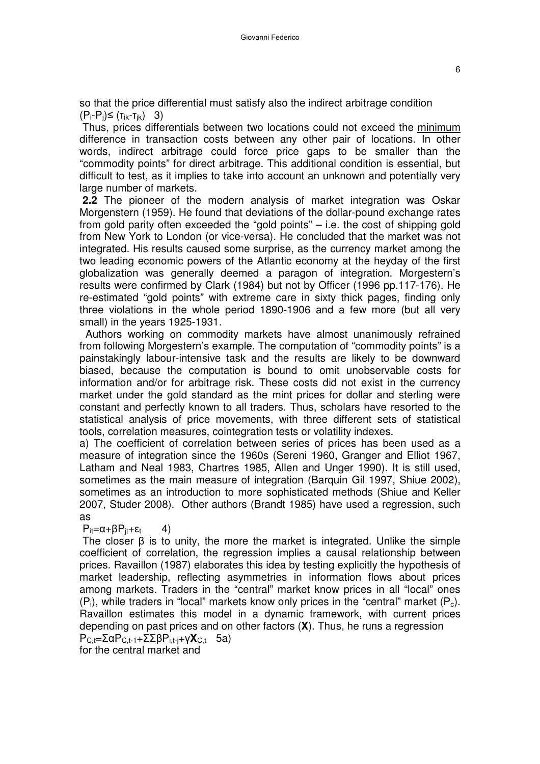so that the price differential must satisfy also the indirect arbitrage condition  $(P_i-P_i)$ ≤ (τ<sub>ik</sub>-τ<sub>ik</sub>) 3)

 Thus, prices differentials between two locations could not exceed the minimum difference in transaction costs between any other pair of locations. In other words, indirect arbitrage could force price gaps to be smaller than the "commodity points" for direct arbitrage. This additional condition is essential, but difficult to test, as it implies to take into account an unknown and potentially very large number of markets.

**2.2** The pioneer of the modern analysis of market integration was Oskar Morgenstern (1959). He found that deviations of the dollar-pound exchange rates from gold parity often exceeded the "gold points" – i.e. the cost of shipping gold from New York to London (or vice-versa). He concluded that the market was not integrated. His results caused some surprise, as the currency market among the two leading economic powers of the Atlantic economy at the heyday of the first globalization was generally deemed a paragon of integration. Morgestern's results were confirmed by Clark (1984) but not by Officer (1996 pp.117-176). He re-estimated "gold points" with extreme care in sixty thick pages, finding only three violations in the whole period 1890-1906 and a few more (but all very small) in the years 1925-1931.

 Authors working on commodity markets have almost unanimously refrained from following Morgestern's example. The computation of "commodity points" is a painstakingly labour-intensive task and the results are likely to be downward biased, because the computation is bound to omit unobservable costs for information and/or for arbitrage risk. These costs did not exist in the currency market under the gold standard as the mint prices for dollar and sterling were constant and perfectly known to all traders. Thus, scholars have resorted to the statistical analysis of price movements, with three different sets of statistical tools, correlation measures, cointegration tests or volatility indexes.

a) The coefficient of correlation between series of prices has been used as a measure of integration since the 1960s (Sereni 1960, Granger and Elliot 1967, Latham and Neal 1983, Chartres 1985, Allen and Unger 1990). It is still used, sometimes as the main measure of integration (Barquin Gil 1997, Shiue 2002), sometimes as an introduction to more sophisticated methods (Shiue and Keller 2007, Studer 2008). Other authors (Brandt 1985) have used a regression, such as

 $P_{it} = \alpha + \beta P_{it} + \varepsilon_t$  4)

The closer  $\beta$  is to unity, the more the market is integrated. Unlike the simple coefficient of correlation, the regression implies a causal relationship between prices. Ravaillon (1987) elaborates this idea by testing explicitly the hypothesis of market leadership, reflecting asymmetries in information flows about prices among markets. Traders in the "central" market know prices in all "local" ones  $(P_i)$ , while traders in "local" markets know only prices in the "central" market  $(P_c)$ . Ravaillon estimates this model in a dynamic framework, with current prices depending on past prices and on other factors (**X**). Thus, he runs a regression  $P_{C,t} = \Sigma \alpha P_{C,t-1} + \Sigma \Sigma \beta P_{i,t-i} + \gamma X_{C,t}$  5a)

for the central market and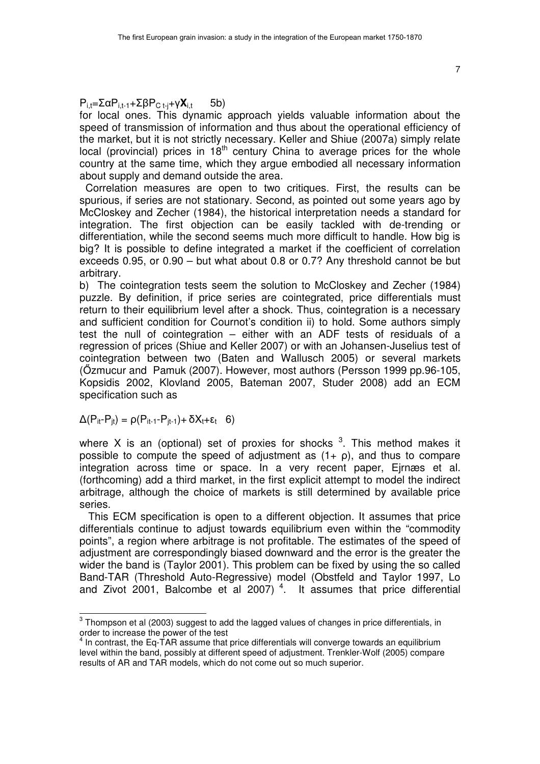## $P_{i,t} = \sum \alpha P_{i,t-1} + \sum \beta P_{C,t-i} + \gamma X_{i,t}$  5b)

for local ones. This dynamic approach yields valuable information about the speed of transmission of information and thus about the operational efficiency of the market, but it is not strictly necessary. Keller and Shiue (2007a) simply relate local (provincial) prices in  $18<sup>th</sup>$  century China to average prices for the whole country at the same time, which they argue embodied all necessary information about supply and demand outside the area.

 Correlation measures are open to two critiques. First, the results can be spurious, if series are not stationary. Second, as pointed out some years ago by McCloskey and Zecher (1984), the historical interpretation needs a standard for integration. The first objection can be easily tackled with de-trending or differentiation, while the second seems much more difficult to handle. How big is big? It is possible to define integrated a market if the coefficient of correlation exceeds 0.95, or 0.90 – but what about 0.8 or 0.7? Any threshold cannot be but arbitrary.

b) The cointegration tests seem the solution to McCloskey and Zecher (1984) puzzle. By definition, if price series are cointegrated, price differentials must return to their equilibrium level after a shock. Thus, cointegration is a necessary and sufficient condition for Cournot's condition ii) to hold. Some authors simply test the null of cointegration – either with an ADF tests of residuals of a regression of prices (Shiue and Keller 2007) or with an Johansen-Juselius test of cointegration between two (Baten and Wallusch 2005) or several markets (Őzmucur and Pamuk (2007). However, most authors (Persson 1999 pp.96-105, Kopsidis 2002, Klovland 2005, Bateman 2007, Studer 2008) add an ECM specification such as

 $\Delta(P_{it}-P_{it}) = \rho(P_{it-1}-P_{it-1}) + \delta X_t + \varepsilon_t$  6)

where X is an (optional) set of proxies for shocks  $3$ . This method makes it possible to compute the speed of adjustment as  $(1 + p)$ , and thus to compare integration across time or space. In a very recent paper, Ejrnæs et al. (forthcoming) add a third market, in the first explicit attempt to model the indirect arbitrage, although the choice of markets is still determined by available price series.

 This ECM specification is open to a different objection. It assumes that price differentials continue to adjust towards equilibrium even within the "commodity points", a region where arbitrage is not profitable. The estimates of the speed of adjustment are correspondingly biased downward and the error is the greater the wider the band is (Taylor 2001). This problem can be fixed by using the so called Band-TAR (Threshold Auto-Regressive) model (Obstfeld and Taylor 1997, Lo and Zivot 2001, Balcombe et al 2007)<sup>4</sup>. It assumes that price differential

 3 Thompson et al (2003) suggest to add the lagged values of changes in price differentials, in order to increase the power of the test

 $<sup>4</sup>$  In contrast, the Eq-TAR assume that price differentials will converge towards an equilibrium</sup> level within the band, possibly at different speed of adjustment. Trenkler-Wolf (2005) compare results of AR and TAR models, which do not come out so much superior.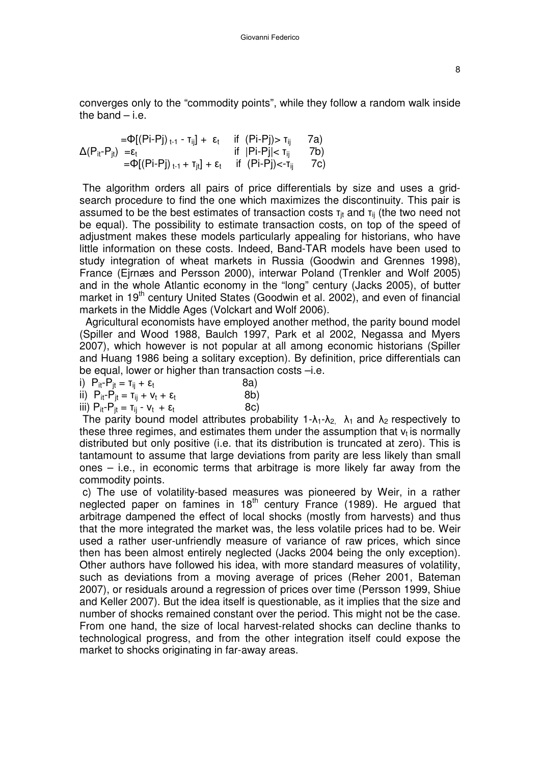converges only to the "commodity points", while they follow a random walk inside the band  $-$  i.e.

$$
\Delta(P_{it} - P_{jt}) = \varepsilon_t \n\Delta(P_{it} - P_{jt}) + \varepsilon_t \n\begin{cases}\n\text{if } (Pi - P_{j}) > \tau_{ij} \\
\text{if } |Pi - P_{j}| < \tau_{ij} \\
\text{if } |Pi - P_{j}| < \tau_{ij}\n\end{cases}
$$
\n
$$
\Delta(P_{it} - P_{jt}) = \varepsilon_t \n\Delta(P_{it} - P_{jt}) + \tau_{jt} + \varepsilon_t \n\begin{cases}\n\text{if } (Pi - P_{j}) < -\tau_{ij} \\
\text{if } (Pi - P_{jt}) < -\tau_{ij}\n\end{cases}
$$

 The algorithm orders all pairs of price differentials by size and uses a gridsearch procedure to find the one which maximizes the discontinuity. This pair is assumed to be the best estimates of transaction costs  $\tau_{it}$  and  $\tau_{ii}$  (the two need not be equal). The possibility to estimate transaction costs, on top of the speed of adjustment makes these models particularly appealing for historians, who have little information on these costs. Indeed, Band-TAR models have been used to study integration of wheat markets in Russia (Goodwin and Grennes 1998), France (Ejrnæs and Persson 2000), interwar Poland (Trenkler and Wolf 2005) and in the whole Atlantic economy in the "long" century (Jacks 2005), of butter market in 19<sup>th</sup> century United States (Goodwin et al. 2002), and even of financial markets in the Middle Ages (Volckart and Wolf 2006).

 Agricultural economists have employed another method, the parity bound model (Spiller and Wood 1988, Baulch 1997, Park et al 2002, Negassa and Myers 2007), which however is not popular at all among economic historians (Spiller and Huang 1986 being a solitary exception). By definition, price differentials can be equal, lower or higher than transaction costs –i.e.

| i) $P_{it} - P_{jt} = T_{ij} + \varepsilon_t$         | 8a) |
|-------------------------------------------------------|-----|
| ii) $P_{it}P_{jt} = T_{ij} + V_t + \varepsilon_t$     | 8b) |
| iii) $P_{it} - P_{it} = T_{ij} - V_t + \varepsilon_t$ | 8c) |

The parity bound model attributes probability 1- $\lambda_1$ - $\lambda_2$ ,  $\lambda_1$  and  $\lambda_2$  respectively to these three regimes, and estimates them under the assumption that  $v_t$  is normally distributed but only positive (i.e. that its distribution is truncated at zero). This is tantamount to assume that large deviations from parity are less likely than small ones – i.e., in economic terms that arbitrage is more likely far away from the commodity points.

 c) The use of volatility-based measures was pioneered by Weir, in a rather neglected paper on famines in  $18<sup>th</sup>$  century France (1989). He argued that arbitrage dampened the effect of local shocks (mostly from harvests) and thus that the more integrated the market was, the less volatile prices had to be. Weir used a rather user-unfriendly measure of variance of raw prices, which since then has been almost entirely neglected (Jacks 2004 being the only exception). Other authors have followed his idea, with more standard measures of volatility, such as deviations from a moving average of prices (Reher 2001, Bateman 2007), or residuals around a regression of prices over time (Persson 1999, Shiue and Keller 2007). But the idea itself is questionable, as it implies that the size and number of shocks remained constant over the period. This might not be the case. From one hand, the size of local harvest-related shocks can decline thanks to technological progress, and from the other integration itself could expose the market to shocks originating in far-away areas.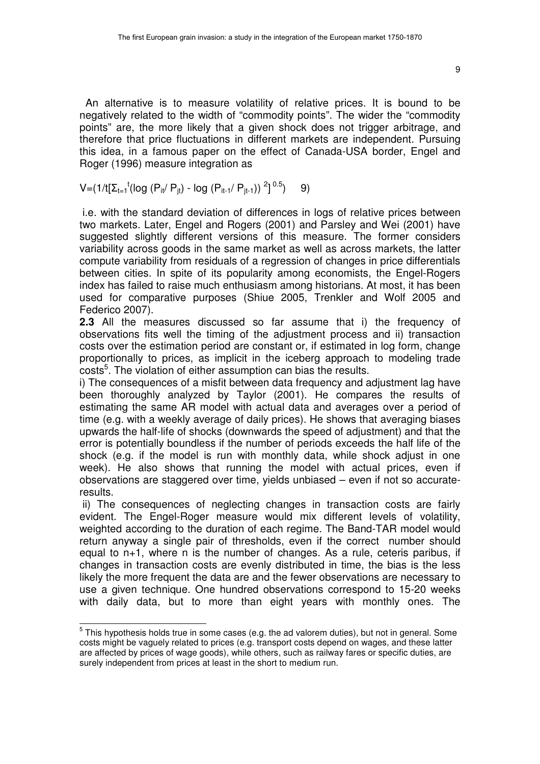9

 An alternative is to measure volatility of relative prices. It is bound to be negatively related to the width of "commodity points". The wider the "commodity points" are, the more likely that a given shock does not trigger arbitrage, and therefore that price fluctuations in different markets are independent. Pursuing this idea, in a famous paper on the effect of Canada-USA border, Engel and Roger (1996) measure integration as

 $V = (1/t[\Sigma_{t=1}^{t}(\log (P_{it}/ P_{jt}) - \log (P_{it-1}/ P_{jt-1}))^{2}]^{0.5})$  9)

 i.e. with the standard deviation of differences in logs of relative prices between two markets. Later, Engel and Rogers (2001) and Parsley and Wei (2001) have suggested slightly different versions of this measure. The former considers variability across goods in the same market as well as across markets, the latter compute variability from residuals of a regression of changes in price differentials between cities. In spite of its popularity among economists, the Engel-Rogers index has failed to raise much enthusiasm among historians. At most, it has been used for comparative purposes (Shiue 2005, Trenkler and Wolf 2005 and Federico 2007).

**2.3** All the measures discussed so far assume that i) the frequency of observations fits well the timing of the adjustment process and ii) transaction costs over the estimation period are constant or, if estimated in log form, change proportionally to prices, as implicit in the iceberg approach to modeling trade costs<sup>5</sup>. The violation of either assumption can bias the results.

i) The consequences of a misfit between data frequency and adjustment lag have been thoroughly analyzed by Taylor (2001). He compares the results of estimating the same AR model with actual data and averages over a period of time (e.g. with a weekly average of daily prices). He shows that averaging biases upwards the half-life of shocks (downwards the speed of adjustment) and that the error is potentially boundless if the number of periods exceeds the half life of the shock (e.g. if the model is run with monthly data, while shock adjust in one week). He also shows that running the model with actual prices, even if observations are staggered over time, yields unbiased – even if not so accurateresults.

 ii) The consequences of neglecting changes in transaction costs are fairly evident. The Engel-Roger measure would mix different levels of volatility, weighted according to the duration of each regime. The Band-TAR model would return anyway a single pair of thresholds, even if the correct number should equal to n+1, where n is the number of changes. As a rule, ceteris paribus, if changes in transaction costs are evenly distributed in time, the bias is the less likely the more frequent the data are and the fewer observations are necessary to use a given technique. One hundred observations correspond to 15-20 weeks with daily data, but to more than eight years with monthly ones. The

 5 This hypothesis holds true in some cases (e.g. the ad valorem duties), but not in general. Some costs might be vaguely related to prices (e.g. transport costs depend on wages, and these latter are affected by prices of wage goods), while others, such as railway fares or specific duties, are surely independent from prices at least in the short to medium run.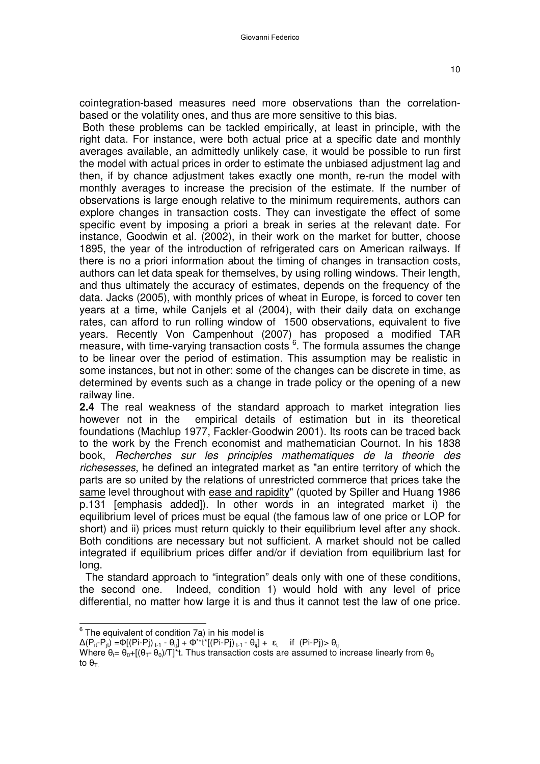cointegration-based measures need more observations than the correlationbased or the volatility ones, and thus are more sensitive to this bias.

 Both these problems can be tackled empirically, at least in principle, with the right data. For instance, were both actual price at a specific date and monthly averages available, an admittedly unlikely case, it would be possible to run first the model with actual prices in order to estimate the unbiased adjustment lag and then, if by chance adjustment takes exactly one month, re-run the model with monthly averages to increase the precision of the estimate. If the number of observations is large enough relative to the minimum requirements, authors can explore changes in transaction costs. They can investigate the effect of some specific event by imposing a priori a break in series at the relevant date. For instance, Goodwin et al. (2002), in their work on the market for butter, choose 1895, the year of the introduction of refrigerated cars on American railways. If there is no a priori information about the timing of changes in transaction costs, authors can let data speak for themselves, by using rolling windows. Their length, and thus ultimately the accuracy of estimates, depends on the frequency of the data. Jacks (2005), with monthly prices of wheat in Europe, is forced to cover ten years at a time, while Canjels et al (2004), with their daily data on exchange rates, can afford to run rolling window of 1500 observations, equivalent to five years. Recently Von Campenhout (2007) has proposed a modified TAR measure, with time-varying transaction costs  $6$ . The formula assumes the change to be linear over the period of estimation. This assumption may be realistic in some instances, but not in other: some of the changes can be discrete in time, as determined by events such as a change in trade policy or the opening of a new railway line.

**2.4** The real weakness of the standard approach to market integration lies however not in the empirical details of estimation but in its theoretical foundations (Machlup 1977, Fackler-Goodwin 2001). Its roots can be traced back to the work by the French economist and mathematician Cournot. In his 1838 book, Recherches sur les principles mathematiques de la theorie des richesesses, he defined an integrated market as "an entire territory of which the parts are so united by the relations of unrestricted commerce that prices take the same level throughout with ease and rapidity" (quoted by Spiller and Huang 1986 p.131 [emphasis added]). In other words in an integrated market i) the equilibrium level of prices must be equal (the famous law of one price or LOP for short) and ii) prices must return quickly to their equilibrium level after any shock. Both conditions are necessary but not sufficient. A market should not be called integrated if equilibrium prices differ and/or if deviation from equilibrium last for long.

 The standard approach to "integration" deals only with one of these conditions, the second one. Indeed, condition 1) would hold with any level of price differential, no matter how large it is and thus it cannot test the law of one price.

 6 The equivalent of condition 7a) in his model is

 $\Delta (P_{it}-P_{it}) = \Phi[(Pi-P_{i})_{t-1} - \theta_{ii}] + \Phi^{*}t^{*}[(Pi-P_{i})_{t-1} - \theta_{ii}] + \epsilon_{t}$  if  $(Pi-P_{i}) > \theta_{ii}$ 

Where  $\theta_t = \theta_0 + [(\theta_T - \theta_0)/T]^2$ t. Thus transaction costs are assumed to increase linearly from  $\theta_0$ to  $\theta_{\tau}$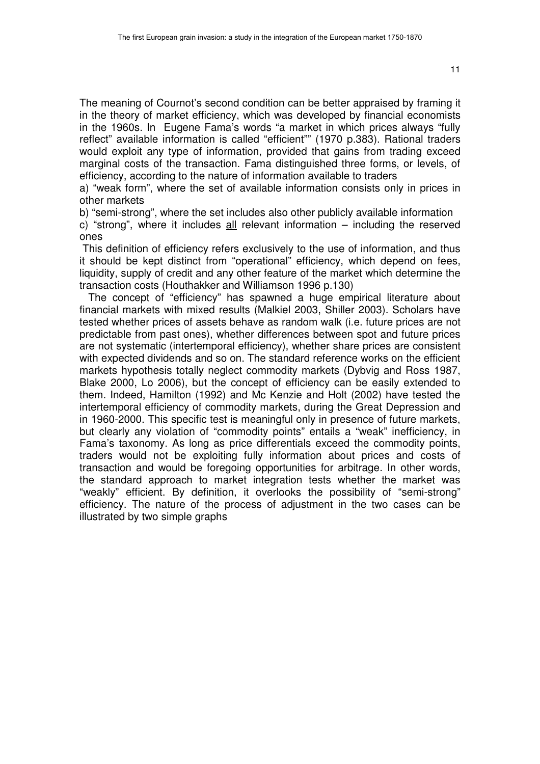The meaning of Cournot's second condition can be better appraised by framing it in the theory of market efficiency, which was developed by financial economists in the 1960s. In Eugene Fama's words "a market in which prices always "fully reflect" available information is called "efficient"" (1970 p.383). Rational traders would exploit any type of information, provided that gains from trading exceed marginal costs of the transaction. Fama distinguished three forms, or levels, of efficiency, according to the nature of information available to traders

a) "weak form", where the set of available information consists only in prices in other markets

b) "semi-strong", where the set includes also other publicly available information

c) "strong", where it includes all relevant information – including the reserved ones

 This definition of efficiency refers exclusively to the use of information, and thus it should be kept distinct from "operational" efficiency, which depend on fees, liquidity, supply of credit and any other feature of the market which determine the transaction costs (Houthakker and Williamson 1996 p.130)

 The concept of "efficiency" has spawned a huge empirical literature about financial markets with mixed results (Malkiel 2003, Shiller 2003). Scholars have tested whether prices of assets behave as random walk (i.e. future prices are not predictable from past ones), whether differences between spot and future prices are not systematic (intertemporal efficiency), whether share prices are consistent with expected dividends and so on. The standard reference works on the efficient markets hypothesis totally neglect commodity markets (Dybvig and Ross 1987, Blake 2000, Lo 2006), but the concept of efficiency can be easily extended to them. Indeed, Hamilton (1992) and Mc Kenzie and Holt (2002) have tested the intertemporal efficiency of commodity markets, during the Great Depression and in 1960-2000. This specific test is meaningful only in presence of future markets, but clearly any violation of "commodity points" entails a "weak" inefficiency, in Fama's taxonomy. As long as price differentials exceed the commodity points, traders would not be exploiting fully information about prices and costs of transaction and would be foregoing opportunities for arbitrage. In other words, the standard approach to market integration tests whether the market was "weakly" efficient. By definition, it overlooks the possibility of "semi-strong" efficiency. The nature of the process of adjustment in the two cases can be illustrated by two simple graphs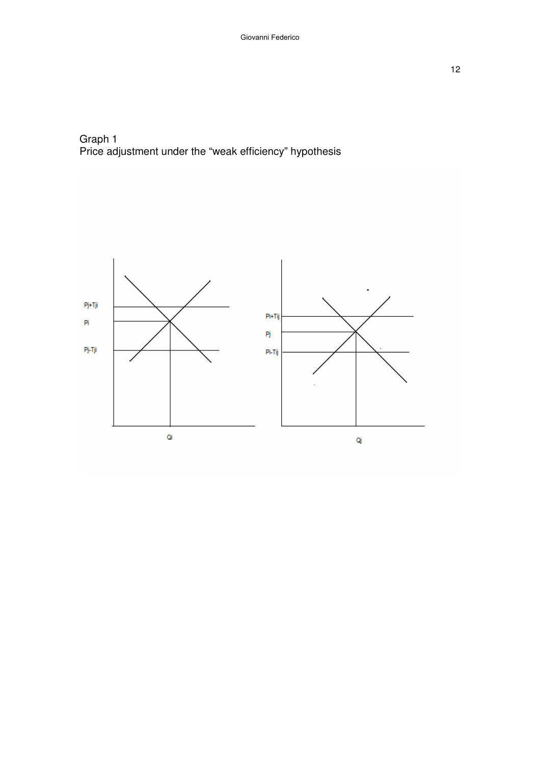## Graph 1 Price adjustment under the "weak efficiency" hypothesis

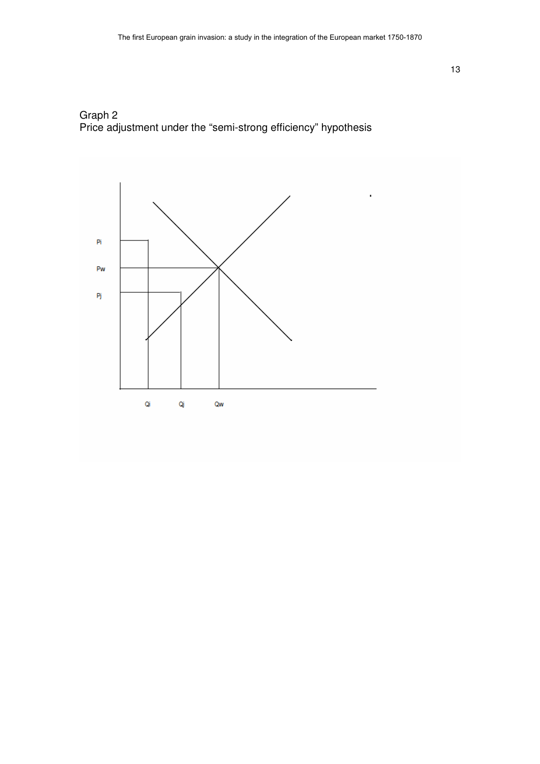Graph 2 Price adjustment under the "semi-strong efficiency" hypothesis



13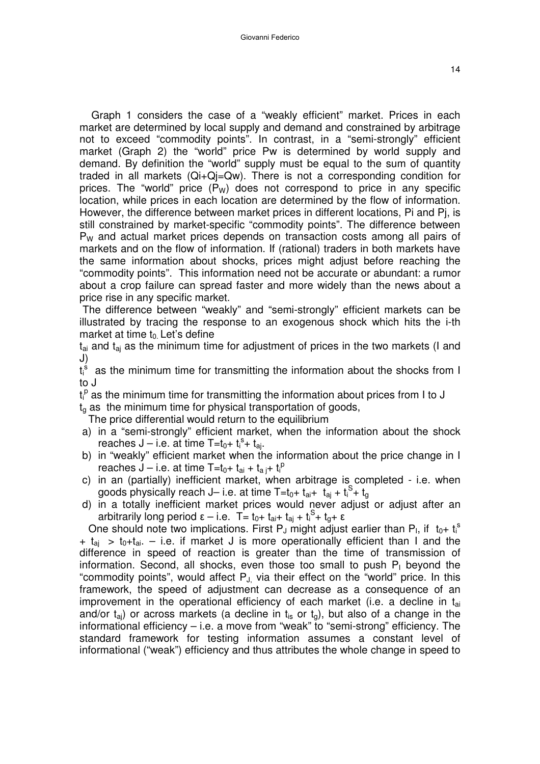Graph 1 considers the case of a "weakly efficient" market. Prices in each market are determined by local supply and demand and constrained by arbitrage not to exceed "commodity points". In contrast, in a "semi-strongly" efficient market (Graph 2) the "world" price Pw is determined by world supply and demand. By definition the "world" supply must be equal to the sum of quantity traded in all markets (Qi+Qj=Qw). There is not a corresponding condition for prices. The "world" price  $(P_W)$  does not correspond to price in any specific location, while prices in each location are determined by the flow of information. However, the difference between market prices in different locations, Pi and Pj, is still constrained by market-specific "commodity points". The difference between PW and actual market prices depends on transaction costs among all pairs of markets and on the flow of information. If (rational) traders in both markets have the same information about shocks, prices might adjust before reaching the "commodity points". This information need not be accurate or abundant: a rumor about a crop failure can spread faster and more widely than the news about a price rise in any specific market.

 The difference between "weakly" and "semi-strongly" efficient markets can be illustrated by tracing the response to an exogenous shock which hits the i-th market at time  $t_0$ . Let's define

 $t_{ai}$  and  $t_{ai}$  as the minimum time for adjustment of prices in the two markets (I and J)

t<sub>i</sub><sup>s</sup> as the minimum time for transmitting the information about the shocks from I to J

 $t_i^p$  as the minimum time for transmitting the information about prices from I to J

 $t<sub>g</sub>$  as the minimum time for physical transportation of goods,

The price differential would return to the equilibrium

- a) in a "semi-strongly" efficient market, when the information about the shock reaches  $J - i.e.$  at time  $T = t_0 + t_i^s + t_{aj}.$
- b) in "weakly" efficient market when the information about the price change in I reaches J – i.e. at time T=t<sub>0</sub>+ t<sub>ai</sub> + t<sub>aj</sub>+ t<sub>i</sub><sup>p</sup>
- c) in an (partially) inefficient market, when arbitrage is completed i.e. when goods physically reach J– i.e. at time T=t $_0+$  t $_{\rm ai}+$  t $_{\rm aj}^{\rm S}+$  t $_{\rm g}$
- d) in a totally inefficient market prices would never adjust or adjust after an arbitrarily long period ε – i.e. T= t<sub>0</sub>+ t<sub>ai</sub>+ t<sub>aj</sub> + t<sub>i</sub><sup>s</sup>+ t<sub>g</sub>+ ε

One should note two implications. First P<sub>J</sub> might adjust earlier than P<sub>I</sub>, if  $t_0 + t_i^s$ +  $t_{aj}$  >  $t_0 + t_{ai}$ . – i.e. if market J is more operationally efficient than I and the difference in speed of reaction is greater than the time of transmission of information. Second, all shocks, even those too small to push  $P_1$  beyond the "commodity points", would affect P<sub>J</sub> via their effect on the "world" price. In this framework, the speed of adjustment can decrease as a consequence of an improvement in the operational efficiency of each market (i.e. a decline in tai and/or  $t_{ai}$ ) or across markets (a decline in  $t_{is}$  or  $t_a$ ), but also of a change in the informational efficiency – i.e. a move from "weak" to "semi-strong" efficiency. The standard framework for testing information assumes a constant level of informational ("weak") efficiency and thus attributes the whole change in speed to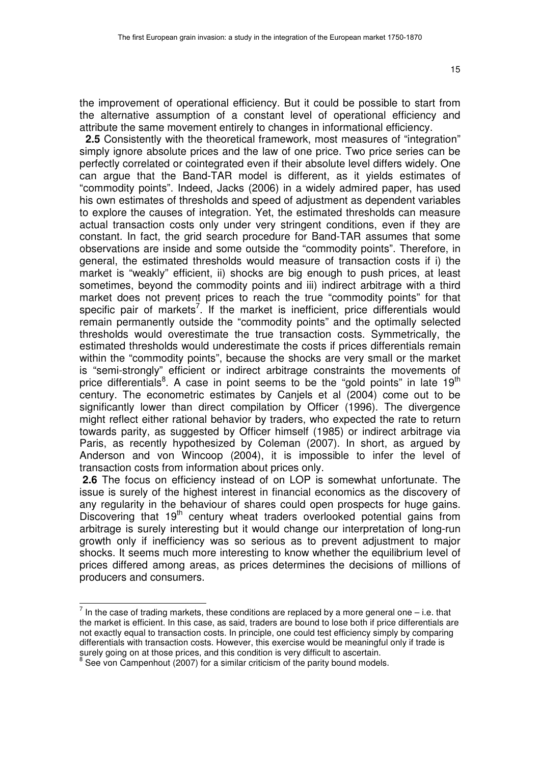the improvement of operational efficiency. But it could be possible to start from the alternative assumption of a constant level of operational efficiency and attribute the same movement entirely to changes in informational efficiency.

**2.5** Consistently with the theoretical framework, most measures of "integration" simply ignore absolute prices and the law of one price. Two price series can be perfectly correlated or cointegrated even if their absolute level differs widely. One can argue that the Band-TAR model is different, as it yields estimates of "commodity points". Indeed, Jacks (2006) in a widely admired paper, has used his own estimates of thresholds and speed of adjustment as dependent variables to explore the causes of integration. Yet, the estimated thresholds can measure actual transaction costs only under very stringent conditions, even if they are constant. In fact, the grid search procedure for Band-TAR assumes that some observations are inside and some outside the "commodity points". Therefore, in general, the estimated thresholds would measure of transaction costs if i) the market is "weakly" efficient, ii) shocks are big enough to push prices, at least sometimes, beyond the commodity points and iii) indirect arbitrage with a third market does not prevent prices to reach the true "commodity points" for that specific pair of markets<sup>7</sup>. If the market is inefficient, price differentials would remain permanently outside the "commodity points" and the optimally selected thresholds would overestimate the true transaction costs. Symmetrically, the estimated thresholds would underestimate the costs if prices differentials remain within the "commodity points", because the shocks are very small or the market is "semi-strongly" efficient or indirect arbitrage constraints the movements of price differentials<sup>8</sup>. A case in point seems to be the "gold points" in late 19<sup>th</sup> century. The econometric estimates by Canjels et al (2004) come out to be significantly lower than direct compilation by Officer (1996). The divergence might reflect either rational behavior by traders, who expected the rate to return towards parity, as suggested by Officer himself (1985) or indirect arbitrage via Paris, as recently hypothesized by Coleman (2007). In short, as argued by Anderson and von Wincoop (2004), it is impossible to infer the level of transaction costs from information about prices only.

**2.6** The focus on efficiency instead of on LOP is somewhat unfortunate. The issue is surely of the highest interest in financial economics as the discovery of any regularity in the behaviour of shares could open prospects for huge gains. Discovering that 19<sup>th</sup> century wheat traders overlooked potential gains from arbitrage is surely interesting but it would change our interpretation of long-run growth only if inefficiency was so serious as to prevent adjustment to major shocks. It seems much more interesting to know whether the equilibrium level of prices differed among areas, as prices determines the decisions of millions of producers and consumers.

 $\frac{7}{7}$  In the case of trading markets, these conditions are replaced by a more general one – i.e. that the market is efficient. In this case, as said, traders are bound to lose both if price differentials are not exactly equal to transaction costs. In principle, one could test efficiency simply by comparing differentials with transaction costs. However, this exercise would be meaningful only if trade is surely going on at those prices, and this condition is very difficult to ascertain.<br><sup>8</sup> See van Campaphout (2007) for a gimilar exitisiam of the parity bound madel

See von Campenhout (2007) for a similar criticism of the parity bound models.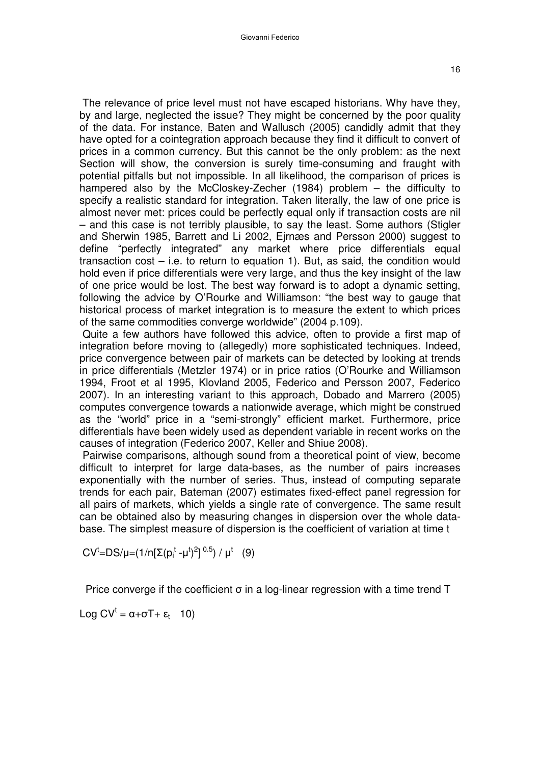The relevance of price level must not have escaped historians. Why have they, by and large, neglected the issue? They might be concerned by the poor quality of the data. For instance, Baten and Wallusch (2005) candidly admit that they have opted for a cointegration approach because they find it difficult to convert of prices in a common currency. But this cannot be the only problem: as the next Section will show, the conversion is surely time-consuming and fraught with potential pitfalls but not impossible. In all likelihood, the comparison of prices is hampered also by the McCloskey-Zecher (1984) problem – the difficulty to specify a realistic standard for integration. Taken literally, the law of one price is almost never met: prices could be perfectly equal only if transaction costs are nil – and this case is not terribly plausible, to say the least. Some authors (Stigler and Sherwin 1985, Barrett and Li 2002, Ejrnæs and Persson 2000) suggest to define "perfectly integrated" any market where price differentials equal transaction cost – i.e. to return to equation 1). But, as said, the condition would hold even if price differentials were very large, and thus the key insight of the law of one price would be lost. The best way forward is to adopt a dynamic setting, following the advice by O'Rourke and Williamson: "the best way to gauge that historical process of market integration is to measure the extent to which prices of the same commodities converge worldwide" (2004 p.109).

 Quite a few authors have followed this advice, often to provide a first map of integration before moving to (allegedly) more sophisticated techniques. Indeed, price convergence between pair of markets can be detected by looking at trends in price differentials (Metzler 1974) or in price ratios (O'Rourke and Williamson 1994, Froot et al 1995, Klovland 2005, Federico and Persson 2007, Federico 2007). In an interesting variant to this approach, Dobado and Marrero (2005) computes convergence towards a nationwide average, which might be construed as the "world" price in a "semi-strongly" efficient market. Furthermore, price differentials have been widely used as dependent variable in recent works on the causes of integration (Federico 2007, Keller and Shiue 2008).

 Pairwise comparisons, although sound from a theoretical point of view, become difficult to interpret for large data-bases, as the number of pairs increases exponentially with the number of series. Thus, instead of computing separate trends for each pair, Bateman (2007) estimates fixed-effect panel regression for all pairs of markets, which yields a single rate of convergence. The same result can be obtained also by measuring changes in dispersion over the whole database. The simplest measure of dispersion is the coefficient of variation at time t

CV<sup>t</sup>=DS/μ=(1/n[Σ(p<sub>i</sub><sup>t</sup>-μ<sup>t</sup>)<sup>2</sup>]<sup>0.5</sup>) / μ<sup>t</sup> (9)

Price converge if the coefficient  $\sigma$  in a log-linear regression with a time trend T

Log CV<sup>t</sup> = α+σT+ ε<sub>t</sub> 10)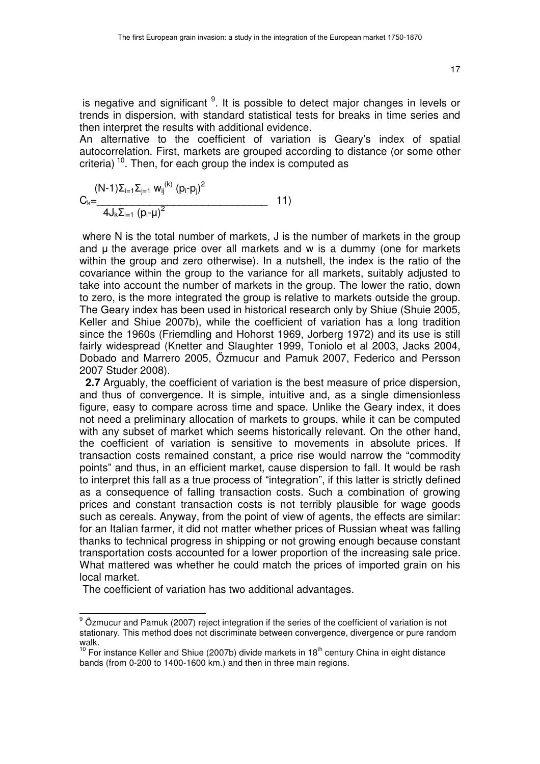is negative and significant <sup>9</sup>. It is possible to detect major changes in levels or trends in dispersion, with standard statistical tests for breaks in time series and then interpret the results with additional evidence.

An alternative to the coefficient of variation is Geary's index of spatial autocorrelation. First, markets are grouped according to distance (or some other criteria)<sup>10</sup>. Then, for each group the index is computed as

$$
C_{k} = \frac{(N-1)\Sigma_{i=1}\Sigma_{j=1} w_{ij}^{(k)} (p_{i}-p_{j})^{2}}{4J_{k}\Sigma_{i=1} (p_{i}-\mu)^{2}}
$$
 11)

where N is the total number of markets, J is the number of markets in the group and μ the average price over all markets and w is a dummy (one for markets within the group and zero otherwise). In a nutshell, the index is the ratio of the covariance within the group to the variance for all markets, suitably adjusted to take into account the number of markets in the group. The lower the ratio, down to zero, is the more integrated the group is relative to markets outside the group. The Geary index has been used in historical research only by Shiue (Shuie 2005, Keller and Shiue 2007b), while the coefficient of variation has a long tradition since the 1960s (Friemdling and Hohorst 1969, Jorberg 1972) and its use is still fairly widespread (Knetter and Slaughter 1999, Toniolo et al 2003, Jacks 2004, Dobado and Marrero 2005, Őzmucur and Pamuk 2007, Federico and Persson 2007 Studer 2008).

 **2.7** Arguably, the coefficient of variation is the best measure of price dispersion, and thus of convergence. It is simple, intuitive and, as a single dimensionless figure, easy to compare across time and space. Unlike the Geary index, it does not need a preliminary allocation of markets to groups, while it can be computed with any subset of market which seems historically relevant. On the other hand, the coefficient of variation is sensitive to movements in absolute prices. If transaction costs remained constant, a price rise would narrow the "commodity points" and thus, in an efficient market, cause dispersion to fall. It would be rash to interpret this fall as a true process of "integration", if this latter is strictly defined as a consequence of falling transaction costs. Such a combination of growing prices and constant transaction costs is not terribly plausible for wage goods such as cereals. Anyway, from the point of view of agents, the effects are similar: for an Italian farmer, it did not matter whether prices of Russian wheat was falling thanks to technical progress in shipping or not growing enough because constant transportation costs accounted for a lower proportion of the increasing sale price. What mattered was whether he could match the prices of imported grain on his local market.

The coefficient of variation has two additional advantages.

 $\overline{a}$ 

 $9$  Őzmucur and Pamuk (2007) reject integration if the series of the coefficient of variation is not stationary. This method does not discriminate between convergence, divergence or pure random walk.

 $10$  For instance Keller and Shiue (2007b) divide markets in 18<sup>th</sup> century China in eight distance bands (from 0-200 to 1400-1600 km.) and then in three main regions.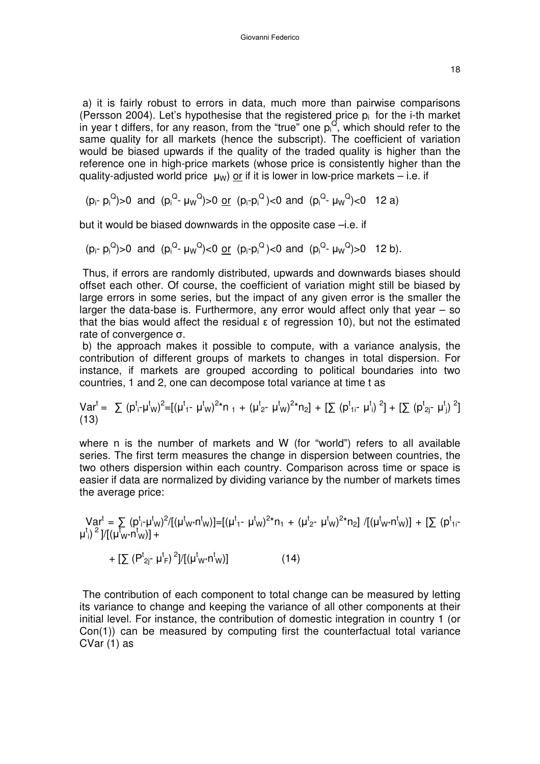a) it is fairly robust to errors in data, much more than pairwise comparisons (Persson 2004). Let's hypothesise that the registered price  $p_i$  for the i-th market in year t differs, for any reason, from the "true" one  $p_i^Q$ , which should refer to the same quality for all markets (hence the subscript). The coefficient of variation would be biased upwards if the quality of the traded quality is higher than the reference one in high-price markets (whose price is consistently higher than the quality-adjusted world price  $\mu_W$ ) or if it is lower in low-price markets – i.e. if

$$
(p_i - p_i^Q) > 0
$$
 and  $(p_i^Q - \mu_W^Q) > 0$  or  $(p_i - p_i^Q) < 0$  and  $(p_i^Q - \mu_W^Q) < 0$  12 a)

but it would be biased downwards in the opposite case –i.e. if

$$
(p_i - p_i^Q) > 0
$$
 and  $(p_i^Q - \mu_W^Q) < 0$  or  $(p_i - p_i^Q) < 0$  and  $(p_i^Q - \mu_W^Q) > 0$  12 b).

 Thus, if errors are randomly distributed, upwards and downwards biases should offset each other. Of course, the coefficient of variation might still be biased by large errors in some series, but the impact of any given error is the smaller the larger the data-base is. Furthermore, any error would affect only that year – so that the bias would affect the residual ε of regression 10), but not the estimated rate of convergence σ.

 b) the approach makes it possible to compute, with a variance analysis, the contribution of different groups of markets to changes in total dispersion. For instance, if markets are grouped according to political boundaries into two countries, 1 and 2, one can decompose total variance at time t as

Var<sup>t</sup> = 
$$
\sum (p_i^t - \mu^t w)^2 = [(\mu^t - \mu^t w)^{2*}n_1 + (\mu^t_{2} - \mu^t w)^{2*}n_2] + [\sum (p_i^t - \mu^t)^2] + [\sum (p_i^t - \mu^t)^2]
$$
  
(13)

where n is the number of markets and W (for "world") refers to all available series. The first term measures the change in dispersion between countries, the two others dispersion within each country. Comparison across time or space is easier if data are normalized by dividing variance by the number of markets times the average price:

 $Var^{t} = \sum_{i} (\mathbf{p}_{i}^{t} - \mathbf{\mu}_{i}^{t}w)^{2}/[(\mathbf{\mu}_{i}^{t}w \cdot \mathbf{n}_{i}^{t}w)] = [(\mathbf{\mu}_{i}^{t} - \mathbf{\mu}_{i}^{t}w)^{2*}\mathbf{n}_{1} + (\mathbf{\mu}_{i}^{t} - \mathbf{\mu}_{i}^{t}w)^{2*}\mathbf{n}_{2}] /[(\mathbf{\mu}_{i}^{t}w \cdot \mathbf{n}_{i}^{t}w)] + [\sum_{i} (\mathbf{p}_{i}^{t} - \mathbf{\mu}_{i}^{t}w)^{2*}\mathbf{n}_{i} + (\mathbf{\mu}_{i}^{t} \mu^t$ <sub>i</sub>) <sup>2</sup> ]/[( $\mu^t$ <sub>W\*</sub>n<sup>t</sup><sub>W</sub>)] +

$$
+ \left[ \sum_{i} (P^t_{2j} - \mu^t_{i})^2 \right] / \left[ (\mu^t_{W^*} n^t_{W}) \right] \tag{14}
$$

 The contribution of each component to total change can be measured by letting its variance to change and keeping the variance of all other components at their initial level. For instance, the contribution of domestic integration in country 1 (or Con(1)) can be measured by computing first the counterfactual total variance CVar (1) as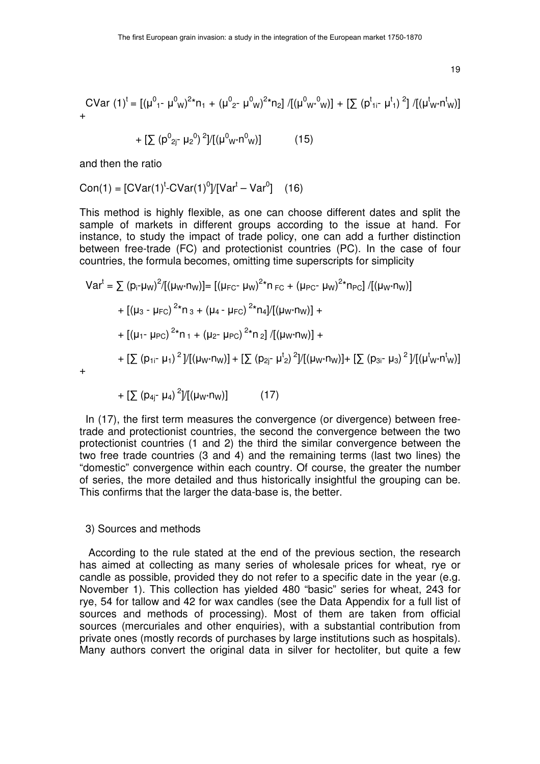$$
CVar (1)t = [( \mu01 - \mu0W)2 * n1 + ( \mu02 - \mu0W)2 * n2] / [( \mu0W *0W)] + [ \Sigma ( pt1 - \mut1) 2 ] / [( \mutW * ntW )]
$$

$$
+ \left[ \sum_{i} (p^{0}_{2j} - \mu_{2}^{0})^{2} \right] / \left[ (\mu^{0}_{W^{*}} n^{0}_{W}) \right] \tag{15}
$$

and then the ratio

Con(1) = 
$$
[CVar(1)^t - CVar(1)^0]/[Var^t - Var^0]
$$
 (16)

This method is highly flexible, as one can choose different dates and split the sample of markets in different groups according to the issue at hand. For instance, to study the impact of trade policy, one can add a further distinction between free-trade (FC) and protectionist countries (PC). In the case of four countries, the formula becomes, omitting time superscripts for simplicity

$$
Var^{t} = \sum (p_{i} - \mu_{W})^{2}/[(\mu_{W} \cdot n_{W})] = [(\mu_{FC} - \mu_{W})^{2} \cdot n_{FC} + (\mu_{PC} - \mu_{W})^{2} \cdot n_{PC}] / [(\mu_{W} \cdot n_{W})]
$$
  
+ 
$$
[(\mu_{3} - \mu_{FC})^{2} \cdot n_{3} + (\mu_{4} - \mu_{FC})^{2} \cdot n_{4}]/[(\mu_{W} \cdot n_{W})] +
$$
  
+ 
$$
[(\mu_{1} - \mu_{PC})^{2} \cdot n_{1} + (\mu_{2} - \mu_{PC})^{2} \cdot n_{2}] / [(\mu_{W} \cdot n_{W})] +
$$
  
+ 
$$
[\sum (p_{1i} - \mu_{1})^{2}] / [(\mu_{W} \cdot n_{W})] + [\sum (p_{2j} - \mu_{2})^{2}] / [(\mu_{W} \cdot n_{W})] + [\sum (p_{3i} - \mu_{3})^{2}] / [(\mu_{W} \cdot n_{W})]
$$

$$
+ \left[ \sum_{i} (p_{4i} - \mu_4)^2 \right] / [(\mu_W \cdot n_W)] \tag{17}
$$

 In (17), the first term measures the convergence (or divergence) between freetrade and protectionist countries, the second the convergence between the two protectionist countries (1 and 2) the third the similar convergence between the two free trade countries (3 and 4) and the remaining terms (last two lines) the "domestic" convergence within each country. Of course, the greater the number of series, the more detailed and thus historically insightful the grouping can be. This confirms that the larger the data-base is, the better.

#### 3) Sources and methods

 According to the rule stated at the end of the previous section, the research has aimed at collecting as many series of wholesale prices for wheat, rye or candle as possible, provided they do not refer to a specific date in the year (e.g. November 1). This collection has yielded 480 "basic" series for wheat, 243 for rye, 54 for tallow and 42 for wax candles (see the Data Appendix for a full list of sources and methods of processing). Most of them are taken from official sources (mercuriales and other enquiries), with a substantial contribution from private ones (mostly records of purchases by large institutions such as hospitals). Many authors convert the original data in silver for hectoliter, but quite a few

19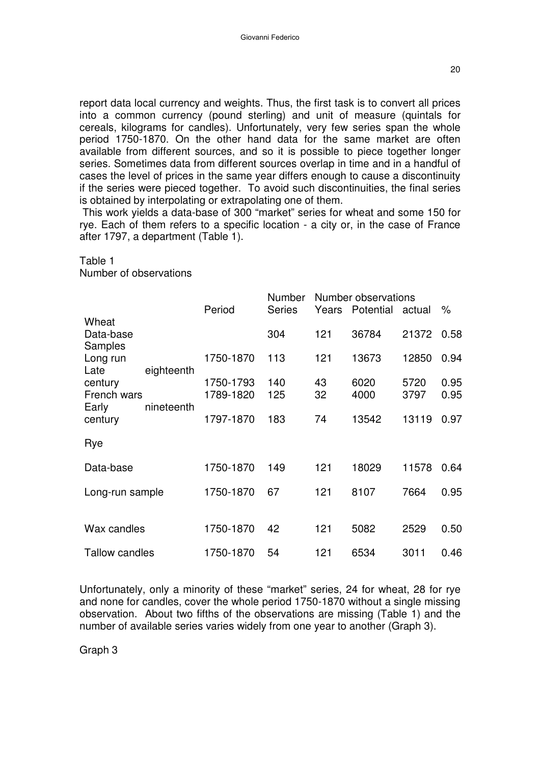report data local currency and weights. Thus, the first task is to convert all prices

into a common currency (pound sterling) and unit of measure (quintals for cereals, kilograms for candles). Unfortunately, very few series span the whole period 1750-1870. On the other hand data for the same market are often available from different sources, and so it is possible to piece together longer series. Sometimes data from different sources overlap in time and in a handful of cases the level of prices in the same year differs enough to cause a discontinuity if the series were pieced together. To avoid such discontinuities, the final series is obtained by interpolating or extrapolating one of them.

 This work yields a data-base of 300 "market" series for wheat and some 150 for rye. Each of them refers to a specific location - a city or, in the case of France after 1797, a department (Table 1).

## Table 1 Number of observations

|                                               | Period                 | Number<br><b>Series</b> | Years    | Number observations<br>Potential | actual       | %            |
|-----------------------------------------------|------------------------|-------------------------|----------|----------------------------------|--------------|--------------|
| Wheat<br>Data-base                            |                        | 304                     | 121      | 36784                            | 21372        | 0.58         |
| Samples<br>Long run<br>eighteenth<br>Late     | 1750-1870              | 113                     | 121      | 13673                            | 12850        | 0.94         |
| century<br>French wars<br>nineteenth<br>Early | 1750-1793<br>1789-1820 | 140<br>125              | 43<br>32 | 6020<br>4000                     | 5720<br>3797 | 0.95<br>0.95 |
| century                                       | 1797-1870              | 183                     | 74       | 13542                            | 13119        | 0.97         |
| Rye                                           |                        |                         |          |                                  |              |              |
| Data-base                                     | 1750-1870              | 149                     | 121      | 18029                            | 11578        | 0.64         |
| Long-run sample                               | 1750-1870              | 67                      | 121      | 8107                             | 7664         | 0.95         |
| Wax candles                                   | 1750-1870              | 42                      | 121      | 5082                             | 2529         | 0.50         |
| Tallow candles                                | 1750-1870              | 54                      | 121      | 6534                             | 3011         | 0.46         |

Unfortunately, only a minority of these "market" series, 24 for wheat, 28 for rye and none for candles, cover the whole period 1750-1870 without a single missing observation. About two fifths of the observations are missing (Table 1) and the number of available series varies widely from one year to another (Graph 3).

Graph 3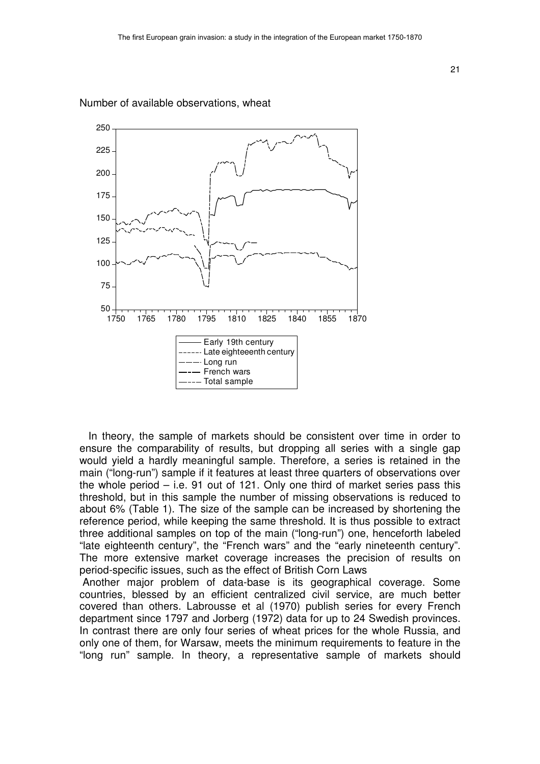

Number of available observations, wheat

 In theory, the sample of markets should be consistent over time in order to ensure the comparability of results, but dropping all series with a single gap would yield a hardly meaningful sample. Therefore, a series is retained in the main ("long-run") sample if it features at least three quarters of observations over the whole period – i.e. 91 out of 121. Only one third of market series pass this threshold, but in this sample the number of missing observations is reduced to about 6% (Table 1). The size of the sample can be increased by shortening the reference period, while keeping the same threshold. It is thus possible to extract three additional samples on top of the main ("long-run") one, henceforth labeled "late eighteenth century", the "French wars" and the "early nineteenth century". The more extensive market coverage increases the precision of results on period-specific issues, such as the effect of British Corn Laws

 Another major problem of data-base is its geographical coverage. Some countries, blessed by an efficient centralized civil service, are much better covered than others. Labrousse et al (1970) publish series for every French department since 1797 and Jorberg (1972) data for up to 24 Swedish provinces. In contrast there are only four series of wheat prices for the whole Russia, and only one of them, for Warsaw, meets the minimum requirements to feature in the "long run" sample. In theory, a representative sample of markets should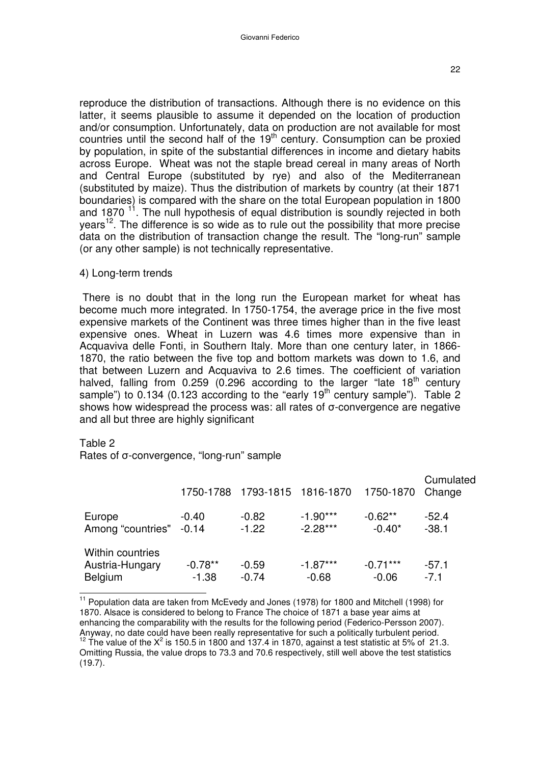22

reproduce the distribution of transactions. Although there is no evidence on this latter, it seems plausible to assume it depended on the location of production and/or consumption. Unfortunately, data on production are not available for most countries until the second half of the  $19<sup>th</sup>$  century. Consumption can be proxied by population, in spite of the substantial differences in income and dietary habits across Europe. Wheat was not the staple bread cereal in many areas of North and Central Europe (substituted by rye) and also of the Mediterranean (substituted by maize). Thus the distribution of markets by country (at their 1871 boundaries) is compared with the share on the total European population in 1800 and 1870  $<sup>11</sup>$ . The null hypothesis of equal distribution is soundly rejected in both</sup> years<sup>12</sup>. The difference is so wide as to rule out the possibility that more precise data on the distribution of transaction change the result. The "long-run" sample (or any other sample) is not technically representative.

## 4) Long-term trends

 There is no doubt that in the long run the European market for wheat has become much more integrated. In 1750-1754, the average price in the five most expensive markets of the Continent was three times higher than in the five least expensive ones. Wheat in Luzern was 4.6 times more expensive than in Acquaviva delle Fonti, in Southern Italy. More than one century later, in 1866- 1870, the ratio between the five top and bottom markets was down to 1.6, and that between Luzern and Acquaviva to 2.6 times. The coefficient of variation halved, falling from  $0.259$  (0.296 according to the larger "late  $18<sup>th</sup>$  century sample") to 0.134 (0.123 according to the "early 19<sup>th</sup> century sample"). Table 2 shows how widespread the process was: all rates of σ-convergence are negative and all but three are highly significant

## Table 2

Rates of σ-convergence, "long-run" sample

|                                                | 1750-1788            | 1793-1815 1816-1870 |                          | 1750-1870             | Cumulated<br>Change |
|------------------------------------------------|----------------------|---------------------|--------------------------|-----------------------|---------------------|
| Europe<br>Among "countries"                    | $-0.40$<br>$-0.14$   | $-0.82$<br>$-1.22$  | $-1.90***$<br>$-2.28***$ | $-0.62**$<br>$-0.40*$ | $-52.4$<br>$-38.1$  |
| Within countries<br>Austria-Hungary<br>Belgium | $-0.78**$<br>$-1.38$ | $-0.59$<br>$-0.74$  | $-1.87***$<br>$-0.68$    | $-0.71***$<br>$-0.06$ | $-57.1$<br>$-7.1$   |

t <sup>11</sup> Population data are taken from McEvedy and Jones (1978) for 1800 and Mitchell (1998) for 1870. Alsace is considered to belong to France The choice of 1871 a base year aims at enhancing the comparability with the results for the following period (Federico-Persson 2007). Anyway, no date could have been really representative for such a politically turbulent period. <sup>12</sup> The value of the  $X^2$  is 150.5 in 1800 and 137.4 in 1870, against a test statistic at 5% of 21.3. Omitting Russia, the value drops to 73.3 and 70.6 respectively, still well above the test statistics (19.7).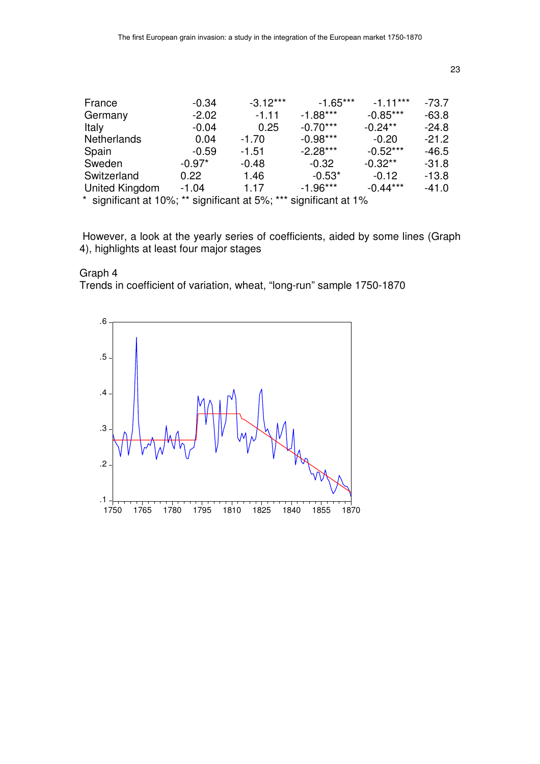| $-0.34$  | $-3.12***$ | $-1.65***$ | $-1.11***$ | $-73.7$                                                           |
|----------|------------|------------|------------|-------------------------------------------------------------------|
| $-2.02$  | $-1.11$    | $-1.88***$ | $-0.85***$ | $-63.8$                                                           |
| $-0.04$  | 0.25       | $-0.70***$ | $-0.24**$  | $-24.8$                                                           |
| 0.04     | $-1.70$    | $-0.98***$ | $-0.20$    | $-21.2$                                                           |
| $-0.59$  | $-1.51$    | $-2.28***$ | $-0.52***$ | $-46.5$                                                           |
| $-0.97*$ | $-0.48$    | $-0.32$    | $-0.32**$  | $-31.8$                                                           |
| 0.22     | 1.46       | $-0.53*$   | $-0.12$    | $-13.8$                                                           |
| $-1.04$  | 1.17       | $-1.96***$ | $-0.44***$ | $-41.0$                                                           |
|          |            |            |            |                                                                   |
|          |            |            |            | * significant at 10%; ** significant at 5%; *** significant at 1% |

 However, a look at the yearly series of coefficients, aided by some lines (Graph 4), highlights at least four major stages

Graph 4

Trends in coefficient of variation, wheat, "long-run" sample 1750-1870



23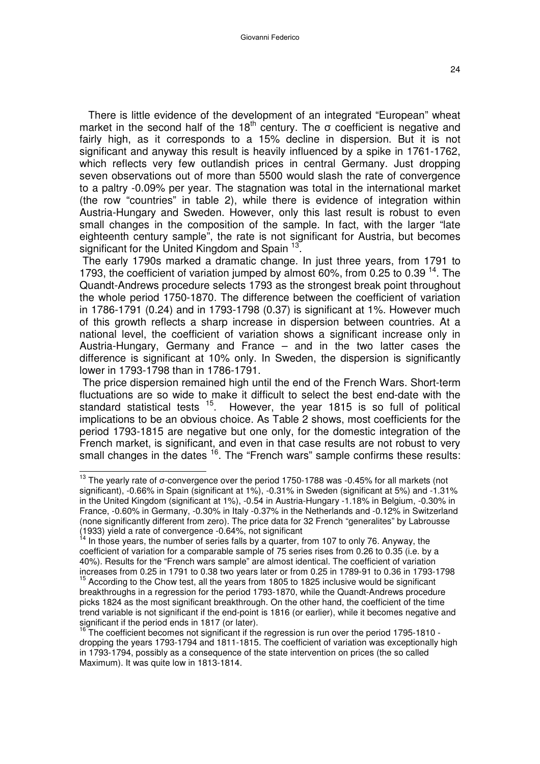There is little evidence of the development of an integrated "European" wheat market in the second half of the  $18<sup>th</sup>$  century. The  $\sigma$  coefficient is negative and fairly high, as it corresponds to a 15% decline in dispersion. But it is not significant and anyway this result is heavily influenced by a spike in 1761-1762, which reflects very few outlandish prices in central Germany. Just dropping seven observations out of more than 5500 would slash the rate of convergence to a paltry -0.09% per year. The stagnation was total in the international market (the row "countries" in table 2), while there is evidence of integration within Austria-Hungary and Sweden. However, only this last result is robust to even small changes in the composition of the sample. In fact, with the larger "late eighteenth century sample", the rate is not significant for Austria, but becomes significant for the United Kingdom and Spain <sup>13</sup>.

 The early 1790s marked a dramatic change. In just three years, from 1791 to 1793, the coefficient of variation jumped by almost 60%, from 0.25 to 0.39<sup>14</sup>. The Quandt-Andrews procedure selects 1793 as the strongest break point throughout the whole period 1750-1870. The difference between the coefficient of variation in 1786-1791 (0.24) and in 1793-1798 (0.37) is significant at 1%. However much of this growth reflects a sharp increase in dispersion between countries. At a national level, the coefficient of variation shows a significant increase only in Austria-Hungary, Germany and France – and in the two latter cases the difference is significant at 10% only. In Sweden, the dispersion is significantly lower in 1793-1798 than in 1786-1791.

 The price dispersion remained high until the end of the French Wars. Short-term fluctuations are so wide to make it difficult to select the best end-date with the standard statistical tests  $15$ . However, the year 1815 is so full of political implications to be an obvious choice. As Table 2 shows, most coefficients for the period 1793-1815 are negative but one only, for the domestic integration of the French market, is significant, and even in that case results are not robust to very small changes in the dates  $^{16}$ . The "French wars" sample confirms these results:

 $\overline{a}$ 

<sup>&</sup>lt;sup>13</sup> The yearly rate of σ-convergence over the period 1750-1788 was -0.45% for all markets (not significant), -0.66% in Spain (significant at 1%), -0.31% in Sweden (significant at 5%) and -1.31% in the United Kingdom (significant at 1%), -0.54 in Austria-Hungary -1.18% in Belgium, -0.30% in France, -0.60% in Germany, -0.30% in Italy -0.37% in the Netherlands and -0.12% in Switzerland (none significantly different from zero). The price data for 32 French "generalites" by Labrousse (1933) yield a rate of convergence -0.64%, not significant

 $14$  In those years, the number of series falls by a quarter, from 107 to only 76. Anyway, the coefficient of variation for a comparable sample of 75 series rises from 0.26 to 0.35 (i.e. by a 40%). Results for the "French wars sample" are almost identical. The coefficient of variation increases from 0.25 in 1791 to 0.38 two years later or from 0.25 in 1789-91 to 0.36 in 1793-1798

 $15$  According to the Chow test, all the years from 1805 to 1825 inclusive would be significant breakthroughs in a regression for the period 1793-1870, while the Quandt-Andrews procedure picks 1824 as the most significant breakthrough. On the other hand, the coefficient of the time trend variable is not significant if the end-point is 1816 (or earlier), while it becomes negative and significant if the period ends in 1817 (or later).

 $16$  The coefficient becomes not significant if the regression is run over the period 1795-1810 dropping the years 1793-1794 and 1811-1815. The coefficient of variation was exceptionally high in 1793-1794, possibly as a consequence of the state intervention on prices (the so called Maximum). It was quite low in 1813-1814.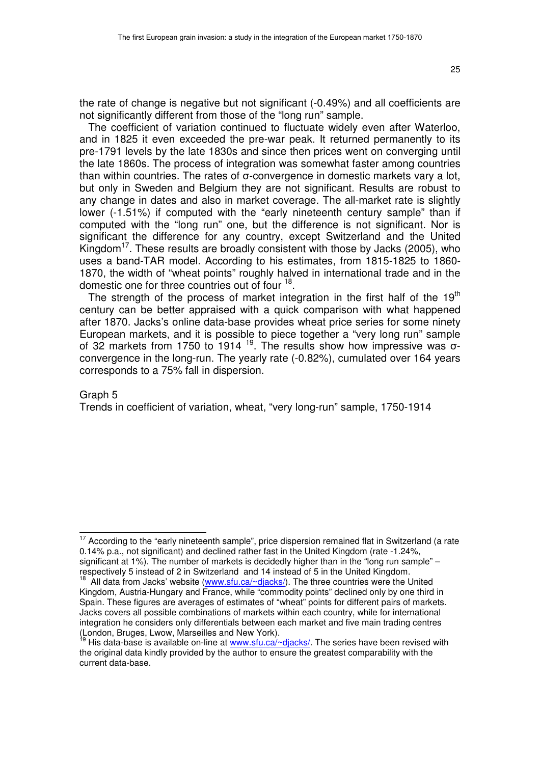the rate of change is negative but not significant (-0.49%) and all coefficients are not significantly different from those of the "long run" sample.

 The coefficient of variation continued to fluctuate widely even after Waterloo, and in 1825 it even exceeded the pre-war peak. It returned permanently to its pre-1791 levels by the late 1830s and since then prices went on converging until the late 1860s. The process of integration was somewhat faster among countries than within countries. The rates of σ-convergence in domestic markets vary a lot, but only in Sweden and Belgium they are not significant. Results are robust to any change in dates and also in market coverage. The all-market rate is slightly lower (-1.51%) if computed with the "early nineteenth century sample" than if computed with the "long run" one, but the difference is not significant. Nor is significant the difference for any country, except Switzerland and the United Kingdom<sup>17</sup>. These results are broadly consistent with those by Jacks (2005), who uses a band-TAR model. According to his estimates, from 1815-1825 to 1860- 1870, the width of "wheat points" roughly halved in international trade and in the domestic one for three countries out of four 18.

The strength of the process of market integration in the first half of the 19<sup>th</sup> century can be better appraised with a quick comparison with what happened after 1870. Jacks's online data-base provides wheat price series for some ninety European markets, and it is possible to piece together a "very long run" sample of 32 markets from 1750 to 1914 19. The results show how impressive was σconvergence in the long-run. The yearly rate (-0.82%), cumulated over 164 years corresponds to a 75% fall in dispersion.

#### Graph 5

 $\overline{a}$ 

Trends in coefficient of variation, wheat, "very long-run" sample, 1750-1914

 $17$  According to the "early nineteenth sample", price dispersion remained flat in Switzerland (a rate 0.14% p.a., not significant) and declined rather fast in the United Kingdom (rate -1.24%, significant at 1%). The number of markets is decidedly higher than in the "long run sample" – respectively 5 instead of 2 in Switzerland and 14 instead of 5 in the United Kingdom.

All data from Jacks' website (www.sfu.ca/~djacks/). The three countries were the United Kingdom, Austria-Hungary and France, while "commodity points" declined only by one third in Spain. These figures are averages of estimates of "wheat" points for different pairs of markets. Jacks covers all possible combinations of markets within each country, while for international integration he considers only differentials between each market and five main trading centres (London, Bruges, Lwow, Marseilles and New York).

 $9$  His data-base is available on-line at www.sfu.ca/~djacks/. The series have been revised with the original data kindly provided by the author to ensure the greatest comparability with the current data-base.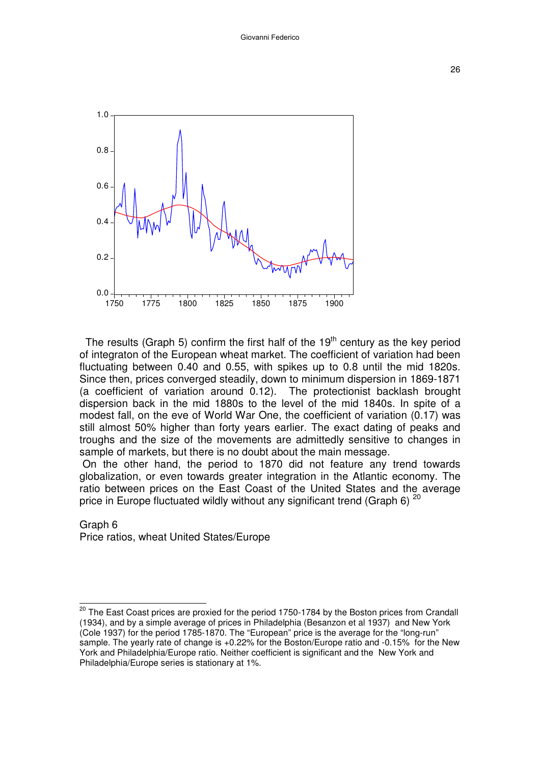

The results (Graph 5) confirm the first half of the  $19<sup>th</sup>$  century as the key period of integraton of the European wheat market. The coefficient of variation had been fluctuating between 0.40 and 0.55, with spikes up to 0.8 until the mid 1820s. Since then, prices converged steadily, down to minimum dispersion in 1869-1871 (a coefficient of variation around 0.12). The protectionist backlash brought dispersion back in the mid 1880s to the level of the mid 1840s. In spite of a modest fall, on the eve of World War One, the coefficient of variation (0.17) was still almost 50% higher than forty years earlier. The exact dating of peaks and troughs and the size of the movements are admittedly sensitive to changes in sample of markets, but there is no doubt about the main message.

 On the other hand, the period to 1870 did not feature any trend towards globalization, or even towards greater integration in the Atlantic economy. The ratio between prices on the East Coast of the United States and the average price in Europe fluctuated wildly without any significant trend (Graph 6)<sup>20</sup>

Graph 6 Price ratios, wheat United States/Europe

-

<sup>&</sup>lt;sup>20</sup> The East Coast prices are proxied for the period 1750-1784 by the Boston prices from Crandall (1934), and by a simple average of prices in Philadelphia (Besanzon et al 1937) and New York (Cole 1937) for the period 1785-1870. The "European" price is the average for the "long-run" sample. The yearly rate of change is +0.22% for the Boston/Europe ratio and -0.15% for the New York and Philadelphia/Europe ratio. Neither coefficient is significant and the New York and Philadelphia/Europe series is stationary at 1%.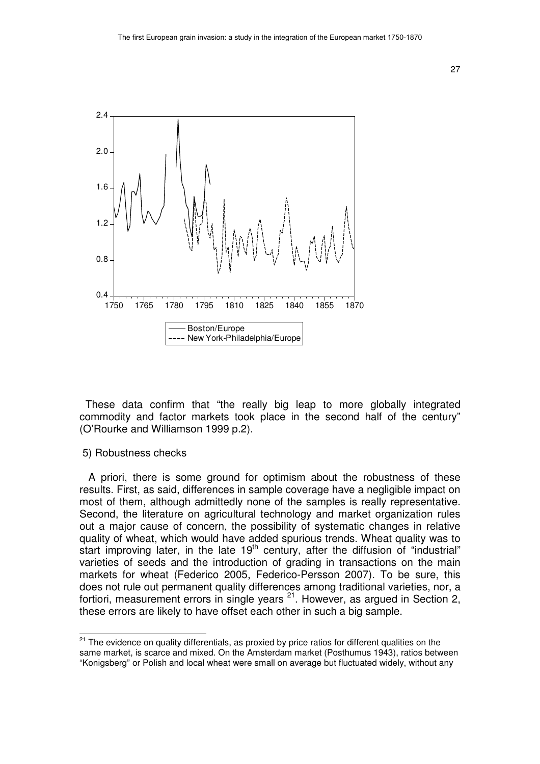

 These data confirm that "the really big leap to more globally integrated commodity and factor markets took place in the second half of the century" (O'Rourke and Williamson 1999 p.2).

#### 5) Robustness checks

 $\overline{a}$ 

 A priori, there is some ground for optimism about the robustness of these results. First, as said, differences in sample coverage have a negligible impact on most of them, although admittedly none of the samples is really representative. Second, the literature on agricultural technology and market organization rules out a major cause of concern, the possibility of systematic changes in relative quality of wheat, which would have added spurious trends. Wheat quality was to start improving later, in the late  $19<sup>th</sup>$  century, after the diffusion of "industrial" varieties of seeds and the introduction of grading in transactions on the main markets for wheat (Federico 2005, Federico-Persson 2007). To be sure, this does not rule out permanent quality differences among traditional varieties, nor, a fortiori, measurement errors in single years 21. However, as argued in Section 2, these errors are likely to have offset each other in such a big sample.

<sup>&</sup>lt;sup>21</sup> The evidence on quality differentials, as proxied by price ratios for different qualities on the same market, is scarce and mixed. On the Amsterdam market (Posthumus 1943), ratios between "Konigsberg" or Polish and local wheat were small on average but fluctuated widely, without any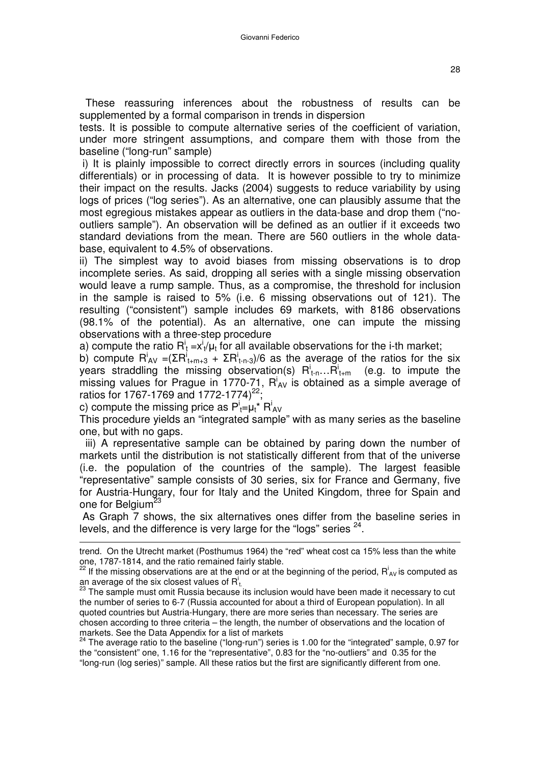tests. It is possible to compute alternative series of the coefficient of variation, under more stringent assumptions, and compare them with those from the baseline ("long-run" sample)

 i) It is plainly impossible to correct directly errors in sources (including quality differentials) or in processing of data. It is however possible to try to minimize their impact on the results. Jacks (2004) suggests to reduce variability by using logs of prices ("log series"). As an alternative, one can plausibly assume that the most egregious mistakes appear as outliers in the data-base and drop them ("nooutliers sample"). An observation will be defined as an outlier if it exceeds two standard deviations from the mean. There are 560 outliers in the whole database, equivalent to 4.5% of observations.

ii) The simplest way to avoid biases from missing observations is to drop incomplete series. As said, dropping all series with a single missing observation would leave a rump sample. Thus, as a compromise, the threshold for inclusion in the sample is raised to 5% (i.e. 6 missing observations out of 121). The resulting ("consistent") sample includes 69 markets, with 8186 observations (98.1% of the potential). As an alternative, one can impute the missing observations with a three-step procedure

a) compute the ratio  $R_t^i = x_t^i / \mu_t$  for all available observations for the i-th market;

b) compute  $R^i_{AV} = (\Sigma R^i_{t+m+3} + \Sigma R^i_{t-n-3})/6$  as the average of the ratios for the six years straddling the missing observation(s)  $R_{t-n}^i...R_{t+m}^i$  (e.g. to impute the missing values for Prague in 1770-71,  $R_{AV}$  is obtained as a simple average of ratios for 1767-1769 and 1772-1774)<sup>22</sup>;

c) compute the missing price as  $P^i_{t} = \mu_t^* R^i_{AV}$ 

 $\overline{a}$ 

This procedure yields an "integrated sample" with as many series as the baseline one, but with no gaps.

iii) A representative sample can be obtained by paring down the number of markets until the distribution is not statistically different from that of the universe (i.e. the population of the countries of the sample). The largest feasible "representative" sample consists of 30 series, six for France and Germany, five for Austria-Hungary, four for Italy and the United Kingdom, three for Spain and one for Belgium<sup>23</sup>

 As Graph 7 shows, the six alternatives ones differ from the baseline series in levels, and the difference is very large for the "logs" series  $24$ .

trend. On the Utrecht market (Posthumus 1964) the "red" wheat cost ca 15% less than the white one, 1787-1814, and the ratio remained fairly stable.

 $^{22}$  If the missing observations are at the end or at the beginning of the period,  $R_{AV}^{i}$  is computed as an average of the six closest values of  $R^i_t$ <br><sup>23</sup> The sample must omit Russia because its inclusion would have been made it necessary to cut

the number of series to 6-7 (Russia accounted for about a third of European population). In all quoted countries but Austria-Hungary, there are more series than necessary. The series are chosen according to three criteria – the length, the number of observations and the location of markets. See the Data Appendix for a list of markets

 $24$  The average ratio to the baseline ("long-run") series is 1.00 for the "integrated" sample, 0.97 for the "consistent" one, 1.16 for the "representative", 0.83 for the "no-outliers" and 0.35 for the "long-run (log series)" sample. All these ratios but the first are significantly different from one.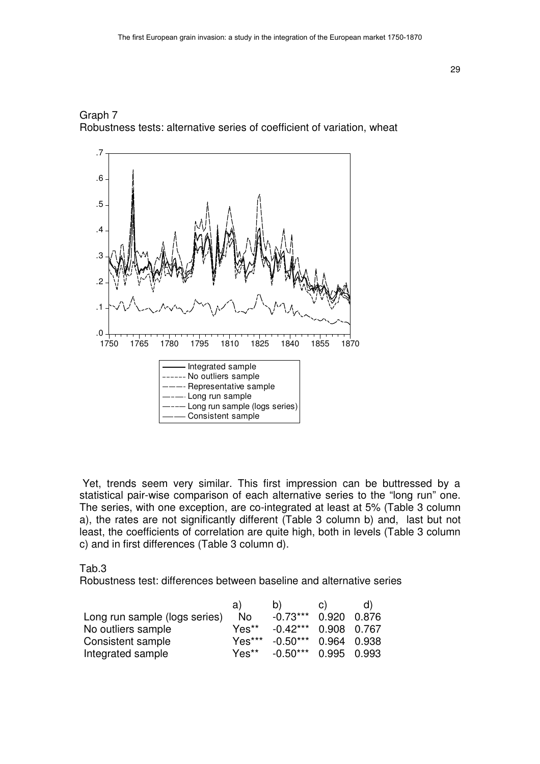



 Yet, trends seem very similar. This first impression can be buttressed by a statistical pair-wise comparison of each alternative series to the "long run" one. The series, with one exception, are co-integrated at least at 5% (Table 3 column a), the rates are not significantly different (Table 3 column b) and, last but not least, the coefficients of correlation are quite high, both in levels (Table 3 column c) and in first differences (Table 3 column d).

Tab.3

Robustness test: differences between baseline and alternative series

|                               | a)        | b)                     | C)          | d) |
|-------------------------------|-----------|------------------------|-------------|----|
| Long run sample (logs series) | <b>No</b> | $-0.73***$             | 0.920 0.876 |    |
| No outliers sample            | Yes**     | $-0.42***$ 0.908 0.767 |             |    |
| Consistent sample             | $Yes***$  | $-0.50***$ 0.964 0.938 |             |    |
| Integrated sample             | Yes**     | $-0.50***$ 0.995 0.993 |             |    |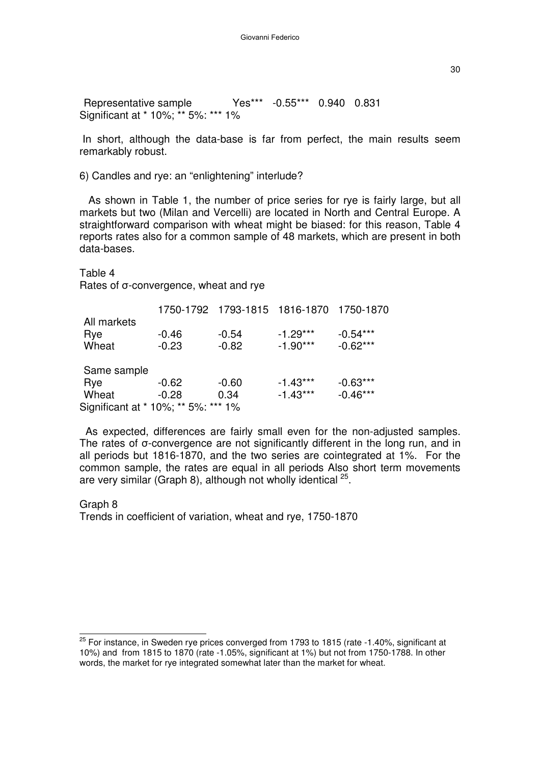Representative sample Yes\*\*\* -0.55\*\*\* 0.940 0.831 Significant at \* 10%; \*\* 5%: \*\*\* 1%

In short, although the data-base is far from perfect, the main results seem remarkably robust.

6) Candles and rye: an "enlightening" interlude?

 As shown in Table 1, the number of price series for rye is fairly large, but all markets but two (Milan and Vercelli) are located in North and Central Europe. A straightforward comparison with wheat might be biased: for this reason, Table 4 reports rates also for a common sample of 48 markets, which are present in both data-bases.

Table 4

Rates of σ-convergence, wheat and rye

|                                     |         | 1750-1792 1793-1815 1816-1870 1750-1870 |            |            |
|-------------------------------------|---------|-----------------------------------------|------------|------------|
| All markets                         |         |                                         |            |            |
| Rye                                 | $-0.46$ | $-0.54$                                 | $-1.29***$ | $-0.54***$ |
| Wheat                               | $-0.23$ | $-0.82$                                 | $-1.90***$ | $-0.62***$ |
|                                     |         |                                         |            |            |
| Same sample                         |         |                                         |            |            |
| Rye                                 | $-0.62$ | $-0.60$                                 | $-1.43***$ | $-0.63***$ |
| Wheat                               | $-0.28$ | 0.34                                    | $-1.43***$ | $-0.46***$ |
| Significant at * 10%; ** 5%: *** 1% |         |                                         |            |            |

 As expected, differences are fairly small even for the non-adjusted samples. The rates of σ-convergence are not significantly different in the long run, and in all periods but 1816-1870, and the two series are cointegrated at 1%. For the common sample, the rates are equal in all periods Also short term movements are very similar (Graph 8), although not wholly identical 25.

Graph 8

 $\overline{a}$ 

Trends in coefficient of variation, wheat and rye, 1750-1870

 $^{25}$  For instance, in Sweden rye prices converged from 1793 to 1815 (rate -1.40%, significant at 10%) and from 1815 to 1870 (rate -1.05%, significant at 1%) but not from 1750-1788. In other words, the market for rye integrated somewhat later than the market for wheat.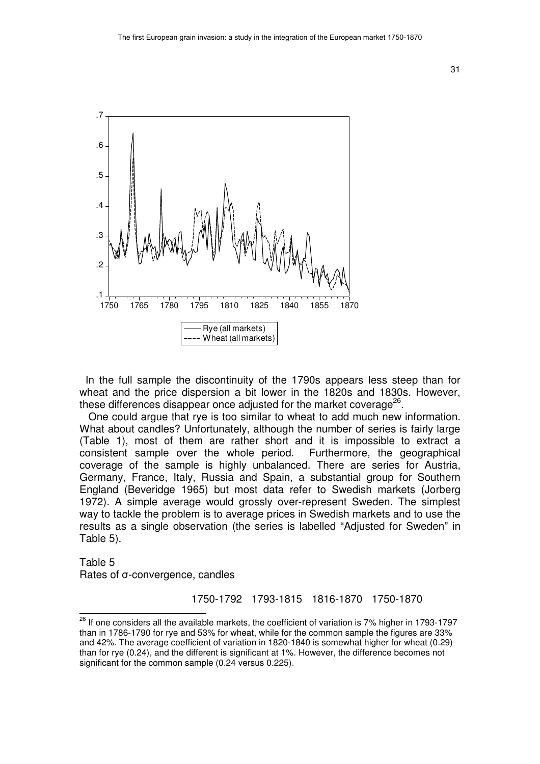

 In the full sample the discontinuity of the 1790s appears less steep than for wheat and the price dispersion a bit lower in the 1820s and 1830s. However, these differences disappear once adjusted for the market coverage<sup>26</sup>.

 One could argue that rye is too similar to wheat to add much new information. What about candles? Unfortunately, although the number of series is fairly large (Table 1), most of them are rather short and it is impossible to extract a consistent sample over the whole period. Furthermore, the geographical coverage of the sample is highly unbalanced. There are series for Austria, Germany, France, Italy, Russia and Spain, a substantial group for Southern England (Beveridge 1965) but most data refer to Swedish markets (Jorberg 1972). A simple average would grossly over-represent Sweden. The simplest way to tackle the problem is to average prices in Swedish markets and to use the results as a single observation (the series is labelled "Adjusted for Sweden" in Table 5).

Table 5 Rates of σ-convergence, candles

 $\overline{a}$ 

1750-1792 1793-1815 1816-1870 1750-1870

 $^{26}$  If one considers all the available markets, the coefficient of variation is 7% higher in 1793-1797 than in 1786-1790 for rye and 53% for wheat, while for the common sample the figures are 33% and 42%. The average coefficient of variation in 1820-1840 is somewhat higher for wheat (0.29) than for rye (0.24), and the different is significant at 1%. However, the difference becomes not significant for the common sample (0.24 versus 0.225).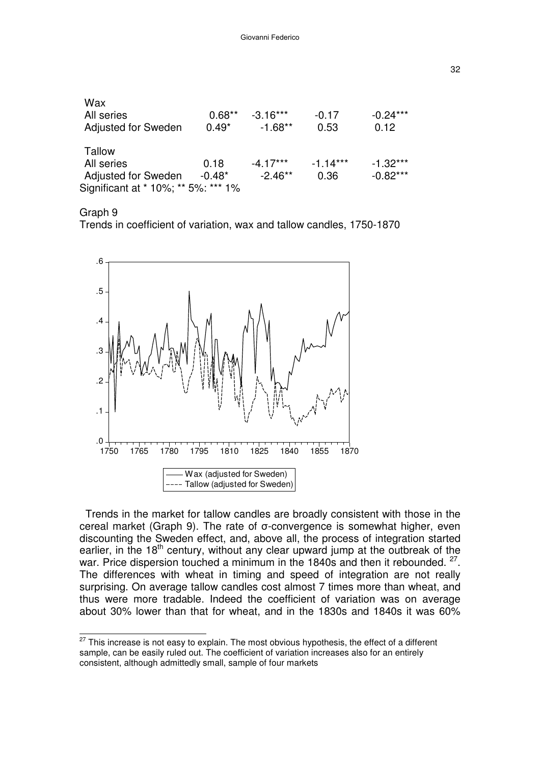| Wax                                 |          |            |            |            |
|-------------------------------------|----------|------------|------------|------------|
| All series                          | $0.68**$ | $-3.16***$ | $-0.17$    | $-0.24***$ |
| <b>Adjusted for Sweden</b>          | $0.49*$  | $-1.68**$  | 0.53       | 0.12       |
| Tallow                              |          |            |            |            |
| All series                          | 0.18     | $-4.17***$ | $-1.14***$ | $-1.32***$ |
| <b>Adjusted for Sweden</b>          | $-0.48*$ | $-2.46**$  | 0.36       | $-0.82***$ |
| Significant at * 10%; ** 5%: *** 1% |          |            |            |            |

Graph 9

Trends in coefficient of variation, wax and tallow candles, 1750-1870



 Trends in the market for tallow candles are broadly consistent with those in the cereal market (Graph 9). The rate of σ-convergence is somewhat higher, even discounting the Sweden effect, and, above all, the process of integration started earlier, in the 18<sup>th</sup> century, without any clear upward jump at the outbreak of the war. Price dispersion touched a minimum in the 1840s and then it rebounded. <sup>27</sup>. The differences with wheat in timing and speed of integration are not really surprising. On average tallow candles cost almost 7 times more than wheat, and thus were more tradable. Indeed the coefficient of variation was on average about 30% lower than that for wheat, and in the 1830s and 1840s it was 60%

 $\overline{a}$  $27$  This increase is not easy to explain. The most obvious hypothesis, the effect of a different sample, can be easily ruled out. The coefficient of variation increases also for an entirely consistent, although admittedly small, sample of four markets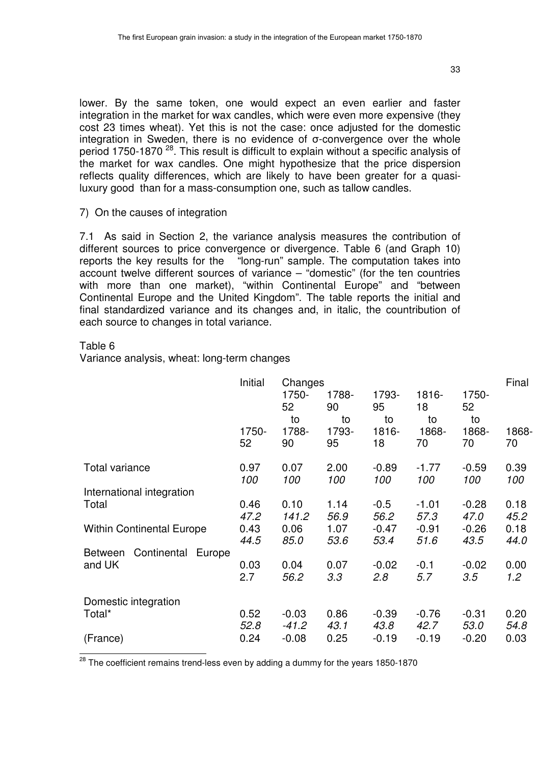33

lower. By the same token, one would expect an even earlier and faster integration in the market for wax candles, which were even more expensive (they cost 23 times wheat). Yet this is not the case: once adjusted for the domestic integration in Sweden, there is no evidence of σ-convergence over the whole period 1750-1870<sup>28</sup>. This result is difficult to explain without a specific analysis of the market for wax candles. One might hypothesize that the price dispersion reflects quality differences, which are likely to have been greater for a quasiluxury good than for a mass-consumption one, such as tallow candles.

#### 7) On the causes of integration

7.1 As said in Section 2, the variance analysis measures the contribution of different sources to price convergence or divergence. Table 6 (and Graph 10) reports the key results for the "long-run" sample. The computation takes into account twelve different sources of variance – "domestic" (for the ten countries with more than one market), "within Continental Europe" and "between Continental Europe and the United Kingdom". The table reports the initial and final standardized variance and its changes and, in italic, the countribution of each source to changes in total variance.

#### Table 6

Variance analysis, wheat: long-term changes

|                                         | Initial | Changes           |                   |                   |                   |                   | Final |
|-----------------------------------------|---------|-------------------|-------------------|-------------------|-------------------|-------------------|-------|
|                                         |         | 1750-<br>52<br>to | 1788-<br>90<br>to | 1793-<br>95<br>to | 1816-<br>18<br>to | 1750-<br>52<br>to |       |
|                                         | 1750-   | 1788-             | 1793-             | 1816-             | 1868-             | 1868-             | 1868- |
|                                         | 52      | 90                | 95                | 18                | 70                | 70                | 70    |
| <b>Total variance</b>                   | 0.97    | 0.07              | 2.00              | $-0.89$           | $-1.77$           | $-0.59$           | 0.39  |
|                                         | 100     | 100               | 100               | 100               | 100               | 100               | 100   |
| International integration               |         |                   |                   |                   |                   |                   |       |
| Total                                   | 0.46    | 0.10              | 1.14              | $-0.5$            | $-1.01$           | $-0.28$           | 0.18  |
|                                         | 47.2    | 141.2             | 56.9              | 56.2              | 57.3              | 47.0              | 45.2  |
| <b>Within Continental Europe</b>        | 0.43    | 0.06              | 1.07              | $-0.47$           | $-0.91$           | $-0.26$           | 0.18  |
|                                         | 44.5    | 85.0              | 53.6              | 53.4              | 51.6              | 43.5              | 44.0  |
| Continental<br><b>Between</b><br>Europe |         |                   |                   |                   |                   |                   |       |
| and UK                                  | 0.03    | 0.04              | 0.07              | $-0.02$           | $-0.1$            | $-0.02$           | 0.00  |
|                                         | 2.7     | 56.2              | 3.3               | 2.8               | 5.7               | 3.5               | 1.2   |
| Domestic integration                    |         |                   |                   |                   |                   |                   |       |
| Total*                                  | 0.52    | $-0.03$           | 0.86              | $-0.39$           | $-0.76$           | $-0.31$           | 0.20  |
|                                         | 52.8    | $-41.2$           | 43.1              | 43.8              | 42.7              | 53.0              | 54.8  |
| (France)                                | 0.24    | $-0.08$           | 0.25              | $-0.19$           | $-0.19$           | $-0.20$           | 0.03  |

- $^{28}$  The coefficient remains trend-less even by adding a dummy for the years 1850-1870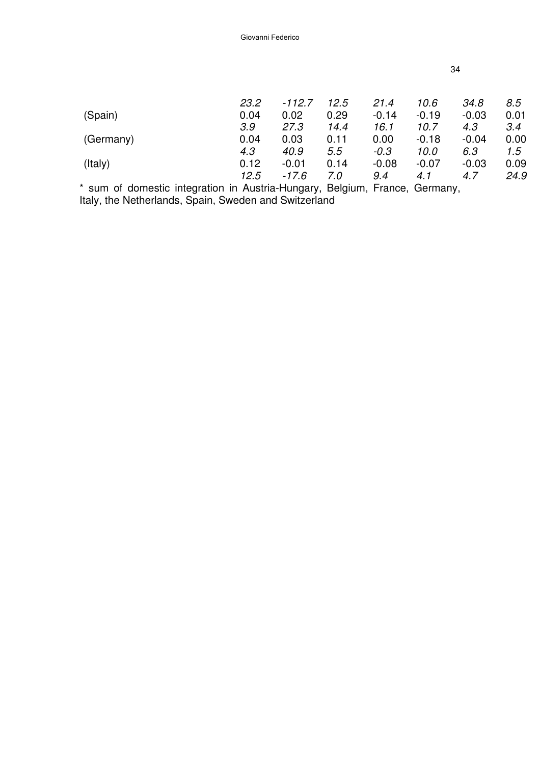|           |      |          |      |               | 34                          |         |      |
|-----------|------|----------|------|---------------|-----------------------------|---------|------|
|           | 23.2 | $-112.7$ | 12.5 | 21.4          | 10.6                        | 34.8    | 8.5  |
| (Spain)   | 0.04 | 0.02     | 0.29 | $-0.14$       | $-0.19$                     | $-0.03$ | 0.01 |
|           | 3.9  | 27.3     | 14.4 | 16.1          | 10.7                        | 4.3     | 3.4  |
| (Germany) | 0.04 | 0.03     | 0.11 | 0.00          | $-0.18$                     | $-0.04$ | 0.00 |
|           | 4.3  | 40.9     | 5.5  | $-0.3$        | 10.0                        | 6.3     | 1.5  |
| (Italy)   | 0.12 | $-0.01$  | 0.14 | $-0.08$       | $-0.07$                     | $-0.03$ | 0.09 |
|           | 12.5 | $-17.6$  | 7.0  | 9.4           | 4.1                         | 4.7     | 24.9 |
|           |      |          |      | <b>PULLER</b> | $\sim$ $\sim$ $\sim$ $\sim$ |         |      |

\* sum of domestic integration in Austria-Hungary, Belgium, France, Germany, Italy, the Netherlands, Spain, Sweden and Switzerland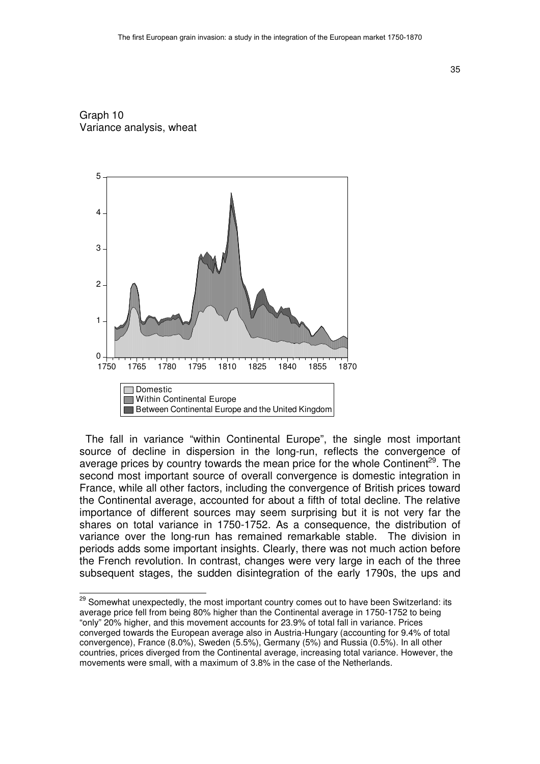Graph 10 Variance analysis, wheat

É



 The fall in variance "within Continental Europe", the single most important source of decline in dispersion in the long-run, reflects the convergence of average prices by country towards the mean price for the whole Continent<sup>29</sup>. The second most important source of overall convergence is domestic integration in France, while all other factors, including the convergence of British prices toward the Continental average, accounted for about a fifth of total decline. The relative importance of different sources may seem surprising but it is not very far the shares on total variance in 1750-1752. As a consequence, the distribution of variance over the long-run has remained remarkable stable. The division in periods adds some important insights. Clearly, there was not much action before the French revolution. In contrast, changes were very large in each of the three subsequent stages, the sudden disintegration of the early 1790s, the ups and

<sup>&</sup>lt;sup>29</sup> Somewhat unexpectedly, the most important country comes out to have been Switzerland: its average price fell from being 80% higher than the Continental average in 1750-1752 to being "only" 20% higher, and this movement accounts for 23.9% of total fall in variance. Prices converged towards the European average also in Austria-Hungary (accounting for 9.4% of total convergence), France (8.0%), Sweden (5.5%), Germany (5%) and Russia (0.5%). In all other countries, prices diverged from the Continental average, increasing total variance. However, the movements were small, with a maximum of 3.8% in the case of the Netherlands.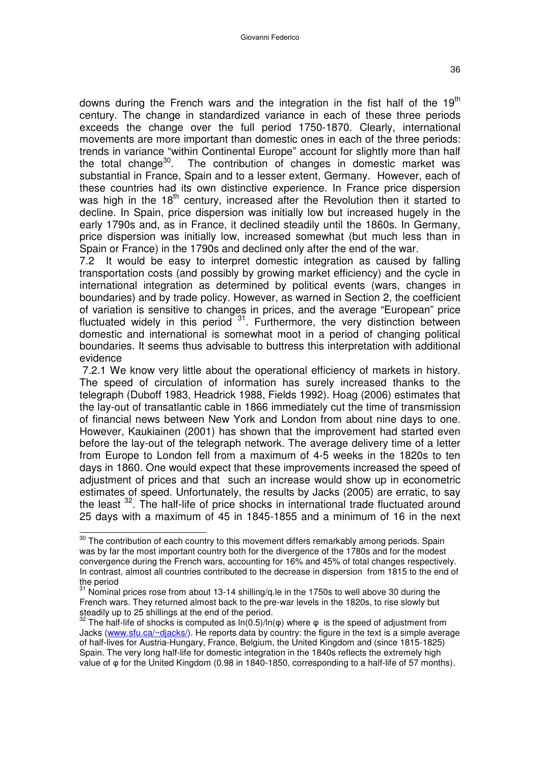downs during the French wars and the integration in the fist half of the  $19<sup>th</sup>$ century. The change in standardized variance in each of these three periods exceeds the change over the full period 1750-1870. Clearly, international movements are more important than domestic ones in each of the three periods: trends in variance "within Continental Europe" account for slightly more than half<br>the total change<sup>30</sup>. The contribution of changes in domestic market was The contribution of changes in domestic market was substantial in France, Spain and to a lesser extent, Germany. However, each of these countries had its own distinctive experience. In France price dispersion was high in the  $18<sup>th</sup>$  century, increased after the Revolution then it started to decline. In Spain, price dispersion was initially low but increased hugely in the early 1790s and, as in France, it declined steadily until the 1860s. In Germany, price dispersion was initially low, increased somewhat (but much less than in Spain or France) in the 1790s and declined only after the end of the war.

7.2 It would be easy to interpret domestic integration as caused by falling transportation costs (and possibly by growing market efficiency) and the cycle in international integration as determined by political events (wars, changes in boundaries) and by trade policy. However, as warned in Section 2, the coefficient of variation is sensitive to changes in prices, and the average "European" price fluctuated widely in this period  $31$ . Furthermore, the very distinction between domestic and international is somewhat moot in a period of changing political boundaries. It seems thus advisable to buttress this interpretation with additional evidence

 7.2.1 We know very little about the operational efficiency of markets in history. The speed of circulation of information has surely increased thanks to the telegraph (Duboff 1983, Headrick 1988, Fields 1992). Hoag (2006) estimates that the lay-out of transatlantic cable in 1866 immediately cut the time of transmission of financial news between New York and London from about nine days to one. However, Kaukiainen (2001) has shown that the improvement had started even before the lay-out of the telegraph network. The average delivery time of a letter from Europe to London fell from a maximum of 4-5 weeks in the 1820s to ten days in 1860. One would expect that these improvements increased the speed of adjustment of prices and that such an increase would show up in econometric estimates of speed. Unfortunately, the results by Jacks (2005) are erratic, to say the least 32. The half-life of price shocks in international trade fluctuated around 25 days with a maximum of 45 in 1845-1855 and a minimum of 16 in the next

 $\overline{a}$  $30$  The contribution of each country to this movement differs remarkably among periods. Spain was by far the most important country both for the divergence of the 1780s and for the modest convergence during the French wars, accounting for 16% and 45% of total changes respectively. In contrast, almost all countries contributed to the decrease in dispersion from 1815 to the end of the period

 $31$  Nominal prices rose from about 13-14 shilling/q.le in the 1750s to well above 30 during the French wars. They returned almost back to the pre-war levels in the 1820s, to rise slowly but steadily up to 25 shillings at the end of the period.

The half-life of shocks is computed as  $\ln(0.5)/\ln(\varphi)$  where  $\varphi$  is the speed of adjustment from Jacks (www.sfu.ca/~djacks/). He reports data by country: the figure in the text is a simple average of half-lives for Austria-Hungary, France, Belgium, the United Kingdom and (since 1815-1825) Spain. The very long half-life for domestic integration in the 1840s reflects the extremely high value of φ for the United Kingdom (0.98 in 1840-1850, corresponding to a half-life of 57 months).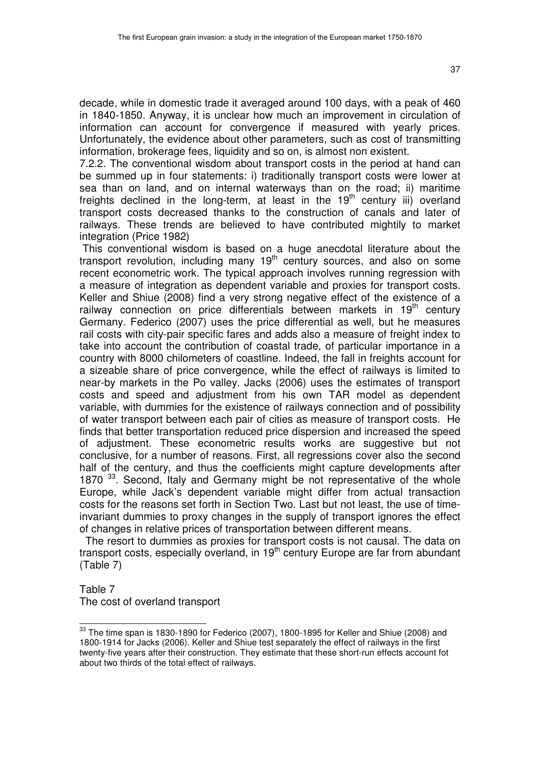decade, while in domestic trade it averaged around 100 days, with a peak of 460 in 1840-1850. Anyway, it is unclear how much an improvement in circulation of information can account for convergence if measured with yearly prices. Unfortunately, the evidence about other parameters, such as cost of transmitting information, brokerage fees, liquidity and so on, is almost non existent.

7.2.2. The conventional wisdom about transport costs in the period at hand can be summed up in four statements: i) traditionally transport costs were lower at sea than on land, and on internal waterways than on the road; ii) maritime freights declined in the long-term, at least in the  $19<sup>th</sup>$  century iii) overland transport costs decreased thanks to the construction of canals and later of railways. These trends are believed to have contributed mightily to market integration (Price 1982)

 This conventional wisdom is based on a huge anecdotal literature about the transport revolution, including many  $19<sup>th</sup>$  century sources, and also on some recent econometric work. The typical approach involves running regression with a measure of integration as dependent variable and proxies for transport costs. Keller and Shiue (2008) find a very strong negative effect of the existence of a railway connection on price differentials between markets in  $19<sup>th</sup>$  century Germany. Federico (2007) uses the price differential as well, but he measures rail costs with city-pair specific fares and adds also a measure of freight index to take into account the contribution of coastal trade, of particular importance in a country with 8000 chilometers of coastline. Indeed, the fall in freights account for a sizeable share of price convergence, while the effect of railways is limited to near-by markets in the Po valley. Jacks (2006) uses the estimates of transport costs and speed and adjustment from his own TAR model as dependent variable, with dummies for the existence of railways connection and of possibility of water transport between each pair of cities as measure of transport costs. He finds that better transportation reduced price dispersion and increased the speed of adjustment. These econometric results works are suggestive but not conclusive, for a number of reasons. First, all regressions cover also the second half of the century, and thus the coefficients might capture developments after 1870<sup>33</sup>. Second, Italy and Germany might be not representative of the whole Europe, while Jack's dependent variable might differ from actual transaction costs for the reasons set forth in Section Two. Last but not least, the use of timeinvariant dummies to proxy changes in the supply of transport ignores the effect of changes in relative prices of transportation between different means.

 The resort to dummies as proxies for transport costs is not causal. The data on transport costs, especially overland, in 19th century Europe are far from abundant (Table 7)

Table 7 The cost of overland transport

 $\overline{a}$  $33$  The time span is 1830-1890 for Federico (2007), 1800-1895 for Keller and Shiue (2008) and 1800-1914 for Jacks (2006). Keller and Shiue test separately the effect of railways in the first twenty-five years after their construction. They estimate that these short-run effects account fot about two thirds of the total effect of railways.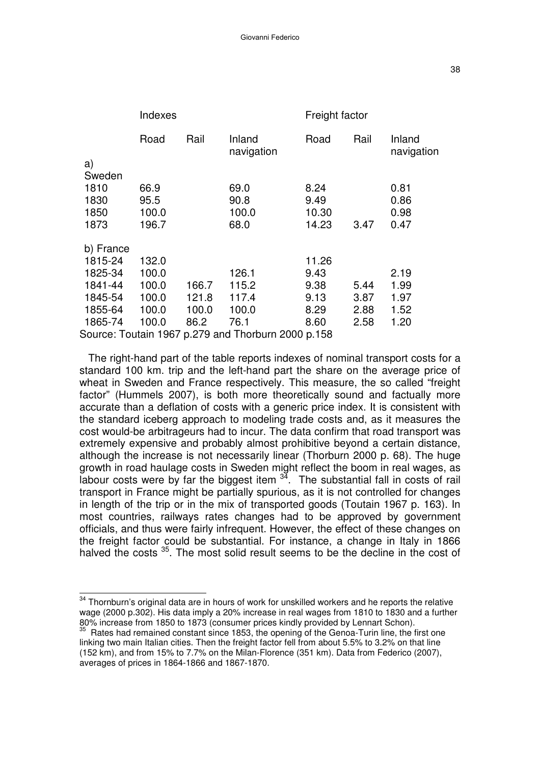|           | Indexes |       |                                                    | Freight factor |      |                      |
|-----------|---------|-------|----------------------------------------------------|----------------|------|----------------------|
| a)        | Road    | Rail  | Inland<br>navigation                               | Road           | Rail | Inland<br>navigation |
| Sweden    |         |       |                                                    |                |      |                      |
| 1810      | 66.9    |       | 69.0                                               | 8.24           |      | 0.81                 |
| 1830      | 95.5    |       | 90.8                                               | 9.49           |      | 0.86                 |
| 1850      | 100.0   |       | 100.0                                              | 10.30          |      | 0.98                 |
| 1873      | 196.7   |       | 68.0                                               | 14.23          | 3.47 | 0.47                 |
| b) France |         |       |                                                    |                |      |                      |
| 1815-24   | 132.0   |       |                                                    | 11.26          |      |                      |
| 1825-34   | 100.0   |       | 126.1                                              | 9.43           |      | 2.19                 |
| 1841-44   | 100.0   | 166.7 | 115.2                                              | 9.38           | 5.44 | 1.99                 |
| 1845-54   | 100.0   | 121.8 | 117.4                                              | 9.13           | 3.87 | 1.97                 |
| 1855-64   | 100.0   | 100.0 | 100.0                                              | 8.29           | 2.88 | 1.52                 |
| 1865-74   | 100.0   | 86.2  | 76.1                                               | 8.60           | 2.58 | 1.20                 |
|           |         |       | Source: Toutain 1967 p.279 and Thorburn 2000 p.158 |                |      |                      |

 The right-hand part of the table reports indexes of nominal transport costs for a standard 100 km. trip and the left-hand part the share on the average price of wheat in Sweden and France respectively. This measure, the so called "freight factor" (Hummels 2007), is both more theoretically sound and factually more accurate than a deflation of costs with a generic price index. It is consistent with the standard iceberg approach to modeling trade costs and, as it measures the cost would-be arbitrageurs had to incur. The data confirm that road transport was extremely expensive and probably almost prohibitive beyond a certain distance, although the increase is not necessarily linear (Thorburn 2000 p. 68). The huge growth in road haulage costs in Sweden might reflect the boom in real wages, as labour costs were by far the biggest item  $34$ . The substantial fall in costs of rail transport in France might be partially spurious, as it is not controlled for changes in length of the trip or in the mix of transported goods (Toutain 1967 p. 163). In most countries, railways rates changes had to be approved by government officials, and thus were fairly infrequent. However, the effect of these changes on the freight factor could be substantial. For instance, a change in Italy in 1866 halved the costs <sup>35</sup>. The most solid result seems to be the decline in the cost of

É

38

 $34$  Thornburn's original data are in hours of work for unskilled workers and he reports the relative wage (2000 p.302). His data imply a 20% increase in real wages from 1810 to 1830 and a further 80% increase from 1850 to 1873 (consumer prices kindly provided by Lennart Schon).

<sup>&</sup>lt;sup>35</sup> Rates had remained constant since 1853, the opening of the Genoa-Turin line, the first one linking two main Italian cities. Then the freight factor fell from about 5.5% to 3.2% on that line (152 km), and from 15% to 7.7% on the Milan-Florence (351 km). Data from Federico (2007), averages of prices in 1864-1866 and 1867-1870.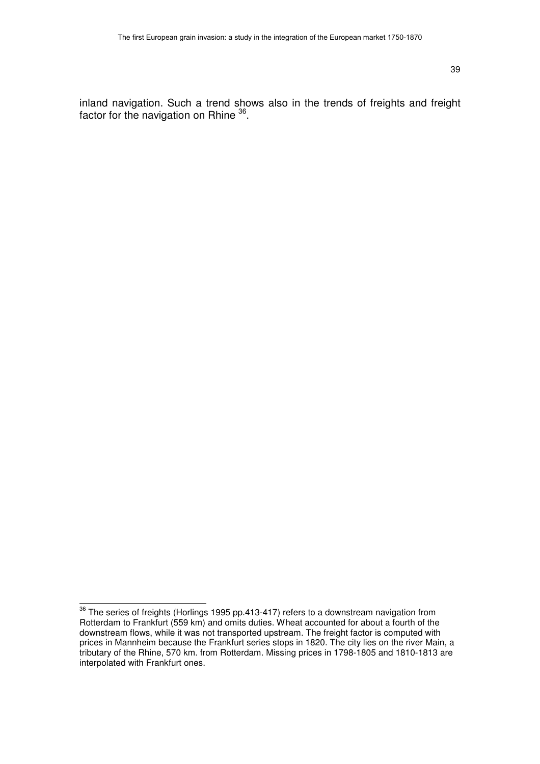inland navigation. Such a trend shows also in the trends of freights and freight factor for the navigation on Rhine <sup>36</sup>.

-

 $36$  The series of freights (Horlings 1995 pp.413-417) refers to a downstream navigation from Rotterdam to Frankfurt (559 km) and omits duties. Wheat accounted for about a fourth of the downstream flows, while it was not transported upstream. The freight factor is computed with prices in Mannheim because the Frankfurt series stops in 1820. The city lies on the river Main, a tributary of the Rhine, 570 km. from Rotterdam. Missing prices in 1798-1805 and 1810-1813 are interpolated with Frankfurt ones.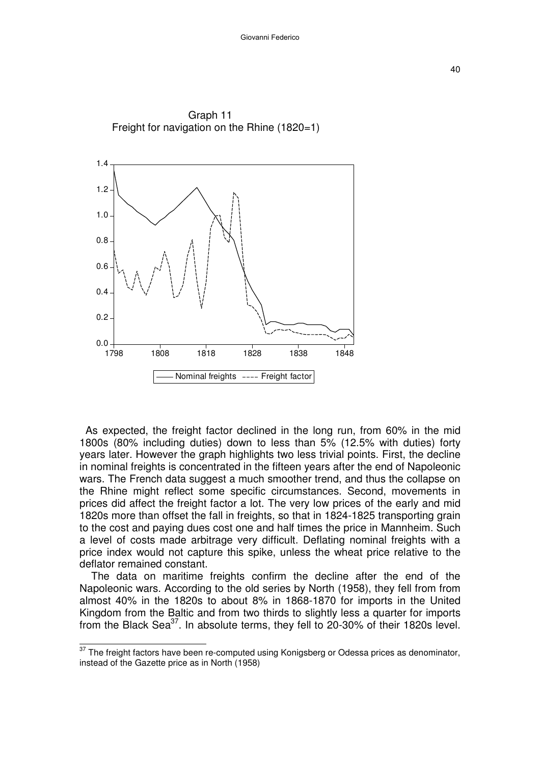



 As expected, the freight factor declined in the long run, from 60% in the mid 1800s (80% including duties) down to less than 5% (12.5% with duties) forty years later. However the graph highlights two less trivial points. First, the decline in nominal freights is concentrated in the fifteen years after the end of Napoleonic wars. The French data suggest a much smoother trend, and thus the collapse on the Rhine might reflect some specific circumstances. Second, movements in prices did affect the freight factor a lot. The very low prices of the early and mid 1820s more than offset the fall in freights, so that in 1824-1825 transporting grain to the cost and paying dues cost one and half times the price in Mannheim. Such a level of costs made arbitrage very difficult. Deflating nominal freights with a price index would not capture this spike, unless the wheat price relative to the deflator remained constant.

 The data on maritime freights confirm the decline after the end of the Napoleonic wars. According to the old series by North (1958), they fell from from almost 40% in the 1820s to about 8% in 1868-1870 for imports in the United Kingdom from the Baltic and from two thirds to slightly less a quarter for imports from the Black Sea<sup>37</sup>. In absolute terms, they fell to 20-30% of their 1820s level.

 $\overline{a}$ 

 $37$  The freight factors have been re-computed using Konigsberg or Odessa prices as denominator, instead of the Gazette price as in North (1958)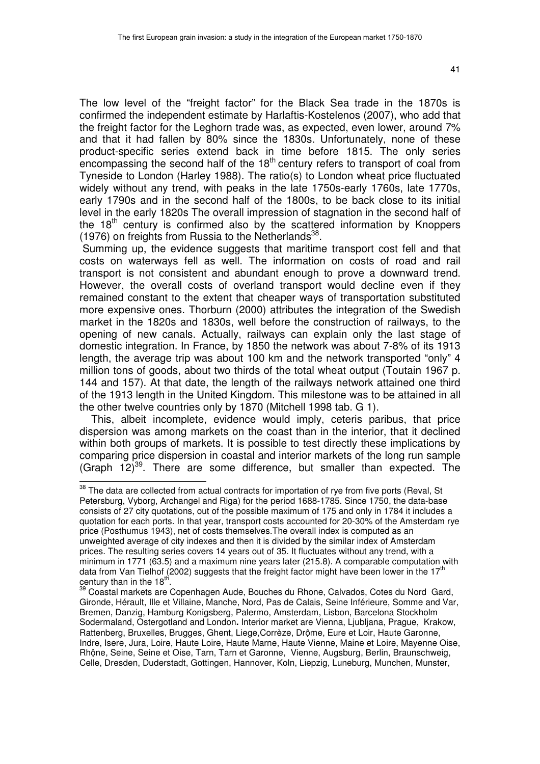The low level of the "freight factor" for the Black Sea trade in the 1870s is confirmed the independent estimate by Harlaftis-Kostelenos (2007), who add that the freight factor for the Leghorn trade was, as expected, even lower, around 7% and that it had fallen by 80% since the 1830s. Unfortunately, none of these product-specific series extend back in time before 1815. The only series encompassing the second half of the  $18<sup>th</sup>$  century refers to transport of coal from Tyneside to London (Harley 1988). The ratio(s) to London wheat price fluctuated widely without any trend, with peaks in the late 1750s-early 1760s, late 1770s, early 1790s and in the second half of the 1800s, to be back close to its initial level in the early 1820s The overall impression of stagnation in the second half of the  $18<sup>th</sup>$  century is confirmed also by the scattered information by Knoppers (1976) on freights from Russia to the Netherlands $^{38}$ .

 Summing up, the evidence suggests that maritime transport cost fell and that costs on waterways fell as well. The information on costs of road and rail transport is not consistent and abundant enough to prove a downward trend. However, the overall costs of overland transport would decline even if they remained constant to the extent that cheaper ways of transportation substituted more expensive ones. Thorburn (2000) attributes the integration of the Swedish market in the 1820s and 1830s, well before the construction of railways, to the opening of new canals. Actually, railways can explain only the last stage of domestic integration. In France, by 1850 the network was about 7-8% of its 1913 length, the average trip was about 100 km and the network transported "only" 4 million tons of goods, about two thirds of the total wheat output (Toutain 1967 p. 144 and 157). At that date, the length of the railways network attained one third of the 1913 length in the United Kingdom. This milestone was to be attained in all the other twelve countries only by 1870 (Mitchell 1998 tab. G 1).

 This, albeit incomplete, evidence would imply, ceteris paribus, that price dispersion was among markets on the coast than in the interior, that it declined within both groups of markets. It is possible to test directly these implications by comparing price dispersion in coastal and interior markets of the long run sample (Graph  $12$ )<sup>39</sup>. There are some difference, but smaller than expected. The

 $\overline{a}$ 

 $38$  The data are collected from actual contracts for importation of rye from five ports (Reval, St Petersburg, Vyborg, Archangel and Riga) for the period 1688-1785. Since 1750, the data-base consists of 27 city quotations, out of the possible maximum of 175 and only in 1784 it includes a quotation for each ports. In that year, transport costs accounted for 20-30% of the Amsterdam rye price (Posthumus 1943), net of costs themselves.The overall index is computed as an unweighted average of city indexes and then it is divided by the similar index of Amsterdam prices. The resulting series covers 14 years out of 35. It fluctuates without any trend, with a minimum in 1771 (63.5) and a maximum nine years later (215.8). A comparable computation with data from Van Tielhof (2002) suggests that the freight factor might have been lower in the  $17^{\text{th}}$ <br>century than in the  $18^{\text{th}}$ .

 $9$  Coastal markets are Copenhagen Aude, Bouches du Rhone, Calvados, Cotes du Nord Gard, Gironde, Hérault, Ille et Villaine, Manche, Nord, Pas de Calais, Seine Inférieure, Somme and Var, Bremen, Danzig, Hamburg Konigsberg, Palermo, Amsterdam, Lisbon, Barcelona Stockholm Sodermaland, Ostergotland and London**.** Interior market are Vienna, Ljubljana, Prague, Krakow, Rattenberg, Bruxelles, Brugges, Ghent, Liege,Corrèze, Drộme, Eure et Loir, Haute Garonne, Indre, Isere, Jura, Loire, Haute Loire, Haute Marne, Haute Vienne, Maine et Loire, Mayenne Oise, Rhộne, Seine, Seine et Oise, Tarn, Tarn et Garonne, Vienne, Augsburg, Berlin, Braunschweig, Celle, Dresden, Duderstadt, Gottingen, Hannover, Koln, Liepzig, Luneburg, Munchen, Munster,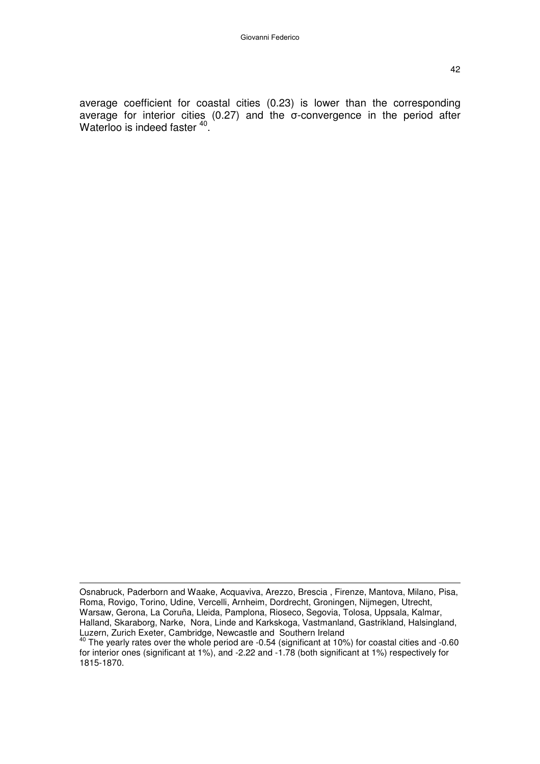average coefficient for coastal cities (0.23) is lower than the corresponding average for interior cities (0.27) and the σ-convergence in the period after Waterloo is indeed faster <sup>40</sup>.

 $\overline{a}$ Osnabruck, Paderborn and Waake, Acquaviva, Arezzo, Brescia , Firenze, Mantova, Milano, Pisa, Roma, Rovigo, Torino, Udine, Vercelli, Arnheim, Dordrecht, Groningen, Nijmegen, Utrecht, Warsaw, Gerona, La Coruña, Lleida, Pamplona, Rioseco, Segovia, Tolosa, Uppsala, Kalmar, Halland, Skaraborg, Narke, Nora, Linde and Karkskoga, Vastmanland, Gastrikland, Halsingland, Luzern, Zurich Exeter, Cambridge, Newcastle and Southern Ireland

 $40$  The yearly rates over the whole period are -0.54 (significant at 10%) for coastal cities and -0.60 for interior ones (significant at 1%), and -2.22 and -1.78 (both significant at 1%) respectively for 1815-1870.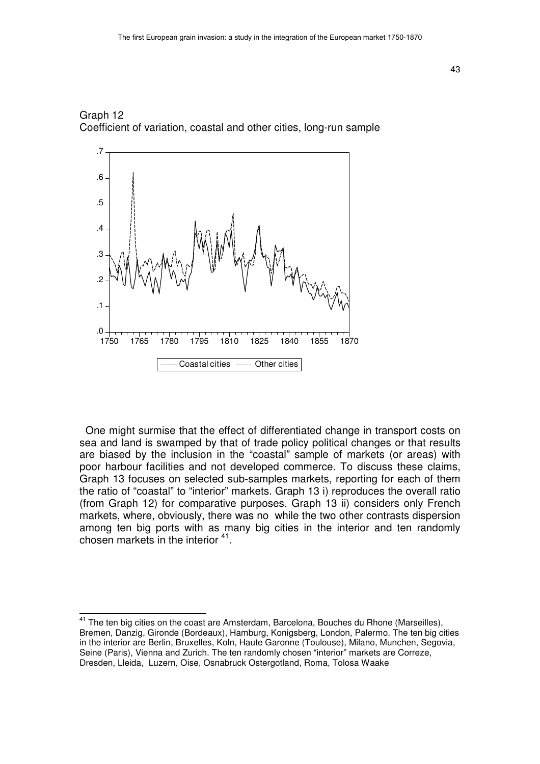



 One might surmise that the effect of differentiated change in transport costs on sea and land is swamped by that of trade policy political changes or that results are biased by the inclusion in the "coastal" sample of markets (or areas) with poor harbour facilities and not developed commerce. To discuss these claims, Graph 13 focuses on selected sub-samples markets, reporting for each of them the ratio of "coastal" to "interior" markets. Graph 13 i) reproduces the overall ratio (from Graph 12) for comparative purposes. Graph 13 ii) considers only French markets, where, obviously, there was no while the two other contrasts dispersion among ten big ports with as many big cities in the interior and ten randomly chosen markets in the interior <sup>41</sup>.

 $\overline{a}$ 

 $41$  The ten big cities on the coast are Amsterdam, Barcelona, Bouches du Rhone (Marseilles), Bremen, Danzig, Gironde (Bordeaux), Hamburg, Konigsberg, London, Palermo. The ten big cities in the interior are Berlin, Bruxelles, Koln, Haute Garonne (Toulouse), Milano, Munchen, Segovia, Seine (Paris), Vienna and Zurich. The ten randomly chosen "interior" markets are Correze, Dresden, Lleida, Luzern, Oise, Osnabruck Ostergotland, Roma, Tolosa Waake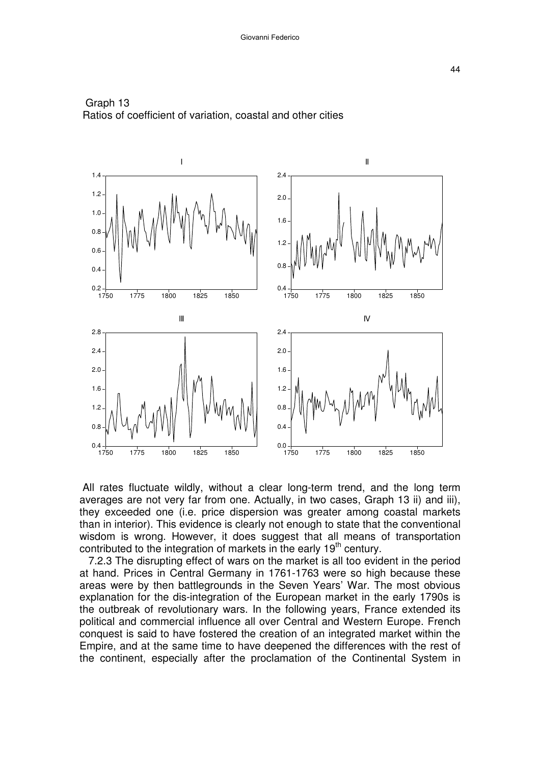

 Graph 13 Ratios of coefficient of variation, coastal and other cities

 All rates fluctuate wildly, without a clear long-term trend, and the long term averages are not very far from one. Actually, in two cases, Graph 13 ii) and iii), they exceeded one (i.e. price dispersion was greater among coastal markets than in interior). This evidence is clearly not enough to state that the conventional wisdom is wrong. However, it does suggest that all means of transportation contributed to the integration of markets in the early  $19<sup>th</sup>$  century.

 7.2.3 The disrupting effect of wars on the market is all too evident in the period at hand. Prices in Central Germany in 1761-1763 were so high because these areas were by then battlegrounds in the Seven Years' War. The most obvious explanation for the dis-integration of the European market in the early 1790s is the outbreak of revolutionary wars. In the following years, France extended its political and commercial influence all over Central and Western Europe. French conquest is said to have fostered the creation of an integrated market within the Empire, and at the same time to have deepened the differences with the rest of the continent, especially after the proclamation of the Continental System in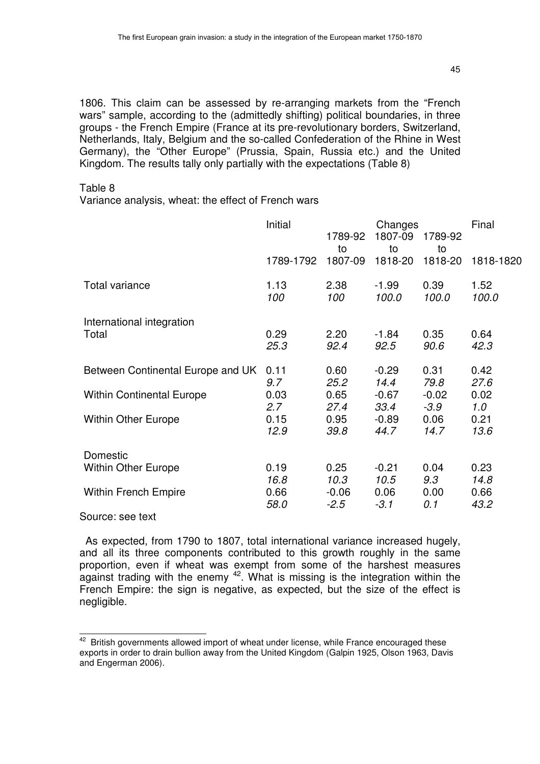45

1806. This claim can be assessed by re-arranging markets from the "French wars" sample, according to the (admittedly shifting) political boundaries, in three groups - the French Empire (France at its pre-revolutionary borders, Switzerland, Netherlands, Italy, Belgium and the so-called Confederation of the Rhine in West Germany), the "Other Europe" (Prussia, Spain, Russia etc.) and the United Kingdom. The results tally only partially with the expectations (Table 8)

#### Table 8

Variance analysis, wheat: the effect of French wars

|                                   | Initial     | 1789-92<br>to | Changes<br>1807-09<br>to | 1789-92<br>to | Final         |
|-----------------------------------|-------------|---------------|--------------------------|---------------|---------------|
|                                   | 1789-1792   | 1807-09       | 1818-20                  | 1818-20       | 1818-1820     |
| <b>Total variance</b>             | 1.13<br>100 | 2.38<br>100   | $-1.99$<br>100.0         | 0.39<br>100.0 | 1.52<br>100.0 |
| International integration         |             |               |                          |               |               |
| Total                             | 0.29        | 2.20          | $-1.84$                  | 0.35          | 0.64          |
|                                   | 25.3        | 92.4          | 92.5                     | 90.6          | 42.3          |
| Between Continental Europe and UK | 0.11        | 0.60          | $-0.29$                  | 0.31          | 0.42          |
|                                   | 9.7         | 25.2          | 14.4                     | 79.8          | 27.6          |
| <b>Within Continental Europe</b>  | 0.03        | 0.65          | $-0.67$                  | $-0.02$       | 0.02          |
|                                   | 2.7         | 27.4          | 33.4                     | $-3.9$        | 1.0           |
| <b>Within Other Europe</b>        | 0.15        | 0.95          | $-0.89$                  | 0.06          | 0.21          |
|                                   | 12.9        | 39.8          | 44.7                     | 14.7          | 13.6          |
| Domestic                          |             |               |                          |               |               |
| <b>Within Other Europe</b>        | 0.19        | 0.25          | $-0.21$                  | 0.04          | 0.23          |
|                                   | 16.8        | 10.3          | 10.5                     | 9.3           | 14.8          |
| <b>Within French Empire</b>       | 0.66        | $-0.06$       | 0.06                     | 0.00          | 0.66          |
|                                   | 58.0        | $-2.5$        | -3.1                     | 0.1           | 43.2          |
| $2$ aluaalaaa talik               |             |               |                          |               |               |

#### Source: see text

 As expected, from 1790 to 1807, total international variance increased hugely, and all its three components contributed to this growth roughly in the same proportion, even if wheat was exempt from some of the harshest measures against trading with the enemy  $42$ . What is missing is the integration within the French Empire: the sign is negative, as expected, but the size of the effect is negligible.

 $\overline{a}$  $42$  British governments allowed import of wheat under license, while France encouraged these exports in order to drain bullion away from the United Kingdom (Galpin 1925, Olson 1963, Davis and Engerman 2006).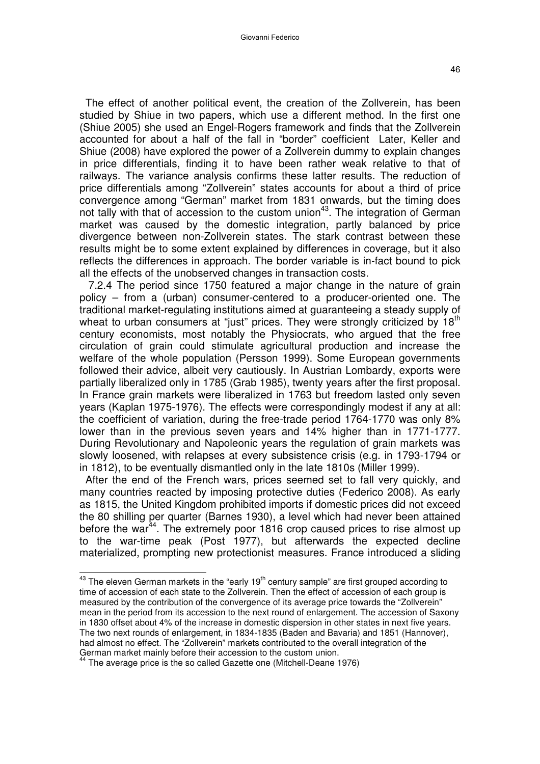The effect of another political event, the creation of the Zollverein, has been studied by Shiue in two papers, which use a different method. In the first one (Shiue 2005) she used an Engel-Rogers framework and finds that the Zollverein accounted for about a half of the fall in "border" coefficient Later, Keller and Shiue (2008) have explored the power of a Zollverein dummy to explain changes in price differentials, finding it to have been rather weak relative to that of railways. The variance analysis confirms these latter results. The reduction of price differentials among "Zollverein" states accounts for about a third of price convergence among "German" market from 1831 onwards, but the timing does not tally with that of accession to the custom union<sup>43</sup>. The integration of German market was caused by the domestic integration, partly balanced by price divergence between non-Zollverein states. The stark contrast between these results might be to some extent explained by differences in coverage, but it also reflects the differences in approach. The border variable is in-fact bound to pick all the effects of the unobserved changes in transaction costs.

 7.2.4 The period since 1750 featured a major change in the nature of grain policy – from a (urban) consumer-centered to a producer-oriented one. The traditional market-regulating institutions aimed at guaranteeing a steady supply of wheat to urban consumers at "just" prices. They were strongly criticized by  $18<sup>th</sup>$ century economists, most notably the Physiocrats, who argued that the free circulation of grain could stimulate agricultural production and increase the welfare of the whole population (Persson 1999). Some European governments followed their advice, albeit very cautiously. In Austrian Lombardy, exports were partially liberalized only in 1785 (Grab 1985), twenty years after the first proposal. In France grain markets were liberalized in 1763 but freedom lasted only seven years (Kaplan 1975-1976). The effects were correspondingly modest if any at all: the coefficient of variation, during the free-trade period 1764-1770 was only 8% lower than in the previous seven years and 14% higher than in 1771-1777. During Revolutionary and Napoleonic years the regulation of grain markets was slowly loosened, with relapses at every subsistence crisis (e.g. in 1793-1794 or in 1812), to be eventually dismantled only in the late 1810s (Miller 1999).

 After the end of the French wars, prices seemed set to fall very quickly, and many countries reacted by imposing protective duties (Federico 2008). As early as 1815, the United Kingdom prohibited imports if domestic prices did not exceed the 80 shilling per quarter (Barnes 1930), a level which had never been attained before the war<sup>44</sup>. The extremely poor 1816 crop caused prices to rise almost up to the war-time peak (Post 1977), but afterwards the expected decline materialized, prompting new protectionist measures. France introduced a sliding

 $\overline{a}$  $43$  The eleven German markets in the "early 19<sup>th</sup> century sample" are first grouped according to time of accession of each state to the Zollverein. Then the effect of accession of each group is measured by the contribution of the convergence of its average price towards the "Zollverein" mean in the period from its accession to the next round of enlargement. The accession of Saxony in 1830 offset about 4% of the increase in domestic dispersion in other states in next five years. The two next rounds of enlargement, in 1834-1835 (Baden and Bavaria) and 1851 (Hannover), had almost no effect. The "Zollverein" markets contributed to the overall integration of the German market mainly before their accession to the custom union.<br>44 The

The average price is the so called Gazette one (Mitchell-Deane 1976)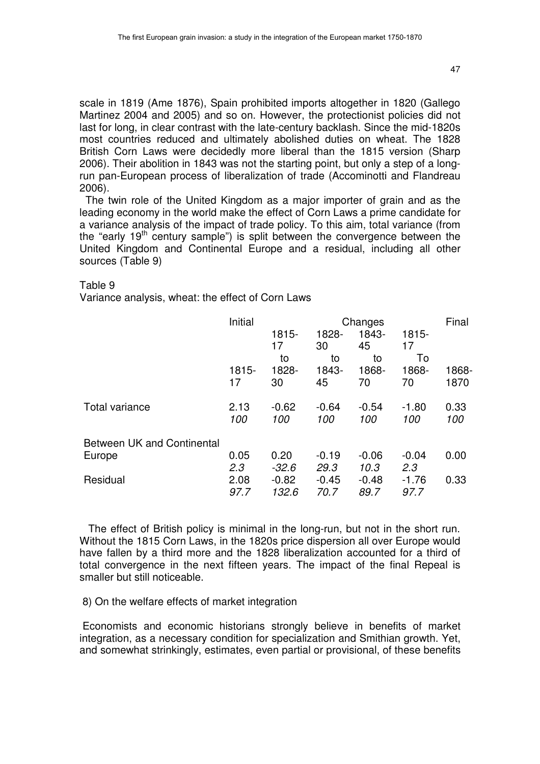47

scale in 1819 (Ame 1876), Spain prohibited imports altogether in 1820 (Gallego Martinez 2004 and 2005) and so on. However, the protectionist policies did not last for long, in clear contrast with the late-century backlash. Since the mid-1820s most countries reduced and ultimately abolished duties on wheat. The 1828 British Corn Laws were decidedly more liberal than the 1815 version (Sharp 2006). Their abolition in 1843 was not the starting point, but only a step of a longrun pan-European process of liberalization of trade (Accominotti and Flandreau 2006).

 The twin role of the United Kingdom as a major importer of grain and as the leading economy in the world make the effect of Corn Laws a prime candidate for a variance analysis of the impact of trade policy. To this aim, total variance (from the "early  $19<sup>th</sup>$  century sample") is split between the convergence between the United Kingdom and Continental Europe and a residual, including all other sources (Table 9)

#### Table 9

Variance analysis, wheat: the effect of Corn Laws

| Initial      |                  |                 |                 | Final           |                    |
|--------------|------------------|-----------------|-----------------|-----------------|--------------------|
|              | $1815 -$         | 1828-           | 1843-           | $1815 -$        |                    |
|              | 17               | 30              | 45              | 17              |                    |
|              | to               | to              | to              | To              |                    |
| $1815 -$     | 1828-            | 1843-           | 1868-           | 1868-           | 1868-              |
| 17           | 30               | 45              | 70              | 70              | 1870               |
| 2.13         | $-0.62$          | $-0.64$         | $-0.54$         | $-1.80$         | 0.33<br><i>100</i> |
|              |                  |                 |                 |                 |                    |
|              |                  |                 |                 |                 |                    |
| 0.05         | 0.20             | $-0.19$         | $-0.06$         | $-0.04$         | 0.00               |
| 2.3          | $-32.6$          | 29.3            | 10.3            | 2.3             |                    |
| 2.08<br>97.7 | $-0.82$<br>132.6 | $-0.45$<br>70.7 | $-0.48$<br>89.7 | $-1.76$<br>97.7 | 0.33               |
|              | 100              | <i>100</i>      | 100             | Changes<br>100  | 100                |

 The effect of British policy is minimal in the long-run, but not in the short run. Without the 1815 Corn Laws, in the 1820s price dispersion all over Europe would have fallen by a third more and the 1828 liberalization accounted for a third of total convergence in the next fifteen years. The impact of the final Repeal is smaller but still noticeable.

#### 8) On the welfare effects of market integration

 Economists and economic historians strongly believe in benefits of market integration, as a necessary condition for specialization and Smithian growth. Yet, and somewhat strinkingly, estimates, even partial or provisional, of these benefits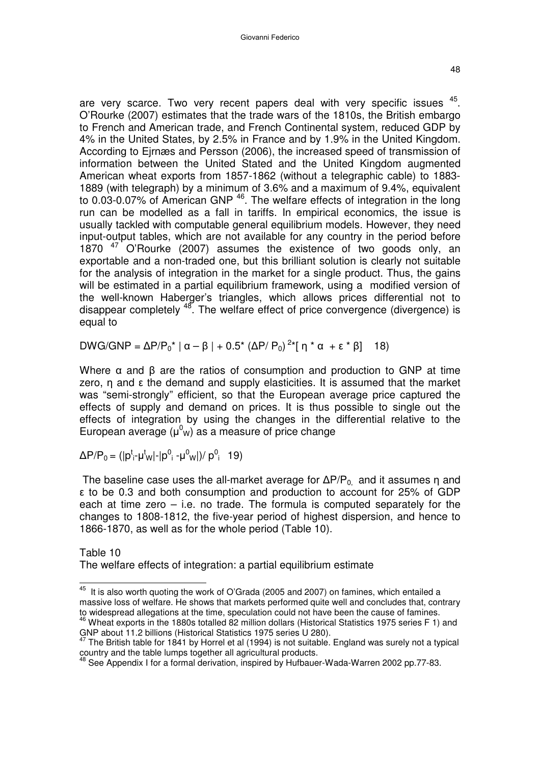are very scarce. Two very recent papers deal with very specific issues <sup>45</sup>. O'Rourke (2007) estimates that the trade wars of the 1810s, the British embargo to French and American trade, and French Continental system, reduced GDP by 4% in the United States, by 2.5% in France and by 1.9% in the United Kingdom. According to Ejrnæs and Persson (2006), the increased speed of transmission of information between the United Stated and the United Kingdom augmented American wheat exports from 1857-1862 (without a telegraphic cable) to 1883- 1889 (with telegraph) by a minimum of 3.6% and a maximum of 9.4%, equivalent to 0.03-0.07% of American GNP<sup>46</sup>. The welfare effects of integration in the long run can be modelled as a fall in tariffs. In empirical economics, the issue is usually tackled with computable general equilibrium models. However, they need input-output tables, which are not available for any country in the period before 1870 47 O'Rourke (2007) assumes the existence of two goods only, an exportable and a non-traded one, but this brilliant solution is clearly not suitable for the analysis of integration in the market for a single product. Thus, the gains will be estimated in a partial equilibrium framework, using a modified version of the well-known Haberger's triangles, which allows prices differential not to disappear completely  $48$ . The welfare effect of price convergence (divergence) is equal to

DWG/GNP =  $\Delta P/P_0^*$  | α – β | + 0.5\* ( $\Delta P/P_0$ )<sup>2\*</sup>[ η \* α + ε \* β] 18)

Where  $\alpha$  and  $\beta$  are the ratios of consumption and production to GNP at time zero, η and ε the demand and supply elasticities. It is assumed that the market was "semi-strongly" efficient, so that the European average price captured the effects of supply and demand on prices. It is thus possible to single out the effects of integration by using the changes in the differential relative to the European average  $(\mu^0 w)$  as a measure of price change

ΔP/P<sub>0</sub> = (|p<sup>t</sup>i-μ<sup>t</sup>w|-|p<sup>0</sup><sub>i</sub>-μ<sup>0</sup>w|)/ p<sup>0</sup><sub>i</sub> 19)

The baseline case uses the all-market average for  $\Delta P/P_0$  and it assumes  $\eta$  and ε to be 0.3 and both consumption and production to account for 25% of GDP each at time zero – i.e. no trade. The formula is computed separately for the changes to 1808-1812, the five-year period of highest dispersion, and hence to 1866-1870, as well as for the whole period (Table 10).

Table 10 The welfare effects of integration: a partial equilibrium estimate

Ę  $45$  It is also worth quoting the work of O'Grada (2005 and 2007) on famines, which entailed a massive loss of welfare. He shows that markets performed quite well and concludes that, contrary to widespread allegations at the time, speculation could not have been the cause of famines.  $46$  Wheat exports in the 1880s totalled 82 million dollars (Historical Statistics 1975 series F 1) and

GNP about 11.2 billions (Historical Statistics 1975 series U 280).

 $47$  The British table for 1841 by Horrel et al (1994) is not suitable. England was surely not a typical country and the table lumps together all agricultural products.

See Appendix I for a formal derivation, inspired by Hufbauer-Wada-Warren 2002 pp.77-83.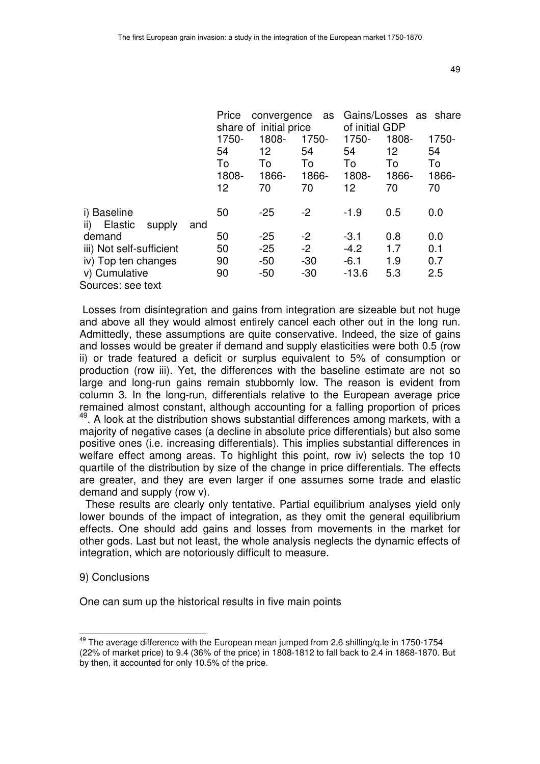|                                   |     | Price | share of initial price | convergence as | of initial GDP |       | Gains/Losses as share |
|-----------------------------------|-----|-------|------------------------|----------------|----------------|-------|-----------------------|
|                                   |     | 1750- | 1808-                  | 1750-          | 1750-          | 1808- | 1750-                 |
|                                   |     | 54    | 12                     | 54             | 54             | 12    | 54                    |
|                                   |     | To    | To                     | To             | To             | To    | To                    |
|                                   |     | 1808- | 1866-                  | 1866-          | 1808-          | 1866- | 1866-                 |
|                                   |     | 12    | 70                     | 70             | 12             | 70    | 70                    |
| i) Baseline<br>ii) Elastic supply | and | 50    | $-25$                  | -2             | $-1.9$         | 0.5   | 0.0                   |
| demand                            |     | 50    | $-25$                  | -2             | $-3.1$         | 0.8   | 0.0                   |
| iii) Not self-sufficient          |     | 50    | $-25$                  | $-2$           | $-4.2$         | 1.7   | 0.1                   |
| iv) Top ten changes               |     | 90    | $-50$                  | $-30$          | $-6.1$         | 1.9   | 0.7                   |
| v) Cumulative                     |     | 90    | $-50$                  | $-30$          | $-13.6$        | 5.3   | 2.5                   |

Sources: see text

 Losses from disintegration and gains from integration are sizeable but not huge and above all they would almost entirely cancel each other out in the long run. Admittedly, these assumptions are quite conservative. Indeed, the size of gains and losses would be greater if demand and supply elasticities were both 0.5 (row ii) or trade featured a deficit or surplus equivalent to 5% of consumption or production (row iii). Yet, the differences with the baseline estimate are not so large and long-run gains remain stubbornly low. The reason is evident from column 3. In the long-run, differentials relative to the European average price remained almost constant, although accounting for a falling proportion of prices  $49.$  A look at the distribution shows substantial differences among markets, with a majority of negative cases (a decline in absolute price differentials) but also some positive ones (i.e. increasing differentials). This implies substantial differences in welfare effect among areas. To highlight this point, row iv) selects the top 10 quartile of the distribution by size of the change in price differentials. The effects are greater, and they are even larger if one assumes some trade and elastic demand and supply (row v).

 These results are clearly only tentative. Partial equilibrium analyses yield only lower bounds of the impact of integration, as they omit the general equilibrium effects. One should add gains and losses from movements in the market for other gods. Last but not least, the whole analysis neglects the dynamic effects of integration, which are notoriously difficult to measure.

9) Conclusions

 $\overline{a}$ 

One can sum up the historical results in five main points

49

 $49$  The average difference with the European mean jumped from 2.6 shilling/q.le in 1750-1754 (22% of market price) to 9.4 (36% of the price) in 1808-1812 to fall back to 2.4 in 1868-1870. But by then, it accounted for only 10.5% of the price.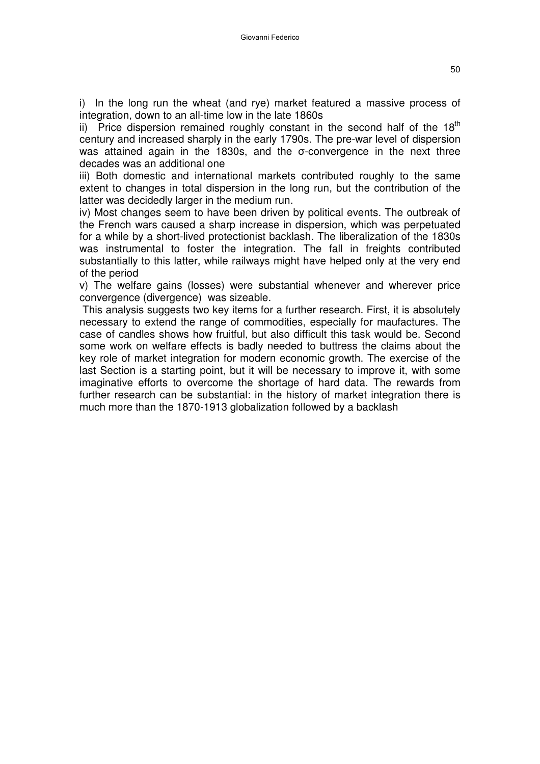i) In the long run the wheat (and rye) market featured a massive process of integration, down to an all-time low in the late 1860s

ii) Price dispersion remained roughly constant in the second half of the  $18<sup>th</sup>$ century and increased sharply in the early 1790s. The pre-war level of dispersion was attained again in the 1830s, and the σ-convergence in the next three decades was an additional one

iii) Both domestic and international markets contributed roughly to the same extent to changes in total dispersion in the long run, but the contribution of the latter was decidedly larger in the medium run.

iv) Most changes seem to have been driven by political events. The outbreak of the French wars caused a sharp increase in dispersion, which was perpetuated for a while by a short-lived protectionist backlash. The liberalization of the 1830s was instrumental to foster the integration. The fall in freights contributed substantially to this latter, while railways might have helped only at the very end of the period

v) The welfare gains (losses) were substantial whenever and wherever price convergence (divergence) was sizeable.

 This analysis suggests two key items for a further research. First, it is absolutely necessary to extend the range of commodities, especially for maufactures. The case of candles shows how fruitful, but also difficult this task would be. Second some work on welfare effects is badly needed to buttress the claims about the key role of market integration for modern economic growth. The exercise of the last Section is a starting point, but it will be necessary to improve it, with some imaginative efforts to overcome the shortage of hard data. The rewards from further research can be substantial: in the history of market integration there is much more than the 1870-1913 globalization followed by a backlash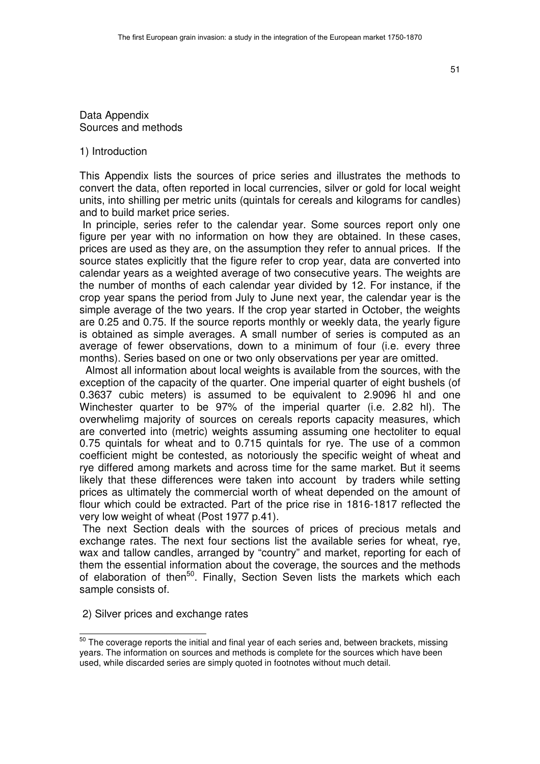Data Appendix Sources and methods

#### 1) Introduction

This Appendix lists the sources of price series and illustrates the methods to convert the data, often reported in local currencies, silver or gold for local weight units, into shilling per metric units (quintals for cereals and kilograms for candles) and to build market price series.

In principle, series refer to the calendar year. Some sources report only one figure per year with no information on how they are obtained. In these cases, prices are used as they are, on the assumption they refer to annual prices. If the source states explicitly that the figure refer to crop year, data are converted into calendar years as a weighted average of two consecutive years. The weights are the number of months of each calendar year divided by 12. For instance, if the crop year spans the period from July to June next year, the calendar year is the simple average of the two years. If the crop year started in October, the weights are 0.25 and 0.75. If the source reports monthly or weekly data, the yearly figure is obtained as simple averages. A small number of series is computed as an average of fewer observations, down to a minimum of four (i.e. every three months). Series based on one or two only observations per year are omitted.

 Almost all information about local weights is available from the sources, with the exception of the capacity of the quarter. One imperial quarter of eight bushels (of 0.3637 cubic meters) is assumed to be equivalent to 2.9096 hl and one Winchester quarter to be 97% of the imperial quarter (i.e. 2.82 hl). The overwhelimg majority of sources on cereals reports capacity measures, which are converted into (metric) weights assuming assuming one hectoliter to equal 0.75 quintals for wheat and to 0.715 quintals for rye. The use of a common coefficient might be contested, as notoriously the specific weight of wheat and rye differed among markets and across time for the same market. But it seems likely that these differences were taken into account by traders while setting prices as ultimately the commercial worth of wheat depended on the amount of flour which could be extracted. Part of the price rise in 1816-1817 reflected the very low weight of wheat (Post 1977 p.41).

 The next Section deals with the sources of prices of precious metals and exchange rates. The next four sections list the available series for wheat, rye, wax and tallow candles, arranged by "country" and market, reporting for each of them the essential information about the coverage, the sources and the methods of elaboration of then<sup>50</sup>. Finally, Section Seven lists the markets which each sample consists of.

2) Silver prices and exchange rates

 $\overline{a}$ 

51

 $50$  The coverage reports the initial and final year of each series and, between brackets, missing years. The information on sources and methods is complete for the sources which have been used, while discarded series are simply quoted in footnotes without much detail.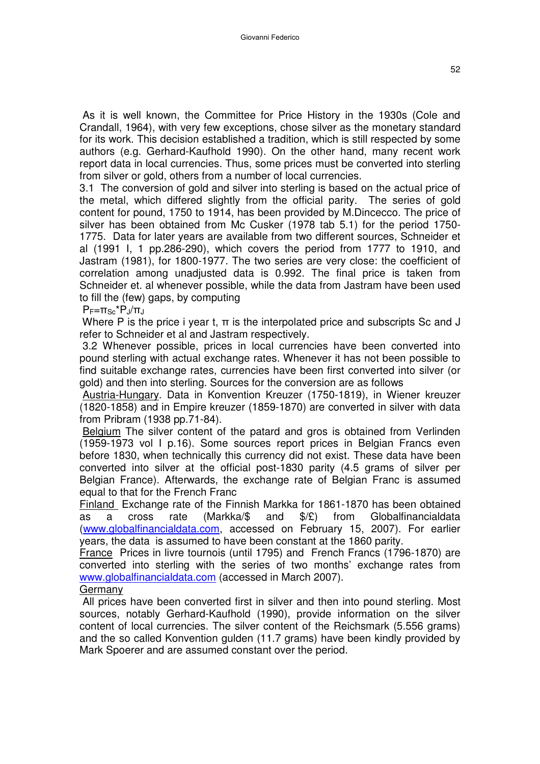As it is well known, the Committee for Price History in the 1930s (Cole and Crandall, 1964), with very few exceptions, chose silver as the monetary standard for its work. This decision established a tradition, which is still respected by some authors (e.g. Gerhard-Kaufhold 1990). On the other hand, many recent work report data in local currencies. Thus, some prices must be converted into sterling from silver or gold, others from a number of local currencies.

3.1 The conversion of gold and silver into sterling is based on the actual price of the metal, which differed slightly from the official parity. The series of gold content for pound, 1750 to 1914, has been provided by M.Dincecco. The price of silver has been obtained from Mc Cusker (1978 tab 5.1) for the period 1750- 1775. Data for later years are available from two different sources, Schneider et al (1991 I, 1 pp.286-290), which covers the period from 1777 to 1910, and Jastram (1981), for 1800-1977. The two series are very close: the coefficient of correlation among unadjusted data is 0.992. The final price is taken from Schneider et. al whenever possible, while the data from Jastram have been used to fill the (few) gaps, by computing

 $P_F = \pi_{Sc}^*P_J/\pi_J$ 

Where P is the price i year t,  $\pi$  is the interpolated price and subscripts Sc and J refer to Schneider et al and Jastram respectively.

 3.2 Whenever possible, prices in local currencies have been converted into pound sterling with actual exchange rates. Whenever it has not been possible to find suitable exchange rates, currencies have been first converted into silver (or gold) and then into sterling. Sources for the conversion are as follows

 Austria-Hungary. Data in Konvention Kreuzer (1750-1819), in Wiener kreuzer (1820-1858) and in Empire kreuzer (1859-1870) are converted in silver with data from Pribram (1938 pp.71-84).

 Belgium The silver content of the patard and gros is obtained from Verlinden (1959-1973 vol I p.16). Some sources report prices in Belgian Francs even before 1830, when technically this currency did not exist. These data have been converted into silver at the official post-1830 parity (4.5 grams of silver per Belgian France). Afterwards, the exchange rate of Belgian Franc is assumed equal to that for the French Franc

Finland Exchange rate of the Finnish Markka for 1861-1870 has been obtained as a cross rate (Markka/\$ and \$/£) from Globalfinancialdata (www.globalfinancialdata.com, accessed on February 15, 2007). For earlier years, the data is assumed to have been constant at the 1860 parity.

France Prices in livre tournois (until 1795) and French Francs (1796-1870) are converted into sterling with the series of two months' exchange rates from www.globalfinancialdata.com (accessed in March 2007).

## Germany

 All prices have been converted first in silver and then into pound sterling. Most sources, notably Gerhard-Kaufhold (1990), provide information on the silver content of local currencies. The silver content of the Reichsmark (5.556 grams) and the so called Konvention gulden (11.7 grams) have been kindly provided by Mark Spoerer and are assumed constant over the period.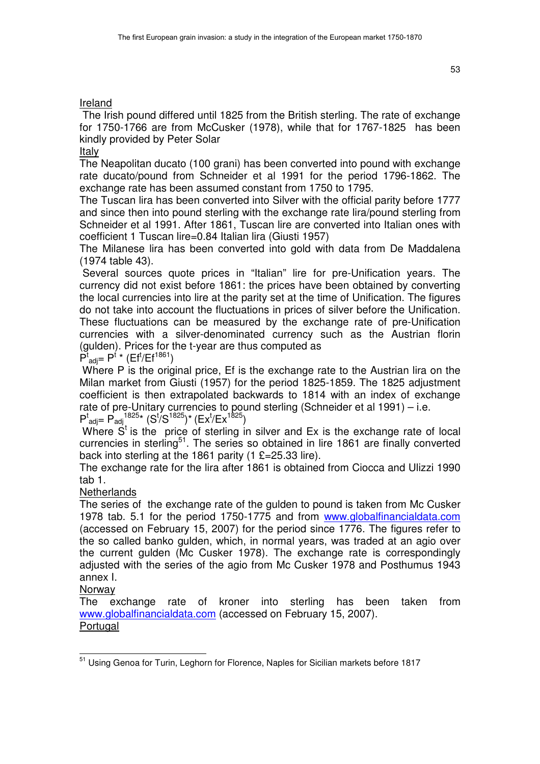#### 53

#### Ireland

 The Irish pound differed until 1825 from the British sterling. The rate of exchange for 1750-1766 are from McCusker (1978), while that for 1767-1825 has been kindly provided by Peter Solar

### Italy

The Neapolitan ducato (100 grani) has been converted into pound with exchange rate ducato/pound from Schneider et al 1991 for the period 1796-1862. The exchange rate has been assumed constant from 1750 to 1795.

The Tuscan lira has been converted into Silver with the official parity before 1777 and since then into pound sterling with the exchange rate lira/pound sterling from Schneider et al 1991. After 1861, Tuscan lire are converted into Italian ones with coefficient 1 Tuscan lire=0.84 Italian lira (Giusti 1957)

The Milanese lira has been converted into gold with data from De Maddalena (1974 table 43).

 Several sources quote prices in "Italian" lire for pre-Unification years. The currency did not exist before 1861: the prices have been obtained by converting the local currencies into lire at the parity set at the time of Unification. The figures do not take into account the fluctuations in prices of silver before the Unification. These fluctuations can be measured by the exchange rate of pre-Unification currencies with a silver-denominated currency such as the Austrian florin (gulden). Prices for the t-year are thus computed as

 $\tilde{P}_{\text{adj}}^{\text{t}} = P^{\text{f}} * (E f^{\text{t}} / E f^{\text{1861}})$ 

 Where P is the original price, Ef is the exchange rate to the Austrian lira on the Milan market from Giusti (1957) for the period 1825-1859. The 1825 adjustment coefficient is then extrapolated backwards to 1814 with an index of exchange rate of pre-Unitary currencies to pound sterling (Schneider et al 1991) – i.e.

 $P^t_{\text{adj}} = P_{\text{adj}}^{1825*}$  (S<sup>t</sup>/S<sup>1825</sup>)\* (Ex<sup>t</sup>/Ex<sup>1825</sup>)

Where  $S<sup>t</sup>$  is the price of sterling in silver and  $Ex$  is the exchange rate of local currencies in sterling<sup>51</sup>. The series so obtained in lire 1861 are finally converted back into sterling at the 1861 parity (1  $£=25.33$  lire).

The exchange rate for the lira after 1861 is obtained from Ciocca and Ulizzi 1990 tab 1.

## **Netherlands**

The series of the exchange rate of the gulden to pound is taken from Mc Cusker 1978 tab. 5.1 for the period 1750-1775 and from www.globalfinancialdata.com (accessed on February 15, 2007) for the period since 1776. The figures refer to the so called banko gulden, which, in normal years, was traded at an agio over the current gulden (Mc Cusker 1978). The exchange rate is correspondingly adjusted with the series of the agio from Mc Cusker 1978 and Posthumus 1943 annex I.

Norway

The exchange rate of kroner into sterling has been taken from www.globalfinancialdata.com (accessed on February 15, 2007). Portugal

<sup>-</sup><sup>51</sup> Using Genoa for Turin, Leghorn for Florence, Naples for Sicilian markets before 1817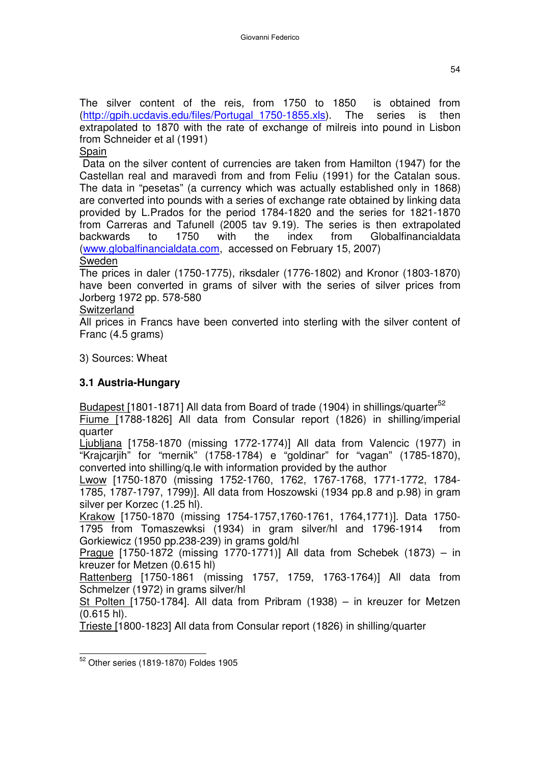54

The silver content of the reis, from 1750 to 1850 is obtained from (http://gpih.ucdavis.edu/files/Portugal\_1750-1855.xls). The series is then extrapolated to 1870 with the rate of exchange of milreis into pound in Lisbon from Schneider et al (1991)

## Spain

 Data on the silver content of currencies are taken from Hamilton (1947) for the Castellan real and maravedì from and from Feliu (1991) for the Catalan sous. The data in "pesetas" (a currency which was actually established only in 1868) are converted into pounds with a series of exchange rate obtained by linking data provided by L.Prados for the period 1784-1820 and the series for 1821-1870 from Carreras and Tafunell (2005 tav 9.19). The series is then extrapolated backwards to 1750 with the index from Globalfinancialdata (www.globalfinancialdata.com, accessed on February 15, 2007)

## **Sweden**

The prices in daler (1750-1775), riksdaler (1776-1802) and Kronor (1803-1870) have been converted in grams of silver with the series of silver prices from Jorberg 1972 pp. 578-580

## **Switzerland**

All prices in Francs have been converted into sterling with the silver content of Franc (4.5 grams)

3) Sources: Wheat

# **3.1 Austria-Hungary**

Budapest [1801-1871] All data from Board of trade (1904) in shillings/quarter<sup>52</sup>

Fiume [1788-1826] All data from Consular report (1826) in shilling/imperial quarter

Ljubljana [1758-1870 (missing 1772-1774)] All data from Valencic (1977) in "Krajcarjih" for "mernik" (1758-1784) e "goldinar" for "vagan" (1785-1870), converted into shilling/q.le with information provided by the author

Lwow [1750-1870 (missing 1752-1760, 1762, 1767-1768, 1771-1772, 1784- 1785, 1787-1797, 1799)]. All data from Hoszowski (1934 pp.8 and p.98) in gram silver per Korzec (1.25 hl).

Krakow [1750-1870 (missing 1754-1757,1760-1761, 1764,1771)]. Data 1750- 1795 from Tomaszewksi (1934) in gram silver/hl and 1796-1914 from Gorkiewicz (1950 pp.238-239) in grams gold/hl

Prague [1750-1872 (missing 1770-1771)] All data from Schebek (1873) – in kreuzer for Metzen (0.615 hl)

Rattenberg [1750-1861 (missing 1757, 1759, 1763-1764)] All data from Schmelzer (1972) in grams silver/hl

St Polten [1750-1784]. All data from Pribram (1938) – in kreuzer for Metzen (0.615 hl).

Trieste [1800-1823] All data from Consular report (1826) in shilling/quarter

<sup>-</sup> $52$  Other series (1819-1870) Foldes 1905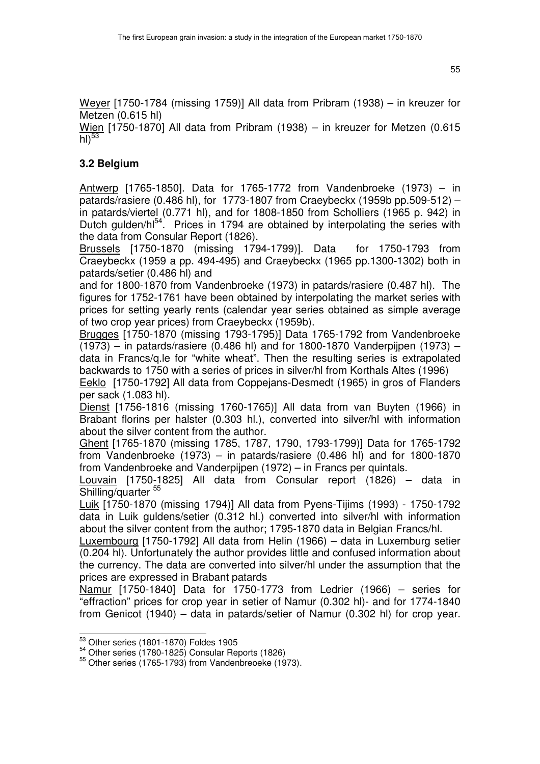Weyer [1750-1784 (missing 1759)] All data from Pribram (1938) – in kreuzer for Metzen (0.615 hl)

Wien [1750-1870] All data from Pribram (1938) – in kreuzer for Metzen (0.615  $h1$ <sup>53</sup>

## **3.2 Belgium**

Antwerp [1765-1850]. Data for 1765-1772 from Vandenbroeke (1973) – in patards/rasiere (0.486 hl), for 1773-1807 from Craeybeckx (1959b pp.509-512) – in patards/viertel (0.771 hl), and for 1808-1850 from Scholliers (1965 p. 942) in Dutch gulden/hl<sup>54</sup>. Prices in 1794 are obtained by interpolating the series with the data from Consular Report (1826).

Brussels [1750-1870 (missing 1794-1799)]. Data for 1750-1793 from Craeybeckx (1959 a pp. 494-495) and Craeybeckx (1965 pp.1300-1302) both in patards/setier (0.486 hl) and

and for 1800-1870 from Vandenbroeke (1973) in patards/rasiere (0.487 hl). The figures for 1752-1761 have been obtained by interpolating the market series with prices for setting yearly rents (calendar year series obtained as simple average of two crop year prices) from Craeybeckx (1959b).

Brugges [1750-1870 (missing 1793-1795)] Data 1765-1792 from Vandenbroeke (1973) – in patards/rasiere (0.486 hl) and for 1800-1870 Vanderpijpen (1973) – data in Francs/q.le for "white wheat". Then the resulting series is extrapolated backwards to 1750 with a series of prices in silver/hl from Korthals Altes (1996)

Eeklo [1750-1792] All data from Coppejans-Desmedt (1965) in gros of Flanders per sack (1.083 hl).

Dienst [1756-1816 (missing 1760-1765)] All data from van Buyten (1966) in Brabant florins per halster (0.303 hl.), converted into silver/hl with information about the silver content from the author.

Ghent [1765-1870 (missing 1785, 1787, 1790, 1793-1799)] Data for 1765-1792 from Vandenbroeke (1973) – in patards/rasiere (0.486 hl) and for 1800-1870 from Vandenbroeke and Vanderpijpen (1972) – in Francs per quintals.

Louvain [1750-1825] All data from Consular report (1826) – data in Shilling/quarter <sup>55</sup>

Luik [1750-1870 (missing 1794)] All data from Pyens-Tijims (1993) - 1750-1792 data in Luik guldens/setier (0.312 hl.) converted into silver/hl with information about the silver content from the author; 1795-1870 data in Belgian Francs/hl.

Luxembourg [1750-1792] All data from Helin (1966) – data in Luxemburg setier (0.204 hl). Unfortunately the author provides little and confused information about the currency. The data are converted into silver/hl under the assumption that the prices are expressed in Brabant patards

Namur [1750-1840] Data for 1750-1773 from Ledrier (1966) – series for "effraction" prices for crop year in setier of Namur (0.302 hl)- and for 1774-1840 from Genicot (1940) – data in patards/setier of Namur (0.302 hl) for crop year.

55

<sup>53</sup> Other series (1801-1870) Foldes 1905

 $^{54}$  Other series (1780-1825) Consular Reports (1826)<br> $^{55}$  Other series (1765-1793) from Vandenbreoeke (1973).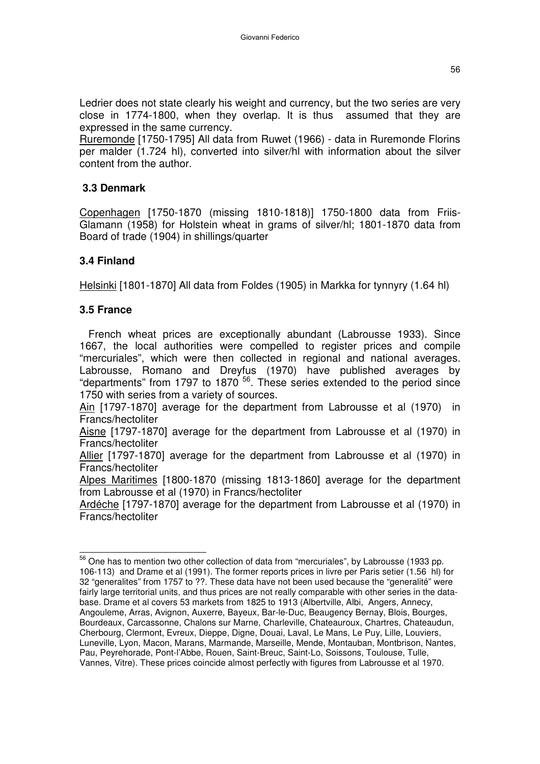Ledrier does not state clearly his weight and currency, but the two series are very close in 1774-1800, when they overlap. It is thus assumed that they are expressed in the same currency.

Ruremonde [1750-1795] All data from Ruwet (1966) - data in Ruremonde Florins per malder (1.724 hl), converted into silver/hl with information about the silver content from the author.

# **3.3 Denmark**

Copenhagen [1750-1870 (missing 1810-1818)] 1750-1800 data from Friis-Glamann (1958) for Holstein wheat in grams of silver/hl; 1801-1870 data from Board of trade (1904) in shillings/quarter

## **3.4 Finland**

Helsinki [1801-1870] All data from Foldes (1905) in Markka for tynnyry (1.64 hl)

## **3.5 France**

French wheat prices are exceptionally abundant (Labrousse 1933). Since 1667, the local authorities were compelled to register prices and compile "mercuriales", which were then collected in regional and national averages. Labrousse, Romano and Dreyfus (1970) have published averages by "departments" from 1797 to 1870<sup>56</sup>. These series extended to the period since 1750 with series from a variety of sources.

Ain [1797-1870] average for the department from Labrousse et al (1970) in Francs/hectoliter

Aisne [1797-1870] average for the department from Labrousse et al (1970) in Francs/hectoliter

Allier [1797-1870] average for the department from Labrousse et al (1970) in Francs/hectoliter

Alpes Maritimes [1800-1870 (missing 1813-1860] average for the department from Labrousse et al (1970) in Francs/hectoliter

Ardéche [1797-1870] average for the department from Labrousse et al (1970) in Francs/hectoliter

Ė  $56$  One has to mention two other collection of data from "mercuriales", by Labrousse (1933 pp. 106-113) and Drame et al (1991). The former reports prices in livre per Paris setier (1.56 hl) for 32 "generalites" from 1757 to ??. These data have not been used because the "generalité" were fairly large territorial units, and thus prices are not really comparable with other series in the database. Drame et al covers 53 markets from 1825 to 1913 (Albertville, Albi, Angers, Annecy, Angouleme, Arras, Avignon, Auxerre, Bayeux, Bar-le-Duc, Beaugency Bernay, Blois, Bourges, Bourdeaux, Carcassonne, Chalons sur Marne, Charleville, Chateauroux, Chartres, Chateaudun, Cherbourg, Clermont, Evreux, Dieppe, Digne, Douai, Laval, Le Mans, Le Puy, Lille, Louviers, Luneville, Lyon, Macon, Marans, Marmande, Marseille, Mende, Montauban, Montbrison, Nantes, Pau, Peyrehorade, Pont-l'Abbe, Rouen, Saint-Breuc, Saint-Lo, Soissons, Toulouse, Tulle, Vannes, Vitre). These prices coincide almost perfectly with figures from Labrousse et al 1970.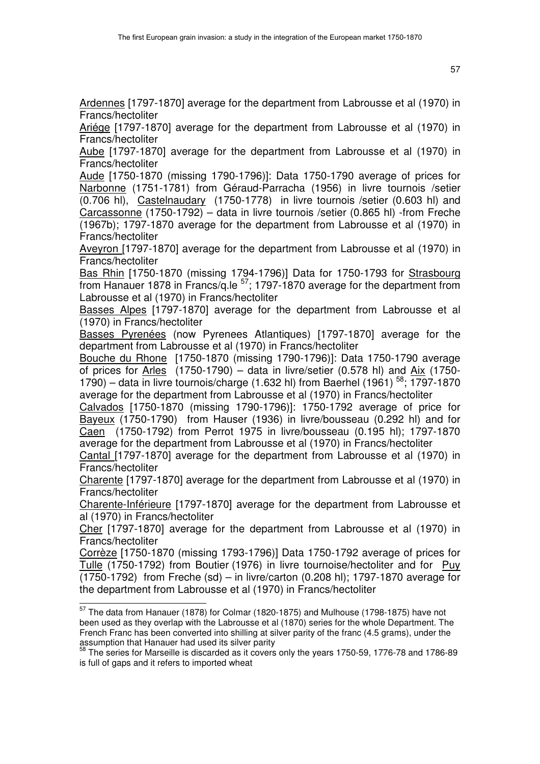Ardennes [1797-1870] average for the department from Labrousse et al (1970) in Francs/hectoliter

Ariége [1797-1870] average for the department from Labrousse et al (1970) in Francs/hectoliter

Aube [1797-1870] average for the department from Labrousse et al (1970) in Francs/hectoliter

Aude [1750-1870 (missing 1790-1796)]: Data 1750-1790 average of prices for Narbonne (1751-1781) from Géraud-Parracha (1956) in livre tournois /setier (0.706 hl), Castelnaudary (1750-1778) in livre tournois /setier (0.603 hl) and Carcassonne (1750-1792) – data in livre tournois /setier (0.865 hl) -from Freche (1967b); 1797-1870 average for the department from Labrousse et al (1970) in Francs/hectoliter

Aveyron [1797-1870] average for the department from Labrousse et al (1970) in Francs/hectoliter

Bas Rhin [1750-1870 (missing 1794-1796)] Data for 1750-1793 for Strasbourg from Hanauer 1878 in Francs/ $\alpha$ .le  $^{57}$ ; 1797-1870 average for the department from Labrousse et al (1970) in Francs/hectoliter

Basses Alpes [1797-1870] average for the department from Labrousse et al (1970) in Francs/hectoliter

Basses Pyrenées (now Pyrenees Atlantiques) [1797-1870] average for the department from Labrousse et al (1970) in Francs/hectoliter

Bouche du Rhone [1750-1870 (missing 1790-1796)]: Data 1750-1790 average of prices for Arles  $(1750-1790)$  – data in livre/setier  $(0.578$  hl) and Aix  $(1750-1790)$ 1790) – data in livre tournois/charge (1.632 hl) from Baerhel (1961)  $^{58}$ ; 1797-1870 average for the department from Labrousse et al (1970) in Francs/hectoliter

Calvados [1750-1870 (missing 1790-1796)]: 1750-1792 average of price for Bayeux (1750-1790) from Hauser (1936) in livre/bousseau (0.292 hl) and for Caen (1750-1792) from Perrot 1975 in livre/bousseau (0.195 hl); 1797-1870 average for the department from Labrousse et al (1970) in Francs/hectoliter

Cantal [1797-1870] average for the department from Labrousse et al (1970) in Francs/hectoliter

Charente [1797-1870] average for the department from Labrousse et al (1970) in Francs/hectoliter

Charente-Inférieure [1797-1870] average for the department from Labrousse et al (1970) in Francs/hectoliter

Cher [1797-1870] average for the department from Labrousse et al (1970) in Francs/hectoliter

Corrèze [1750-1870 (missing 1793-1796)] Data 1750-1792 average of prices for Tulle (1750-1792) from Boutier (1976) in livre tournoise/hectoliter and for Puy (1750-1792) from Freche (sd) – in livre/carton (0.208 hl); 1797-1870 average for the department from Labrousse et al (1970) in Francs/hectoliter

-

 $57$  The data from Hanauer (1878) for Colmar (1820-1875) and Mulhouse (1798-1875) have not been used as they overlap with the Labrousse et al (1870) series for the whole Department. The French Franc has been converted into shilling at silver parity of the franc (4.5 grams), under the assumption that Hanauer had used its silver parity

<sup>&</sup>lt;sup>58</sup> The series for Marseille is discarded as it covers only the years 1750-59, 1776-78 and 1786-89 is full of gaps and it refers to imported wheat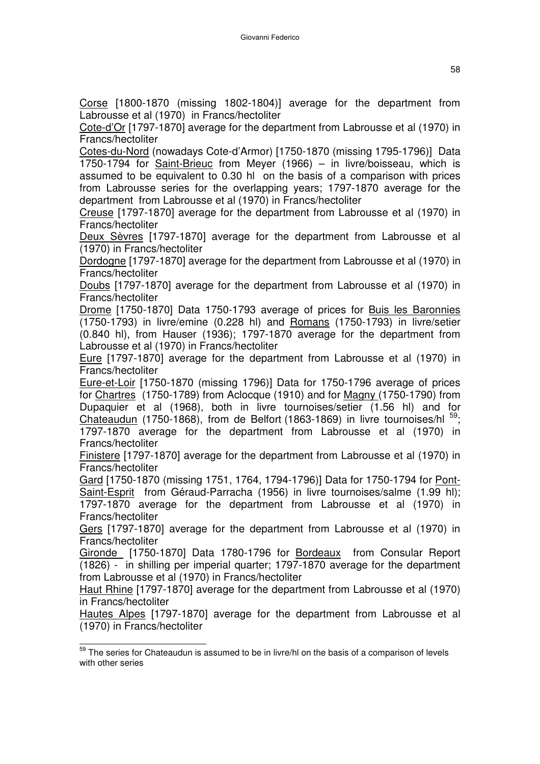Corse [1800-1870 (missing 1802-1804)] average for the department from Labrousse et al (1970) in Francs/hectoliter

Cote-d'Or [1797-1870] average for the department from Labrousse et al (1970) in Francs/hectoliter

Cotes-du-Nord (nowadays Cote-d'Armor) [1750-1870 (missing 1795-1796)] Data 1750-1794 for Saint-Brieuc from Meyer (1966) – in livre/boisseau, which is assumed to be equivalent to 0.30 hl on the basis of a comparison with prices from Labrousse series for the overlapping years; 1797-1870 average for the department from Labrousse et al (1970) in Francs/hectoliter

Creuse [1797-1870] average for the department from Labrousse et al (1970) in Francs/hectoliter

Deux Sèvres [1797-1870] average for the department from Labrousse et al (1970) in Francs/hectoliter

Dordogne [1797-1870] average for the department from Labrousse et al (1970) in Francs/hectoliter

Doubs [1797-1870] average for the department from Labrousse et al (1970) in Francs/hectoliter

Drome [1750-1870] Data 1750-1793 average of prices for Buis les Baronnies (1750-1793) in livre/emine (0.228 hl) and Romans (1750-1793) in livre/setier (0.840 hl), from Hauser (1936); 1797-1870 average for the department from Labrousse et al (1970) in Francs/hectoliter

Eure [1797-1870] average for the department from Labrousse et al (1970) in Francs/hectoliter

Eure-et-Loir [1750-1870 (missing 1796)] Data for 1750-1796 average of prices for Chartres (1750-1789) from Aclocque (1910) and for Magny (1750-1790) from Dupaquier et al (1968), both in livre tournoises/setier (1.56 hl) and for Chateaudun (1750-1868), from de Belfort (1863-1869) in livre tournoises/hl  $^{59}$ ; 1797-1870 average for the department from Labrousse et al (1970) in Francs/hectoliter

Finistere [1797-1870] average for the department from Labrousse et al (1970) in Francs/hectoliter

Gard [1750-1870 (missing 1751, 1764, 1794-1796)] Data for 1750-1794 for Pont-Saint-Esprit from Géraud-Parracha (1956) in livre tournoises/salme (1.99 hl); 1797-1870 average for the department from Labrousse et al (1970) in Francs/hectoliter

Gers [1797-1870] average for the department from Labrousse et al (1970) in Francs/hectoliter

Gironde [1750-1870] Data 1780-1796 for Bordeaux from Consular Report (1826) - in shilling per imperial quarter; 1797-1870 average for the department from Labrousse et al (1970) in Francs/hectoliter

Haut Rhine [1797-1870] average for the department from Labrousse et al (1970) in Francs/hectoliter

Hautes Alpes [1797-1870] average for the department from Labrousse et al (1970) in Francs/hectoliter

 $\overline{a}$ <sup>59</sup> The series for Chateaudun is assumed to be in livre/hl on the basis of a comparison of levels with other series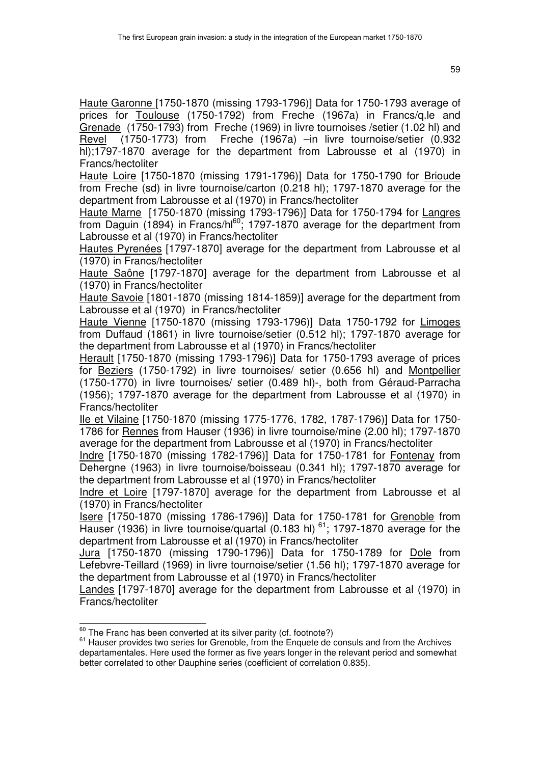Haute Garonne [1750-1870 (missing 1793-1796)] Data for 1750-1793 average of prices for Toulouse (1750-1792) from Freche (1967a) in Francs/q.le and Grenade (1750-1793) from Freche (1969) in livre tournoises /setier (1.02 hl) and Revel (1750-1773) from Freche (1967a) –in livre tournoise/setier (0.932 hl);1797-1870 average for the department from Labrousse et al (1970) in Francs/hectoliter

Haute Loire [1750-1870 (missing 1791-1796)] Data for 1750-1790 for Brioude from Freche (sd) in livre tournoise/carton (0.218 hl); 1797-1870 average for the department from Labrousse et al (1970) in Francs/hectoliter

Haute Marne [1750-1870 (missing 1793-1796)] Data for 1750-1794 for Langres from Daguin (1894) in Francs/hl $^{60}$ ; 1797-1870 average for the department from Labrousse et al (1970) in Francs/hectoliter

Hautes Pyrenées [1797-1870] average for the department from Labrousse et al (1970) in Francs/hectoliter

Haute Saône [1797-1870] average for the department from Labrousse et al (1970) in Francs/hectoliter

Haute Savoie [1801-1870 (missing 1814-1859)] average for the department from Labrousse et al (1970) in Francs/hectoliter

Haute Vienne [1750-1870 (missing 1793-1796)] Data 1750-1792 for Limoges from Duffaud (1861) in livre tournoise/setier (0.512 hl); 1797-1870 average for the department from Labrousse et al (1970) in Francs/hectoliter

Herault [1750-1870 (missing 1793-1796)] Data for 1750-1793 average of prices for Beziers (1750-1792) in livre tournoises/ setier (0.656 hl) and Montpellier (1750-1770) in livre tournoises/ setier (0.489 hl)-, both from Géraud-Parracha (1956); 1797-1870 average for the department from Labrousse et al (1970) in Francs/hectoliter

Ile et Vilaine [1750-1870 (missing 1775-1776, 1782, 1787-1796)] Data for 1750- 1786 for Rennes from Hauser (1936) in livre tournoise/mine (2.00 hl); 1797-1870 average for the department from Labrousse et al (1970) in Francs/hectoliter

Indre [1750-1870 (missing 1782-1796)] Data for 1750-1781 for Fontenay from Dehergne (1963) in livre tournoise/boisseau (0.341 hl); 1797-1870 average for the department from Labrousse et al (1970) in Francs/hectoliter

Indre et Loire [1797-1870] average for the department from Labrousse et al (1970) in Francs/hectoliter

Isere [1750-1870 (missing 1786-1796)] Data for 1750-1781 for Grenoble from Hauser (1936) in livre tournoise/quartal (0.183 hl)  $^{61}$ ; 1797-1870 average for the department from Labrousse et al (1970) in Francs/hectoliter

Jura [1750-1870 (missing 1790-1796)] Data for 1750-1789 for Dole from Lefebvre-Teillard (1969) in livre tournoise/setier (1.56 hl); 1797-1870 average for the department from Labrousse et al (1970) in Francs/hectoliter

Landes [1797-1870] average for the department from Labrousse et al (1970) in Francs/hectoliter

<sup>&</sup>lt;sup>60</sup> The Franc has been converted at its silver parity (cf. footnote?)

<sup>&</sup>lt;sup>61</sup> Hauser provides two series for Grenoble, from the Enquete de consuls and from the Archives departamentales. Here used the former as five years longer in the relevant period and somewhat better correlated to other Dauphine series (coefficient of correlation 0.835).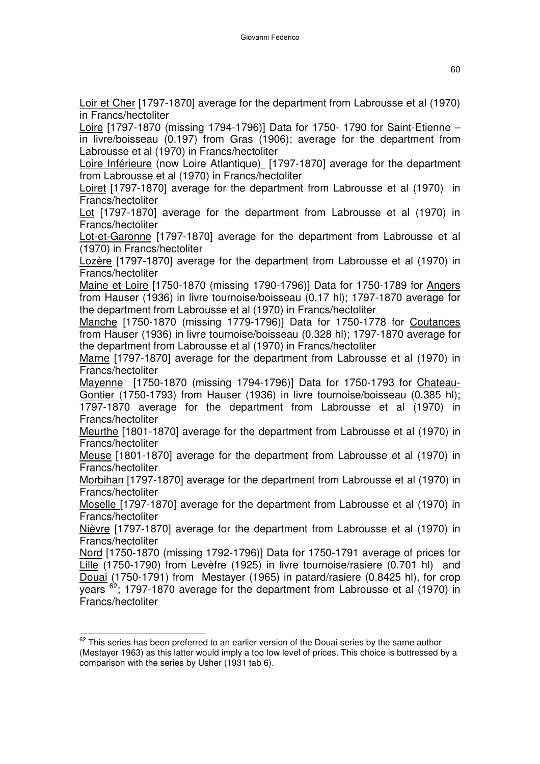Loire [1797-1870 (missing 1794-1796)] Data for 1750- 1790 for Saint-Etienne – in livre/boisseau (0.197) from Gras (1906); average for the department from Labrousse et al (1970) in Francs/hectoliter

Loire Inférieure (now Loire Atlantique) [1797-1870] average for the department from Labrousse et al (1970) in Francs/hectoliter

Loiret [1797-1870] average for the department from Labrousse et al (1970) in Francs/hectoliter

Lot [1797-1870] average for the department from Labrousse et al (1970) in Francs/hectoliter

Lot-et-Garonne [1797-1870] average for the department from Labrousse et al (1970) in Francs/hectoliter

Lozère [1797-1870] average for the department from Labrousse et al (1970) in Francs/hectoliter

Maine et Loire [1750-1870 (missing 1790-1796)] Data for 1750-1789 for Angers from Hauser (1936) in livre tournoise/boisseau (0.17 hl); 1797-1870 average for the department from Labrousse et al (1970) in Francs/hectoliter

Manche [1750-1870 (missing 1779-1796)] Data for 1750-1778 for Coutances from Hauser (1936) in livre tournoise/boisseau (0.328 hl); 1797-1870 average for the department from Labrousse et al (1970) in Francs/hectoliter

Marne [1797-1870] average for the department from Labrousse et al (1970) in Francs/hectoliter

Mayenne [1750-1870 (missing 1794-1796)] Data for 1750-1793 for Chateau-Gontier (1750-1793) from Hauser (1936) in livre tournoise/boisseau (0.385 hl); 1797-1870 average for the department from Labrousse et al (1970) in Francs/hectoliter

Meurthe [1801-1870] average for the department from Labrousse et al (1970) in Francs/hectoliter

Meuse [1801-1870] average for the department from Labrousse et al (1970) in Francs/hectoliter

Morbihan [1797-1870] average for the department from Labrousse et al (1970) in Francs/hectoliter

Moselle [1797-1870] average for the department from Labrousse et al (1970) in Francs/hectoliter

Nièvre [1797-1870] average for the department from Labrousse et al (1970) in Francs/hectoliter

Nord [1750-1870 (missing 1792-1796)] Data for 1750-1791 average of prices for Lille (1750-1790) from Levèfre (1925) in livre tournoise/rasiere (0.701 hl) and Douai (1750-1791) from Mestayer (1965) in patard/rasiere (0.8425 hl), for crop years  $62$ ; 1797-1870 average for the department from Labrousse et al (1970) in Francs/hectoliter

 $\overline{a}$  $62$  This series has been preferred to an earlier version of the Douai series by the same author (Mestayer 1963) as this latter would imply a too low level of prices. This choice is buttressed by a comparison with the series by Usher (1931 tab 6).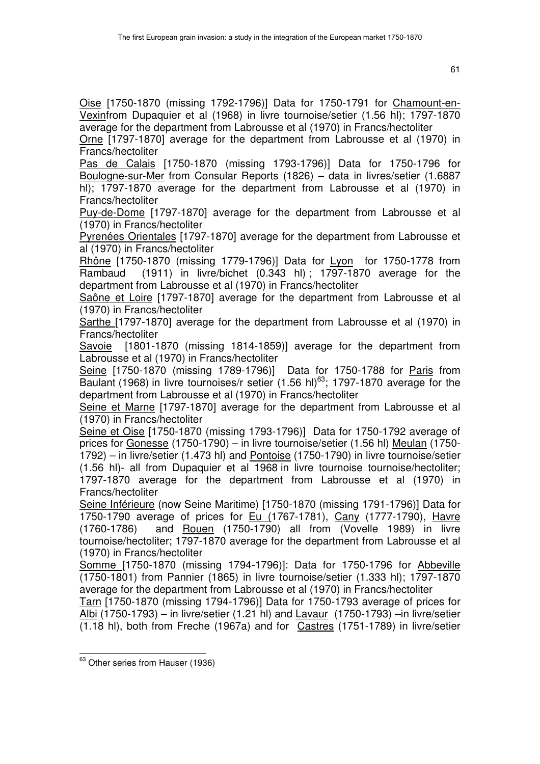Oise [1750-1870 (missing 1792-1796)] Data for 1750-1791 for Chamount-en-Vexinfrom Dupaquier et al (1968) in livre tournoise/setier (1.56 hl); 1797-1870 average for the department from Labrousse et al (1970) in Francs/hectoliter

Orne [1797-1870] average for the department from Labrousse et al (1970) in Francs/hectoliter

Pas de Calais [1750-1870 (missing 1793-1796)] Data for 1750-1796 for Boulogne-sur-Mer from Consular Reports (1826) – data in livres/setier (1.6887 hl); 1797-1870 average for the department from Labrousse et al (1970) in Francs/hectoliter

Puy-de-Dome [1797-1870] average for the department from Labrousse et al (1970) in Francs/hectoliter

Pyrenées Orientales [1797-1870] average for the department from Labrousse et al (1970) in Francs/hectoliter

Rhône [1750-1870 (missing 1779-1796)] Data for Lyon for 1750-1778 from Rambaud (1911) in livre/bichet (0.343 hl) ; 1797-1870 average for the department from Labrousse et al (1970) in Francs/hectoliter

Saône et Loire [1797-1870] average for the department from Labrousse et al (1970) in Francs/hectoliter

Sarthe [1797-1870] average for the department from Labrousse et al (1970) in Francs/hectoliter

Savoie [1801-1870 (missing 1814-1859)] average for the department from Labrousse et al (1970) in Francs/hectoliter

Seine [1750-1870 (missing 1789-1796)] Data for 1750-1788 for Paris from Baulant (1968) in livre tournoises/r setier  $(1.56 \text{ hl})^{63}$ ; 1797-1870 average for the department from Labrousse et al (1970) in Francs/hectoliter

Seine et Marne [1797-1870] average for the department from Labrousse et al (1970) in Francs/hectoliter

Seine et Oise [1750-1870 (missing 1793-1796)] Data for 1750-1792 average of prices for Gonesse (1750-1790) – in livre tournoise/setier (1.56 hl) Meulan (1750- 1792) – in livre/setier (1.473 hl) and Pontoise (1750-1790) in livre tournoise/setier (1.56 hl)- all from Dupaquier et al 1968 in livre tournoise tournoise/hectoliter; 1797-1870 average for the department from Labrousse et al (1970) in Francs/hectoliter

Seine Inférieure (now Seine Maritime) [1750-1870 (missing 1791-1796)] Data for 1750-1790 average of prices for Eu (1767-1781), Cany (1777-1790), Havre (1760-1786) and Rouen (1750-1790) all from (Vovelle 1989) in livre tournoise/hectoliter; 1797-1870 average for the department from Labrousse et al (1970) in Francs/hectoliter

Somme [1750-1870 (missing 1794-1796)]: Data for 1750-1796 for Abbeville (1750-1801) from Pannier (1865) in livre tournoise/setier (1.333 hl); 1797-1870 average for the department from Labrousse et al (1970) in Francs/hectoliter

Tarn [1750-1870 (missing 1794-1796)] Data for 1750-1793 average of prices for Albi (1750-1793) – in livre/setier (1.21 hl) and Lavaur (1750-1793) –in livre/setier (1.18 hl), both from Freche (1967a) and for Castres (1751-1789) in livre/setier

61

<sup>-</sup><sup>63</sup> Other series from Hauser (1936)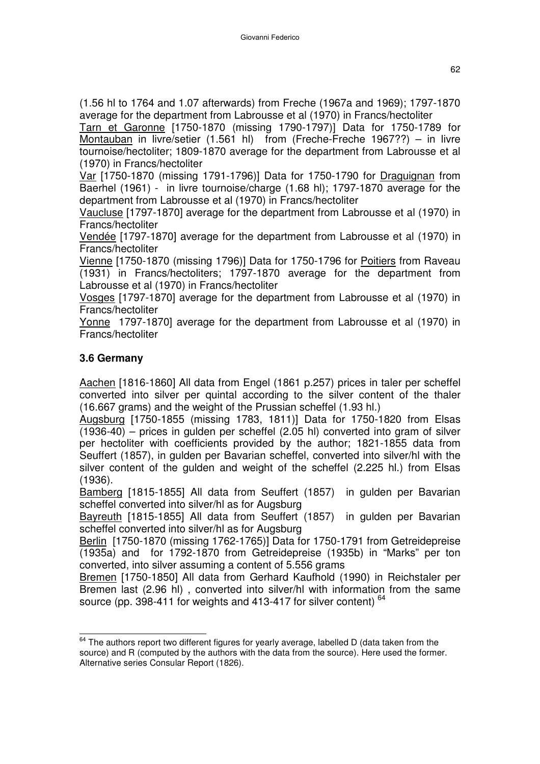(1.56 hl to 1764 and 1.07 afterwards) from Freche (1967a and 1969); 1797-1870 average for the department from Labrousse et al (1970) in Francs/hectoliter

Tarn et Garonne [1750-1870 (missing 1790-1797)] Data for 1750-1789 for Montauban in livre/setier (1.561 hl) from (Freche-Freche 1967??) – in livre tournoise/hectoliter; 1809-1870 average for the department from Labrousse et al (1970) in Francs/hectoliter

Var [1750-1870 (missing 1791-1796)] Data for 1750-1790 for Draguignan from Baerhel (1961) - in livre tournoise/charge (1.68 hl); 1797-1870 average for the department from Labrousse et al (1970) in Francs/hectoliter

Vaucluse [1797-1870] average for the department from Labrousse et al (1970) in Francs/hectoliter

Vendée [1797-1870] average for the department from Labrousse et al (1970) in Francs/hectoliter

Vienne [1750-1870 (missing 1796)] Data for 1750-1796 for Poitiers from Raveau (1931) in Francs/hectoliters; 1797-1870 average for the department from Labrousse et al (1970) in Francs/hectoliter

Vosges [1797-1870] average for the department from Labrousse et al (1970) in Francs/hectoliter

Yonne 1797-1870] average for the department from Labrousse et al (1970) in Francs/hectoliter

# **3.6 Germany**

Aachen [1816-1860] All data from Engel (1861 p.257) prices in taler per scheffel converted into silver per quintal according to the silver content of the thaler (16.667 grams) and the weight of the Prussian scheffel (1.93 hl.)

Augsburg [1750-1855 (missing 1783, 1811)] Data for 1750-1820 from Elsas (1936-40) – prices in gulden per scheffel (2.05 hl) converted into gram of silver per hectoliter with coefficients provided by the author; 1821-1855 data from Seuffert (1857), in gulden per Bavarian scheffel, converted into silver/hl with the silver content of the gulden and weight of the scheffel (2.225 hl.) from Elsas (1936).

Bamberg [1815-1855] All data from Seuffert (1857) in gulden per Bavarian scheffel converted into silver/hl as for Augsburg

Bayreuth [1815-1855] All data from Seuffert (1857) in gulden per Bavarian scheffel converted into silver/hl as for Augsburg

Berlin [1750-1870 (missing 1762-1765)] Data for 1750-1791 from Getreidepreise (1935a) and for 1792-1870 from Getreidepreise (1935b) in "Marks" per ton converted, into silver assuming a content of 5.556 grams

Bremen [1750-1850] All data from Gerhard Kaufhold (1990) in Reichstaler per Bremen last (2.96 hl) , converted into silver/hl with information from the same source (pp. 398-411 for weights and 413-417 for silver content)  $64$ 

 $\overline{a}$  $64$  The authors report two different figures for yearly average, labelled D (data taken from the source) and R (computed by the authors with the data from the source). Here used the former. Alternative series Consular Report (1826).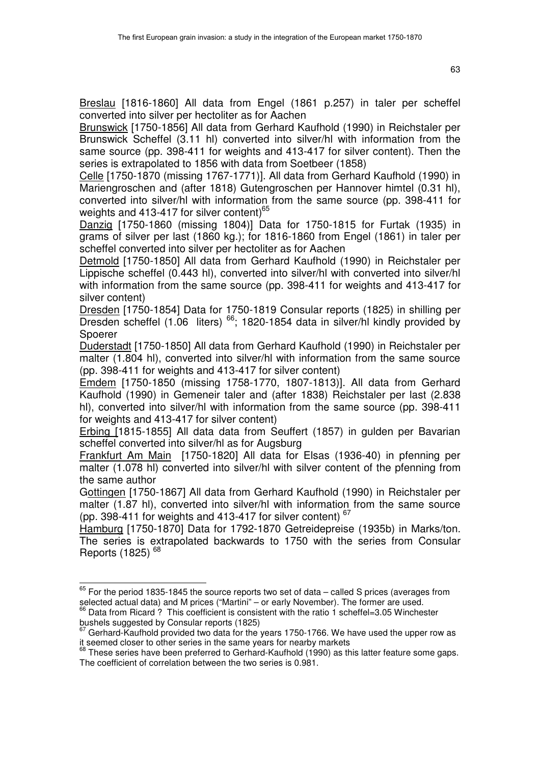Breslau [1816-1860] All data from Engel (1861 p.257) in taler per scheffel converted into silver per hectoliter as for Aachen

Brunswick [1750-1856] All data from Gerhard Kaufhold (1990) in Reichstaler per Brunswick Scheffel (3.11 hl) converted into silver/hl with information from the same source (pp. 398-411 for weights and 413-417 for silver content). Then the series is extrapolated to 1856 with data from Soetbeer (1858)

Celle [1750-1870 (missing 1767-1771)]. All data from Gerhard Kaufhold (1990) in Mariengroschen and (after 1818) Gutengroschen per Hannover himtel (0.31 hl), converted into silver/hl with information from the same source (pp. 398-411 for weights and 413-417 for silver content)<sup>65</sup>

Danzig [1750-1860 (missing 1804)] Data for 1750-1815 for Furtak (1935) in grams of silver per last (1860 kg.); for 1816-1860 from Engel (1861) in taler per scheffel converted into silver per hectoliter as for Aachen

Detmold [1750-1850] All data from Gerhard Kaufhold (1990) in Reichstaler per Lippische scheffel (0.443 hl), converted into silver/hl with converted into silver/hl with information from the same source (pp. 398-411 for weights and 413-417 for silver content)

Dresden [1750-1854] Data for 1750-1819 Consular reports (1825) in shilling per Dresden scheffel  $(1.06$  liters)  $^{66}$ ; 1820-1854 data in silver/hl kindly provided by Spoerer

Duderstadt [1750-1850] All data from Gerhard Kaufhold (1990) in Reichstaler per malter (1.804 hl), converted into silver/hl with information from the same source (pp. 398-411 for weights and 413-417 for silver content)

Emdem [1750-1850 (missing 1758-1770, 1807-1813)]. All data from Gerhard Kaufhold (1990) in Gemeneir taler and (after 1838) Reichstaler per last (2.838 hl), converted into silver/hl with information from the same source (pp. 398-411 for weights and 413-417 for silver content)

Erbing [1815-1855] All data data from Seuffert (1857) in gulden per Bavarian scheffel converted into silver/hl as for Augsburg

Frankfurt Am Main [1750-1820] All data for Elsas (1936-40) in pfenning per malter (1.078 hl) converted into silver/hl with silver content of the pfenning from the same author

Gottingen [1750-1867] All data from Gerhard Kaufhold (1990) in Reichstaler per malter (1.87 hl), converted into silver/hl with information from the same source (pp. 398-411 for weights and 413-417 for silver content)  $67$ 

Hamburg [1750-1870] Data for 1792-1870 Getreidepreise (1935b) in Marks/ton. The series is extrapolated backwards to 1750 with the series from Consular Reports (1825)<sup>68</sup>

 $\overline{a}$  $<sup>65</sup>$  For the period 1835-1845 the source reports two set of data – called S prices (averages from</sup> selected actual data) and M prices ("Martini" – or early November). The former are used.

Data from Ricard ? This coefficient is consistent with the ratio 1 scheffel=3.05 Winchester bushels suggested by Consular reports (1825)

 $67$  Gerhard-Kaufhold provided two data for the years 1750-1766. We have used the upper row as it seemed closer to other series in the same years for nearby markets

 $68$  These series have been preferred to Gerhard-Kaufhold (1990) as this latter feature some gaps. The coefficient of correlation between the two series is 0.981.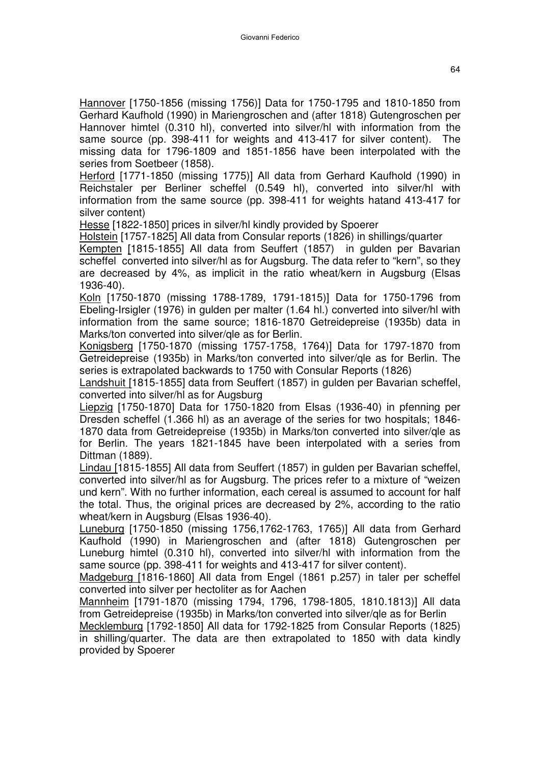Hannover [1750-1856 (missing 1756)] Data for 1750-1795 and 1810-1850 from Gerhard Kaufhold (1990) in Mariengroschen and (after 1818) Gutengroschen per Hannover himtel (0.310 hl), converted into silver/hl with information from the same source (pp. 398-411 for weights and 413-417 for silver content). The missing data for 1796-1809 and 1851-1856 have been interpolated with the series from Soetbeer (1858).

Herford [1771-1850 (missing 1775)] All data from Gerhard Kaufhold (1990) in Reichstaler per Berliner scheffel (0.549 hl), converted into silver/hl with information from the same source (pp. 398-411 for weights hatand 413-417 for silver content)

Hesse [1822-1850] prices in silver/hl kindly provided by Spoerer

Holstein [1757-1825] All data from Consular reports (1826) in shillings/quarter

Kempten [1815-1855] All data from Seuffert (1857) in gulden per Bavarian scheffel converted into silver/hl as for Augsburg. The data refer to "kern", so they are decreased by 4%, as implicit in the ratio wheat/kern in Augsburg (Elsas 1936-40).

Koln [1750-1870 (missing 1788-1789, 1791-1815)] Data for 1750-1796 from Ebeling-Irsigler (1976) in gulden per malter (1.64 hl.) converted into silver/hl with information from the same source; 1816-1870 Getreidepreise (1935b) data in Marks/ton converted into silver/gle as for Berlin.

Konigsberg [1750-1870 (missing 1757-1758, 1764)] Data for 1797-1870 from Getreidepreise (1935b) in Marks/ton converted into silver/qle as for Berlin. The series is extrapolated backwards to 1750 with Consular Reports (1826)

Landshuit [1815-1855] data from Seuffert (1857) in gulden per Bavarian scheffel, converted into silver/hl as for Augsburg

Liepzig [1750-1870] Data for 1750-1820 from Elsas (1936-40) in pfenning per Dresden scheffel (1.366 hl) as an average of the series for two hospitals; 1846- 1870 data from Getreidepreise (1935b) in Marks/ton converted into silver/qle as for Berlin. The years 1821-1845 have been interpolated with a series from Dittman (1889).

Lindau [1815-1855] All data from Seuffert (1857) in gulden per Bavarian scheffel, converted into silver/hl as for Augsburg. The prices refer to a mixture of "weizen und kern". With no further information, each cereal is assumed to account for half the total. Thus, the original prices are decreased by 2%, according to the ratio wheat/kern in Augsburg (Elsas 1936-40).

Luneburg [1750-1850 (missing 1756,1762-1763, 1765)] All data from Gerhard Kaufhold (1990) in Mariengroschen and (after 1818) Gutengroschen per Luneburg himtel (0.310 hl), converted into silver/hl with information from the same source (pp. 398-411 for weights and 413-417 for silver content).

Madgeburg [1816-1860] All data from Engel (1861 p.257) in taler per scheffel converted into silver per hectoliter as for Aachen

Mannheim [1791-1870 (missing 1794, 1796, 1798-1805, 1810.1813)] All data from Getreidepreise (1935b) in Marks/ton converted into silver/qle as for Berlin

Mecklemburg [1792-1850] All data for 1792-1825 from Consular Reports (1825) in shilling/quarter. The data are then extrapolated to 1850 with data kindly provided by Spoerer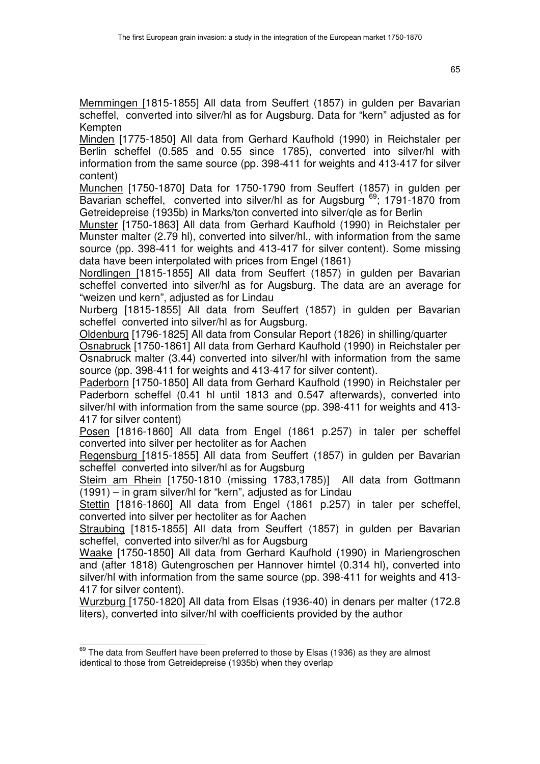Memmingen [1815-1855] All data from Seuffert (1857) in gulden per Bavarian scheffel, converted into silver/hl as for Augsburg. Data for "kern" adjusted as for Kempten

Minden [1775-1850] All data from Gerhard Kaufhold (1990) in Reichstaler per Berlin scheffel (0.585 and 0.55 since 1785), converted into silver/hl with information from the same source (pp. 398-411 for weights and 413-417 for silver content)

Munchen [1750-1870] Data for 1750-1790 from Seuffert (1857) in gulden per Bavarian scheffel, converted into silver/hl as for Augsburg <sup>69</sup>; 1791-1870 from Getreidepreise (1935b) in Marks/ton converted into silver/qle as for Berlin

Munster [1750-1863] All data from Gerhard Kaufhold (1990) in Reichstaler per Munster malter (2.79 hl), converted into silver/hl., with information from the same source (pp. 398-411 for weights and 413-417 for silver content). Some missing data have been interpolated with prices from Engel (1861)

Nordlingen [1815-1855] All data from Seuffert (1857) in gulden per Bavarian scheffel converted into silver/hl as for Augsburg. The data are an average for "weizen und kern", adjusted as for Lindau

Nurberg [1815-1855] All data from Seuffert (1857) in gulden per Bavarian scheffel converted into silver/hl as for Augsburg.

Oldenburg [1796-1825] All data from Consular Report (1826) in shilling/quarter

Osnabruck [1750-1861] All data from Gerhard Kaufhold (1990) in Reichstaler per Osnabruck malter (3.44) converted into silver/hl with information from the same source (pp. 398-411 for weights and 413-417 for silver content).

Paderborn [1750-1850] All data from Gerhard Kaufhold (1990) in Reichstaler per Paderborn scheffel (0.41 hl until 1813 and 0.547 afterwards), converted into silver/hl with information from the same source (pp. 398-411 for weights and 413- 417 for silver content)

Posen [1816-1860] All data from Engel (1861 p.257) in taler per scheffel converted into silver per hectoliter as for Aachen

Regensburg [1815-1855] All data from Seuffert (1857) in gulden per Bavarian scheffel converted into silver/hl as for Augsburg

Steim am Rhein [1750-1810 (missing 1783,1785)] All data from Gottmann (1991) – in gram silver/hl for "kern", adjusted as for Lindau

Stettin [1816-1860] All data from Engel (1861 p.257) in taler per scheffel, converted into silver per hectoliter as for Aachen

Straubing [1815-1855] All data from Seuffert (1857) in gulden per Bavarian scheffel, converted into silver/hl as for Augsburg

Waake [1750-1850] All data from Gerhard Kaufhold (1990) in Mariengroschen and (after 1818) Gutengroschen per Hannover himtel (0.314 hl), converted into silver/hl with information from the same source (pp. 398-411 for weights and 413- 417 for silver content).

Wurzburg [1750-1820] All data from Elsas (1936-40) in denars per malter (172.8 liters), converted into silver/hl with coefficients provided by the author

 $\overline{a}$  $^{69}$  The data from Seuffert have been preferred to those by Elsas (1936) as they are almost identical to those from Getreidepreise (1935b) when they overlap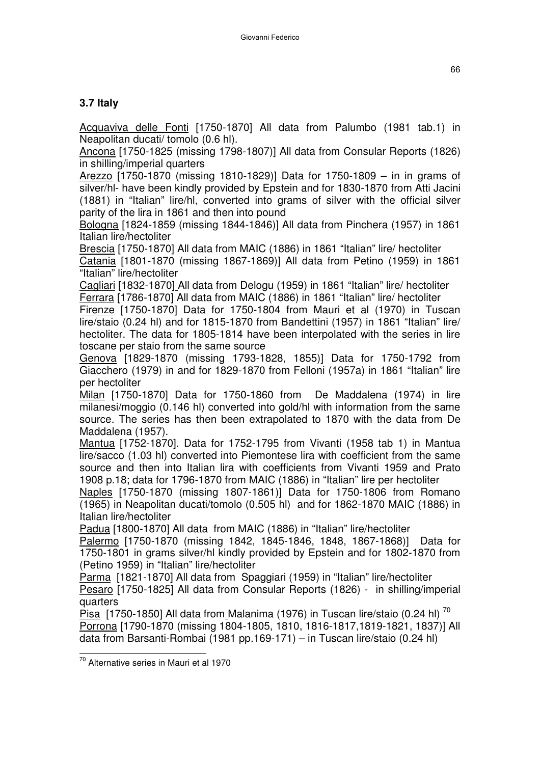# **3.7 Italy**

Acquaviva delle Fonti [1750-1870] All data from Palumbo (1981 tab.1) in Neapolitan ducati/ tomolo (0.6 hl).

Ancona [1750-1825 (missing 1798-1807)] All data from Consular Reports (1826) in shilling/imperial quarters

Arezzo [1750-1870 (missing 1810-1829)] Data for 1750-1809 – in in grams of silver/hl- have been kindly provided by Epstein and for 1830-1870 from Atti Jacini (1881) in "Italian" lire/hl, converted into grams of silver with the official silver parity of the lira in 1861 and then into pound

Bologna [1824-1859 (missing 1844-1846)] All data from Pinchera (1957) in 1861 Italian lire/hectoliter

Brescia [1750-1870] All data from MAIC (1886) in 1861 "Italian" lire/ hectoliter Catania [1801-1870 (missing 1867-1869)] All data from Petino (1959) in 1861 "Italian" lire/hectoliter

Cagliari [1832-1870] All data from Delogu (1959) in 1861 "Italian" lire/ hectoliter Ferrara [1786-1870] All data from MAIC (1886) in 1861 "Italian" lire/ hectoliter

Firenze [1750-1870] Data for 1750-1804 from Mauri et al (1970) in Tuscan lire/staio (0.24 hl) and for 1815-1870 from Bandettini (1957) in 1861 "Italian" lire/ hectoliter. The data for 1805-1814 have been interpolated with the series in lire toscane per staio from the same source

Genova [1829-1870 (missing 1793-1828, 1855)] Data for 1750-1792 from Giacchero (1979) in and for 1829-1870 from Felloni (1957a) in 1861 "Italian" lire per hectoliter

Milan [1750-1870] Data for 1750-1860 from De Maddalena (1974) in lire milanesi/moggio (0.146 hl) converted into gold/hl with information from the same source. The series has then been extrapolated to 1870 with the data from De Maddalena (1957).

Mantua [1752-1870]. Data for 1752-1795 from Vivanti (1958 tab 1) in Mantua lire/sacco (1.03 hl) converted into Piemontese lira with coefficient from the same source and then into Italian lira with coefficients from Vivanti 1959 and Prato 1908 p.18; data for 1796-1870 from MAIC (1886) in "Italian" lire per hectoliter

Naples [1750-1870 (missing 1807-1861)] Data for 1750-1806 from Romano (1965) in Neapolitan ducati/tomolo (0.505 hl) and for 1862-1870 MAIC (1886) in Italian lire/hectoliter

Padua [1800-1870] All data from MAIC (1886) in "Italian" lire/hectoliter

Palermo [1750-1870 (missing 1842, 1845-1846, 1848, 1867-1868)] Data for 1750-1801 in grams silver/hl kindly provided by Epstein and for 1802-1870 from (Petino 1959) in "Italian" lire/hectoliter

Parma [1821-1870] All data from Spaggiari (1959) in "Italian" lire/hectoliter Pesaro [1750-1825] All data from Consular Reports (1826) - in shilling/imperial quarters

Pisa [1750-1850] All data from Malanima (1976) in Tuscan lire/staio (0.24 hl)<sup>70</sup> Porrona [1790-1870 (missing 1804-1805, 1810, 1816-1817,1819-1821, 1837)] All data from Barsanti-Rombai (1981 pp.169-171) – in Tuscan lire/staio (0.24 hl)

<sup>-</sup>70 Alternative series in Mauri et al 1970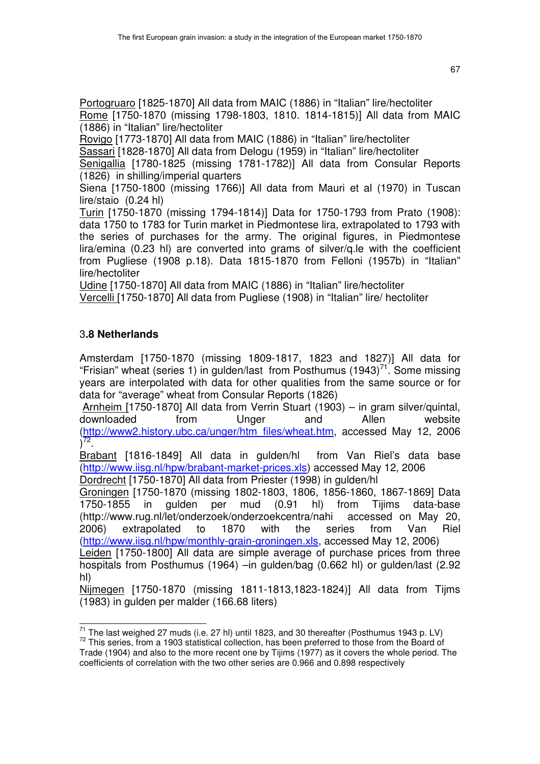Portogruaro [1825-1870] All data from MAIC (1886) in "Italian" lire/hectoliter Rome [1750-1870 (missing 1798-1803, 1810. 1814-1815)] All data from MAIC (1886) in "Italian" lire/hectoliter

Rovigo [1773-1870] All data from MAIC (1886) in "Italian" lire/hectoliter

Sassari [1828-1870] All data from Delogu (1959) in "Italian" lire/hectoliter

Senigallia [1780-1825 (missing 1781-1782)] All data from Consular Reports (1826) in shilling/imperial quarters

Siena [1750-1800 (missing 1766)] All data from Mauri et al (1970) in Tuscan lire/staio (0.24 hl)

Turin [1750-1870 (missing 1794-1814)] Data for 1750-1793 from Prato (1908): data 1750 to 1783 for Turin market in Piedmontese lira, extrapolated to 1793 with the series of purchases for the army. The original figures, in Piedmontese lira/emina (0.23 hl) are converted into grams of silver/q.le with the coefficient from Pugliese (1908 p.18). Data 1815-1870 from Felloni (1957b) in "Italian" lire/hectoliter

Udine [1750-1870] All data from MAIC (1886) in "Italian" lire/hectoliter

Vercelli [1750-1870] All data from Pugliese (1908) in "Italian" lire/ hectoliter

## 3**.8 Netherlands**

Amsterdam [1750-1870 (missing 1809-1817, 1823 and 1827)] All data for "Frisian" wheat (series 1) in gulden/last from Posthumus  $(1943)^{71}$ . Some missing years are interpolated with data for other qualities from the same source or for data for "average" wheat from Consular Reports (1826)

 Arnheim [1750-1870] All data from Verrin Stuart (1903) – in gram silver/quintal, downloaded from Unger and Allen website (http://www2.history.ubc.ca/unger/htm\_files/wheat.htm, accessed May 12, 2006  $\big)^{72}$ .

Brabant [1816-1849] All data in gulden/hl from Van Riel's data base (http://www.iisg.nl/hpw/brabant-market-prices.xls) accessed May 12, 2006

Dordrecht [1750-1870] All data from Priester (1998) in gulden/hl

Groningen [1750-1870 (missing 1802-1803, 1806, 1856-1860, 1867-1869] Data 1750-1855 in gulden per mud (0.91 hl) from Tijims data-base (http://www.rug.nl/let/onderzoek/onderzoekcentra/nahi accessed on May 20, 2006) extrapolated to 1870 with the series from Van (http://www.iisg.nl/hpw/monthly-grain-groningen.xls, accessed May 12, 2006)

Leiden [1750-1800] All data are simple average of purchase prices from three hospitals from Posthumus (1964) –in gulden/bag (0.662 hl) or gulden/last (2.92 hl)

Nijmegen [1750-1870 (missing 1811-1813,1823-1824)] All data from Tijms (1983) in gulden per malder (166.68 liters)

<sup>&</sup>lt;sup>71</sup> The last weighed 27 muds (i.e. 27 hl) until 1823, and 30 thereafter (Posthumus 1943 p. LV) <sup>72</sup> This series, from a 1903 statistical collection, has been preferred to those from the Board of

Trade (1904) and also to the more recent one by Tijims (1977) as it covers the whole period. The coefficients of correlation with the two other series are 0.966 and 0.898 respectively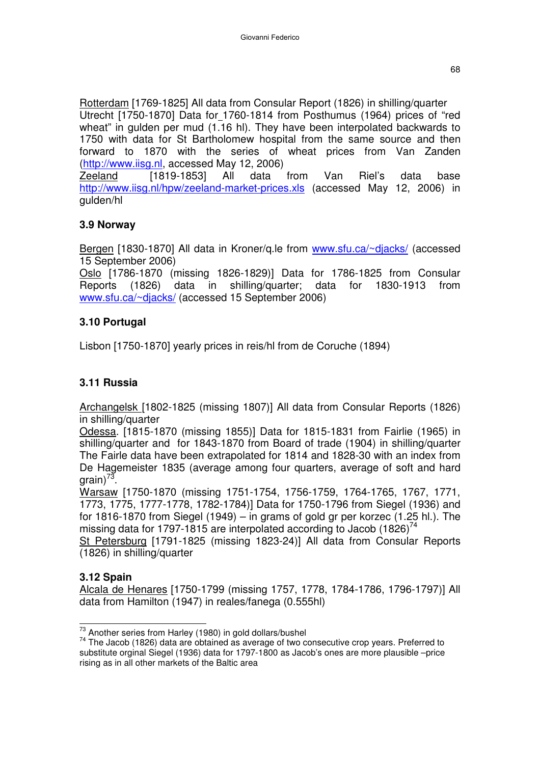68

Rotterdam [1769-1825] All data from Consular Report (1826) in shilling/quarter Utrecht [1750-1870] Data for 1760-1814 from Posthumus (1964) prices of "red wheat" in gulden per mud (1.16 hl). They have been interpolated backwards to 1750 with data for St Bartholomew hospital from the same source and then forward to 1870 with the series of wheat prices from Van Zanden (http://www.iisg.nl, accessed May 12, 2006)

Zeeland [1819-1853] All data from Van Riel's data base http://www.iisg.nl/hpw/zeeland-market-prices.xls (accessed May 12, 2006) in gulden/hl

# **3.9 Norway**

Bergen [1830-1870] All data in Kroner/q.le from www.sfu.ca/~djacks/ (accessed 15 September 2006)

Oslo [1786-1870 (missing 1826-1829)] Data for 1786-1825 from Consular Reports (1826) data in shilling/quarter; data for 1830-1913 from www.sfu.ca/~djacks/ (accessed 15 September 2006)

# **3.10 Portugal**

Lisbon [1750-1870] yearly prices in reis/hl from de Coruche (1894)

# **3.11 Russia**

Archangelsk [1802-1825 (missing 1807)] All data from Consular Reports (1826) in shilling/quarter

Odessa. [1815-1870 (missing 1855)] Data for 1815-1831 from Fairlie (1965) in shilling/quarter and for 1843-1870 from Board of trade (1904) in shilling/quarter The Fairle data have been extrapolated for 1814 and 1828-30 with an index from De Hagemeister 1835 (average among four quarters, average of soft and hard  $grain$ <sup>73</sup>.

Warsaw [1750-1870 (missing 1751-1754, 1756-1759, 1764-1765, 1767, 1771, 1773, 1775, 1777-1778, 1782-1784)] Data for 1750-1796 from Siegel (1936) and for 1816-1870 from Siegel (1949) – in grams of gold gr per korzec (1.25 hl.). The missing data for 1797-1815 are interpolated according to Jacob  $(1826)^{74}$ 

St Petersburg [1791-1825 (missing 1823-24)] All data from Consular Reports (1826) in shilling/quarter

# **3.12 Spain**

Alcala de Henares [1750-1799 (missing 1757, 1778, 1784-1786, 1796-1797)] All data from Hamilton (1947) in reales/fanega (0.555hl)

<sup>&</sup>lt;sup>73</sup> Another series from Harley (1980) in gold dollars/bushel

<sup>&</sup>lt;sup>74</sup> The Jacob (1826) data are obtained as average of two consecutive crop years. Preferred to substitute orginal Siegel (1936) data for 1797-1800 as Jacob's ones are more plausible –price rising as in all other markets of the Baltic area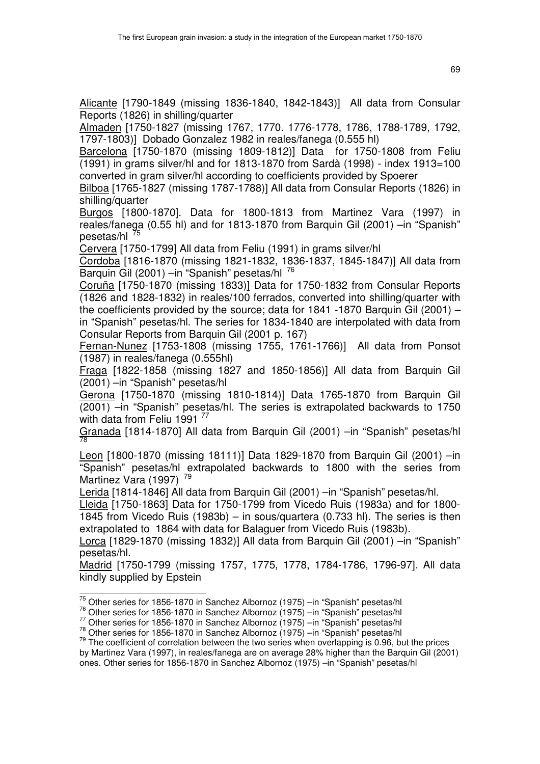69

Alicante [1790-1849 (missing 1836-1840, 1842-1843)] All data from Consular Reports (1826) in shilling/quarter

Almaden [1750-1827 (missing 1767, 1770. 1776-1778, 1786, 1788-1789, 1792, 1797-1803)] Dobado Gonzalez 1982 in reales/fanega (0.555 hl)

Barcelona [1750-1870 (missing 1809-1812)] Data for 1750-1808 from Feliu (1991) in grams silver/hl and for 1813-1870 from Sardà (1998) - index 1913=100 converted in gram silver/hl according to coefficients provided by Spoerer

Bilboa [1765-1827 (missing 1787-1788)] All data from Consular Reports (1826) in shilling/quarter

Burgos [1800-1870]. Data for 1800-1813 from Martinez Vara (1997) in reales/fanega (0.55 hl) and for 1813-1870 from Barquin Gil (2001) –in "Spanish" pesetas/hl $<sup>7</sup>$ </sup>

Cervera [1750-1799] All data from Feliu (1991) in grams silver/hl

Cordoba [1816-1870 (missing 1821-1832, 1836-1837, 1845-1847)] All data from Barquin Gil (2001) –in "Spanish" pesetas/hl<sup>76</sup>

Coruña [1750-1870 (missing 1833)] Data for 1750-1832 from Consular Reports (1826 and 1828-1832) in reales/100 ferrados, converted into shilling/quarter with the coefficients provided by the source; data for 1841 -1870 Barquin Gil (2001) – in "Spanish" pesetas/hl. The series for 1834-1840 are interpolated with data from Consular Reports from Barquin Gil (2001 p. 167)

Fernan-Nunez [1753-1808 (missing 1755, 1761-1766)] All data from Ponsot (1987) in reales/fanega (0.555hl)

Fraga [1822-1858 (missing 1827 and 1850-1856)] All data from Barquin Gil (2001) –in "Spanish" pesetas/hl

Gerona [1750-1870 (missing 1810-1814)] Data 1765-1870 from Barquin Gil (2001) –in "Spanish" pesetas/hl. The series is extrapolated backwards to 1750 with data from Feliu 1991 $<sup>7</sup>$ </sup>

Granada [1814-1870] All data from Barquin Gil (2001) –in "Spanish" pesetas/hl

Leon [1800-1870 (missing 18111)] Data 1829-1870 from Barquin Gil (2001) –in "Spanish" pesetas/hl extrapolated backwards to 1800 with the series from Martinez Vara (1997)<sup>79</sup>

Lerida [1814-1846] All data from Barquin Gil (2001) –in "Spanish" pesetas/hl.

Lleida [1750-1863] Data for 1750-1799 from Vicedo Ruis (1983a) and for 1800- 1845 from Vicedo Ruis (1983b) – in sous/quartera (0.733 hl). The series is then extrapolated to 1864 with data for Balaguer from Vicedo Ruis (1983b).

Lorca [1829-1870 (missing 1832)] All data from Barquin Gil (2001) –in "Spanish" pesetas/hl.

Madrid [1750-1799 (missing 1757, 1775, 1778, 1784-1786, 1796-97]. All data kindly supplied by Epstein

<sup>75</sup> Other series for 1856-1870 in Sanchez Albornoz (1975) -in "Spanish" pesetas/hl

<sup>&</sup>lt;sup>76</sup> Other series for 1856-1870 in Sanchez Albornoz (1975) –in "Spanish" pesetas/hl<br><sup>77</sup> Other series for 1856-1870 in Sanchez Albornoz (1975) –in "Spanish" pesetas/hl<br><sup>78</sup> Other series for 1856-1870 in Sanchez Albornoz ( by Martinez Vara (1997), in reales/fanega are on average 28% higher than the Barquin Gil (2001) ones. Other series for 1856-1870 in Sanchez Albornoz (1975) –in "Spanish" pesetas/hl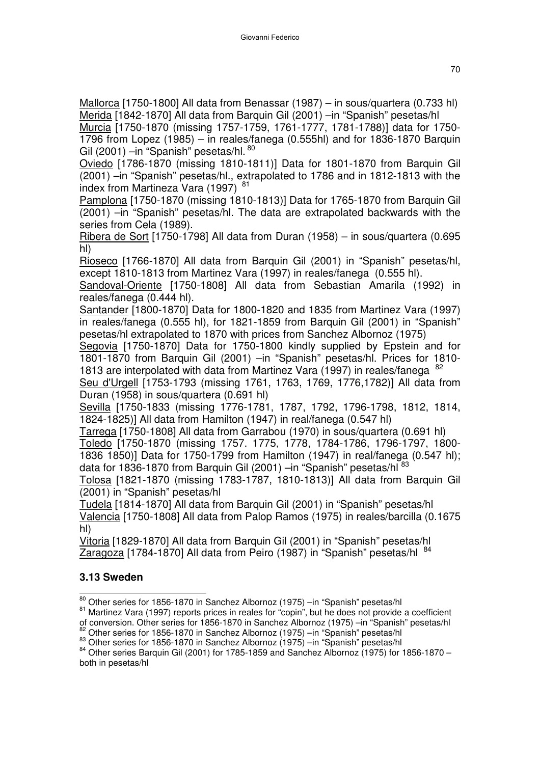Mallorca [1750-1800] All data from Benassar (1987) – in sous/quartera (0.733 hl) Merida [1842-1870] All data from Barquin Gil (2001) –in "Spanish" pesetas/hl

Murcia [1750-1870 (missing 1757-1759, 1761-1777, 1781-1788)] data for 1750- 1796 from Lopez (1985) – in reales/fanega (0.555hl) and for 1836-1870 Barquin Gil (2001) –in "Spanish" pesetas/hl. <sup>80</sup>

Oviedo [1786-1870 (missing 1810-1811)] Data for 1801-1870 from Barquin Gil (2001) –in "Spanish" pesetas/hl., extrapolated to 1786 and in 1812-1813 with the index from Martineza Vara (1997)<sup>81</sup>

Pamplona [1750-1870 (missing 1810-1813)] Data for 1765-1870 from Barquin Gil (2001) –in "Spanish" pesetas/hl. The data are extrapolated backwards with the series from Cela (1989).

Ribera de Sort [1750-1798] All data from Duran (1958) – in sous/quartera (0.695 hl)

Rioseco [1766-1870] All data from Barquin Gil (2001) in "Spanish" pesetas/hl, except 1810-1813 from Martinez Vara (1997) in reales/fanega (0.555 hl).

Sandoval-Oriente [1750-1808] All data from Sebastian Amarila (1992) in reales/fanega (0.444 hl).

Santander [1800-1870] Data for 1800-1820 and 1835 from Martinez Vara (1997) in reales/fanega (0.555 hl), for 1821-1859 from Barquin Gil (2001) in "Spanish" pesetas/hl extrapolated to 1870 with prices from Sanchez Albornoz (1975)

Segovia [1750-1870] Data for 1750-1800 kindly supplied by Epstein and for 1801-1870 from Barquin Gil (2001) –in "Spanish" pesetas/hl. Prices for 1810- 1813 are interpolated with data from Martinez Vara (1997) in reales/fanega <sup>82</sup>

Seu d'Urgell [1753-1793 (missing 1761, 1763, 1769, 1776,1782)] All data from Duran (1958) in sous/quartera (0.691 hl)

Sevilla [1750-1833 (missing 1776-1781, 1787, 1792, 1796-1798, 1812, 1814, 1824-1825)] All data from Hamilton (1947) in real/fanega (0.547 hl)

Tarrega [1750-1808] All data from Garrabou (1970) in sous/quartera (0.691 hl) Toledo [1750-1870 (missing 1757. 1775, 1778, 1784-1786, 1796-1797, 1800- 1836 1850)] Data for 1750-1799 from Hamilton (1947) in real/fanega (0.547 hl); data for 1836-1870 from Barquin Gil (2001) –in "Spanish" pesetas/hl<sup>83</sup>

Tolosa [1821-1870 (missing 1783-1787, 1810-1813)] All data from Barquin Gil (2001) in "Spanish" pesetas/hl

Tudela [1814-1870] All data from Barquin Gil (2001) in "Spanish" pesetas/hl Valencia [1750-1808] All data from Palop Ramos (1975) in reales/barcilla (0.1675 hl)

Vitoria [1829-1870] All data from Barquin Gil (2001) in "Spanish" pesetas/hl Zaragoza [1784-1870] All data from Peiro (1987) in "Spanish" pesetas/hl <sup>84</sup>

## **3.13 Sweden**

<sup>&</sup>lt;sup>80</sup> Other series for 1856-1870 in Sanchez Albornoz (1975) -in "Spanish" pesetas/hl

 $81$  Martinez Vara (1997) reports prices in reales for "copin", but he does not provide a coefficient of conversion. Other series for 1856-1870 in Sanchez Albornoz (1975) –in "Spanish" pesetas/hl<br><sup>82</sup> Other series for 1856-1870 in Sanchez Albornoz (1975) –in "Spanish" pesetas/hl

<sup>&</sup>lt;sup>83</sup> Other series for 1856-1870 in Sanchez Albornoz  $(1975)$  -in "Spanish" pesetas/hl<br><sup>84</sup> Other series Barguin Gil (2001) for 1785-1859 and Sanchez Albornoz (1975) for 1856-1870 -

both in pesetas/hl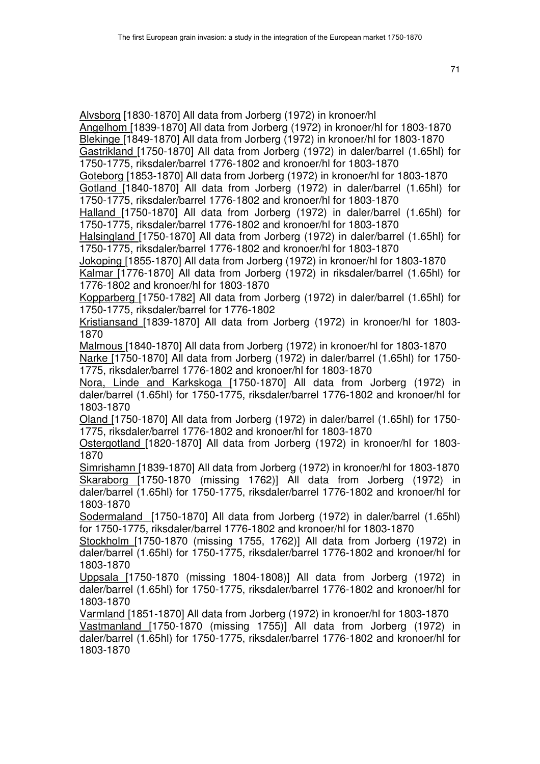Alvsborg [1830-1870] All data from Jorberg (1972) in kronoer/hl Angelhom [1839-1870] All data from Jorberg (1972) in kronoer/hl for 1803-1870 Blekinge [1849-1870] All data from Jorberg (1972) in kronoer/hl for 1803-1870 Gastrikland [1750-1870] All data from Jorberg (1972) in daler/barrel (1.65hl) for 1750-1775, riksdaler/barrel 1776-1802 and kronoer/hl for 1803-1870 Goteborg [1853-1870] All data from Jorberg (1972) in kronoer/hl for 1803-1870

Gotland [1840-1870] All data from Jorberg (1972) in daler/barrel (1.65hl) for 1750-1775, riksdaler/barrel 1776-1802 and kronoer/hl for 1803-1870

Halland [1750-1870] All data from Jorberg (1972) in daler/barrel (1.65hl) for 1750-1775, riksdaler/barrel 1776-1802 and kronoer/hl for 1803-1870

Halsingland [1750-1870] All data from Jorberg (1972) in daler/barrel (1.65hl) for 1750-1775, riksdaler/barrel 1776-1802 and kronoer/hl for 1803-1870

Jokoping [1855-1870] All data from Jorberg (1972) in kronoer/hl for 1803-1870 Kalmar [1776-1870] All data from Jorberg (1972) in riksdaler/barrel (1.65hl) for 1776-1802 and kronoer/hl for 1803-1870

Kopparberg [1750-1782] All data from Jorberg (1972) in daler/barrel (1.65hl) for 1750-1775, riksdaler/barrel for 1776-1802

Kristiansand [1839-1870] All data from Jorberg (1972) in kronoer/hl for 1803- 1870

Malmous [1840-1870] All data from Jorberg (1972) in kronoer/hl for 1803-1870 Narke [1750-1870] All data from Jorberg (1972) in daler/barrel (1.65hl) for 1750- 1775, riksdaler/barrel 1776-1802 and kronoer/hl for 1803-1870

Nora, Linde and Karkskoga [1750-1870] All data from Jorberg (1972) in daler/barrel (1.65hl) for 1750-1775, riksdaler/barrel 1776-1802 and kronoer/hl for 1803-1870

Oland [1750-1870] All data from Jorberg (1972) in daler/barrel (1.65hl) for 1750- 1775, riksdaler/barrel 1776-1802 and kronoer/hl for 1803-1870

Ostergotland [1820-1870] All data from Jorberg (1972) in kronoer/hl for 1803- 1870

Simrishamn [1839-1870] All data from Jorberg (1972) in kronoer/hl for 1803-1870 Skaraborg [1750-1870 (missing 1762)] All data from Jorberg (1972) in daler/barrel (1.65hl) for 1750-1775, riksdaler/barrel 1776-1802 and kronoer/hl for 1803-1870

Sodermaland [1750-1870] All data from Jorberg (1972) in daler/barrel (1.65hl) for 1750-1775, riksdaler/barrel 1776-1802 and kronoer/hl for 1803-1870

Stockholm [1750-1870 (missing 1755, 1762)] All data from Jorberg (1972) in daler/barrel (1.65hl) for 1750-1775, riksdaler/barrel 1776-1802 and kronoer/hl for 1803-1870

Uppsala [1750-1870 (missing 1804-1808)] All data from Jorberg (1972) in daler/barrel (1.65hl) for 1750-1775, riksdaler/barrel 1776-1802 and kronoer/hl for 1803-1870

Varmland [1851-1870] All data from Jorberg (1972) in kronoer/hl for 1803-1870 Vastmanland [1750-1870 (missing 1755)] All data from Jorberg (1972) in daler/barrel (1.65hl) for 1750-1775, riksdaler/barrel 1776-1802 and kronoer/hl for 1803-1870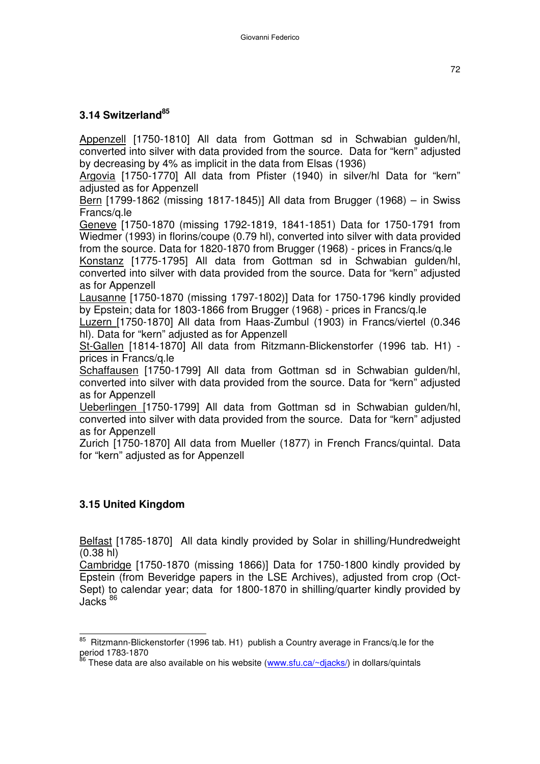# 3.14 Switzerland<sup>85</sup>

Appenzell [1750-1810] All data from Gottman sd in Schwabian gulden/hl, converted into silver with data provided from the source. Data for "kern" adjusted by decreasing by 4% as implicit in the data from Elsas (1936)

Argovia [1750-1770] All data from Pfister (1940) in silver/hl Data for "kern" adjusted as for Appenzell

Bern [1799-1862 (missing 1817-1845)] All data from Brugger (1968) – in Swiss Francs/q.le

Geneve [1750-1870 (missing 1792-1819, 1841-1851) Data for 1750-1791 from Wiedmer (1993) in florins/coupe (0.79 hl), converted into silver with data provided from the source. Data for 1820-1870 from Brugger (1968) - prices in Francs/q.le

Konstanz [1775-1795] All data from Gottman sd in Schwabian gulden/hl, converted into silver with data provided from the source. Data for "kern" adjusted as for Appenzell

Lausanne [1750-1870 (missing 1797-1802)] Data for 1750-1796 kindly provided by Epstein; data for 1803-1866 from Brugger (1968) - prices in Francs/q.le

Luzern [1750-1870] All data from Haas-Zumbul (1903) in Francs/viertel (0.346 hl). Data for "kern" adjusted as for Appenzell

St-Gallen [1814-1870] All data from Ritzmann-Blickenstorfer (1996 tab. H1) prices in Francs/q.le

Schaffausen [1750-1799] All data from Gottman sd in Schwabian gulden/hl, converted into silver with data provided from the source. Data for "kern" adjusted as for Appenzell

Ueberlingen [1750-1799] All data from Gottman sd in Schwabian gulden/hl, converted into silver with data provided from the source. Data for "kern" adjusted as for Appenzell

Zurich [1750-1870] All data from Mueller (1877) in French Francs/quintal. Data for "kern" adjusted as for Appenzell

## **3.15 United Kingdom**

Belfast [1785-1870] All data kindly provided by Solar in shilling/Hundredweight (0.38 hl)

Cambridge [1750-1870 (missing 1866)] Data for 1750-1800 kindly provided by Epstein (from Beveridge papers in the LSE Archives), adjusted from crop (Oct-Sept) to calendar year; data for 1800-1870 in shilling/quarter kindly provided by  $Jacks$ <sup>86</sup>

 $\overline{a}$  $85$  Ritzmann-Blickenstorfer (1996 tab. H1) publish a Country average in Francs/q.le for the period 1783-1870<br>6<sup>86</sup> -

These data are also available on his website (www.sfu.ca/~djacks/) in dollars/quintals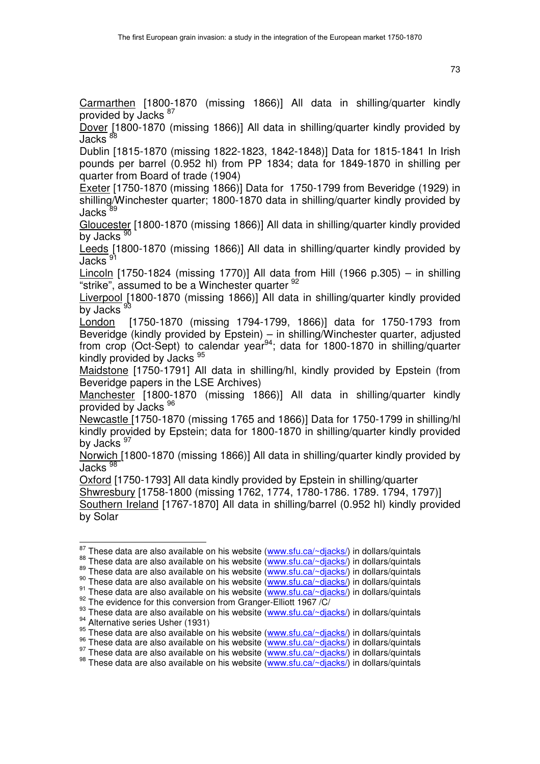Carmarthen [1800-1870 (missing 1866)] All data in shilling/quarter kindly provided by Jacks 87

Dover [1800-1870 (missing 1866)] All data in shilling/quarter kindly provided by Jacks  $^{88}$ 

Dublin [1815-1870 (missing 1822-1823, 1842-1848)] Data for 1815-1841 In Irish pounds per barrel (0.952 hl) from PP 1834; data for 1849-1870 in shilling per quarter from Board of trade (1904)

Exeter [1750-1870 (missing 1866)] Data for 1750-1799 from Beveridge (1929) in shilling/Winchester quarter; 1800-1870 data in shilling/quarter kindly provided by **Jacks** 

Gloucester [1800-1870 (missing 1866)] All data in shilling/quarter kindly provided by Jacks<sup>90</sup>

Leeds [1800-1870 (missing 1866)] All data in shilling/quarter kindly provided by Jacks<sup>8</sup>

Lincoln [1750-1824 (missing 1770)] All data from Hill (1966 p.305) – in shilling "strike", assumed to be a Winchester quarter <sup>92</sup>

Liverpool [1800-1870 (missing 1866)] All data in shilling/quarter kindly provided by Jacks

London [1750-1870 (missing 1794-1799, 1866)] data for 1750-1793 from Beveridge (kindly provided by Epstein) – in shilling/Winchester quarter, adjusted from crop (Oct-Sept) to calendar year<sup>94</sup>; data for 1800-1870 in shilling/quarter kindly provided by Jacks<sup>95</sup>

Maidstone [1750-1791] All data in shilling/hl, kindly provided by Epstein (from Beveridge papers in the LSE Archives)

Manchester [1800-1870 (missing 1866)] All data in shilling/quarter kindly provided by Jacks 96

Newcastle [1750-1870 (missing 1765 and 1866)] Data for 1750-1799 in shilling/hl kindly provided by Epstein; data for 1800-1870 in shilling/quarter kindly provided by Jacks<sup>97</sup>

Norwich [1800-1870 (missing 1866)] All data in shilling/quarter kindly provided by Jacks 98

Oxford [1750-1793] All data kindly provided by Epstein in shilling/quarter

Shwresbury [1758-1800 (missing 1762, 1774, 1780-1786. 1789. 1794, 1797)] Southern Ireland [1767-1870] All data in shilling/barrel (0.952 hl) kindly provided by Solar

<sup>87</sup> These data are also available on his website (www.sfu.ca/~djacks/) in dollars/quintals

<sup>&</sup>lt;sup>88</sup> These data are also available on his website  $\frac{\text{(www.stu.ca/~djacks/">\text{jacks}/\text{)}}{2}$  in dollars/quintals<br><sup>89</sup> These data are also available on his website  $\frac{\text{(www.stu.ca/~djacks/})}{\text{www.stu.ca/~djacks/})}$  in dollars/quintals<br><sup>90</sup> These data ar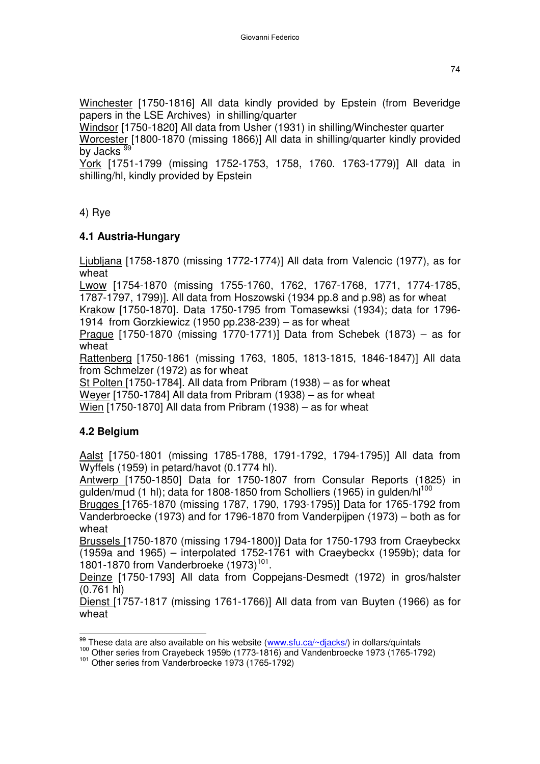Windsor [1750-1820] All data from Usher (1931) in shilling/Winchester quarter Worcester [1800-1870 (missing 1866)] All data in shilling/quarter kindly provided by Jacks<sup>99</sup>

York [1751-1799 (missing 1752-1753, 1758, 1760. 1763-1779)] All data in shilling/hl, kindly provided by Epstein

4) Rye

# **4.1 Austria-Hungary**

Ljubljana [1758-1870 (missing 1772-1774)] All data from Valencic (1977), as for wheat

Lwow [1754-1870 (missing 1755-1760, 1762, 1767-1768, 1771, 1774-1785, 1787-1797, 1799)]. All data from Hoszowski (1934 pp.8 and p.98) as for wheat

Krakow [1750-1870]. Data 1750-1795 from Tomasewksi (1934); data for 1796- 1914 from Gorzkiewicz (1950 pp.238-239) – as for wheat

Prague [1750-1870 (missing 1770-1771)] Data from Schebek (1873) – as for wheat

Rattenberg [1750-1861 (missing 1763, 1805, 1813-1815, 1846-1847)] All data from Schmelzer (1972) as for wheat

St Polten [1750-1784]. All data from Pribram (1938) – as for wheat Weyer [1750-1784] All data from Pribram (1938) – as for wheat

Wien [1750-1870] All data from Pribram (1938) – as for wheat

## **4.2 Belgium**

Aalst [1750-1801 (missing 1785-1788, 1791-1792, 1794-1795)] All data from Wyffels (1959) in petard/havot (0.1774 hl).

Antwerp [1750-1850] Data for 1750-1807 from Consular Reports (1825) in gulden/mud (1 hl); data for 1808-1850 from Scholliers (1965) in gulden/hl<sup>100</sup>

Brugges [1765-1870 (missing 1787, 1790, 1793-1795)] Data for 1765-1792 from Vanderbroecke (1973) and for 1796-1870 from Vanderpijpen (1973) – both as for wheat

Brussels [1750-1870 (missing 1794-1800)] Data for 1750-1793 from Craeybeckx (1959a and 1965) – interpolated 1752-1761 with Craeybeckx (1959b); data for 1801-1870 from Vanderbroeke (1973)<sup>101</sup>.

Deinze [1750-1793] All data from Coppejans-Desmedt (1972) in gros/halster (0.761 hl)

Dienst [1757-1817 (missing 1761-1766)] All data from van Buyten (1966) as for wheat

<sup>99</sup> These data are also available on his website (www.sfu.ca/~djacks/) in dollars/quintals

 $100$  Other series from Crayebeck 1959b (1773-1816) and Vandenbroecke 1973 (1765-1792)<br> $101$  Other series from Vanderbroecke 1973 (1765-1792)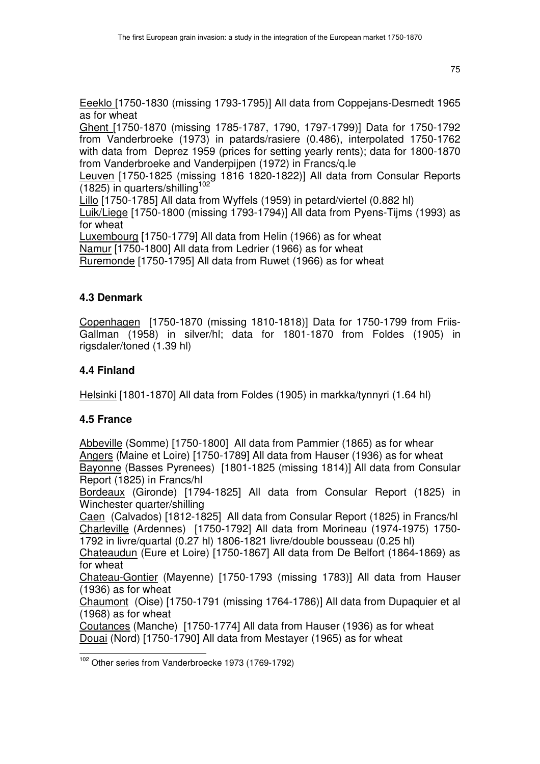75

Eeeklo [1750-1830 (missing 1793-1795)] All data from Coppejans-Desmedt 1965 as for wheat

Ghent [1750-1870 (missing 1785-1787, 1790, 1797-1799)] Data for 1750-1792 from Vanderbroeke (1973) in patards/rasiere (0.486), interpolated 1750-1762 with data from Deprez 1959 (prices for setting yearly rents); data for 1800-1870 from Vanderbroeke and Vanderpijpen (1972) in Francs/q.le

Leuven [1750-1825 (missing 1816 1820-1822)] All data from Consular Reports  $(1825)$  in quarters/shilling<sup>102</sup>

Lillo [1750-1785] All data from Wyffels (1959) in petard/viertel (0.882 hl)

Luik/Liege [1750-1800 (missing 1793-1794)] All data from Pyens-Tijms (1993) as for wheat

Luxembourg [1750-1779] All data from Helin (1966) as for wheat

Namur [1750-1800] All data from Ledrier (1966) as for wheat

Ruremonde [1750-1795] All data from Ruwet (1966) as for wheat

## **4.3 Denmark**

Copenhagen[1750-1870 (missing 1810-1818)] Data for 1750-1799 from Friis-Gallman (1958) in silver/hl; data for 1801-1870 from Foldes (1905) in rigsdaler/toned (1.39 hl)

## **4.4 Finland**

Helsinki [1801-1870] All data from Foldes (1905) in markka/tynnyri (1.64 hl)

### **4.5 France**

Abbeville (Somme) [1750-1800] All data from Pammier (1865) as for whear Angers (Maine et Loire) [1750-1789] All data from Hauser (1936) as for wheat Bayonne (Basses Pyrenees) [1801-1825 (missing 1814)] All data from Consular Report (1825) in Francs/hl

Bordeaux (Gironde) [1794-1825] All data from Consular Report (1825) in Winchester quarter/shilling

Caen (Calvados) [1812-1825] All data from Consular Report (1825) in Francs/hl Charleville (Ardennes) [1750-1792] All data from Morineau (1974-1975) 1750- 1792 in livre/quartal (0.27 hl) 1806-1821 livre/double bousseau (0.25 hl)

Chateaudun (Eure et Loire) [1750-1867] All data from De Belfort (1864-1869) as for wheat

Chateau-Gontier (Mayenne) [1750-1793 (missing 1783)] All data from Hauser (1936) as for wheat

Chaumont (Oise) [1750-1791 (missing 1764-1786)] All data from Dupaquier et al (1968) as for wheat

Coutances (Manche) [1750-1774] All data from Hauser (1936) as for wheat Douai (Nord) [1750-1790] All data from Mestayer (1965) as for wheat

<sup>-</sup><sup>102</sup> Other series from Vanderbroecke 1973 (1769-1792)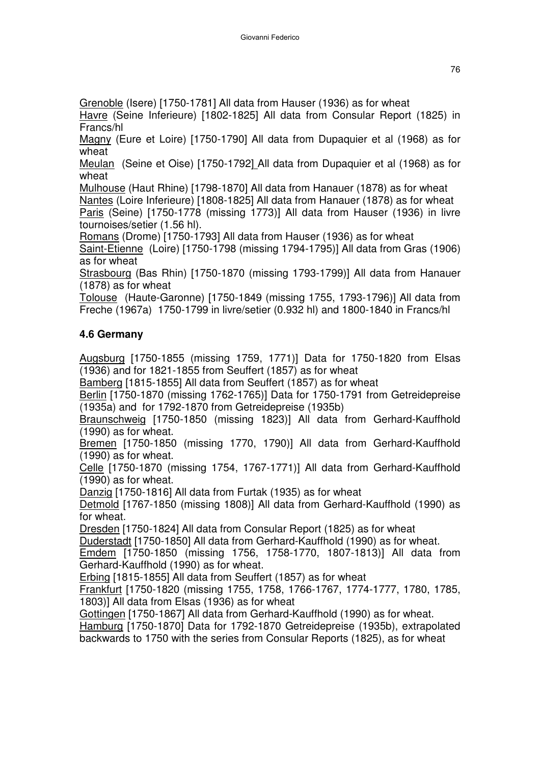Grenoble (Isere) [1750-1781] All data from Hauser (1936) as for wheat

Havre (Seine Inferieure) [1802-1825] All data from Consular Report (1825) in Francs/hl

Magny (Eure et Loire) [1750-1790] All data from Dupaquier et al (1968) as for wheat

Meulan (Seine et Oise) [1750-1792] All data from Dupaquier et al (1968) as for wheat

Mulhouse (Haut Rhine) [1798-1870] All data from Hanauer (1878) as for wheat Nantes (Loire Inferieure) [1808-1825] All data from Hanauer (1878) as for wheat Paris (Seine) [1750-1778 (missing 1773)] All data from Hauser (1936) in livre tournoises/setier (1.56 hl).

Romans (Drome) [1750-1793] All data from Hauser (1936) as for wheat

Saint-Etienne (Loire) [1750-1798 (missing 1794-1795)] All data from Gras (1906) as for wheat

Strasbourg (Bas Rhin) [1750-1870 (missing 1793-1799)] All data from Hanauer (1878) as for wheat

Tolouse (Haute-Garonne) [1750-1849 (missing 1755, 1793-1796)] All data from Freche (1967a) 1750-1799 in livre/setier (0.932 hl) and 1800-1840 in Francs/hl

## **4.6 Germany**

Augsburg [1750-1855 (missing 1759, 1771)] Data for 1750-1820 from Elsas (1936) and for 1821-1855 from Seuffert (1857) as for wheat

Bamberg [1815-1855] All data from Seuffert (1857) as for wheat

Berlin [1750-1870 (missing 1762-1765)] Data for 1750-1791 from Getreidepreise (1935a) and for 1792-1870 from Getreidepreise (1935b)

Braunschweig [1750-1850 (missing 1823)] All data from Gerhard-Kauffhold (1990) as for wheat.

Bremen [1750-1850 (missing 1770, 1790)] All data from Gerhard-Kauffhold (1990) as for wheat.

Celle [1750-1870 (missing 1754, 1767-1771)] All data from Gerhard-Kauffhold (1990) as for wheat.

Danzig [1750-1816] All data from Furtak (1935) as for wheat

Detmold [1767-1850 (missing 1808)] All data from Gerhard-Kauffhold (1990) as for wheat.

Dresden [1750-1824] All data from Consular Report (1825) as for wheat

Duderstadt [1750-1850] All data from Gerhard-Kauffhold (1990) as for wheat.

Emdem [1750-1850 (missing 1756, 1758-1770, 1807-1813)] All data from Gerhard-Kauffhold (1990) as for wheat.

Erbing [1815-1855] All data from Seuffert (1857) as for wheat

Frankfurt [1750-1820 (missing 1755, 1758, 1766-1767, 1774-1777, 1780, 1785, 1803)] All data from Elsas (1936) as for wheat

Gottingen [1750-1867] All data from Gerhard-Kauffhold (1990) as for wheat.

Hamburg [1750-1870] Data for 1792-1870 Getreidepreise (1935b), extrapolated backwards to 1750 with the series from Consular Reports (1825), as for wheat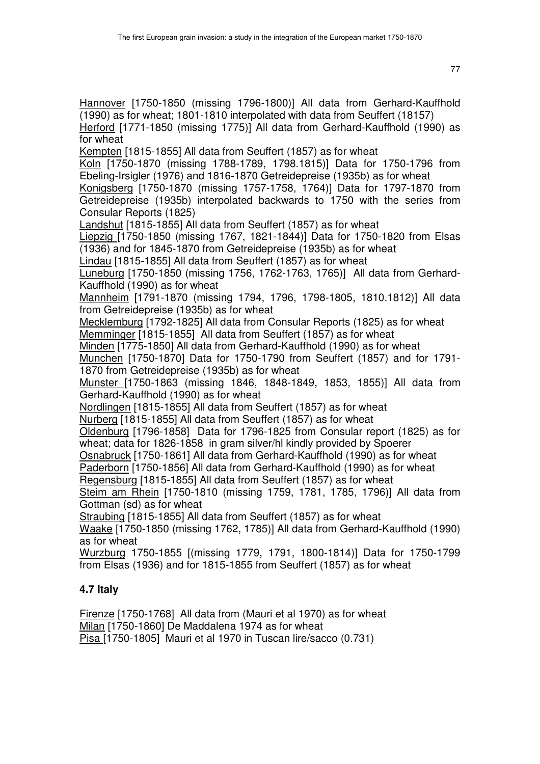Hannover [1750-1850 (missing 1796-1800)] All data from Gerhard-Kauffhold (1990) as for wheat; 1801-1810 interpolated with data from Seuffert (18157) Herford [1771-1850 (missing 1775)] All data from Gerhard-Kauffhold (1990) as for wheat

Kempten [1815-1855] All data from Seuffert (1857) as for wheat

Koln [1750-1870 (missing 1788-1789, 1798.1815)] Data for 1750-1796 from Ebeling-Irsigler (1976) and 1816-1870 Getreidepreise (1935b) as for wheat

Konigsberg [1750-1870 (missing 1757-1758, 1764)] Data for 1797-1870 from Getreidepreise (1935b) interpolated backwards to 1750 with the series from Consular Reports (1825)

Landshut [1815-1855] All data from Seuffert (1857) as for wheat

Liepzig [1750-1850 (missing 1767, 1821-1844)] Data for 1750-1820 from Elsas (1936) and for 1845-1870 from Getreidepreise (1935b) as for wheat

Lindau [1815-1855] All data from Seuffert (1857) as for wheat

Luneburg [1750-1850 (missing 1756, 1762-1763, 1765)] All data from Gerhard-Kauffhold (1990) as for wheat

Mannheim [1791-1870 (missing 1794, 1796, 1798-1805, 1810.1812)] All data from Getreidepreise (1935b) as for wheat

Mecklemburg [1792-1825] All data from Consular Reports (1825) as for wheat Memminger [1815-1855] All data from Seuffert (1857) as for wheat

Minden [1775-1850] All data from Gerhard-Kauffhold (1990) as for wheat

Munchen [1750-1870] Data for 1750-1790 from Seuffert (1857) and for 1791- 1870 from Getreidepreise (1935b) as for wheat

Munster [1750-1863 (missing 1846, 1848-1849, 1853, 1855)] All data from Gerhard-Kauffhold (1990) as for wheat

Nordlingen [1815-1855] All data from Seuffert (1857) as for wheat

Nurberg [1815-1855] All data from Seuffert (1857) as for wheat

Oldenburg [1796-1858] Data for 1796-1825 from Consular report (1825) as for wheat; data for 1826-1858 in gram silver/hl kindly provided by Spoerer

Osnabruck [1750-1861] All data from Gerhard-Kauffhold (1990) as for wheat

Paderborn [1750-1856] All data from Gerhard-Kauffhold (1990) as for wheat

Regensburg [1815-1855] All data from Seuffert (1857) as for wheat

Steim am Rhein [1750-1810 (missing 1759, 1781, 1785, 1796)] All data from Gottman (sd) as for wheat

Straubing [1815-1855] All data from Seuffert (1857) as for wheat

Waake [1750-1850 (missing 1762, 1785)] All data from Gerhard-Kauffhold (1990) as for wheat

Wurzburg 1750-1855 [(missing 1779, 1791, 1800-1814)] Data for 1750-1799 from Elsas (1936) and for 1815-1855 from Seuffert (1857) as for wheat

## **4.7 Italy**

Firenze [1750-1768] All data from (Mauri et al 1970) as for wheat Milan [1750-1860] De Maddalena 1974 as for wheat Pisa [1750-1805] Mauri et al 1970 in Tuscan lire/sacco (0.731)

77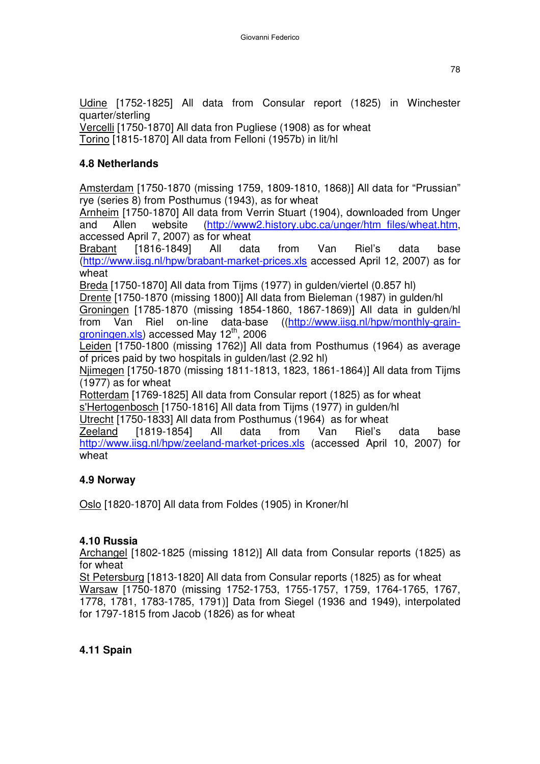Udine [1752-1825] All data from Consular report (1825) in Winchester quarter/sterling

Vercelli [1750-1870] All data fron Pugliese (1908) as for wheat

Torino [1815-1870] All data from Felloni (1957b) in lit/hl

# **4.8 Netherlands**

Amsterdam [1750-1870 (missing 1759, 1809-1810, 1868)] All data for "Prussian" rye (series 8) from Posthumus (1943), as for wheat

Arnheim [1750-1870] All data from Verrin Stuart (1904), downloaded from Unger and Allen website (http://www2.history.ubc.ca/unger/htm\_files/wheat.htm, accessed April 7, 2007) as for wheat

Brabant [1816-1849] All data from Van Riel's data base (http://www.iisg.nl/hpw/brabant-market-prices.xls accessed April 12, 2007) as for wheat

Breda [1750-1870] All data from Tijms (1977) in gulden/viertel (0.857 hl)

Drente [1750-1870 (missing 1800)] All data from Bieleman (1987) in gulden/hl Groningen [1785-1870 (missing 1854-1860, 1867-1869)] All data in gulden/hl from Van Riel on-line data-base ((http://www.iisg.nl/hpw/monthly-graingroningen.xls) accessed May  $12<sup>th</sup>$ , 2006

Leiden [1750-1800 (missing 1762)] All data from Posthumus (1964) as average of prices paid by two hospitals in gulden/last (2.92 hl)

Njimegen [1750-1870 (missing 1811-1813, 1823, 1861-1864)] All data from Tijms (1977) as for wheat

Rotterdam [1769-1825] All data from Consular report (1825) as for wheat s'Hertogenbosch [1750-1816] All data from Tijms (1977) in gulden/hl

Utrecht [1750-1833] All data from Posthumus (1964) as for wheat

Zeeland [1819-1854] All data from Van Riel's data base http://www.iisg.nl/hpw/zeeland-market-prices.xls (accessed April 10, 2007) for wheat

# **4.9 Norway**

Oslo [1820-1870] All data from Foldes (1905) in Kroner/hl

# **4.10 Russia**

Archangel [1802-1825 (missing 1812)] All data from Consular reports (1825) as for wheat

St Petersburg [1813-1820] All data from Consular reports (1825) as for wheat Warsaw [1750-1870 (missing 1752-1753, 1755-1757, 1759, 1764-1765, 1767, 1778, 1781, 1783-1785, 1791)] Data from Siegel (1936 and 1949), interpolated for 1797-1815 from Jacob (1826) as for wheat

# **4.11 Spain**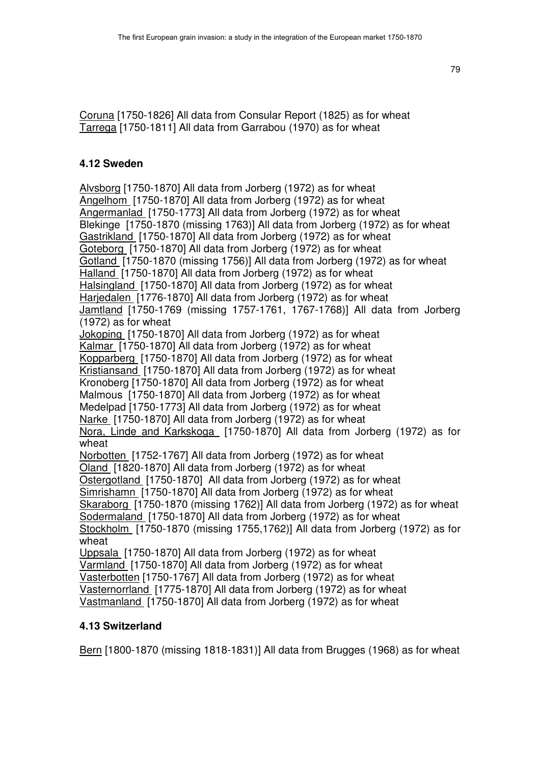Coruna [1750-1826] All data from Consular Report (1825) as for wheat Tarrega [1750-1811] All data from Garrabou (1970) as for wheat

#### **4.12 Sweden**

Alvsborg [1750-1870] All data from Jorberg (1972) as for wheat Angelhom [1750-1870] All data from Jorberg (1972) as for wheat Angermanlad [1750-1773] All data from Jorberg (1972) as for wheat Blekinge [1750-1870 (missing 1763)] All data from Jorberg (1972) as for wheat Gastrikland [1750-1870] All data from Jorberg (1972) as for wheat Goteborg [1750-1870] All data from Jorberg (1972) as for wheat Gotland [1750-1870 (missing 1756)] All data from Jorberg (1972) as for wheat Halland [1750-1870] All data from Jorberg (1972) as for wheat Halsingland [1750-1870] All data from Jorberg (1972) as for wheat Harjedalen [1776-1870] All data from Jorberg (1972) as for wheat Jamtland [1750-1769 (missing 1757-1761, 1767-1768)] All data from Jorberg (1972) as for wheat Jokoping [1750-1870] All data from Jorberg (1972) as for wheat Kalmar [1750-1870] All data from Jorberg (1972) as for wheat Kopparberg [1750-1870] All data from Jorberg (1972) as for wheat Kristiansand [1750-1870] All data from Jorberg (1972) as for wheat Kronoberg [1750-1870] All data from Jorberg (1972) as for wheat Malmous [1750-1870] All data from Jorberg (1972) as for wheat Medelpad [1750-1773] All data from Jorberg (1972) as for wheat Narke [1750-1870] All data from Jorberg (1972) as for wheat Nora, Linde and Karkskoga [1750-1870] All data from Jorberg (1972) as for wheat Norbotten [1752-1767] All data from Jorberg (1972) as for wheat Oland [1820-1870] All data from Jorberg (1972) as for wheat Ostergotland [1750-1870] All data from Jorberg (1972) as for wheat Simrishamn [1750-1870] All data from Jorberg (1972) as for wheat Skaraborg [1750-1870 (missing 1762)] All data from Jorberg (1972) as for wheat Sodermaland [1750-1870] All data from Jorberg (1972) as for wheat Stockholm [1750-1870 (missing 1755,1762)] All data from Jorberg (1972) as for wheat Uppsala [1750-1870] All data from Jorberg (1972) as for wheat Varmland [1750-1870] All data from Jorberg (1972) as for wheat Vasterbotten [1750-1767] All data from Jorberg (1972) as for wheat Vasternorrland [1775-1870] All data from Jorberg (1972) as for wheat Vastmanland [1750-1870] All data from Jorberg (1972) as for wheat

### **4.13 Switzerland**

Bern [1800-1870 (missing 1818-1831)] All data from Brugges (1968) as for wheat

#### 79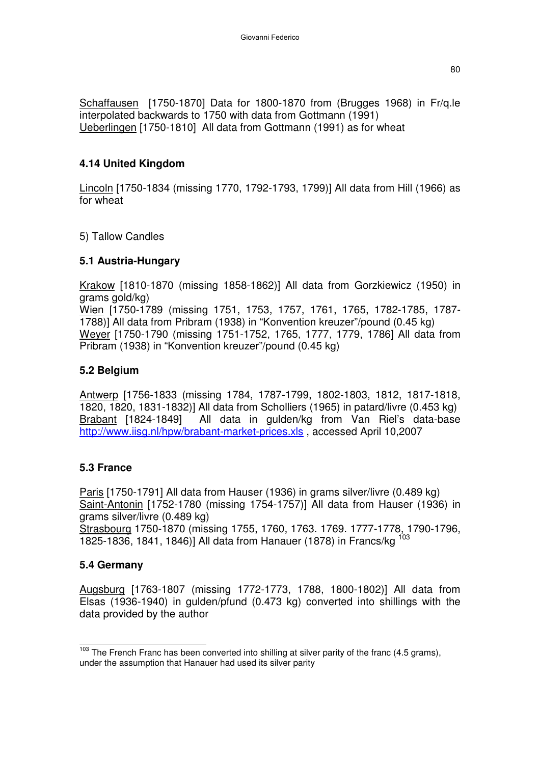Schaffausen [1750-1870] Data for 1800-1870 from (Brugges 1968) in Fr/q.le interpolated backwards to 1750 with data from Gottmann (1991) Ueberlingen [1750-1810] All data from Gottmann (1991) as for wheat

### **4.14 United Kingdom**

Lincoln [1750-1834 (missing 1770, 1792-1793, 1799)] All data from Hill (1966) as for wheat

5) Tallow Candles

### **5.1 Austria-Hungary**

Krakow [1810-1870 (missing 1858-1862)] All data from Gorzkiewicz (1950) in grams gold/kg) Wien [1750-1789 (missing 1751, 1753, 1757, 1761, 1765, 1782-1785, 1787- 1788)] All data from Pribram (1938) in "Konvention kreuzer"/pound (0.45 kg) Weyer [1750-1790 (missing 1751-1752, 1765, 1777, 1779, 1786] All data from Pribram (1938) in "Konvention kreuzer"/pound (0.45 kg)

### **5.2 Belgium**

Antwerp [1756-1833 (missing 1784, 1787-1799, 1802-1803, 1812, 1817-1818, 1820, 1820, 1831-1832)] All data from Scholliers (1965) in patard/livre (0.453 kg) Brabant [1824-1849] All data in gulden/kg from Van Riel's data-base http://www.iisg.nl/hpw/brabant-market-prices.xls , accessed April 10,2007

## **5.3 France**

Paris [1750-1791] All data from Hauser (1936) in grams silver/livre (0.489 kg) Saint-Antonin [1752-1780 (missing 1754-1757)] All data from Hauser (1936) in grams silver/livre (0.489 kg)

Strasbourg 1750-1870 (missing 1755, 1760, 1763. 1769. 1777-1778, 1790-1796, 1825-1836, 1841, 1846)] All data from Hanauer (1878) in Francs/kg <sup>103</sup>

## **5.4 Germany**

Augsburg [1763-1807 (missing 1772-1773, 1788, 1800-1802)] All data from Elsas (1936-1940) in gulden/pfund (0.473 kg) converted into shillings with the data provided by the author

 $\overline{a}$  $103$  The French Franc has been converted into shilling at silver parity of the franc (4.5 grams), under the assumption that Hanauer had used its silver parity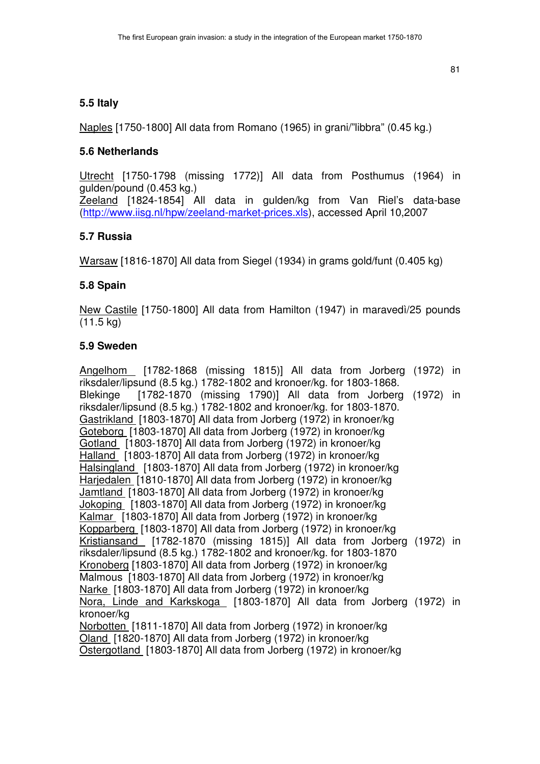#### **5.5 Italy**

Naples [1750-1800] All data from Romano (1965) in grani/"libbra" (0.45 kg.)

#### **5.6 Netherlands**

Utrecht [1750-1798 (missing 1772)] All data from Posthumus (1964) in gulden/pound (0.453 kg.) Zeeland [1824-1854] All data in gulden/kg from Van Riel's data-base (http://www.iisg.nl/hpw/zeeland-market-prices.xls), accessed April 10,2007

#### **5.7 Russia**

Warsaw [1816-1870] All data from Siegel (1934) in grams gold/funt (0.405 kg)

#### **5.8 Spain**

New Castile [1750-1800] All data from Hamilton (1947) in maravedì/25 pounds (11.5 kg)

#### **5.9 Sweden**

Angelhom [1782-1868 (missing 1815)] All data from Jorberg (1972) in riksdaler/lipsund (8.5 kg.) 1782-1802 and kronoer/kg. for 1803-1868. Blekinge [1782-1870 (missing 1790)] All data from Jorberg (1972) in riksdaler/lipsund (8.5 kg.) 1782-1802 and kronoer/kg. for 1803-1870. Gastrikland [1803-1870] All data from Jorberg (1972) in kronoer/kg Goteborg [1803-1870] All data from Jorberg (1972) in kronoer/kg Gotland [1803-1870] All data from Jorberg (1972) in kronoer/kg Halland [1803-1870] All data from Jorberg (1972) in kronoer/kg Halsingland [1803-1870] All data from Jorberg (1972) in kronoer/kg Harjedalen [1810-1870] All data from Jorberg (1972) in kronoer/kg Jamtland [1803-1870] All data from Jorberg (1972) in kronoer/kg Jokoping [1803-1870] All data from Jorberg (1972) in kronoer/kg Kalmar [1803-1870] All data from Jorberg (1972) in kronoer/kg Kopparberg [1803-1870] All data from Jorberg (1972) in kronoer/kg Kristiansand [1782-1870 (missing 1815)] All data from Jorberg (1972) in riksdaler/lipsund (8.5 kg.) 1782-1802 and kronoer/kg. for 1803-1870 Kronoberg [1803-1870] All data from Jorberg (1972) in kronoer/kg Malmous [1803-1870] All data from Jorberg (1972) in kronoer/kg Narke [1803-1870] All data from Jorberg (1972) in kronoer/kg Nora, Linde and Karkskoga [1803-1870] All data from Jorberg (1972) in kronoer/kg Norbotten [1811-1870] All data from Jorberg (1972) in kronoer/kg Oland [1820-1870] All data from Jorberg (1972) in kronoer/kg Ostergotland [1803-1870] All data from Jorberg (1972) in kronoer/kg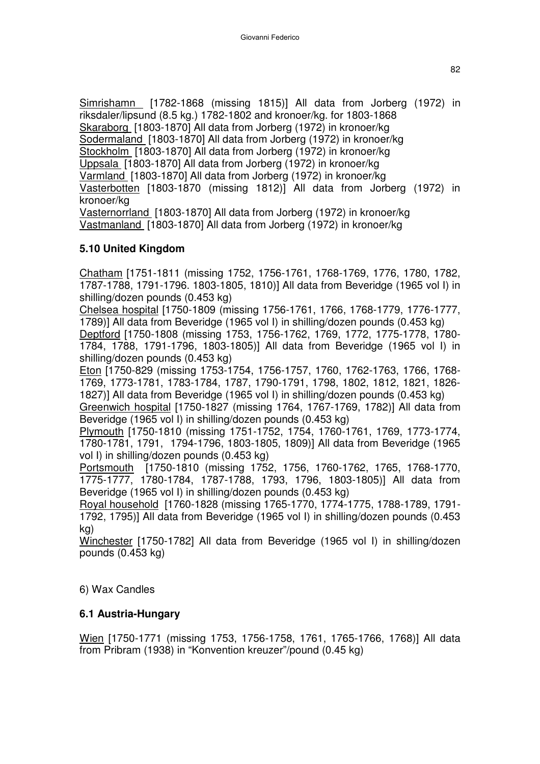Simrishamn [1782-1868 (missing 1815)] All data from Jorberg (1972) in riksdaler/lipsund (8.5 kg.) 1782-1802 and kronoer/kg. for 1803-1868 Skaraborg [1803-1870] All data from Jorberg (1972) in kronoer/kg Sodermaland [1803-1870] All data from Jorberg (1972) in kronoer/kg Stockholm [1803-1870] All data from Jorberg (1972) in kronoer/kg Uppsala [1803-1870] All data from Jorberg (1972) in kronoer/kg Varmland [1803-1870] All data from Jorberg (1972) in kronoer/kg Vasterbotten [1803-1870 (missing 1812)] All data from Jorberg (1972) in kronoer/kg

Vasternorrland [1803-1870] All data from Jorberg (1972) in kronoer/kg Vastmanland [1803-1870] All data from Jorberg (1972) in kronoer/kg

## **5.10 United Kingdom**

Chatham [1751-1811 (missing 1752, 1756-1761, 1768-1769, 1776, 1780, 1782, 1787-1788, 1791-1796. 1803-1805, 1810)] All data from Beveridge (1965 vol I) in shilling/dozen pounds (0.453 kg)

Chelsea hospital [1750-1809 (missing 1756-1761, 1766, 1768-1779, 1776-1777, 1789)] All data from Beveridge (1965 vol I) in shilling/dozen pounds (0.453 kg)

Deptford [1750-1808 (missing 1753, 1756-1762, 1769, 1772, 1775-1778, 1780- 1784, 1788, 1791-1796, 1803-1805)] All data from Beveridge (1965 vol I) in shilling/dozen pounds (0.453 kg)

Eton [1750-829 (missing 1753-1754, 1756-1757, 1760, 1762-1763, 1766, 1768- 1769, 1773-1781, 1783-1784, 1787, 1790-1791, 1798, 1802, 1812, 1821, 1826- 1827)] All data from Beveridge (1965 vol I) in shilling/dozen pounds (0.453 kg)

Greenwich hospital [1750-1827 (missing 1764, 1767-1769, 1782)] All data from Beveridge (1965 vol I) in shilling/dozen pounds (0.453 kg)

Plymouth [1750-1810 (missing 1751-1752, 1754, 1760-1761, 1769, 1773-1774, 1780-1781, 1791, 1794-1796, 1803-1805, 1809)] All data from Beveridge (1965 vol I) in shilling/dozen pounds (0.453 kg)

Portsmouth [1750-1810 (missing 1752, 1756, 1760-1762, 1765, 1768-1770, 1775-1777, 1780-1784, 1787-1788, 1793, 1796, 1803-1805)] All data from Beveridge (1965 vol I) in shilling/dozen pounds (0.453 kg)

Royal household [1760-1828 (missing 1765-1770, 1774-1775, 1788-1789, 1791- 1792, 1795)] All data from Beveridge (1965 vol I) in shilling/dozen pounds (0.453 kg)

Winchester [1750-1782] All data from Beveridge (1965 vol I) in shilling/dozen pounds (0.453 kg)

6) Wax Candles

## **6.1 Austria-Hungary**

Wien [1750-1771 (missing 1753, 1756-1758, 1761, 1765-1766, 1768)] All data from Pribram (1938) in "Konvention kreuzer"/pound (0.45 kg)

82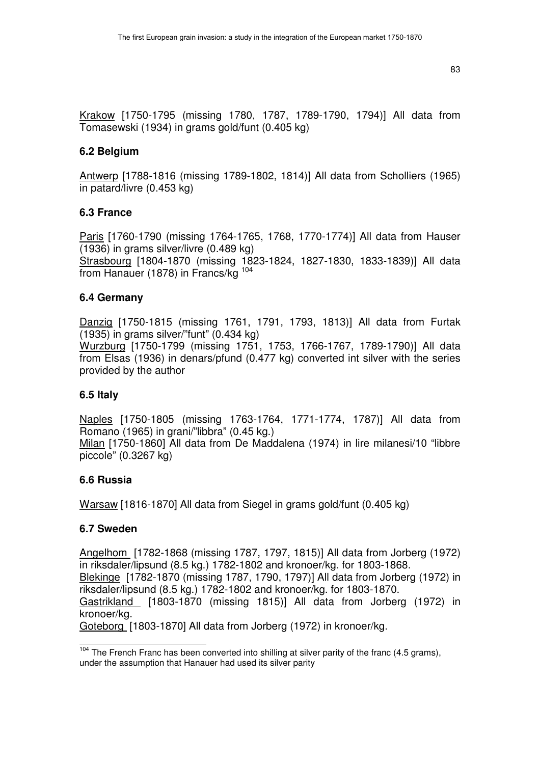83

Krakow [1750-1795 (missing 1780, 1787, 1789-1790, 1794)] All data from Tomasewski (1934) in grams gold/funt (0.405 kg)

### **6.2 Belgium**

Antwerp [1788-1816 (missing 1789-1802, 1814)] All data from Scholliers (1965) in patard/livre (0.453 kg)

#### **6.3 France**

Paris [1760-1790 (missing 1764-1765, 1768, 1770-1774)] All data from Hauser (1936) in grams silver/livre (0.489 kg) Strasbourg [1804-1870 (missing 1823-1824, 1827-1830, 1833-1839)] All data from Hanauer (1878) in Francs/kg<sup>104</sup>

#### **6.4 Germany**

Danzig [1750-1815 (missing 1761, 1791, 1793, 1813)] All data from Furtak (1935) in grams silver/"funt" (0.434 kg)

Wurzburg [1750-1799 (missing 1751, 1753, 1766-1767, 1789-1790)] All data from Elsas (1936) in denars/pfund (0.477 kg) converted int silver with the series provided by the author

#### **6.5 Italy**

Naples [1750-1805 (missing 1763-1764, 1771-1774, 1787)] All data from Romano (1965) in grani/"libbra" (0.45 kg.)

Milan [1750-1860] All data from De Maddalena (1974) in lire milanesi/10 "libbre piccole" (0.3267 kg)

#### **6.6 Russia**

Warsaw [1816-1870] All data from Siegel in grams gold/funt (0.405 kg)

### **6.7 Sweden**

Angelhom [1782-1868 (missing 1787, 1797, 1815)] All data from Jorberg (1972) in riksdaler/lipsund (8.5 kg.) 1782-1802 and kronoer/kg. for 1803-1868. Blekinge [1782-1870 (missing 1787, 1790, 1797)] All data from Jorberg (1972) in riksdaler/lipsund (8.5 kg.) 1782-1802 and kronoer/kg. for 1803-1870. Gastrikland [1803-1870 (missing 1815)] All data from Jorberg (1972) in kronoer/kg.

Goteborg [1803-1870] All data from Jorberg (1972) in kronoer/kg.

 $\overline{a}$  $104$  The French Franc has been converted into shilling at silver parity of the franc (4.5 grams), under the assumption that Hanauer had used its silver parity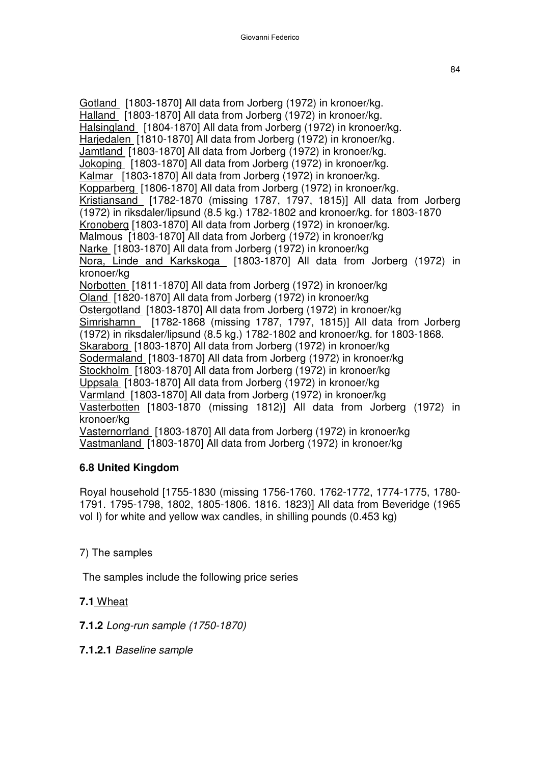Gotland [1803-1870] All data from Jorberg (1972) in kronoer/kg. Halland [1803-1870] All data from Jorberg (1972) in kronoer/kg. Halsingland [1804-1870] All data from Jorberg (1972) in kronoer/kg. Harjedalen [1810-1870] All data from Jorberg (1972) in kronoer/kg. Jamtland [1803-1870] All data from Jorberg (1972) in kronoer/kg. Jokoping [1803-1870] All data from Jorberg (1972) in kronoer/kg. Kalmar [1803-1870] All data from Jorberg (1972) in kronoer/kg. Kopparberg [1806-1870] All data from Jorberg (1972) in kronoer/kg. Kristiansand [1782-1870 (missing 1787, 1797, 1815)] All data from Jorberg (1972) in riksdaler/lipsund (8.5 kg.) 1782-1802 and kronoer/kg. for 1803-1870 Kronoberg [1803-1870] All data from Jorberg (1972) in kronoer/kg. Malmous [1803-1870] All data from Jorberg (1972) in kronoer/kg Narke [1803-1870] All data from Jorberg (1972) in kronoer/kg Nora, Linde and Karkskoga [1803-1870] All data from Jorberg (1972) in kronoer/kg Norbotten [1811-1870] All data from Jorberg (1972) in kronoer/kg Oland [1820-1870] All data from Jorberg (1972) in kronoer/kg Ostergotland [1803-1870] All data from Jorberg (1972) in kronoer/kg Simrishamn [1782-1868 (missing 1787, 1797, 1815)] All data from Jorberg (1972) in riksdaler/lipsund (8.5 kg.) 1782-1802 and kronoer/kg. for 1803-1868. Skaraborg [1803-1870] All data from Jorberg (1972) in kronoer/kg Sodermaland [1803-1870] All data from Jorberg (1972) in kronoer/kg Stockholm [1803-1870] All data from Jorberg (1972) in kronoer/kg Uppsala [1803-1870] All data from Jorberg (1972) in kronoer/kg Varmland [1803-1870] All data from Jorberg (1972) in kronoer/kg Vasterbotten [1803-1870 (missing 1812)] All data from Jorberg (1972) in kronoer/kg Vasternorrland [1803-1870] All data from Jorberg (1972) in kronoer/kg Vastmanland [1803-1870] All data from Jorberg (1972) in kronoer/kg

## **6.8 United Kingdom**

Royal household [1755-1830 (missing 1756-1760. 1762-1772, 1774-1775, 1780- 1791. 1795-1798, 1802, 1805-1806. 1816. 1823)] All data from Beveridge (1965 vol I) for white and yellow wax candles, in shilling pounds (0.453 kg)

# 7) The samples

The samples include the following price series

# **7.1** Wheat

**7.1.2** Long-run sample (1750-1870)

**7.1.2.1** Baseline sample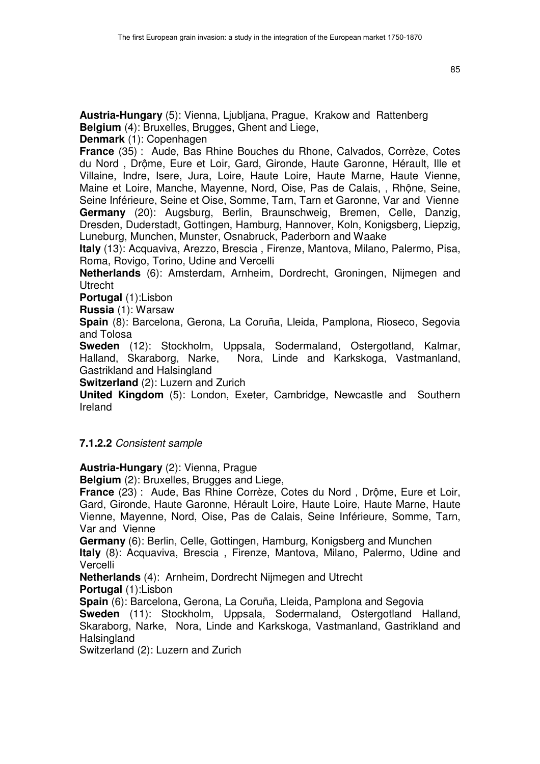85

**Austria-Hungary** (5): Vienna, Ljubljana, Prague, Krakow and Rattenberg **Belgium** (4): Bruxelles, Brugges, Ghent and Liege,

**Denmark** (1): Copenhagen

**France** (35) : Aude, Bas Rhine Bouches du Rhone, Calvados, Corrèze, Cotes du Nord , Drộme, Eure et Loir, Gard, Gironde, Haute Garonne, Hérault, Ille et Villaine, Indre, Isere, Jura, Loire, Haute Loire, Haute Marne, Haute Vienne, Maine et Loire, Manche, Mayenne, Nord, Oise, Pas de Calais, , Rhộne, Seine, Seine Inférieure, Seine et Oise, Somme, Tarn, Tarn et Garonne, Var and Vienne **Germany** (20): Augsburg, Berlin, Braunschweig, Bremen, Celle, Danzig, Dresden, Duderstadt, Gottingen, Hamburg, Hannover, Koln, Konigsberg, Liepzig, Luneburg, Munchen, Munster, Osnabruck, Paderborn and Waake

**Italy** (13): Acquaviva, Arezzo, Brescia , Firenze, Mantova, Milano, Palermo, Pisa, Roma, Rovigo, Torino, Udine and Vercelli

**Netherlands** (6): Amsterdam, Arnheim, Dordrecht, Groningen, Nijmegen and Utrecht

**Portugal** (1):Lisbon

**Russia** (1): Warsaw

**Spain** (8): Barcelona, Gerona, La Coruña, Lleida, Pamplona, Rioseco, Segovia and Tolosa

**Sweden** (12): Stockholm, Uppsala, Sodermaland, Ostergotland, Kalmar, Halland, Skaraborg, Narke, Nora, Linde and Karkskoga, Vastmanland, Gastrikland and Halsingland

**Switzerland** (2): Luzern and Zurich

**United Kingdom** (5): London, Exeter, Cambridge, Newcastle and Southern Ireland

**7.1.2.2** Consistent sample

**Austria-Hungary** (2): Vienna, Prague

**Belgium** (2): Bruxelles, Brugges and Liege,

**France** (23) : Aude, Bas Rhine Corrèze, Cotes du Nord , Drộme, Eure et Loir, Gard, Gironde, Haute Garonne, Hérault Loire, Haute Loire, Haute Marne, Haute Vienne, Mayenne, Nord, Oise, Pas de Calais, Seine Inférieure, Somme, Tarn, Var and Vienne

**Germany** (6): Berlin, Celle, Gottingen, Hamburg, Konigsberg and Munchen **Italy** (8): Acquaviva, Brescia , Firenze, Mantova, Milano, Palermo, Udine and Vercelli

**Netherlands** (4): Arnheim, Dordrecht Nijmegen and Utrecht

**Portugal** (1):Lisbon

**Spain** (6): Barcelona, Gerona, La Coruña, Lleida, Pamplona and Segovia

**Sweden** (11): Stockholm, Uppsala, Sodermaland, Ostergotland Halland, Skaraborg, Narke, Nora, Linde and Karkskoga, Vastmanland, Gastrikland and **Halsingland** 

Switzerland (2): Luzern and Zurich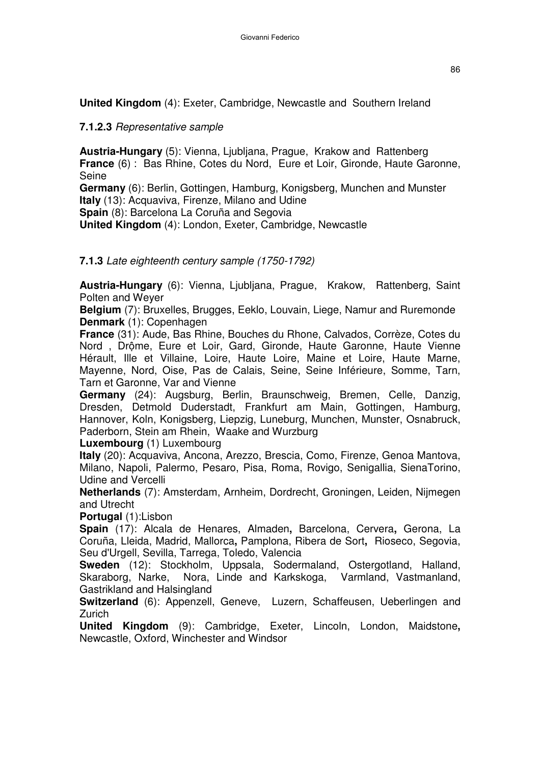**United Kingdom** (4): Exeter, Cambridge, Newcastle and Southern Ireland

**7.1.2.3** Representative sample

**Austria-Hungary** (5): Vienna, Ljubljana, Prague, Krakow and Rattenberg **France** (6) : Bas Rhine, Cotes du Nord, Eure et Loir, Gironde, Haute Garonne, Seine

**Germany** (6): Berlin, Gottingen, Hamburg, Konigsberg, Munchen and Munster **Italy** (13): Acquaviva, Firenze, Milano and Udine

**Spain** (8): Barcelona La Coruña and Segovia

**United Kingdom** (4): London, Exeter, Cambridge, Newcastle

**7.1.3** Late eighteenth century sample (1750-1792)

**Austria-Hungary** (6): Vienna, Ljubljana, Prague, Krakow, Rattenberg, Saint Polten and Weyer

**Belgium** (7): Bruxelles, Brugges, Eeklo, Louvain, Liege, Namur and Ruremonde **Denmark** (1): Copenhagen

**France** (31): Aude, Bas Rhine, Bouches du Rhone, Calvados, Corrèze, Cotes du Nord , Drộme, Eure et Loir, Gard, Gironde, Haute Garonne, Haute Vienne Hérault, Ille et Villaine, Loire, Haute Loire, Maine et Loire, Haute Marne, Mayenne, Nord, Oise, Pas de Calais, Seine, Seine Inférieure, Somme, Tarn, Tarn et Garonne, Var and Vienne

**Germany** (24): Augsburg, Berlin, Braunschweig, Bremen, Celle, Danzig, Dresden, Detmold Duderstadt, Frankfurt am Main, Gottingen, Hamburg, Hannover, Koln, Konigsberg, Liepzig, Luneburg, Munchen, Munster, Osnabruck, Paderborn, Stein am Rhein, Waake and Wurzburg

**Luxembourg** (1) Luxembourg

**Italy** (20): Acquaviva, Ancona, Arezzo, Brescia, Como, Firenze, Genoa Mantova, Milano, Napoli, Palermo, Pesaro, Pisa, Roma, Rovigo, Senigallia, SienaTorino, Udine and Vercelli

**Netherlands** (7): Amsterdam, Arnheim, Dordrecht, Groningen, Leiden, Nijmegen and Utrecht

**Portugal** (1):Lisbon

**Spain** (17): Alcala de Henares, Almaden**,** Barcelona, Cervera**,** Gerona, La Coruña, Lleida, Madrid, Mallorca**,** Pamplona, Ribera de Sort**,** Rioseco, Segovia, Seu d'Urgell, Sevilla, Tarrega, Toledo, Valencia

**Sweden** (12): Stockholm, Uppsala, Sodermaland, Ostergotland, Halland, Skaraborg, Narke, Nora, Linde and Karkskoga, Varmland, Vastmanland, Gastrikland and Halsingland

**Switzerland** (6): Appenzell, Geneve, Luzern, Schaffeusen, Ueberlingen and Zurich

**United Kingdom** (9): Cambridge, Exeter, Lincoln, London, Maidstone**,** Newcastle, Oxford, Winchester and Windsor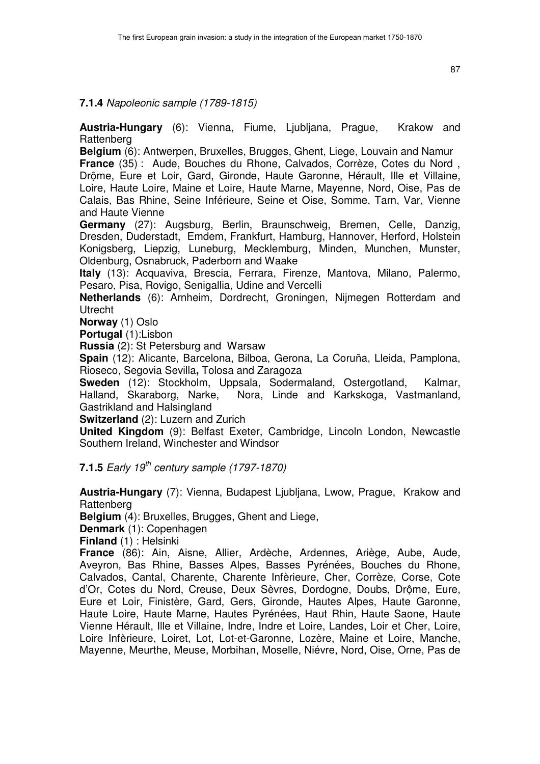**7.1.4** Napoleonic sample (1789-1815)

**Austria-Hungary** (6): Vienna, Fiume, Ljubljana, Prague, Krakow and **Rattenberg** 

**Belgium** (6): Antwerpen, Bruxelles, Brugges, Ghent, Liege, Louvain and Namur **France** (35) : Aude, Bouches du Rhone, Calvados, Corrèze, Cotes du Nord ,

Drộme, Eure et Loir, Gard, Gironde, Haute Garonne, Hérault, Ille et Villaine, Loire, Haute Loire, Maine et Loire, Haute Marne, Mayenne, Nord, Oise, Pas de Calais, Bas Rhine, Seine Inférieure, Seine et Oise, Somme, Tarn, Var, Vienne and Haute Vienne

**Germany** (27): Augsburg, Berlin, Braunschweig, Bremen, Celle, Danzig, Dresden, Duderstadt, Emdem, Frankfurt, Hamburg, Hannover, Herford, Holstein Konigsberg, Liepzig, Luneburg, Mecklemburg, Minden, Munchen, Munster, Oldenburg, Osnabruck, Paderborn and Waake

**Italy** (13): Acquaviva, Brescia, Ferrara, Firenze, Mantova, Milano, Palermo, Pesaro, Pisa, Rovigo, Senigallia, Udine and Vercelli

**Netherlands** (6): Arnheim, Dordrecht, Groningen, Nijmegen Rotterdam and Utrecht

**Norway** (1) Oslo

**Portugal** (1):Lisbon

**Russia** (2): St Petersburg and Warsaw

**Spain** (12): Alicante, Barcelona, Bilboa, Gerona, La Coruña, Lleida, Pamplona, Rioseco, Segovia Sevilla**,** Tolosa and Zaragoza

**Sweden** (12): Stockholm, Uppsala, Sodermaland, Ostergotland, Kalmar, Halland, Skaraborg, Narke, Nora, Linde and Karkskoga, Vastmanland, Gastrikland and Halsingland

**Switzerland** (2): Luzern and Zurich

**United Kingdom** (9): Belfast Exeter, Cambridge, Lincoln London, Newcastle Southern Ireland, Winchester and Windsor

**7.1.5** Early  $19^{th}$  century sample  $(1797-1870)$ 

**Austria-Hungary** (7): Vienna, Budapest Ljubljana, Lwow, Prague, Krakow and Rattenberg

**Belgium** (4): Bruxelles, Brugges, Ghent and Liege,

**Denmark** (1): Copenhagen

**Finland** (1) : Helsinki

**France** (86): Ain, Aisne, Allier, Ardèche, Ardennes, Ariège, Aube, Aude, Aveyron, Bas Rhine, Basses Alpes, Basses Pyrénées, Bouches du Rhone, Calvados, Cantal, Charente, Charente Infèrieure, Cher, Corrèze, Corse, Cote d'Or, Cotes du Nord, Creuse, Deux Sèvres, Dordogne, Doubs, Drộme, Eure, Eure et Loir, Finistère, Gard, Gers, Gironde, Hautes Alpes, Haute Garonne, Haute Loire, Haute Marne, Hautes Pyrénées, Haut Rhin, Haute Saone, Haute Vienne Hérault, Ille et Villaine, Indre, Indre et Loire, Landes, Loir et Cher, Loire, Loire Infèrieure, Loiret, Lot, Lot-et-Garonne, Lozère, Maine et Loire, Manche, Mayenne, Meurthe, Meuse, Morbihan, Moselle, Niévre, Nord, Oise, Orne, Pas de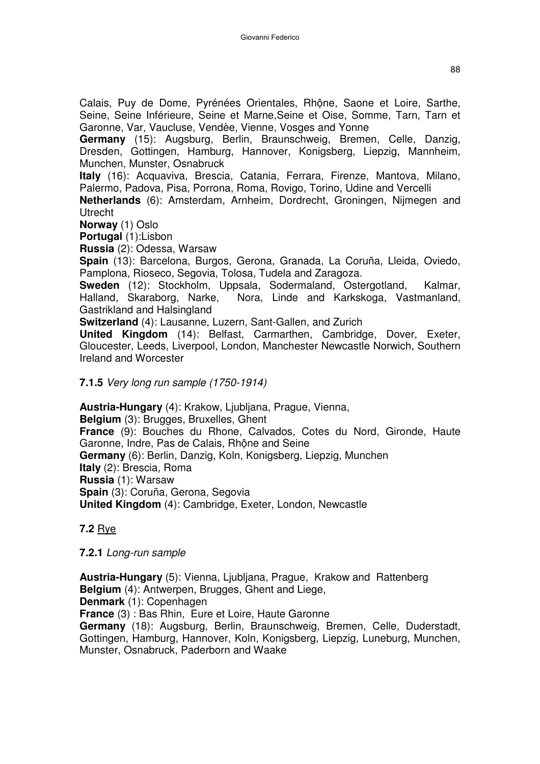Calais, Puy de Dome, Pyrénées Orientales, Rhộne, Saone et Loire, Sarthe, Seine, Seine Inférieure, Seine et Marne,Seine et Oise, Somme, Tarn, Tarn et Garonne, Var, Vaucluse, Vendèe, Vienne, Vosges and Yonne

**Germany** (15): Augsburg, Berlin, Braunschweig, Bremen, Celle, Danzig, Dresden, Gottingen, Hamburg, Hannover, Konigsberg, Liepzig, Mannheim, Munchen, Munster, Osnabruck

**Italy** (16): Acquaviva, Brescia, Catania, Ferrara, Firenze, Mantova, Milano, Palermo, Padova, Pisa, Porrona, Roma, Rovigo, Torino, Udine and Vercelli

**Netherlands** (6): Amsterdam, Arnheim, Dordrecht, Groningen, Nijmegen and Utrecht

**Norway** (1) Oslo

**Portugal** (1):Lisbon

**Russia** (2): Odessa, Warsaw

**Spain** (13): Barcelona, Burgos, Gerona, Granada, La Coruña, Lleida, Oviedo, Pamplona, Rioseco, Segovia, Tolosa, Tudela and Zaragoza.

**Sweden** (12): Stockholm, Uppsala, Sodermaland, Ostergotland, Kalmar, Halland, Skaraborg, Narke, Nora, Linde and Karkskoga, Vastmanland, Gastrikland and Halsingland

**Switzerland** (4): Lausanne, Luzern, Sant-Gallen, and Zurich

**United Kingdom** (14): Belfast, Carmarthen, Cambridge, Dover, Exeter, Gloucester, Leeds, Liverpool, London, Manchester Newcastle Norwich, Southern Ireland and Worcester

**7.1.5** Very long run sample (1750-1914)

**Austria-Hungary** (4): Krakow, Ljubljana, Prague, Vienna,

**Belgium** (3): Brugges, Bruxelles, Ghent

**France** (9): Bouches du Rhone, Calvados, Cotes du Nord, Gironde, Haute Garonne, Indre, Pas de Calais, Rhộne and Seine

**Germany** (6): Berlin, Danzig, Koln, Konigsberg, Liepzig, Munchen

**Italy** (2): Brescia, Roma

**Russia** (1): Warsaw

**Spain** (3): Coruña, Gerona, Segovia

**United Kingdom** (4): Cambridge, Exeter, London, Newcastle

### **7.2** Rye

**7.2.1** Long-run sample

**Austria-Hungary** (5): Vienna, Ljubljana, Prague, Krakow and Rattenberg **Belgium** (4): Antwerpen, Brugges, Ghent and Liege,

**Denmark** (1): Copenhagen

**France** (3) : Bas Rhin, Eure et Loire, Haute Garonne

**Germany** (18): Augsburg, Berlin, Braunschweig, Bremen, Celle, Duderstadt, Gottingen, Hamburg, Hannover, Koln, Konigsberg, Liepzig, Luneburg, Munchen, Munster, Osnabruck, Paderborn and Waake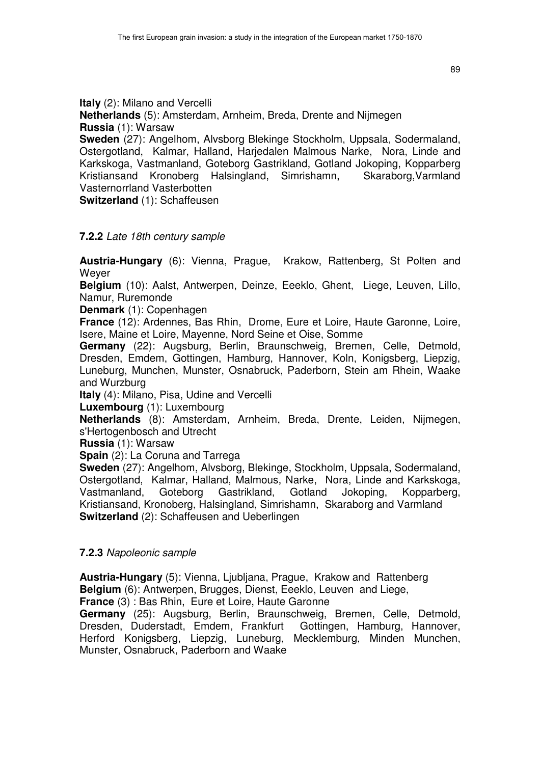89

**Italy** (2): Milano and Vercelli

**Netherlands** (5): Amsterdam, Arnheim, Breda, Drente and Nijmegen **Russia** (1): Warsaw

**Sweden** (27): Angelhom, Alvsborg Blekinge Stockholm, Uppsala, Sodermaland, Ostergotland, Kalmar, Halland, Harjedalen Malmous Narke, Nora, Linde and Karkskoga, Vastmanland, Goteborg Gastrikland, Gotland Jokoping, Kopparberg Kristiansand Kronoberg Halsingland, Simrishamn, Skaraborg,Varmland Vasternorrland Vasterbotten

**Switzerland** (1): Schaffeusen

#### **7.2.2** Late 18th century sample

**Austria-Hungary** (6): Vienna, Prague, Krakow, Rattenberg, St Polten and Weyer

**Belgium** (10): Aalst, Antwerpen, Deinze, Eeeklo, Ghent, Liege, Leuven, Lillo, Namur, Ruremonde

**Denmark** (1): Copenhagen

**France** (12): Ardennes, Bas Rhin, Drome, Eure et Loire, Haute Garonne, Loire, Isere, Maine et Loire, Mayenne, Nord Seine et Oise, Somme

**Germany** (22): Augsburg, Berlin, Braunschweig, Bremen, Celle, Detmold, Dresden, Emdem, Gottingen, Hamburg, Hannover, Koln, Konigsberg, Liepzig, Luneburg, Munchen, Munster, Osnabruck, Paderborn, Stein am Rhein, Waake and Wurzburg

**Italy** (4): Milano, Pisa, Udine and Vercelli

**Luxembourg** (1): Luxembourg

**Netherlands** (8): Amsterdam, Arnheim, Breda, Drente, Leiden, Nijmegen, s'Hertogenbosch and Utrecht

**Russia** (1): Warsaw

**Spain** (2): La Coruna and Tarrega

**Sweden** (27): Angelhom, Alvsborg, Blekinge, Stockholm, Uppsala, Sodermaland, Ostergotland, Kalmar, Halland, Malmous, Narke, Nora, Linde and Karkskoga, Vastmanland, Goteborg Gastrikland, Gotland Jokoping, Kopparberg, Kristiansand, Kronoberg, Halsingland, Simrishamn, Skaraborg and Varmland **Switzerland** (2): Schaffeusen and Ueberlingen

#### **7.2.3** Napoleonic sample

**Austria-Hungary** (5): Vienna, Ljubljana, Prague, Krakow and Rattenberg **Belgium** (6): Antwerpen, Brugges, Dienst, Eeeklo, Leuven and Liege,

**France** (3) : Bas Rhin, Eure et Loire, Haute Garonne

**Germany** (25): Augsburg, Berlin, Braunschweig, Bremen, Celle, Detmold, Dresden, Duderstadt, Emdem, Frankfurt Gottingen, Hamburg, Hannover, Herford Konigsberg, Liepzig, Luneburg, Mecklemburg, Minden Munchen, Munster, Osnabruck, Paderborn and Waake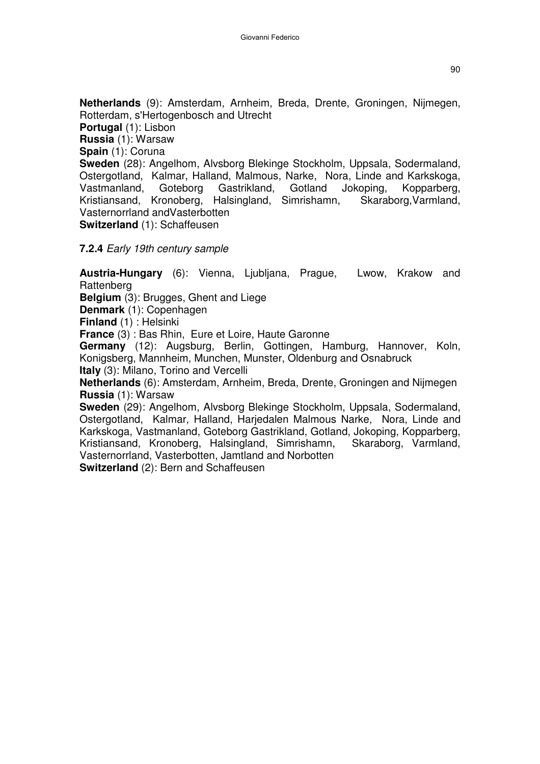**Netherlands** (9): Amsterdam, Arnheim, Breda, Drente, Groningen, Nijmegen, Rotterdam, s'Hertogenbosch and Utrecht **Portugal** (1): Lisbon **Russia** (1): Warsaw **Spain** (1): Coruna **Sweden** (28): Angelhom, Alvsborg Blekinge Stockholm, Uppsala, Sodermaland, Ostergotland, Kalmar, Halland, Malmous, Narke, Nora, Linde and Karkskoga, Vastmanland, Goteborg Gastrikland, Gotland Jokoping, Kopparberg, Kristiansand, Kronoberg, Halsingland, Simrishamn, Skaraborg,Varmland, Vasternorrland andVasterbotten

**Switzerland** (1): Schaffeusen

**7.2.4** Early 19th century sample

**Austria-Hungary** (6): Vienna, Ljubljana, Prague, Lwow, Krakow and **Rattenberg** 

**Belgium** (3): Brugges, Ghent and Liege

**Denmark** (1): Copenhagen

**Finland** (1) : Helsinki

**France** (3) : Bas Rhin, Eure et Loire, Haute Garonne

**Germany** (12): Augsburg, Berlin, Gottingen, Hamburg, Hannover, Koln, Konigsberg, Mannheim, Munchen, Munster, Oldenburg and Osnabruck

**Italy** (3): Milano, Torino and Vercelli

**Netherlands** (6): Amsterdam, Arnheim, Breda, Drente, Groningen and Nijmegen **Russia** (1): Warsaw

**Sweden** (29): Angelhom, Alvsborg Blekinge Stockholm, Uppsala, Sodermaland, Ostergotland, Kalmar, Halland, Harjedalen Malmous Narke, Nora, Linde and Karkskoga, Vastmanland, Goteborg Gastrikland, Gotland, Jokoping, Kopparberg, Kristiansand, Kronoberg, Halsingland, Simrishamn, Skaraborg, Varmland, Vasternorrland, Vasterbotten, Jamtland and Norbotten

**Switzerland** (2): Bern and Schaffeusen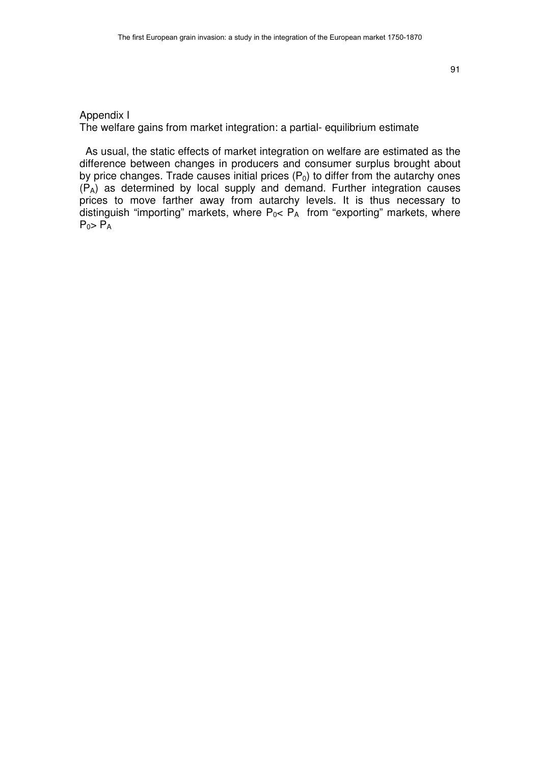Appendix I

The welfare gains from market integration: a partial- equilibrium estimate

 As usual, the static effects of market integration on welfare are estimated as the difference between changes in producers and consumer surplus brought about by price changes. Trade causes initial prices  $(P_0)$  to differ from the autarchy ones (PA) as determined by local supply and demand. Further integration causes prices to move farther away from autarchy levels. It is thus necessary to distinguish "importing" markets, where  $P_0 < P_A$  from "exporting" markets, where  $P_0 > P_A$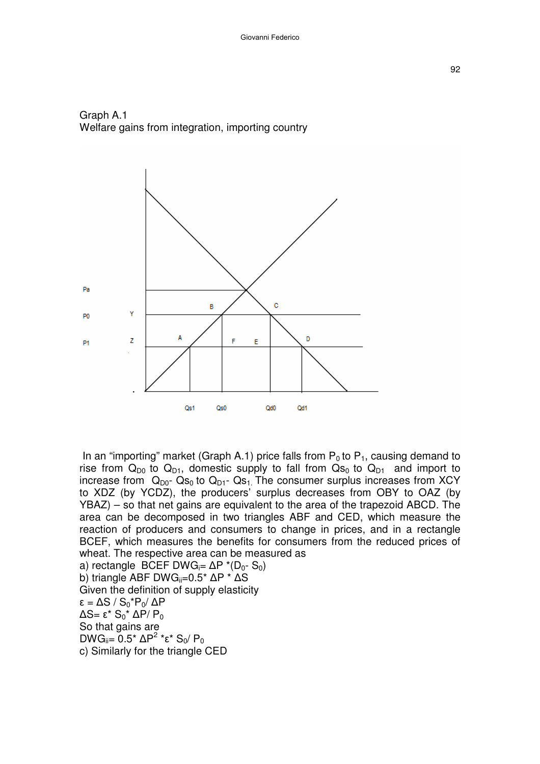Graph A.1 Welfare gains from integration, importing country



In an "importing" market (Graph A.1) price falls from  $P_0$  to  $P_1$ , causing demand to rise from  $Q_{D0}$  to  $Q_{D1}$ , domestic supply to fall from  $Q_{S0}$  to  $Q_{D1}$  and import to increase from  $Q_{D0}$ -  $Q_{S_0}$  to  $Q_{D1}$ -  $Q_{S_1}$ . The consumer surplus increases from XCY to XDZ (by YCDZ), the producers' surplus decreases from OBY to OAZ (by YBAZ) – so that net gains are equivalent to the area of the trapezoid ABCD. The area can be decomposed in two triangles ABF and CED, which measure the reaction of producers and consumers to change in prices, and in a rectangle BCEF, which measures the benefits for consumers from the reduced prices of wheat. The respective area can be measured as

a) rectangle BCEF DWG<sub>i</sub>=  $\Delta P$  \*(D<sub>0</sub>- S<sub>0</sub>) b) triangle ABF DWG<sub>ii</sub>=0.5<sup>\*</sup> ΔP<sup>\*</sup> ΔS Given the definition of supply elasticity ε = ΔS /  $S_0$ \* $P_0$ / ΔP  $\Delta S = \varepsilon^* S_0^* \Delta P / P_0$ So that gains are DWG<sub>ii</sub>=  $0.5^*$  ΔP<sup>2</sup> \*ε\* S<sub>0</sub>/ P<sub>0</sub>

c) Similarly for the triangle CED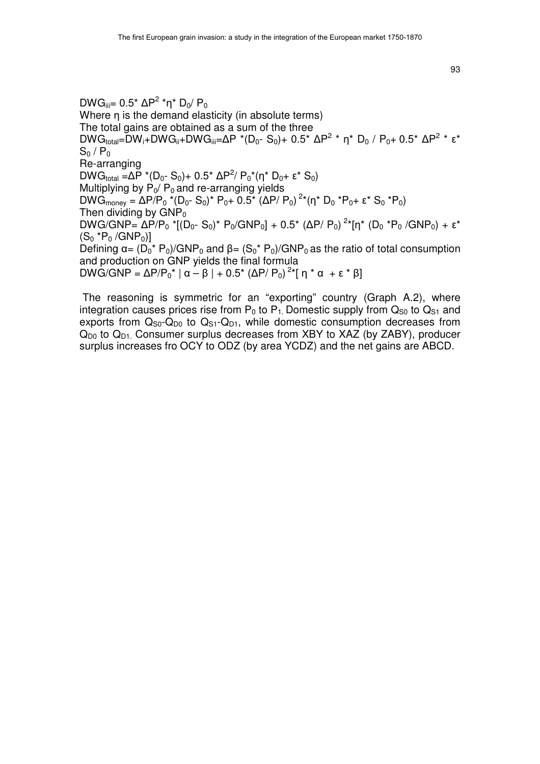DWG<sub>iii</sub>= 0.5<sup>\*</sup> ΔP<sup>2</sup> <sup>\*</sup>η<sup>\*</sup> D<sub>0</sub>/ P<sub>0</sub> Where η is the demand elasticity (in absolute terms) The total gains are obtained as a sum of the three DWG<sub>total</sub>=DW<sub>i</sub>+DWG<sub>ii</sub>+DWG<sub>iii</sub>=ΔP \*(D<sub>0</sub>- S<sub>0</sub>)+ 0.5\* ΔP<sup>2</sup> \* η\* D<sub>0</sub> / P<sub>0</sub>+ 0.5\* ΔP<sup>2</sup> \* ε\*  $S_0$  /  $P_0$ Re-arranging DWG<sub>total</sub> = ΔP \*(D<sub>0</sub>- S<sub>0</sub>) + 0.5<sup>\*</sup> ΔP<sup>2</sup>/ P<sub>0</sub><sup>\*</sup>(η<sup>\*</sup> D<sub>0</sub>+ ε<sup>\*</sup> S<sub>0</sub>) Multiplying by  $P_0$ /  $P_0$  and re-arranging yields DWG<sub>money</sub> = ΔP/P<sub>0</sub> \*(D<sub>0</sub>- S<sub>0</sub>)\* P<sub>0</sub>+ 0.5<sup>\*</sup> (ΔP/ P<sub>0</sub>)<sup>2\*</sup>(η<sup>\*</sup> D<sub>0</sub> \*P<sub>0</sub>+ ε<sup>\*</sup> S<sub>0</sub> \*P<sub>0</sub>) Then dividing by  $GNP<sub>0</sub>$ DWG/GNP=  $\Delta P/P_0$  \*[(D<sub>0</sub>- S<sub>0</sub>)\* P<sub>0</sub>/GNP<sub>0</sub>] + 0.5\* (ΔP/ P<sub>0</sub>)<sup>2</sup>\*[η\* (D<sub>0</sub> \*P<sub>0</sub>/GNP<sub>0</sub>) + ε<sup>\*</sup>  $(S_0 * P_0 / GNP_0)$ Defining  $\alpha = (D_0^* P_0)/GNP_0$  and  $\beta = (S_0^* P_0)/GNP_0$  as the ratio of total consumption and production on GNP yields the final formula DWG/GNP = ΔP/P<sub>0</sub><sup>\*</sup> | α – β | + 0.5<sup>\*</sup> (ΔP/ P<sub>0</sub>)<sup>2\*</sup>[ η <sup>\*</sup> α + ε <sup>\*</sup> β]

 The reasoning is symmetric for an "exporting" country (Graph A.2), where integration causes prices rise from  $P_0$  to  $P_1$ . Domestic supply from  $Q_{S0}$  to  $Q_{S1}$  and exports from  $Q_{S0}$ - $Q_{D0}$  to  $Q_{S1}$ - $Q_{D1}$ , while domestic consumption decreases from  $Q_{D0}$  to  $Q_{D1}$ . Consumer surplus decreases from XBY to XAZ (by ZABY), producer surplus increases fro OCY to ODZ (by area YCDZ) and the net gains are ABCD.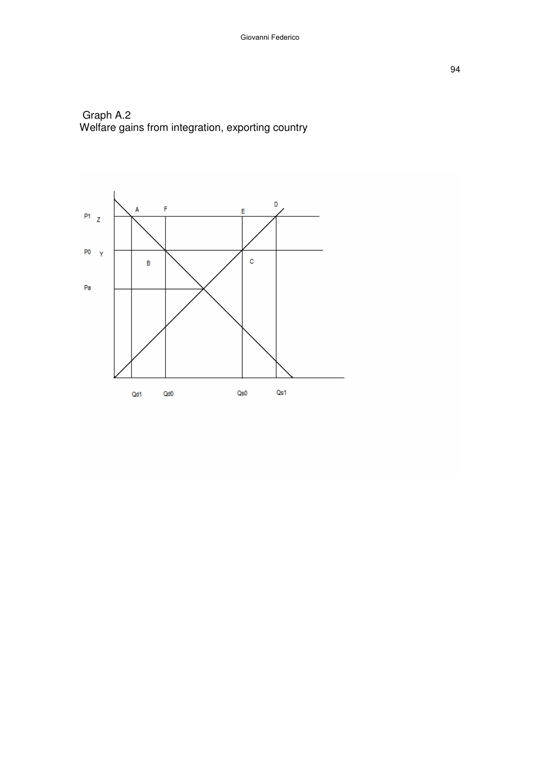Graph A.2 Welfare gains from integration, exporting country

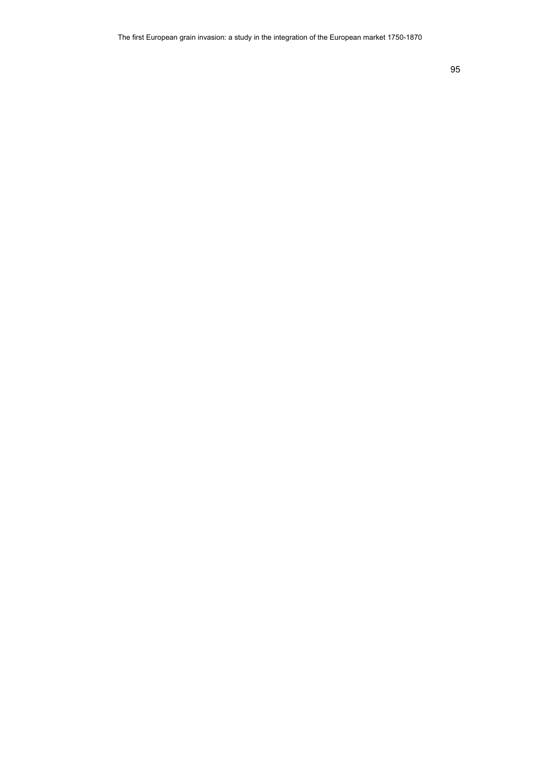95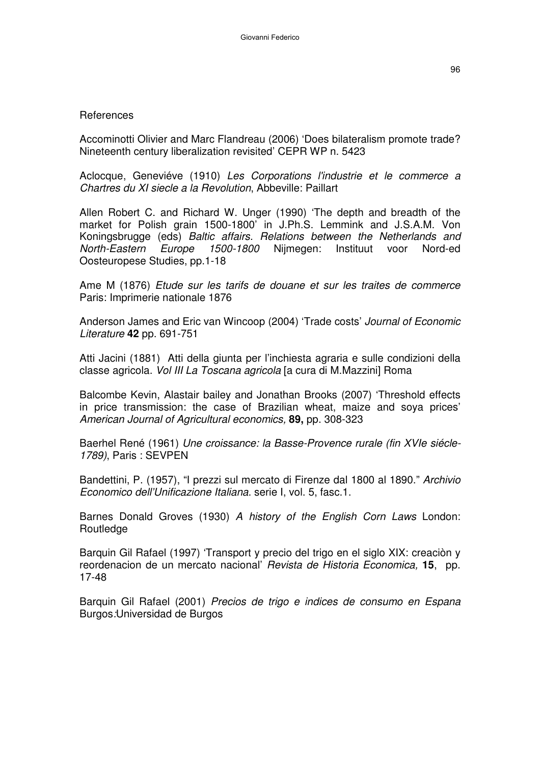#### **References**

Accominotti Olivier and Marc Flandreau (2006) 'Does bilateralism promote trade? Nineteenth century liberalization revisited' CEPR WP n. 5423

Aclocque, Geneviéve (1910) Les Corporations l'industrie et le commerce a Chartres du XI siecle a la Revolution, Abbeville: Paillart

Allen Robert C. and Richard W. Unger (1990) 'The depth and breadth of the market for Polish grain 1500-1800' in J.Ph.S. Lemmink and J.S.A.M. Von Koningsbrugge (eds) Baltic affairs. Relations between the Netherlands and North-Eastern Europe 1500-1800 Nijmegen: Instituut voor Nord-ed Oosteuropese Studies, pp.1-18

Ame M (1876) Etude sur les tarifs de douane et sur les traites de commerce Paris: Imprimerie nationale 1876

Anderson James and Eric van Wincoop (2004) 'Trade costs' Journal of Economic Literature **42** pp. 691-751

Atti Jacini (1881) Atti della giunta per l'inchiesta agraria e sulle condizioni della classe agricola. Vol III La Toscana agricola [a cura di M.Mazzini] Roma

Balcombe Kevin, Alastair bailey and Jonathan Brooks (2007) 'Threshold effects in price transmission: the case of Brazilian wheat, maize and soya prices' American Journal of Agricultural economics, **89,** pp. 308-323

Baerhel René (1961) Une croissance: la Basse-Provence rurale (fin XVIe siécle-1789), Paris : SEVPEN

Bandettini, P. (1957), "I prezzi sul mercato di Firenze dal 1800 al 1890." Archivio Economico dell'Unificazione Italiana. serie I, vol. 5, fasc.1.

Barnes Donald Groves (1930) A history of the English Corn Laws London: Routledge

Barquin Gil Rafael (1997) 'Transport y precio del trigo en el siglo XIX: creaciòn y reordenacion de un mercato nacional' Revista de Historia Economica, **15**, pp. 17-48

Barquin Gil Rafael (2001) Precios de trigo e indices de consumo en Espana Burgos:Universidad de Burgos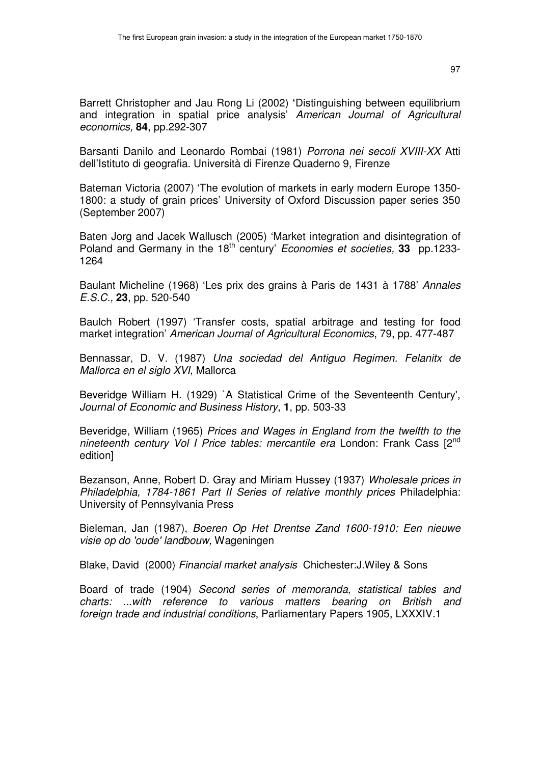Barrett Christopher and Jau Rong Li (2002) **'**Distinguishing between equilibrium and integration in spatial price analysis' American Journal of Agricultural economics, **84**, pp.292-307

Barsanti Danilo and Leonardo Rombai (1981) Porrona nei secoli XVIII-XX Atti dell'Istituto di geografia. Università di Firenze Quaderno 9, Firenze

Bateman Victoria (2007) 'The evolution of markets in early modern Europe 1350- 1800: a study of grain prices' University of Oxford Discussion paper series 350 (September 2007)

Baten Jorg and Jacek Wallusch (2005) 'Market integration and disintegration of Poland and Germany in the 18<sup>th</sup> century' Economies et societies, 33 pp.1233-1264

Baulant Micheline (1968) 'Les prix des grains à Paris de 1431 à 1788' Annales E.S.C., **23**, pp. 520-540

Baulch Robert (1997) 'Transfer costs, spatial arbitrage and testing for food market integration' American Journal of Agricultural Economics, 79, pp. 477-487

Bennassar, D. V. (1987) Una sociedad del Antiguo Regimen. Felanitx de Mallorca en el siglo XVI, Mallorca

Beveridge William H. (1929) `A Statistical Crime of the Seventeenth Century', Journal of Economic and Business History, **1**, pp. 503-33

Beveridge, William (1965) Prices and Wages in England from the twelfth to the nineteenth century Vol I Price tables: mercantile era London: Frank Cass [2<sup>nd</sup> edition]

Bezanson, Anne, Robert D. Gray and Miriam Hussey (1937) Wholesale prices in Philadelphia, 1784-1861 Part II Series of relative monthly prices Philadelphia: University of Pennsylvania Press

Bieleman, Jan (1987), Boeren Op Het Drentse Zand 1600-1910: Een nieuwe visie op do 'oude' landbouw, Wageningen

Blake, David (2000) Financial market analysis Chichester:J.Wiley & Sons

Board of trade (1904) Second series of memoranda, statistical tables and charts: ...with reference to various matters bearing on British and foreign trade and industrial conditions, Parliamentary Papers 1905, LXXXIV.1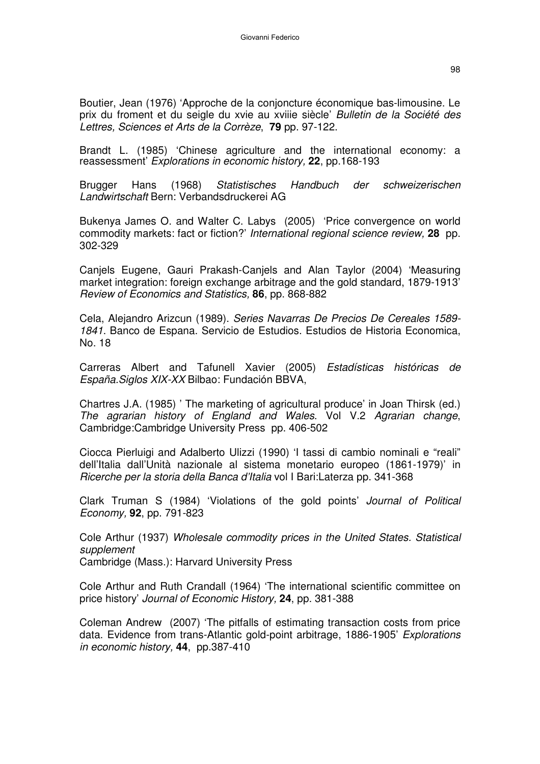Boutier, Jean (1976) 'Approche de la conjoncture économique bas-limousine. Le prix du froment et du seigle du xvie au xviiie siècle' Bulletin de la Société des Lettres, Sciences et Arts de la Corrèze, **79** pp. 97-122.

Brandt L. (1985) 'Chinese agriculture and the international economy: a reassessment' Explorations in economic history, **22**, pp.168-193

Brugger Hans (1968) Statistisches Handbuch der schweizerischen Landwirtschaft Bern: Verbandsdruckerei AG

Bukenya James O. and Walter C. Labys(2005) 'Price convergence on world commodity markets: fact or fiction?' International regional science review, **28** pp. 302-329

Canjels Eugene, Gauri Prakash-Canjels and Alan Taylor (2004) 'Measuring market integration: foreign exchange arbitrage and the gold standard, 1879-1913' Review of Economics and Statistics, **86**, pp. 868-882

Cela, Alejandro Arizcun (1989). Series Navarras De Precios De Cereales 1589- 1841. Banco de Espana. Servicio de Estudios. Estudios de Historia Economica, No. 18

Carreras Albert and Tafunell Xavier (2005) Estadísticas históricas de España.Siglos XIX-XX Bilbao: Fundación BBVA,

Chartres J.A. (1985) ' The marketing of agricultural produce' in Joan Thirsk (ed.) The agrarian history of England and Wales. Vol V.2 Agrarian change, Cambridge:Cambridge University Press pp. 406-502

Ciocca Pierluigi and Adalberto Ulizzi (1990) 'I tassi di cambio nominali e "reali" dell'Italia dall'Unità nazionale al sistema monetario europeo (1861-1979)' in Ricerche per la storia della Banca d'Italia vol I Bari:Laterza pp. 341-368

Clark Truman S (1984) 'Violations of the gold points' Journal of Political Economy, **92**, pp. 791-823

Cole Arthur (1937) Wholesale commodity prices in the United States. Statistical supplement Cambridge (Mass.): Harvard University Press

Cole Arthur and Ruth Crandall (1964) 'The international scientific committee on price history' Journal of Economic History, **24**, pp. 381-388

Coleman Andrew (2007) 'The pitfalls of estimating transaction costs from price data. Evidence from trans-Atlantic gold-point arbitrage, 1886-1905' Explorations in economic history, **44**, pp.387-410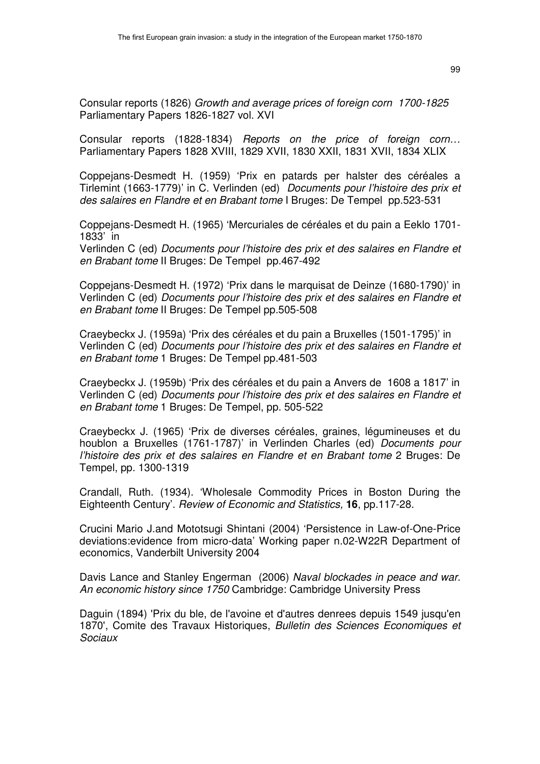Consular reports (1826) Growth and average prices of foreign corn 1700-1825 Parliamentary Papers 1826-1827 vol. XVI

Consular reports (1828-1834) Reports on the price of foreign corn… Parliamentary Papers 1828 XVIII, 1829 XVII, 1830 XXII, 1831 XVII, 1834 XLIX

Coppejans-Desmedt H. (1959) 'Prix en patards per halster des céréales a Tirlemint (1663-1779)' in C. Verlinden (ed) Documents pour l'histoire des prix et des salaires en Flandre et en Brabant tome I Bruges: De Tempel pp.523-531

Coppejans-Desmedt H. (1965) 'Mercuriales de céréales et du pain a Eeklo 1701- 1833' in

Verlinden C (ed) Documents pour l'histoire des prix et des salaires en Flandre et en Brabant tome II Bruges: De Tempel pp.467-492

Coppejans-Desmedt H. (1972) 'Prix dans le marquisat de Deinze (1680-1790)' in Verlinden C (ed) Documents pour l'histoire des prix et des salaires en Flandre et en Brabant tome II Bruges: De Tempel pp.505-508

Craeybeckx J. (1959a) 'Prix des céréales et du pain a Bruxelles (1501-1795)' in Verlinden C (ed) Documents pour l'histoire des prix et des salaires en Flandre et en Brabant tome 1 Bruges: De Tempel pp.481-503

Craeybeckx J. (1959b) 'Prix des céréales et du pain a Anvers de 1608 a 1817' in Verlinden C (ed) Documents pour l'histoire des prix et des salaires en Flandre et en Brabant tome 1 Bruges: De Tempel, pp. 505-522

Craeybeckx J. (1965) 'Prix de diverses céréales, graines, légumineuses et du houblon a Bruxelles (1761-1787)' in Verlinden Charles (ed) Documents pour l'histoire des prix et des salaires en Flandre et en Brabant tome 2 Bruges: De Tempel, pp. 1300-1319

Crandall, Ruth. (1934). 'Wholesale Commodity Prices in Boston During the Eighteenth Century'. Review of Economic and Statistics, **16**, pp.117-28.

Crucini Mario J.and Mototsugi Shintani (2004) 'Persistence in Law-of-One-Price deviations:evidence from micro-data' Working paper n.02-W22R Department of economics, Vanderbilt University 2004

Davis Lance and Stanley Engerman (2006) Naval blockades in peace and war. An economic history since 1750 Cambridge: Cambridge University Press

Daguin (1894) 'Prix du ble, de l'avoine et d'autres denrees depuis 1549 jusqu'en 1870', Comite des Travaux Historiques, Bulletin des Sciences Economiques et Sociaux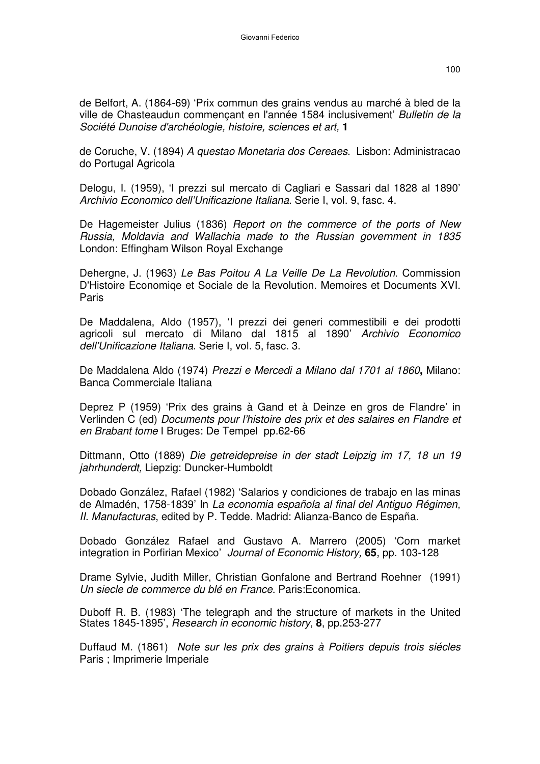de Coruche, V. (1894) A questao Monetaria dos Cereaes. Lisbon: Administracao do Portugal Agricola

Delogu, I. (1959), 'I prezzi sul mercato di Cagliari e Sassari dal 1828 al 1890' Archivio Economico dell'Unificazione Italiana. Serie I, vol. 9, fasc. 4.

De Hagemeister Julius (1836) Report on the commerce of the ports of New Russia, Moldavia and Wallachia made to the Russian government in 1835 London: Effingham Wilson Royal Exchange

Dehergne, J. (1963) Le Bas Poitou A La Veille De La Revolution. Commission D'Histoire Economiqe et Sociale de la Revolution. Memoires et Documents XVI. Paris

De Maddalena, Aldo (1957), 'I prezzi dei generi commestibili e dei prodotti agricoli sul mercato di Milano dal 1815 al 1890' Archivio Economico dell'Unificazione Italiana. Serie I, vol. 5, fasc. 3.

De Maddalena Aldo (1974) Prezzi e Mercedi a Milano dal 1701 al 1860**,** Milano: Banca Commerciale Italiana

Deprez P (1959) 'Prix des grains à Gand et à Deinze en gros de Flandre' in Verlinden C (ed) Documents pour l'histoire des prix et des salaires en Flandre et en Brabant tome I Bruges: De Tempel pp.62-66

Dittmann, Otto (1889) Die getreidepreise in der stadt Leipzig im 17, 18 un 19 jahrhunderdt, Liepzig: Duncker-Humboldt

Dobado González, Rafael (1982) 'Salarios y condiciones de trabajo en las minas de Almadén, 1758-1839' In La economia española al final del Antiguo Régimen, II. Manufacturas, edited by P. Tedde. Madrid: Alianza-Banco de España.

Dobado González Rafael and Gustavo A. Marrero (2005) 'Corn market integration in Porfirian Mexico' Journal of Economic History, **65**, pp. 103-128

Drame Sylvie, Judith Miller, Christian Gonfalone and Bertrand Roehner (1991) Un siecle de commerce du blé en France. Paris:Economica.

Duboff R. B. (1983) 'The telegraph and the structure of markets in the United States 1845-1895', Research in economic history, **8**, pp.253-277

Duffaud M. (1861) Note sur les prix des grains à Poitiers depuis trois siécles Paris ; Imprimerie Imperiale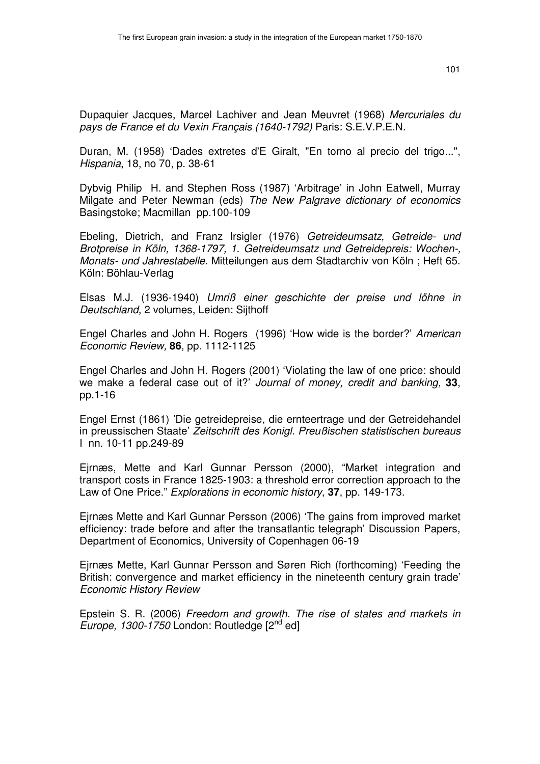Dupaquier Jacques, Marcel Lachiver and Jean Meuvret (1968) Mercuriales du pays de France et du Vexin Français (1640-1792) Paris: S.E.V.P.E.N.

Duran, M. (1958) 'Dades extretes d'E Giralt, "En torno al precio del trigo...", Hispania, 18, no 70, p. 38-61

Dybvig Philip H. and Stephen Ross (1987) 'Arbitrage' in John Eatwell, Murray Milgate and Peter Newman (eds) The New Palgrave dictionary of economics Basingstoke; Macmillan pp.100-109

Ebeling, Dietrich, and Franz Irsigler (1976) Getreideumsatz, Getreide- und Brotpreise in Köln, 1368-1797, 1. Getreideumsatz und Getreidepreis: Wochen-, Monats- und Jahrestabelle. Mitteilungen aus dem Stadtarchiv von Köln ; Heft 65. Köln: Böhlau-Verlag

Elsas M.J. (1936-1940) Umriß einer geschichte der preise und löhne in Deutschland, 2 volumes, Leiden: Sijthoff

Engel Charles and John H. Rogers (1996) 'How wide is the border?' American Economic Review, **86**, pp. 1112-1125

Engel Charles and John H. Rogers (2001) 'Violating the law of one price: should we make a federal case out of it?' Journal of money, credit and banking, **33**, pp.1-16

Engel Ernst (1861) 'Die getreidepreise, die ernteertrage und der Getreidehandel in preussischen Staate' Zeitschrift des Konigl. Preußischen statistischen bureaus I nn. 10-11 pp.249-89

Ejrnæs, Mette and Karl Gunnar Persson (2000), "Market integration and transport costs in France 1825-1903: a threshold error correction approach to the Law of One Price." Explorations in economic history, **37**, pp. 149-173.

Ejrnæs Mette and Karl Gunnar Persson (2006) 'The gains from improved market efficiency: trade before and after the transatlantic telegraph' Discussion Papers, Department of Economics, University of Copenhagen 06-19

Ejrnæs Mette, Karl Gunnar Persson and Søren Rich (forthcoming) 'Feeding the British: convergence and market efficiency in the nineteenth century grain trade' Economic History Review

Epstein S. R. (2006) Freedom and growth. The rise of states and markets in Europe, 1300-1750 London: Routledge  $[2^{nd}$  ed]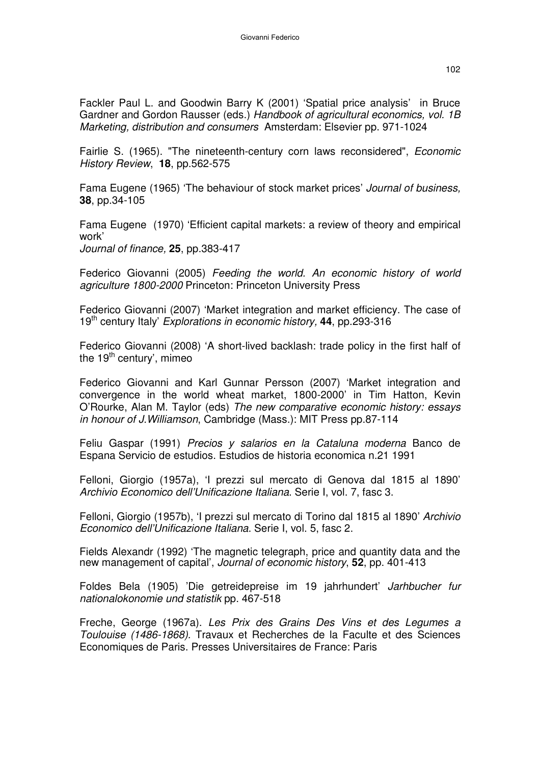Fackler Paul L. and Goodwin Barry K (2001) 'Spatial price analysis' in Bruce Gardner and Gordon Rausser (eds.) Handbook of agricultural economics, vol. 1B Marketing, distribution and consumers Amsterdam: Elsevier pp. 971-1024

Fairlie S. (1965). "The nineteenth-century corn laws reconsidered", Economic History Review, **18**, pp.562-575

Fama Eugene (1965) 'The behaviour of stock market prices' Journal of business, **38**, pp.34-105

Fama Eugene (1970) 'Efficient capital markets: a review of theory and empirical work'

Journal of finance, **25**, pp.383-417

Federico Giovanni (2005) Feeding the world. An economic history of world agriculture 1800-2000 Princeton: Princeton University Press

Federico Giovanni (2007) 'Market integration and market efficiency. The case of 19th century Italy' Explorations in economic history, **44**, pp.293-316

Federico Giovanni (2008) 'A short-lived backlash: trade policy in the first half of the  $19<sup>th</sup>$  century', mimeo

Federico Giovanni and Karl Gunnar Persson (2007) 'Market integration and convergence in the world wheat market, 1800-2000' in Tim Hatton, Kevin O'Rourke, Alan M. Taylor (eds) The new comparative economic history: essays in honour of J.Williamson, Cambridge (Mass.): MIT Press pp.87-114

Feliu Gaspar (1991) Precios y salarios en la Cataluna moderna Banco de Espana Servicio de estudios. Estudios de historia economica n.21 1991

Felloni, Giorgio (1957a), 'I prezzi sul mercato di Genova dal 1815 al 1890' Archivio Economico dell'Unificazione Italiana. Serie I, vol. 7, fasc 3.

Felloni, Giorgio (1957b), 'I prezzi sul mercato di Torino dal 1815 al 1890' Archivio Economico dell'Unificazione Italiana. Serie I, vol. 5, fasc 2.

Fields Alexandr (1992) 'The magnetic telegraph, price and quantity data and the new management of capital', Journal of economic history, **52**, pp. 401-413

Foldes Bela (1905) 'Die getreidepreise im 19 jahrhundert' Jarhbucher fur nationalokonomie und statistik pp. 467-518

Freche, George (1967a). Les Prix des Grains Des Vins et des Legumes a Toulouise (1486-1868). Travaux et Recherches de la Faculte et des Sciences Economiques de Paris. Presses Universitaires de France: Paris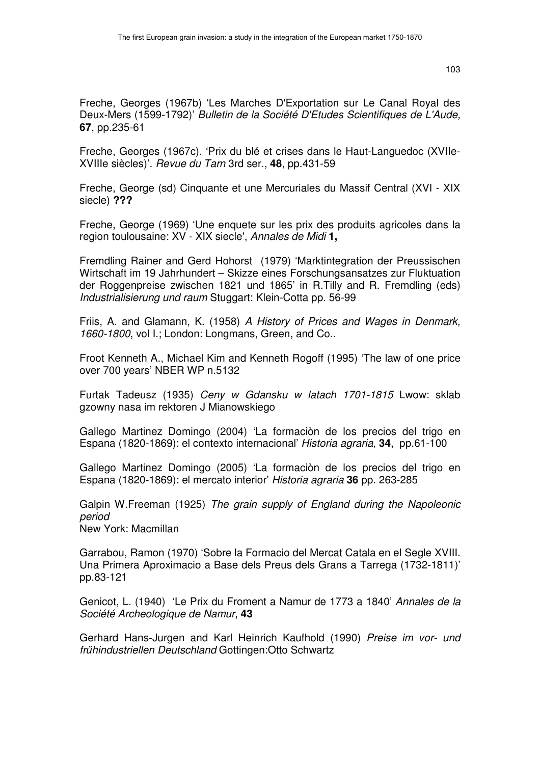Freche, Georges (1967b) 'Les Marches D'Exportation sur Le Canal Royal des Deux-Mers (1599-1792)' Bulletin de la Société D'Etudes Scientifiques de L'Aude, **67**, pp.235-61

Freche, Georges (1967c). 'Prix du blé et crises dans le Haut-Languedoc (XVIIe-XVIIIe siècles)'. Revue du Tarn 3rd ser., **48**, pp.431-59

Freche, George (sd) Cinquante et une Mercuriales du Massif Central (XVI - XIX siecle) **???** 

Freche, George (1969) 'Une enquete sur les prix des produits agricoles dans la region toulousaine: XV - XIX siecle', Annales de Midi **1,** 

Fremdling Rainer and Gerd Hohorst (1979) 'Marktintegration der Preussischen Wirtschaft im 19 Jahrhundert – Skizze eines Forschungsansatzes zur Fluktuation der Roggenpreise zwischen 1821 und 1865' in R.Tilly and R. Fremdling (eds) Industrialisierung und raum Stuggart: Klein-Cotta pp. 56-99

Friis, A. and Glamann, K. (1958) A History of Prices and Wages in Denmark, 1660-1800, vol I.; London: Longmans, Green, and Co..

Froot Kenneth A., Michael Kim and Kenneth Rogoff (1995) 'The law of one price over 700 years' NBER WP n.5132

Furtak Tadeusz (1935) Ceny w Gdansku w latach 1701-1815 Lwow: sklab gzowny nasa im rektoren J Mianowskiego

Gallego Martinez Domingo (2004) 'La formaciòn de los precios del trigo en Espana (1820-1869): el contexto internacional' Historia agraria, **34**, pp.61-100

Gallego Martinez Domingo (2005) 'La formaciòn de los precios del trigo en Espana (1820-1869): el mercato interior' Historia agraria **36** pp. 263-285

Galpin W.Freeman (1925) The grain supply of England during the Napoleonic period New York: Macmillan

Garrabou, Ramon (1970) 'Sobre la Formacio del Mercat Catala en el Segle XVIII. Una Primera Aproximacio a Base dels Preus dels Grans a Tarrega (1732-1811)' pp.83-121

Genicot, L. (1940) 'Le Prix du Froment a Namur de 1773 a 1840' Annales de la Société Archeologique de Namur, **43**

Gerhard Hans-Jurgen and Karl Heinrich Kaufhold (1990) Preise im vor- und frűhindustriellen Deutschland Gottingen:Otto Schwartz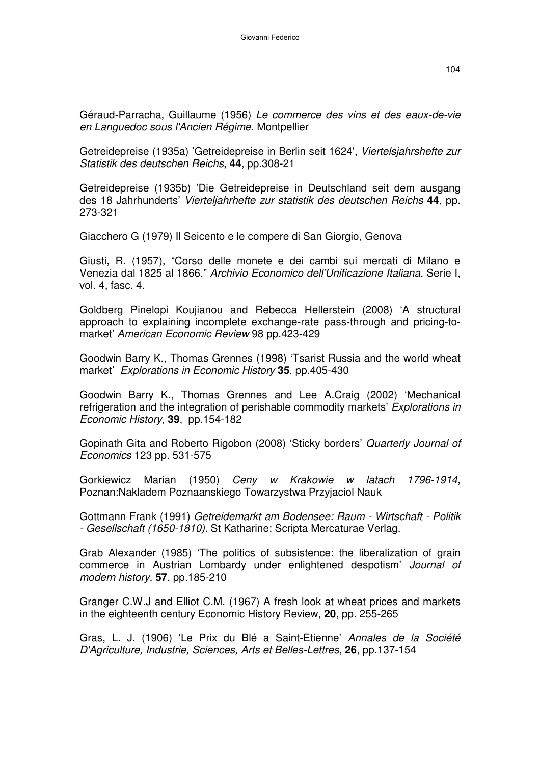Getreidepreise (1935a) 'Getreidepreise in Berlin seit 1624', Viertelsjahrshefte zur Statistik des deutschen Reichs, **44**, pp.308-21

Getreidepreise (1935b) 'Die Getreidepreise in Deutschland seit dem ausgang des 18 Jahrhunderts' Vierteljahrhefte zur statistik des deutschen Reichs **44**, pp. 273-321

Giacchero G (1979) Il Seicento e le compere di San Giorgio, Genova

Giusti, R. (1957), "Corso delle monete e dei cambi sui mercati di Milano e Venezia dal 1825 al 1866." Archivio Economico dell'Unificazione Italiana. Serie I, vol. 4, fasc. 4.

Goldberg Pinelopi Koujianou and Rebecca Hellerstein (2008) 'A structural approach to explaining incomplete exchange-rate pass-through and pricing-tomarket' American Economic Review 98 pp.423-429

Goodwin Barry K., Thomas Grennes (1998) 'Tsarist Russia and the world wheat market' Explorations in Economic History **35**, pp.405-430

Goodwin Barry K., Thomas Grennes and Lee A.Craig (2002) 'Mechanical refrigeration and the integration of perishable commodity markets' Explorations in Economic History, **39**, pp.154-182

Gopinath Gita and Roberto Rigobon (2008) 'Sticky borders' Quarterly Journal of Economics 123 pp. 531-575

Gorkiewicz Marian (1950) Ceny w Krakowie w latach 1796-1914, Poznan:Nakladem Poznaanskiego Towarzystwa Przyjaciol Nauk

Gottmann Frank (1991) Getreidemarkt am Bodensee: Raum - Wirtschaft - Politik - Gesellschaft (1650-1810). St Katharine: Scripta Mercaturae Verlag.

Grab Alexander (1985) 'The politics of subsistence: the liberalization of grain commerce in Austrian Lombardy under enlightened despotism' Journal of modern history, **57**, pp.185-210

Granger C.W.J and Elliot C.M. (1967) A fresh look at wheat prices and markets in the eighteenth century Economic History Review, **20**, pp. 255-265

Gras, L. J. (1906) 'Le Prix du Blé a Saint-Etienne' Annales de la Société D'Agriculture, Industrie, Sciences, Arts et Belles-Lettres, **26**, pp.137-154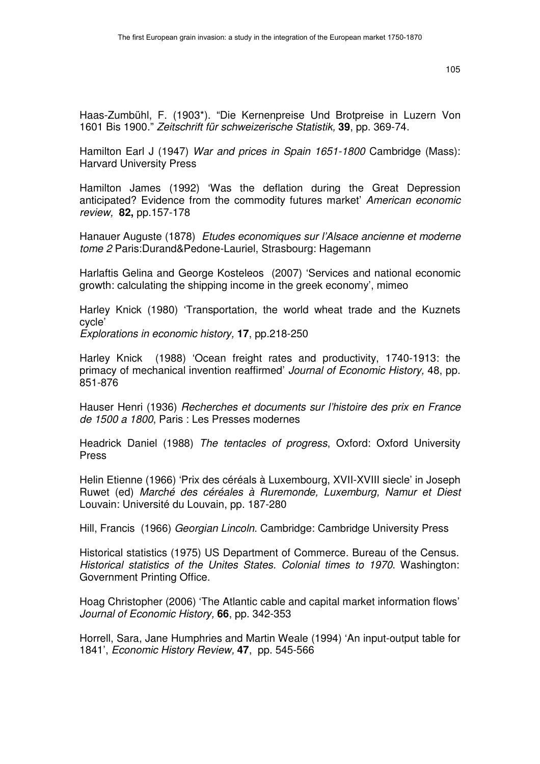Haas-Zumbühl, F. (1903\*). "Die Kernenpreise Und Brotpreise in Luzern Von 1601 Bis 1900." Zeitschrift für schweizerische Statistik, **39**, pp. 369-74.

Hamilton Earl J (1947) War and prices in Spain 1651-1800 Cambridge (Mass): Harvard University Press

Hamilton James (1992) 'Was the deflation during the Great Depression anticipated? Evidence from the commodity futures market' American economic review, **82,** pp.157-178

Hanauer Auguste (1878) Etudes economiques sur l'Alsace ancienne et moderne tome 2 Paris:Durand&Pedone-Lauriel, Strasbourg: Hagemann

Harlaftis Gelina and George Kosteleos (2007) 'Services and national economic growth: calculating the shipping income in the greek economy', mimeo

Harley Knick (1980) 'Transportation, the world wheat trade and the Kuznets cycle'

Explorations in economic history, **17**, pp.218-250

Harley Knick (1988) 'Ocean freight rates and productivity, 1740-1913: the primacy of mechanical invention reaffirmed' Journal of Economic History, 48, pp. 851-876

Hauser Henri (1936) Recherches et documents sur l'histoire des prix en France de 1500 a 1800, Paris : Les Presses modernes

Headrick Daniel (1988) The tentacles of progress, Oxford: Oxford University Press

Helin Etienne (1966) 'Prix des céréals à Luxembourg, XVII-XVIII siecle' in Joseph Ruwet (ed) Marché des céréales à Ruremonde, Luxemburg, Namur et Diest Louvain: Université du Louvain, pp. 187-280

Hill, Francis (1966) Georgian Lincoln. Cambridge: Cambridge University Press

Historical statistics (1975) US Department of Commerce. Bureau of the Census. Historical statistics of the Unites States. Colonial times to 1970. Washington: Government Printing Office.

Hoag Christopher (2006) 'The Atlantic cable and capital market information flows' Journal of Economic History, **66**, pp. 342-353

Horrell, Sara, Jane Humphries and Martin Weale (1994) 'An input-output table for 1841', Economic History Review, **47**, pp. 545-566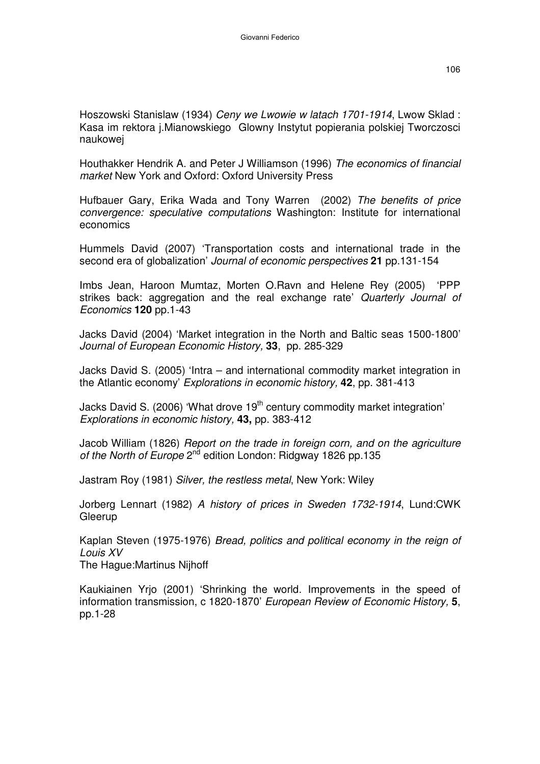Hoszowski Stanislaw (1934) Ceny we Lwowie w latach 1701-1914, Lwow Sklad : Kasa im rektora j.Mianowskiego Glowny Instytut popierania polskiej Tworczosci naukowej

Houthakker Hendrik A. and Peter J Williamson (1996) The economics of financial market New York and Oxford: Oxford University Press

Hufbauer Gary, Erika Wada and Tony Warren (2002) The benefits of price convergence: speculative computations Washington: Institute for international economics

Hummels David (2007) 'Transportation costs and international trade in the second era of globalization' Journal of economic perspectives **21** pp.131-154

Imbs Jean, Haroon Mumtaz, Morten O.Ravn and Helene Rey (2005) 'PPP strikes back: aggregation and the real exchange rate' Quarterly Journal of Economics **120** pp.1-43

Jacks David (2004) 'Market integration in the North and Baltic seas 1500-1800' Journal of European Economic History, **33**, pp. 285-329

Jacks David S. (2005) 'Intra – and international commodity market integration in the Atlantic economy' Explorations in economic history, **42**, pp. 381-413

Jacks David S. (2006) 'What drove 19<sup>th</sup> century commodity market integration' Explorations in economic history, **43,** pp. 383-412

Jacob William (1826) Report on the trade in foreign corn, and on the agriculture of the North of Europe 2<sup>nd</sup> edition London: Ridgway 1826 pp.135

Jastram Roy (1981) Silver, the restless metal, New York: Wiley

Jorberg Lennart (1982) A history of prices in Sweden 1732-1914, Lund:CWK **Gleerup** 

Kaplan Steven (1975-1976) Bread, politics and political economy in the reign of Louis XV

The Hague:Martinus Nijhoff

Kaukiainen Yrjo (2001) 'Shrinking the world. Improvements in the speed of information transmission, c 1820-1870' European Review of Economic History, **5**, pp.1-28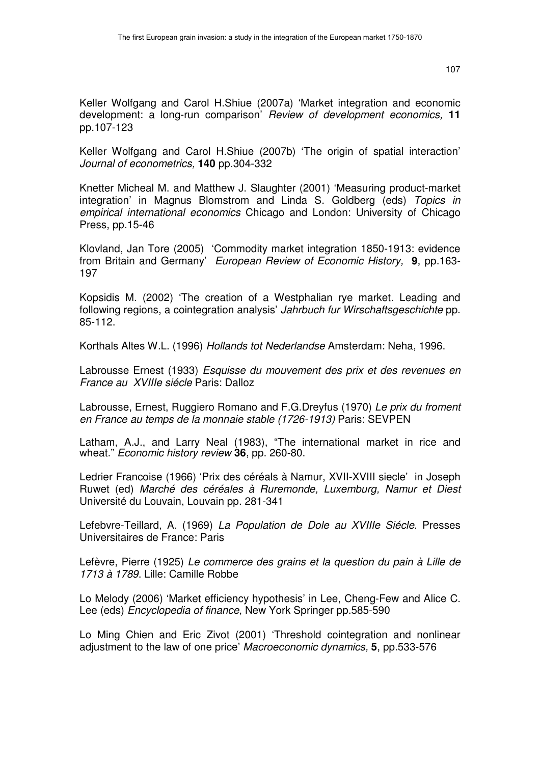107

Keller Wolfgang and Carol H.Shiue (2007a) 'Market integration and economic development: a long-run comparison' Review of development economics, **11** pp.107-123

Keller Wolfgang and Carol H.Shiue (2007b) 'The origin of spatial interaction' Journal of econometrics, **140** pp.304-332

Knetter Micheal M. and Matthew J. Slaughter (2001) 'Measuring product-market integration' in Magnus Blomstrom and Linda S. Goldberg (eds) Topics in empirical international economics Chicago and London: University of Chicago Press, pp.15-46

Klovland, Jan Tore (2005) 'Commodity market integration 1850-1913: evidence from Britain and Germany' European Review of Economic History, **9**, pp.163- 197

Kopsidis M. (2002) 'The creation of a Westphalian rye market. Leading and following regions, a cointegration analysis' Jahrbuch fur Wirschaftsgeschichte pp. 85-112.

Korthals Altes W.L. (1996) Hollands tot Nederlandse Amsterdam: Neha, 1996.

Labrousse Ernest (1933) Esquisse du mouvement des prix et des revenues en France au XVIIIe siécle Paris: Dalloz

Labrousse, Ernest, Ruggiero Romano and F.G.Dreyfus (1970) Le prix du froment en France au temps de la monnaie stable (1726-1913) Paris: SEVPEN

Latham, A.J., and Larry Neal (1983), "The international market in rice and wheat." Economic history review **36**, pp. 260-80.

Ledrier Francoise (1966) 'Prix des céréals à Namur, XVII-XVIII siecle' in Joseph Ruwet (ed) Marché des céréales à Ruremonde, Luxemburg, Namur et Diest Université du Louvain, Louvain pp. 281-341

Lefebvre-Teillard, A. (1969) La Population de Dole au XVIIIe Siécle. Presses Universitaires de France: Paris

Lefèvre, Pierre (1925) Le commerce des grains et la question du pain à Lille de 1713 à 1789. Lille: Camille Robbe

Lo Melody (2006) 'Market efficiency hypothesis' in Lee, Cheng-Few and Alice C. Lee (eds) Encyclopedia of finance, New York Springer pp.585-590

Lo Ming Chien and Eric Zivot (2001) 'Threshold cointegration and nonlinear adjustment to the law of one price' Macroeconomic dynamics, **5**, pp.533-576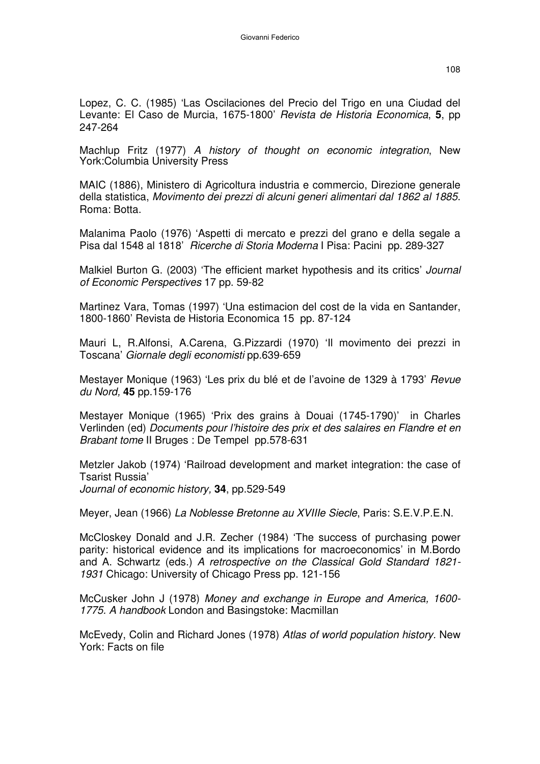Lopez, C. C. (1985) 'Las Oscilaciones del Precio del Trigo en una Ciudad del Levante: El Caso de Murcia, 1675-1800' Revista de Historia Economica, **5**, pp 247-264

Machlup Fritz (1977) A history of thought on economic integration, New York:Columbia University Press

MAIC (1886), Ministero di Agricoltura industria e commercio, Direzione generale della statistica, Movimento dei prezzi di alcuni generi alimentari dal 1862 al 1885. Roma: Botta.

Malanima Paolo (1976) 'Aspetti di mercato e prezzi del grano e della segale a Pisa dal 1548 al 1818' Ricerche di Storia Moderna I Pisa: Pacini pp. 289-327

Malkiel Burton G. (2003) 'The efficient market hypothesis and its critics' Journal of Economic Perspectives 17 pp. 59-82

Martinez Vara, Tomas (1997) 'Una estimacion del cost de la vida en Santander, 1800-1860' Revista de Historia Economica 15 pp. 87-124

Mauri L, R.Alfonsi, A.Carena, G.Pizzardi (1970) 'Il movimento dei prezzi in Toscana' Giornale degli economisti pp.639-659

Mestayer Monique (1963) 'Les prix du blé et de l'avoine de 1329 à 1793' Revue du Nord, **45** pp.159-176

Mestayer Monique (1965) 'Prix des grains à Douai (1745-1790)' in Charles Verlinden (ed) Documents pour l'histoire des prix et des salaires en Flandre et en Brabant tome II Bruges : De Tempel pp.578-631

Metzler Jakob (1974) 'Railroad development and market integration: the case of Tsarist Russia' Journal of economic history, **34**, pp.529-549

Meyer, Jean (1966) La Noblesse Bretonne au XVIIIe Siecle, Paris: S.E.V.P.E.N.

McCloskey Donald and J.R. Zecher (1984) 'The success of purchasing power parity: historical evidence and its implications for macroeconomics' in M.Bordo and A. Schwartz (eds.) A retrospective on the Classical Gold Standard 1821- 1931 Chicago: University of Chicago Press pp. 121-156

McCusker John J (1978) Money and exchange in Europe and America, 1600- 1775. A handbook London and Basingstoke: Macmillan

McEvedy, Colin and Richard Jones (1978) Atlas of world population history. New York: Facts on file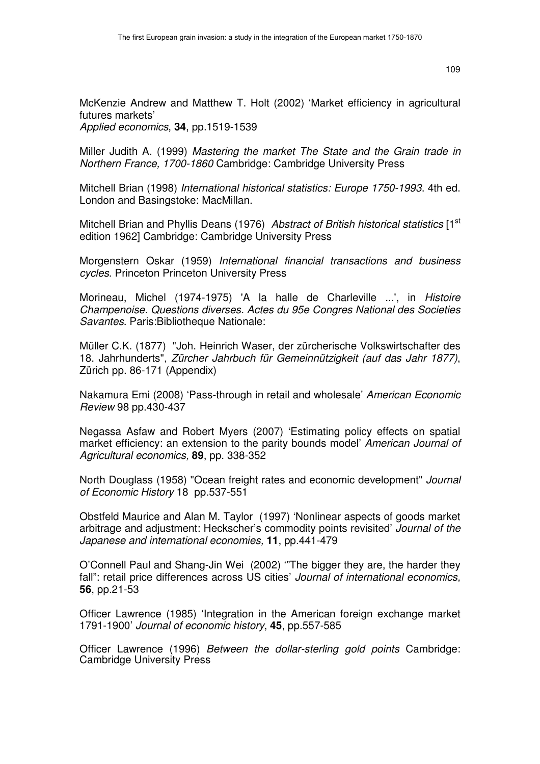McKenzie Andrew and Matthew T. Holt (2002) 'Market efficiency in agricultural futures markets'

Applied economics, **34**, pp.1519-1539

Miller Judith A. (1999) Mastering the market The State and the Grain trade in Northern France, 1700-1860 Cambridge: Cambridge University Press

Mitchell Brian (1998) International historical statistics: Europe 1750-1993. 4th ed. London and Basingstoke: MacMillan.

Mitchell Brian and Phyllis Deans (1976) Abstract of British historical statistics [1<sup>st</sup>] edition 1962] Cambridge: Cambridge University Press

Morgenstern Oskar (1959) International financial transactions and business cycles. Princeton Princeton University Press

Morineau, Michel (1974-1975) 'A la halle de Charleville ...', in Histoire Champenoise. Questions diverses. Actes du 95e Congres National des Societies Savantes. Paris:Bibliotheque Nationale:

Müller C.K. (1877) "Joh. Heinrich Waser, der zürcherische Volkswirtschafter des 18. Jahrhunderts", Zürcher Jahrbuch für Gemeinnützigkeit (auf das Jahr 1877), Zürich pp. 86-171 (Appendix)

Nakamura Emi (2008) 'Pass-through in retail and wholesale' American Economic Review 98 pp.430-437

Negassa Asfaw and Robert Myers (2007) 'Estimating policy effects on spatial market efficiency: an extension to the parity bounds model' American Journal of Agricultural economics, **89**, pp. 338-352

North Douglass (1958) "Ocean freight rates and economic development" Journal of Economic History 18 pp.537-551

Obstfeld Maurice and Alan M. Taylor (1997) 'Nonlinear aspects of goods market arbitrage and adjustment: Heckscher's commodity points revisited' Journal of the Japanese and international economies, **11**, pp.441-479

O'Connell Paul and Shang-Jin Wei (2002) '"The bigger they are, the harder they fall": retail price differences across US cities' Journal of international economics, **56**, pp.21-53

Officer Lawrence (1985) 'Integration in the American foreign exchange market 1791-1900' Journal of economic history, **45**, pp.557-585

Officer Lawrence (1996) Between the dollar-sterling gold points Cambridge: Cambridge University Press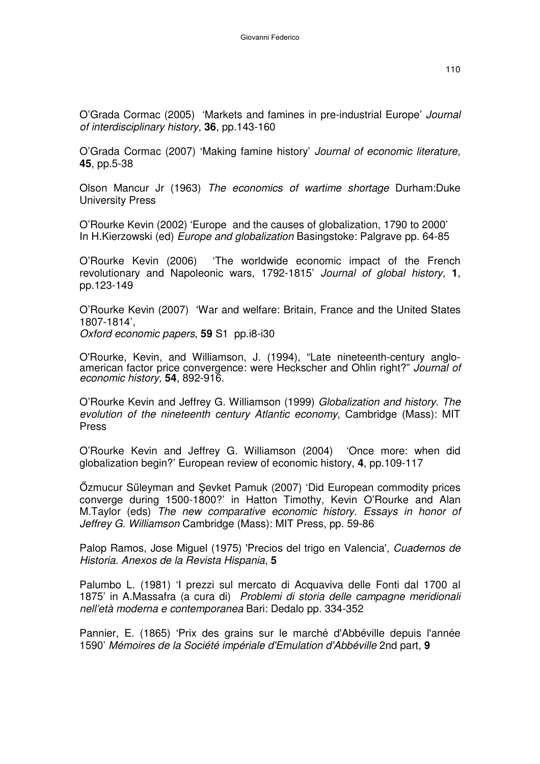O'Grada Cormac (2005) 'Markets and famines in pre-industrial Europe' Journal of interdisciplinary history, **36**, pp.143-160

O'Grada Cormac (2007) 'Making famine history' Journal of economic literature, **45**, pp.5-38

Olson Mancur Jr (1963) The economics of wartime shortage Durham:Duke University Press

O'Rourke Kevin (2002) 'Europe and the causes of globalization, 1790 to 2000' In H.Kierzowski (ed) *Europe and globalization* Basingstoke: Palgrave pp. 64-85

O'Rourke Kevin (2006) 'The worldwide economic impact of the French revolutionary and Napoleonic wars, 1792-1815' Journal of global history, **1**, pp.123-149

O'Rourke Kevin (2007) 'War and welfare: Britain, France and the United States 1807-1814',

Oxford economic papers, **59** S1 pp.i8-i30

O'Rourke, Kevin, and Williamson, J. (1994), "Late nineteenth-century angloamerican factor price convergence: were Heckscher and Ohlin right?" Journal of economic history, **54**, 892-916.

O'Rourke Kevin and Jeffrey G. Williamson (1999) Globalization and history. The evolution of the nineteenth century Atlantic economy, Cambridge (Mass): MIT Press

O'Rourke Kevin and Jeffrey G. Williamson (2004) 'Once more: when did globalization begin?' European review of economic history, **4**, pp.109-117

Őzmucur Sűleyman and Şevket Pamuk (2007) 'Did European commodity prices converge during 1500-1800?' in Hatton Timothy, Kevin O'Rourke and Alan M.Taylor (eds) The new comparative economic history. Essays in honor of Jeffrey G. Williamson Cambridge (Mass): MIT Press, pp. 59-86

Palop Ramos, Jose Miguel (1975) 'Precios del trigo en Valencia', Cuadernos de Historia. Anexos de la Revista Hispania, **5**

Palumbo L. (1981) 'I prezzi sul mercato di Acquaviva delle Fonti dal 1700 al 1875' in A.Massafra (a cura di) Problemi di storia delle campagne meridionali nell'età moderna e contemporanea Bari: Dedalo pp. 334-352

Pannier, E. (1865) 'Prix des grains sur le marché d'Abbéville depuis l'année 1590' Mémoires de la Société impériale d'Emulation d'Abbéville 2nd part, **9**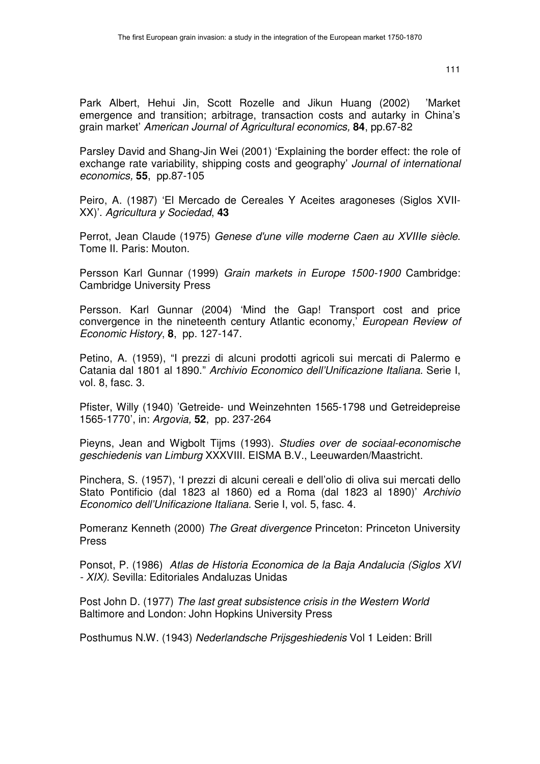Park Albert, Hehui Jin, Scott Rozelle and Jikun Huang (2002) 'Market emergence and transition; arbitrage, transaction costs and autarky in China's grain market' American Journal of Agricultural economics, **84**, pp.67-82

Parsley David and Shang-Jin Wei (2001) 'Explaining the border effect: the role of exchange rate variability, shipping costs and geography' Journal of international economics, **55**, pp.87-105

Peiro, A. (1987) 'El Mercado de Cereales Y Aceites aragoneses (Siglos XVII-XX)'. Agricultura y Sociedad, **43**

Perrot, Jean Claude (1975) Genese d'une ville moderne Caen au XVIIIe siècle. Tome II. Paris: Mouton.

Persson Karl Gunnar (1999) Grain markets in Europe 1500-1900 Cambridge: Cambridge University Press

Persson. Karl Gunnar (2004) 'Mind the Gap! Transport cost and price convergence in the nineteenth century Atlantic economy,' European Review of Economic History, **8**, pp. 127-147.

Petino, A. (1959), "I prezzi di alcuni prodotti agricoli sui mercati di Palermo e Catania dal 1801 al 1890." Archivio Economico dell'Unificazione Italiana. Serie I, vol. 8, fasc. 3.

Pfister, Willy (1940) 'Getreide- und Weinzehnten 1565-1798 und Getreidepreise 1565-1770', in: Argovia, **52**, pp. 237-264

Pieyns, Jean and Wigbolt Tijms (1993). Studies over de sociaal-economische geschiedenis van Limburg XXXVIII. EISMA B.V., Leeuwarden/Maastricht.

Pinchera, S. (1957), 'I prezzi di alcuni cereali e dell'olio di oliva sui mercati dello Stato Pontificio (dal 1823 al 1860) ed a Roma (dal 1823 al 1890)' Archivio Economico dell'Unificazione Italiana. Serie I, vol. 5, fasc. 4.

Pomeranz Kenneth (2000) The Great divergence Princeton: Princeton University Press

Ponsot, P. (1986) Atlas de Historia Economica de la Baja Andalucia (Siglos XVI - XIX). Sevilla: Editoriales Andaluzas Unidas

Post John D. (1977) The last great subsistence crisis in the Western World Baltimore and London: John Hopkins University Press

Posthumus N.W. (1943) Nederlandsche Prijsgeshiedenis Vol 1 Leiden: Brill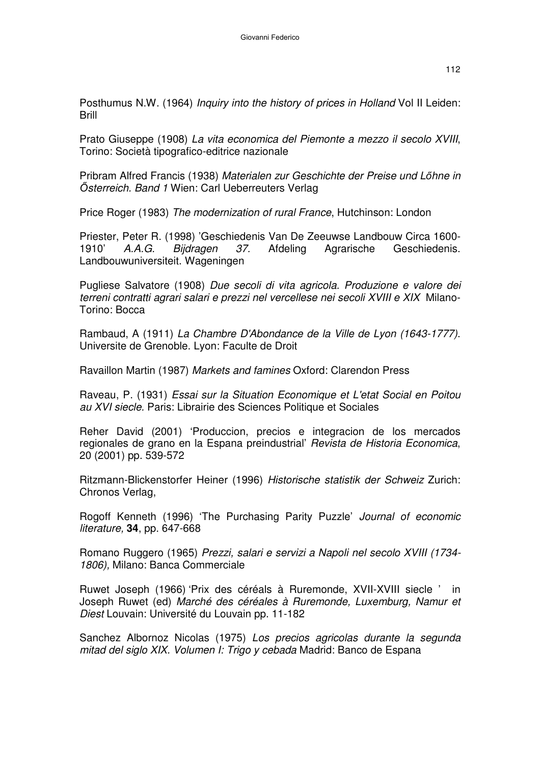Posthumus N.W. (1964) Inquiry into the history of prices in Holland Vol II Leiden: Brill

Prato Giuseppe (1908) La vita economica del Piemonte a mezzo il secolo XVIII, Torino: Società tipografico-editrice nazionale

Pribram Alfred Francis (1938) Materialen zur Geschichte der Preise und Lőhne in Ősterreich. Band 1 Wien: Carl Ueberreuters Verlag

Price Roger (1983) The modernization of rural France, Hutchinson: London

Priester, Peter R. (1998) 'Geschiedenis Van De Zeeuwse Landbouw Circa 1600- 1910' A.A.G. Bijdragen 37. Afdeling Agrarische Geschiedenis. Landbouwuniversiteit. Wageningen

Pugliese Salvatore (1908) Due secoli di vita agricola. Produzione e valore dei terreni contratti agrari salari e prezzi nel vercellese nei secoli XVIII e XIX Milano-Torino: Bocca

Rambaud, A (1911) La Chambre D'Abondance de la Ville de Lyon (1643-1777). Universite de Grenoble. Lyon: Faculte de Droit

Ravaillon Martin (1987) Markets and famines Oxford: Clarendon Press

Raveau, P. (1931) Essai sur la Situation Economique et L'etat Social en Poitou au XVI siecle. Paris: Librairie des Sciences Politique et Sociales

Reher David (2001) 'Produccion, precios e integracion de los mercados regionales de grano en la Espana preindustrial' Revista de Historia Economica, 20 (2001) pp. 539-572

Ritzmann-Blickenstorfer Heiner (1996) Historische statistik der Schweiz Zurich: Chronos Verlag,

Rogoff Kenneth (1996) 'The Purchasing Parity Puzzle' Journal of economic literature, **34**, pp. 647-668

Romano Ruggero (1965) Prezzi, salari e servizi a Napoli nel secolo XVIII (1734- 1806), Milano: Banca Commerciale

Ruwet Joseph (1966) 'Prix des céréals à Ruremonde, XVII-XVIII siecle ' in Joseph Ruwet (ed) Marché des céréales à Ruremonde, Luxemburg, Namur et Diest Louvain: Université du Louvain pp. 11-182

Sanchez Albornoz Nicolas (1975) Los precios agricolas durante la segunda mitad del siglo XIX. Volumen I: Trigo y cebada Madrid: Banco de Espana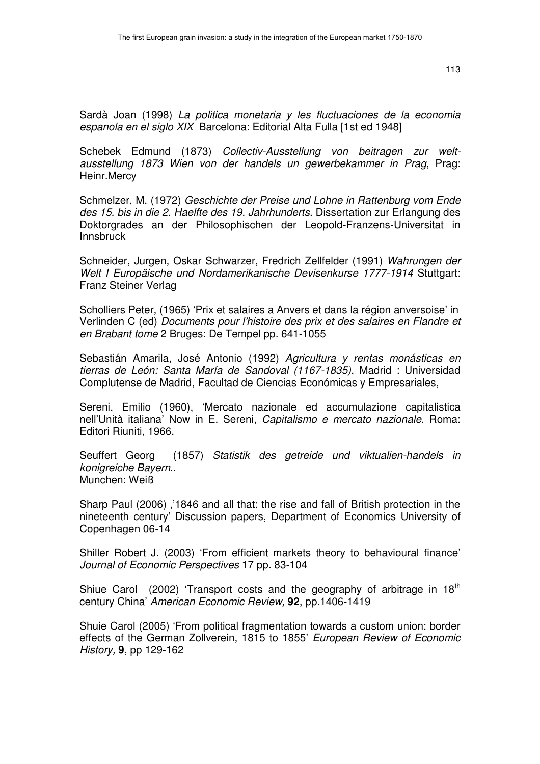Sardà Joan (1998) La politica monetaria y les fluctuaciones de la economia

Schebek Edmund (1873) Collectiv-Ausstellung von beitragen zur weltausstellung 1873 Wien von der handels un gewerbekammer in Prag, Prag: Heinr.Mercy

espanola en el siglo XIX Barcelona: Editorial Alta Fulla [1st ed 1948]

Schmelzer, M. (1972) Geschichte der Preise und Lohne in Rattenburg vom Ende des 15. bis in die 2. Haelfte des 19. Jahrhunderts. Dissertation zur Erlangung des Doktorgrades an der Philosophischen der Leopold-Franzens-Universitat in Innsbruck

Schneider, Jurgen, Oskar Schwarzer, Fredrich Zellfelder (1991) Wahrungen der Welt I Europäische und Nordamerikanische Devisenkurse 1777-1914 Stuttgart: Franz Steiner Verlag

Scholliers Peter, (1965) 'Prix et salaires a Anvers et dans la région anversoise' in Verlinden C (ed) Documents pour l'histoire des prix et des salaires en Flandre et en Brabant tome 2 Bruges: De Tempel pp. 641-1055

Sebastián Amarila, José Antonio (1992) Agricultura y rentas monásticas en tierras de León: Santa María de Sandoval (1167-1835), Madrid : Universidad Complutense de Madrid, Facultad de Ciencias Económicas y Empresariales,

Sereni, Emilio (1960), 'Mercato nazionale ed accumulazione capitalistica nell'Unità italiana' Now in E. Sereni, Capitalismo e mercato nazionale. Roma: Editori Riuniti, 1966.

Seuffert Georg (1857) Statistik des getreide und viktualien-handels in konigreiche Bayern.. Munchen: Weiß

Sharp Paul (2006), '1846 and all that: the rise and fall of British protection in the nineteenth century' Discussion papers, Department of Economics University of Copenhagen 06-14

Shiller Robert J. (2003) 'From efficient markets theory to behavioural finance' Journal of Economic Perspectives 17 pp. 83-104

Shiue Carol (2002) 'Transport costs and the geography of arbitrage in  $18<sup>th</sup>$ century China' American Economic Review, **92**, pp.1406-1419

Shuie Carol (2005) 'From political fragmentation towards a custom union: border effects of the German Zollverein, 1815 to 1855' European Review of Economic History, **9**, pp 129-162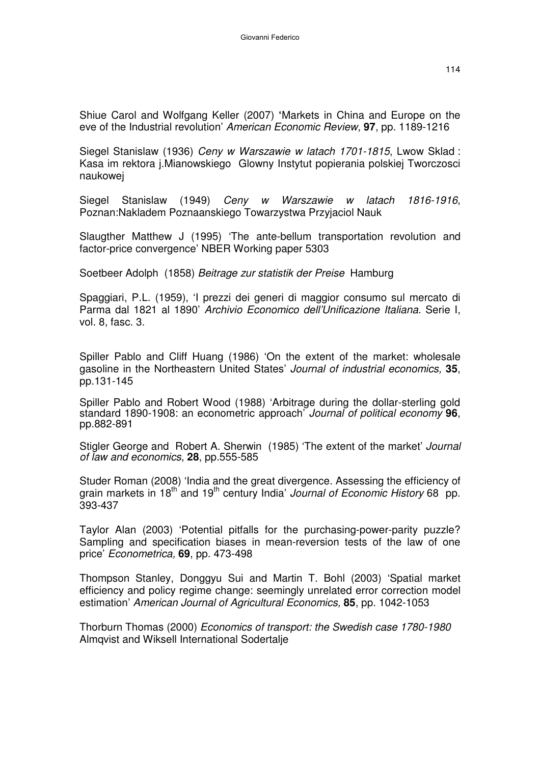Siegel Stanislaw (1936) Ceny w Warszawie w latach 1701-1815, Lwow Sklad : Kasa im rektora j.Mianowskiego Glowny Instytut popierania polskiej Tworczosci naukowej

Siegel Stanislaw (1949) Ceny w Warszawie w latach 1816-1916, Poznan:Nakladem Poznaanskiego Towarzystwa Przyjaciol Nauk

Slaugther Matthew J (1995) 'The ante-bellum transportation revolution and factor-price convergence' NBER Working paper 5303

Soetbeer Adolph (1858) Beitrage zur statistik der Preise Hamburg

Spaggiari, P.L. (1959), 'I prezzi dei generi di maggior consumo sul mercato di Parma dal 1821 al 1890' Archivio Economico dell'Unificazione Italiana. Serie I, vol. 8, fasc. 3.

Spiller Pablo and Cliff Huang (1986) 'On the extent of the market: wholesale gasoline in the Northeastern United States' Journal of industrial economics, **35**, pp.131-145

Spiller Pablo and Robert Wood (1988) 'Arbitrage during the dollar-sterling gold standard 1890-1908: an econometric approach' Journal of political economy **96**, pp.882-891

Stigler George and Robert A. Sherwin (1985) 'The extent of the market' Journal of law and economics, **28**, pp.555-585

Studer Roman (2008) 'India and the great divergence. Assessing the efficiency of grain markets in 18<sup>th</sup> and 19<sup>th</sup> century India' Journal of Economic History 68 pp. 393-437

Taylor Alan (2003) 'Potential pitfalls for the purchasing-power-parity puzzle? Sampling and specification biases in mean-reversion tests of the law of one price' Econometrica, **69**, pp. 473-498

Thompson Stanley, Donggyu Sui and Martin T. Bohl (2003) 'Spatial market efficiency and policy regime change: seemingly unrelated error correction model estimation' American Journal of Agricultural Economics, **85**, pp. 1042-1053

Thorburn Thomas (2000) Economics of transport: the Swedish case 1780-1980 Almqvist and Wiksell International Sodertalje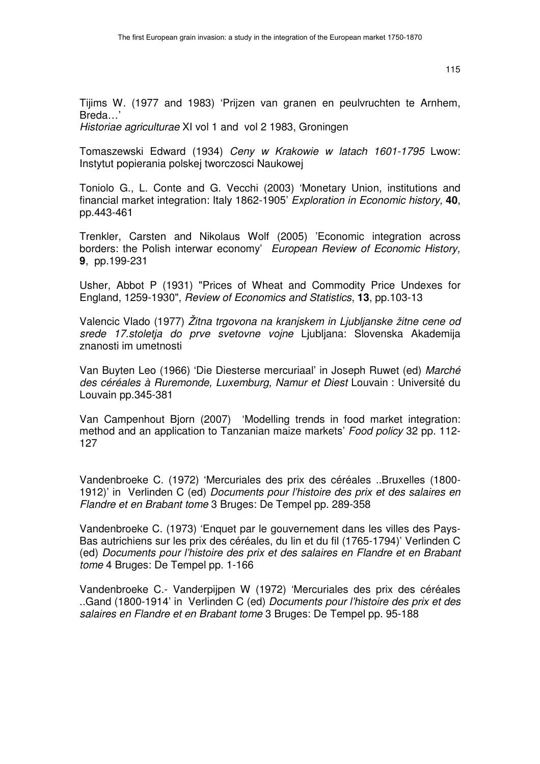Tijims W. (1977 and 1983) 'Prijzen van granen en peulvruchten te Arnhem, Breda…'

Historiae agriculturae XI vol 1 and vol 2 1983, Groningen

Tomaszewski Edward (1934) Ceny w Krakowie w latach 1601-1795 Lwow: Instytut popierania polskej tworczosci Naukowej

Toniolo G., L. Conte and G. Vecchi (2003) 'Monetary Union, institutions and financial market integration: Italy 1862-1905' Exploration in Economic history, **40**, pp.443-461

Trenkler, Carsten and Nikolaus Wolf (2005) 'Economic integration across borders: the Polish interwar economy' European Review of Economic History, **9**, pp.199-231

Usher, Abbot P (1931) "Prices of Wheat and Commodity Price Undexes for England, 1259-1930", Review of Economics and Statistics, **13**, pp.103-13

Valencic Vlado (1977) Žitna trgovona na kranjskem in Ljubljanske žitne cene od srede 17. stoletia do prve svetovne vojne Ljubljana: Slovenska Akademija znanosti im umetnosti

Van Buyten Leo (1966) 'Die Diesterse mercuriaal' in Joseph Ruwet (ed) Marché des céréales à Ruremonde, Luxemburg, Namur et Diest Louvain : Université du Louvain pp.345-381

Van Campenhout Bjorn (2007) 'Modelling trends in food market integration: method and an application to Tanzanian maize markets' Food policy 32 pp. 112- 127

Vandenbroeke C. (1972) 'Mercuriales des prix des céréales ..Bruxelles (1800- 1912)' in Verlinden C (ed) Documents pour l'histoire des prix et des salaires en Flandre et en Brabant tome 3 Bruges: De Tempel pp. 289-358

Vandenbroeke C. (1973) 'Enquet par le gouvernement dans les villes des Pays-Bas autrichiens sur les prix des céréales, du lin et du fil (1765-1794)' Verlinden C (ed) Documents pour l'histoire des prix et des salaires en Flandre et en Brabant tome 4 Bruges: De Tempel pp. 1-166

Vandenbroeke C.- Vanderpijpen W (1972) 'Mercuriales des prix des céréales ..Gand (1800-1914' in Verlinden C (ed) Documents pour l'histoire des prix et des salaires en Flandre et en Brabant tome 3 Bruges: De Tempel pp. 95-188